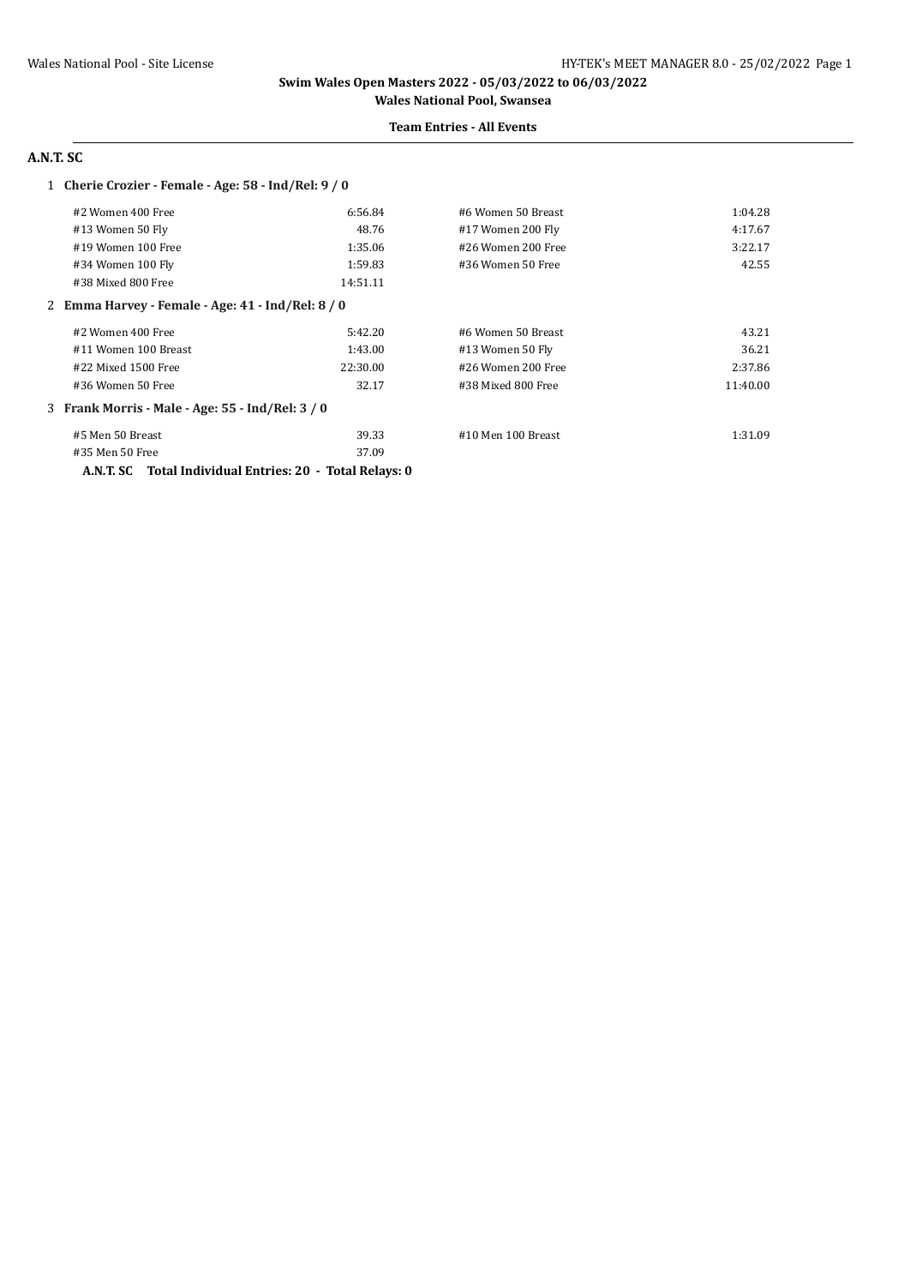#### **Team Entries - All Events**

# **A.N.T. SC**

### 1 **Cherie Crozier - Female - Age: 58 - Ind/Rel: 9 / 0**

| 1:04.28  |
|----------|
| 4:17.67  |
| 3:22.17  |
| 42.55    |
|          |
|          |
| 43.21    |
| 36.21    |
| 2:37.86  |
| 11:40.00 |
|          |
| 1:31.09  |
|          |
|          |

**A.N.T. SC Total Individual Entries: 20 - Total Relays: 0**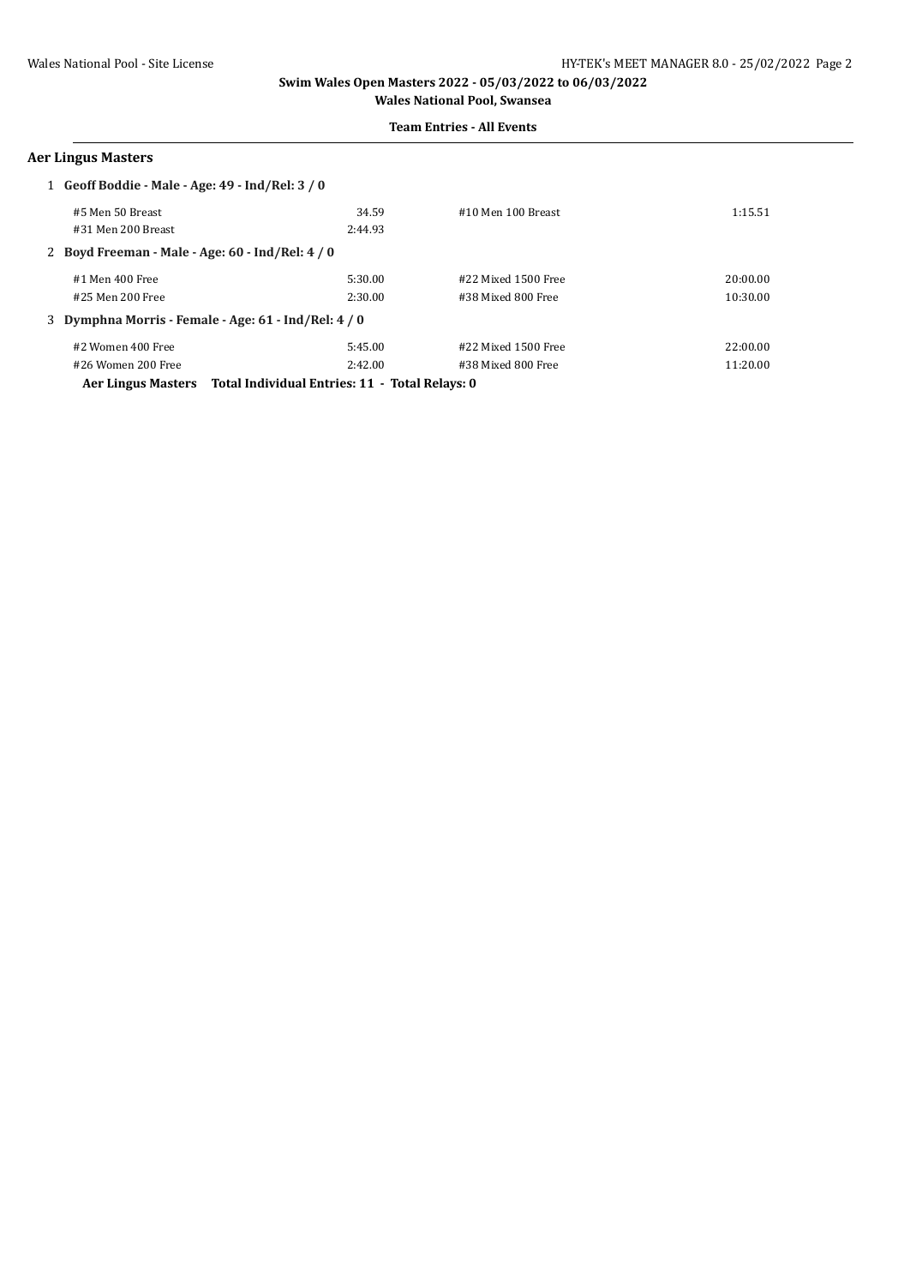#### **Team Entries - All Events**

### **Aer Lingus Masters**

| 1 Geoff Boddie - Male - Age: 49 - Ind/Rel: 3 / 0                  |                                                      |         |                       |          |
|-------------------------------------------------------------------|------------------------------------------------------|---------|-----------------------|----------|
|                                                                   | #5 Men 50 Breast                                     | 34.59   | #10 Men 100 Breast    | 1:15.51  |
|                                                                   | #31 Men 200 Breast                                   | 2:44.93 |                       |          |
|                                                                   | 2 Boyd Freeman - Male - Age: 60 - Ind/Rel: 4 / 0     |         |                       |          |
|                                                                   | #1 Men 400 Free                                      | 5:30.00 | #22 Mixed 1500 Free   | 20:00.00 |
|                                                                   | #25 Men 200 Free                                     | 2:30.00 | #38 Mixed 800 Free    | 10:30.00 |
|                                                                   | 3 Dymphna Morris - Female - Age: 61 - Ind/Rel: 4 / 0 |         |                       |          |
|                                                                   | #2 Women 400 Free                                    | 5:45.00 | $#22$ Mixed 1500 Free | 22:00.00 |
|                                                                   | #26 Women 200 Free                                   | 2:42.00 | #38 Mixed 800 Free    | 11:20.00 |
| Aer Lingus Masters Total Individual Entries: 11 - Total Relays: 0 |                                                      |         |                       |          |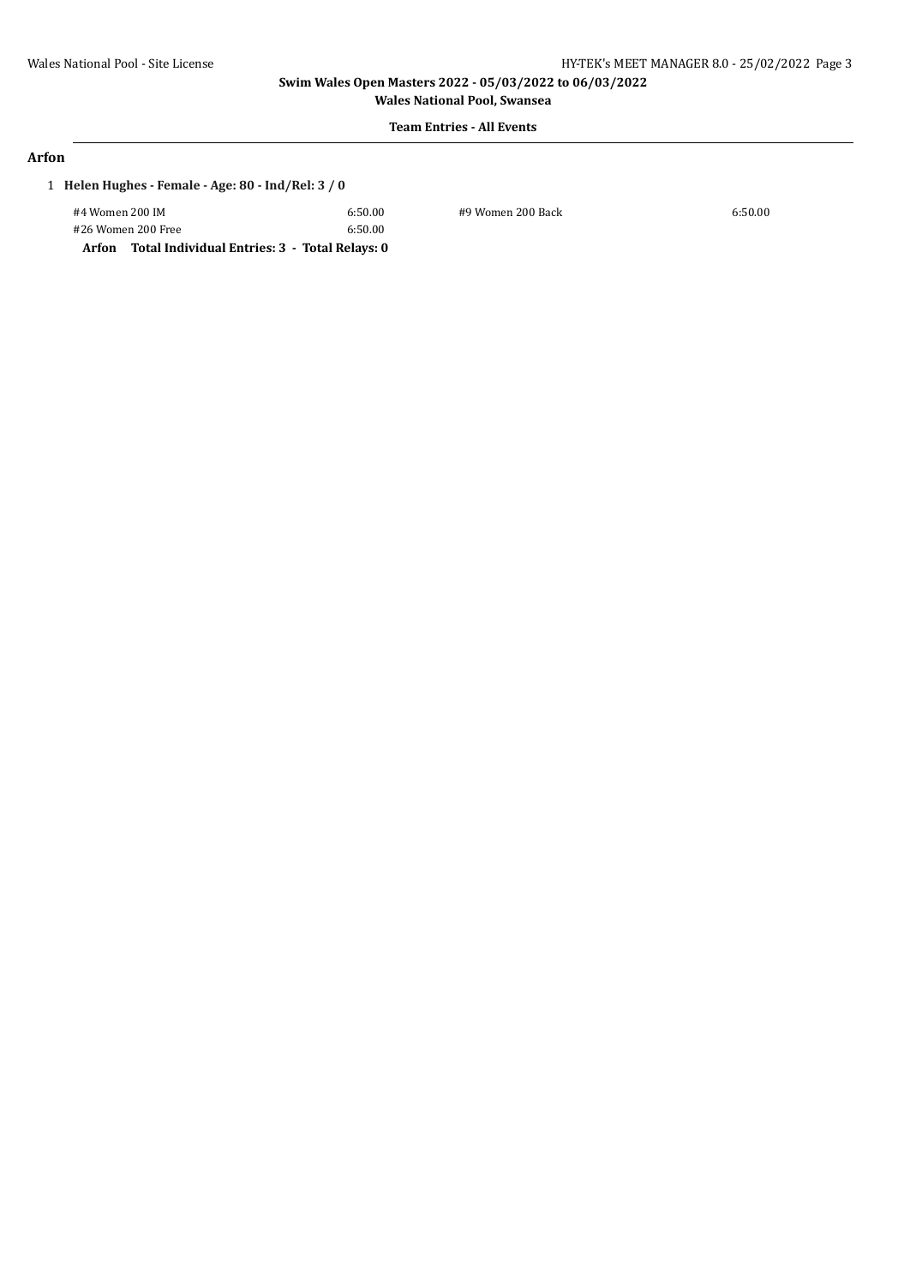**Wales National Pool, Swansea**

# **Team Entries - All Events**

### **Arfon**

# 1 **Helen Hughes - Female - Age: 80 - Ind/Rel: 3 / 0**

| #4 Women 200 IM    | 6:50.00 | #9 Women 200 Back | 6:50.00 |
|--------------------|---------|-------------------|---------|
| #26 Women 200 Free | 6:50.00 |                   |         |
|                    |         |                   |         |

**Arfon Total Individual Entries: 3 - Total Relays: 0**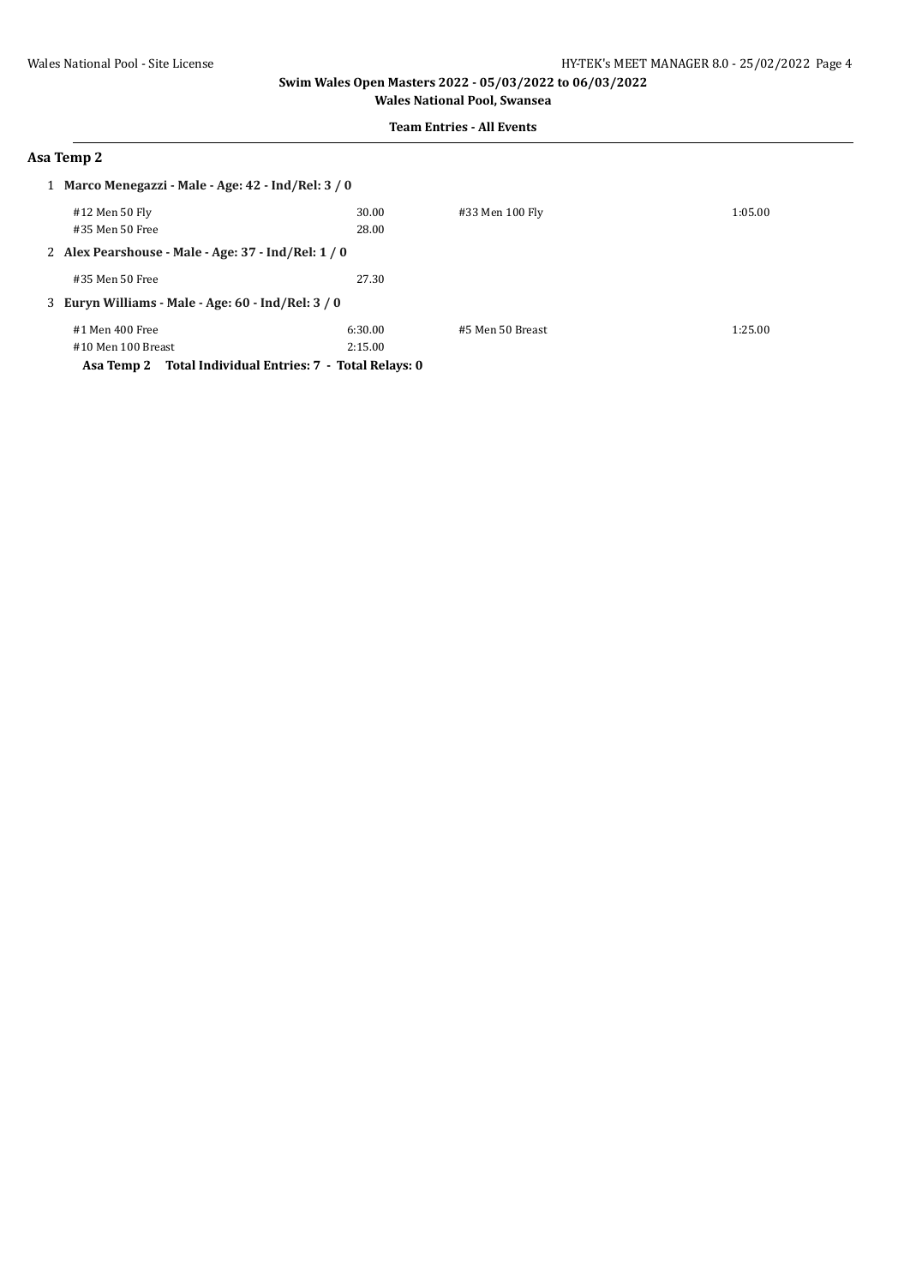**Team Entries - All Events**

### **Asa Temp 2**

|                                                             | 1 Marco Menegazzi - Male - Age: 42 - Ind/Rel: 3 / 0 |         |                  |         |
|-------------------------------------------------------------|-----------------------------------------------------|---------|------------------|---------|
| #12 Men 50 Fly                                              |                                                     | 30.00   | #33 Men 100 Fly  | 1:05.00 |
| #35 Men 50 Free                                             |                                                     | 28.00   |                  |         |
|                                                             | 2 Alex Pearshouse - Male - Age: 37 - Ind/Rel: 1 / 0 |         |                  |         |
| #35 Men 50 Free                                             |                                                     | 27.30   |                  |         |
|                                                             | 3 Euryn Williams - Male - Age: 60 - Ind/Rel: 3 / 0  |         |                  |         |
| #1 Men 400 Free                                             |                                                     | 6:30.00 | #5 Men 50 Breast | 1:25.00 |
| #10 Men 100 Breast                                          |                                                     | 2:15.00 |                  |         |
| Total Individual Entries: 7 - Total Relays: 0<br>Asa Temp 2 |                                                     |         |                  |         |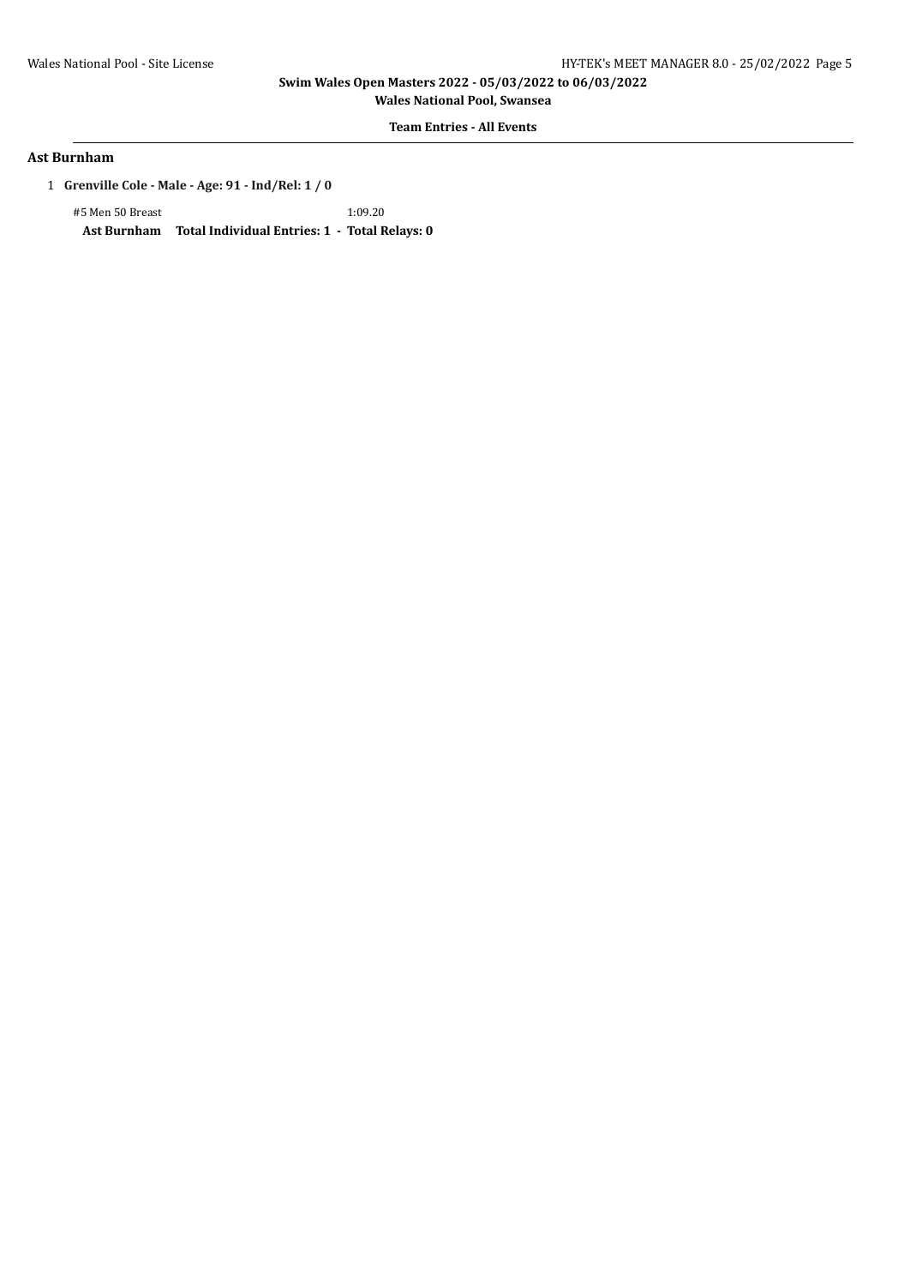**Wales National Pool, Swansea**

**Team Entries - All Events**

### **Ast Burnham**

1 **Grenville Cole - Male - Age: 91 - Ind/Rel: 1 / 0**

#5 Men 50 Breast 1:09.20 **Ast Burnham Total Individual Entries: 1 - Total Relays: 0**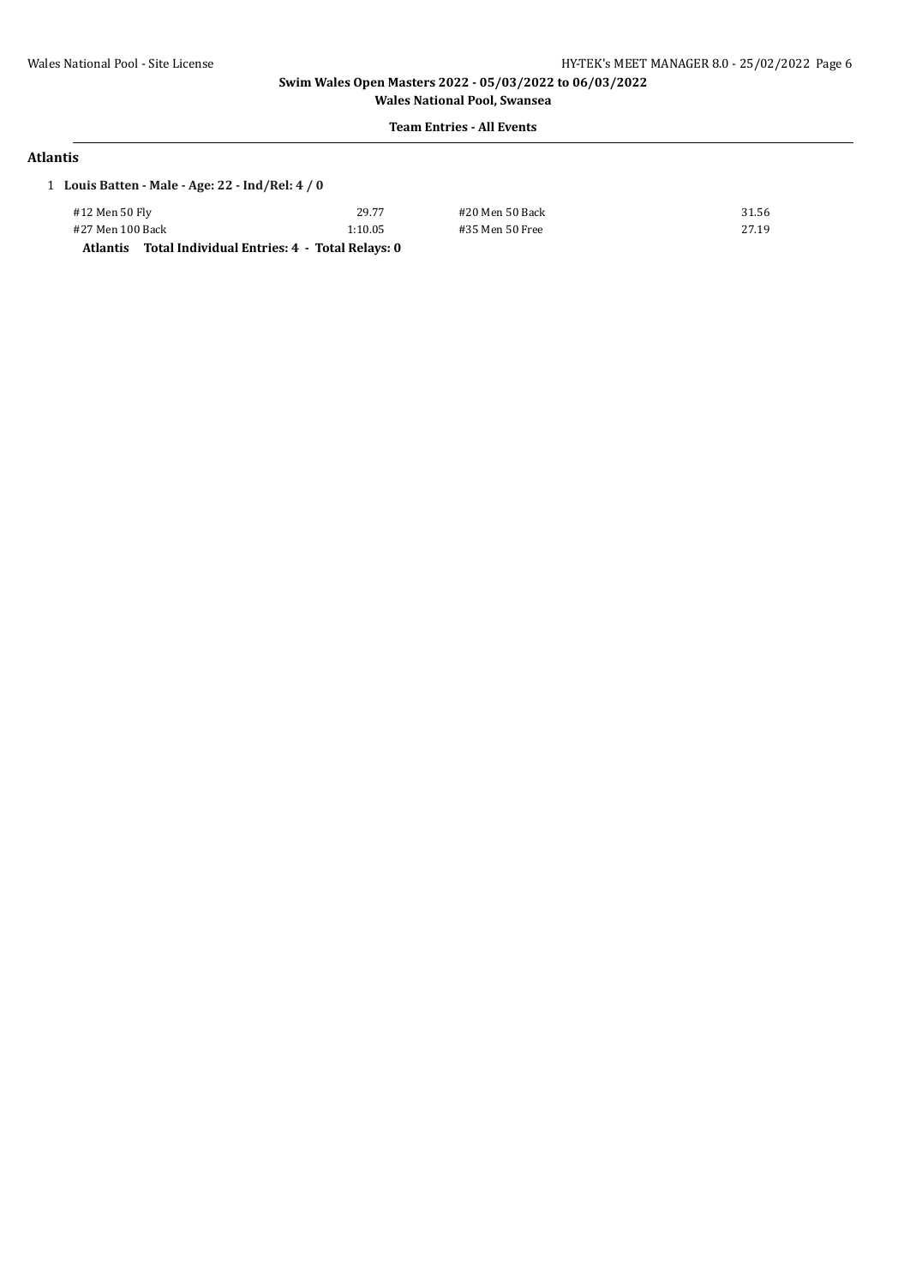#### **Team Entries - All Events**

### **Atlantis**

| 1 Louis Batten - Male - Age: 22 - Ind/Rel: $4/0$ |                                               |                 |       |
|--------------------------------------------------|-----------------------------------------------|-----------------|-------|
| #12 Men 50 Fly                                   | 29.77                                         | #20 Men 50 Back | 31.56 |
| #27 Men 100 Back                                 | 1:10.05                                       | #35 Men 50 Free | 27.19 |
| Atlantis                                         | Total Individual Entries: 4 - Total Relays: 0 |                 |       |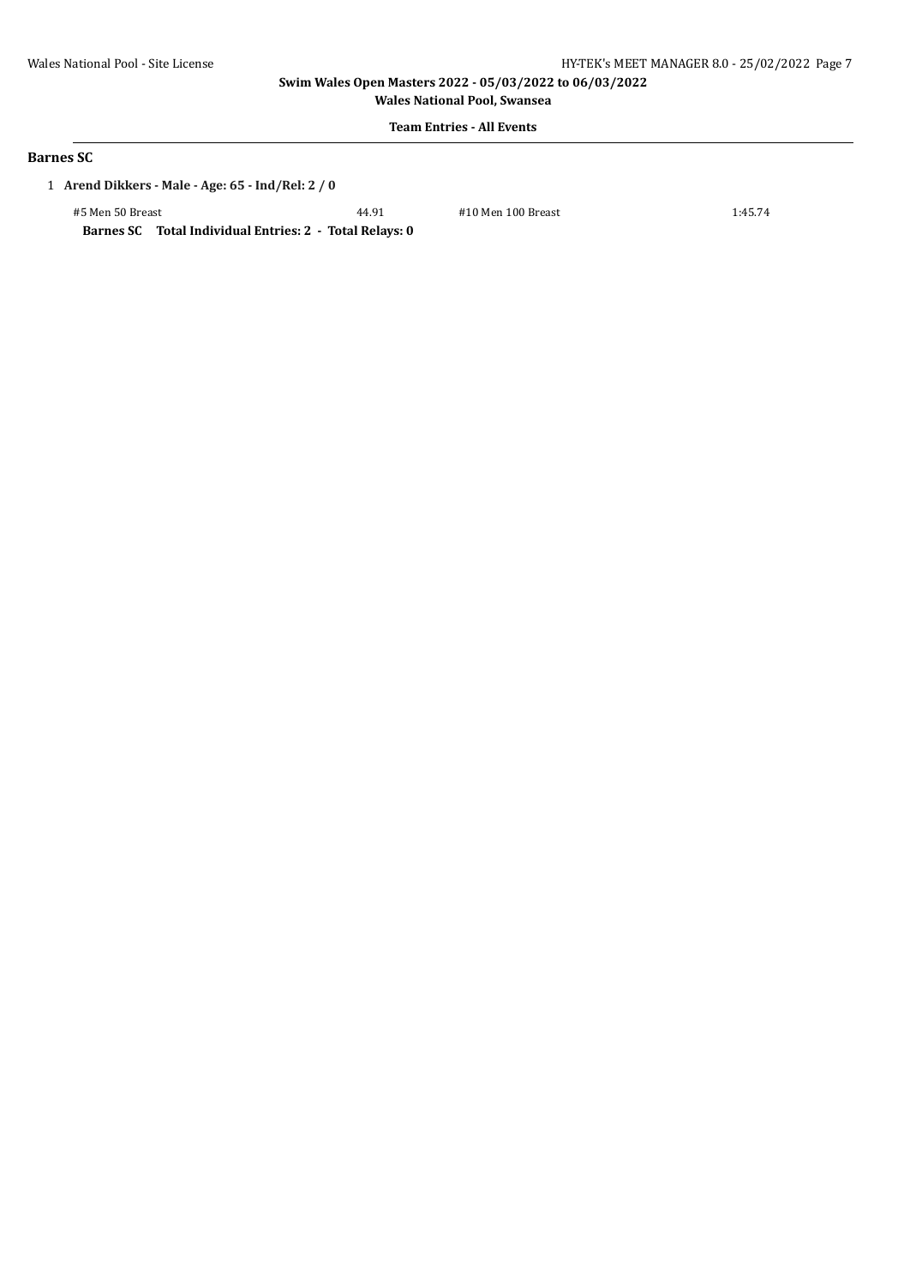**Wales National Pool, Swansea**

# **Team Entries - All Events**

# **Barnes SC**

1 **Arend Dikkers - Male - Age: 65 - Ind/Rel: 2 / 0**

#5 Men 50 Breast 44.91 #10 Men 100 Breast 1:45.74

**Barnes SC Total Individual Entries: 2 - Total Relays: 0**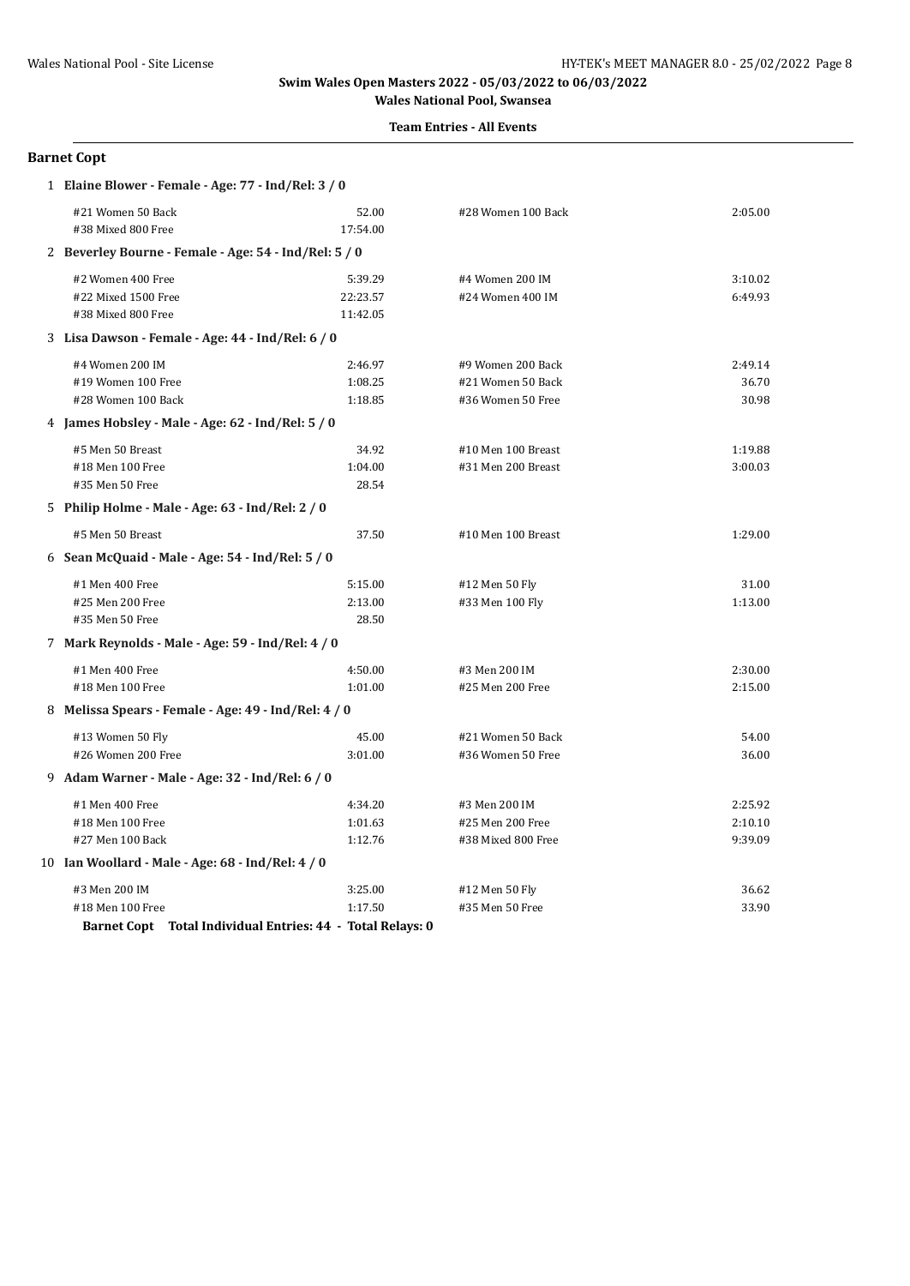#### **Team Entries - All Events**

### **Barnet Copt**

| 1 Elaine Blower - Female - Age: 77 - Ind/Rel: 3 / 0 |                                                            |          |                    |         |
|-----------------------------------------------------|------------------------------------------------------------|----------|--------------------|---------|
|                                                     | #21 Women 50 Back                                          | 52.00    | #28 Women 100 Back | 2:05.00 |
|                                                     | #38 Mixed 800 Free                                         | 17:54.00 |                    |         |
|                                                     | 2 Beverley Bourne - Female - Age: 54 - Ind/Rel: 5 / 0      |          |                    |         |
|                                                     | #2 Women 400 Free                                          | 5:39.29  | #4 Women 200 IM    | 3:10.02 |
|                                                     | #22 Mixed 1500 Free                                        | 22:23.57 | #24 Women 400 IM   | 6:49.93 |
|                                                     | #38 Mixed 800 Free                                         | 11:42.05 |                    |         |
|                                                     | 3 Lisa Dawson - Female - Age: 44 - Ind/Rel: 6 / 0          |          |                    |         |
|                                                     | #4 Women 200 IM                                            | 2:46.97  | #9 Women 200 Back  | 2:49.14 |
|                                                     | #19 Women 100 Free                                         | 1:08.25  | #21 Women 50 Back  | 36.70   |
|                                                     | #28 Women 100 Back                                         | 1:18.85  | #36 Women 50 Free  | 30.98   |
|                                                     | 4 James Hobsley - Male - Age: 62 - Ind/Rel: 5 / 0          |          |                    |         |
|                                                     | #5 Men 50 Breast                                           | 34.92    | #10 Men 100 Breast | 1:19.88 |
|                                                     | #18 Men 100 Free                                           | 1:04.00  | #31 Men 200 Breast | 3:00.03 |
|                                                     | #35 Men 50 Free                                            | 28.54    |                    |         |
|                                                     | 5 Philip Holme - Male - Age: 63 - Ind/Rel: 2 / 0           |          |                    |         |
|                                                     | #5 Men 50 Breast                                           | 37.50    | #10 Men 100 Breast | 1:29.00 |
|                                                     | 6 Sean McQuaid - Male - Age: $54$ - Ind/Rel: $5/0$         |          |                    |         |
|                                                     | #1 Men 400 Free                                            | 5:15.00  | #12 Men 50 Fly     | 31.00   |
|                                                     | #25 Men 200 Free                                           | 2:13.00  | #33 Men 100 Fly    | 1:13.00 |
|                                                     | #35 Men 50 Free                                            | 28.50    |                    |         |
|                                                     | 7 Mark Reynolds - Male - Age: 59 - Ind/Rel: 4 / 0          |          |                    |         |
|                                                     | #1 Men 400 Free                                            | 4:50.00  | #3 Men 200 IM      | 2:30.00 |
|                                                     | #18 Men 100 Free                                           | 1:01.00  | #25 Men 200 Free   | 2:15.00 |
|                                                     | 8 Melissa Spears - Female - Age: 49 - Ind/Rel: 4 / 0       |          |                    |         |
|                                                     | #13 Women 50 Fly                                           | 45.00    | #21 Women 50 Back  | 54.00   |
|                                                     | #26 Women 200 Free                                         | 3:01.00  | #36 Women 50 Free  | 36.00   |
|                                                     | 9 Adam Warner - Male - Age: 32 - Ind/Rel: 6 / 0            |          |                    |         |
|                                                     | #1 Men 400 Free                                            | 4:34.20  | #3 Men 200 IM      | 2:25.92 |
|                                                     | #18 Men 100 Free                                           | 1:01.63  | #25 Men 200 Free   | 2:10.10 |
|                                                     | #27 Men 100 Back                                           | 1:12.76  | #38 Mixed 800 Free | 9:39.09 |
|                                                     | 10 Ian Woollard - Male - Age: 68 - Ind/Rel: 4 / 0          |          |                    |         |
|                                                     | #3 Men 200 IM                                              | 3:25.00  | #12 Men 50 Fly     | 36.62   |
|                                                     | #18 Men 100 Free                                           | 1:17.50  | #35 Men 50 Free    | 33.90   |
|                                                     | Barnet Copt Total Individual Entries: 44 - Total Relays: 0 |          |                    |         |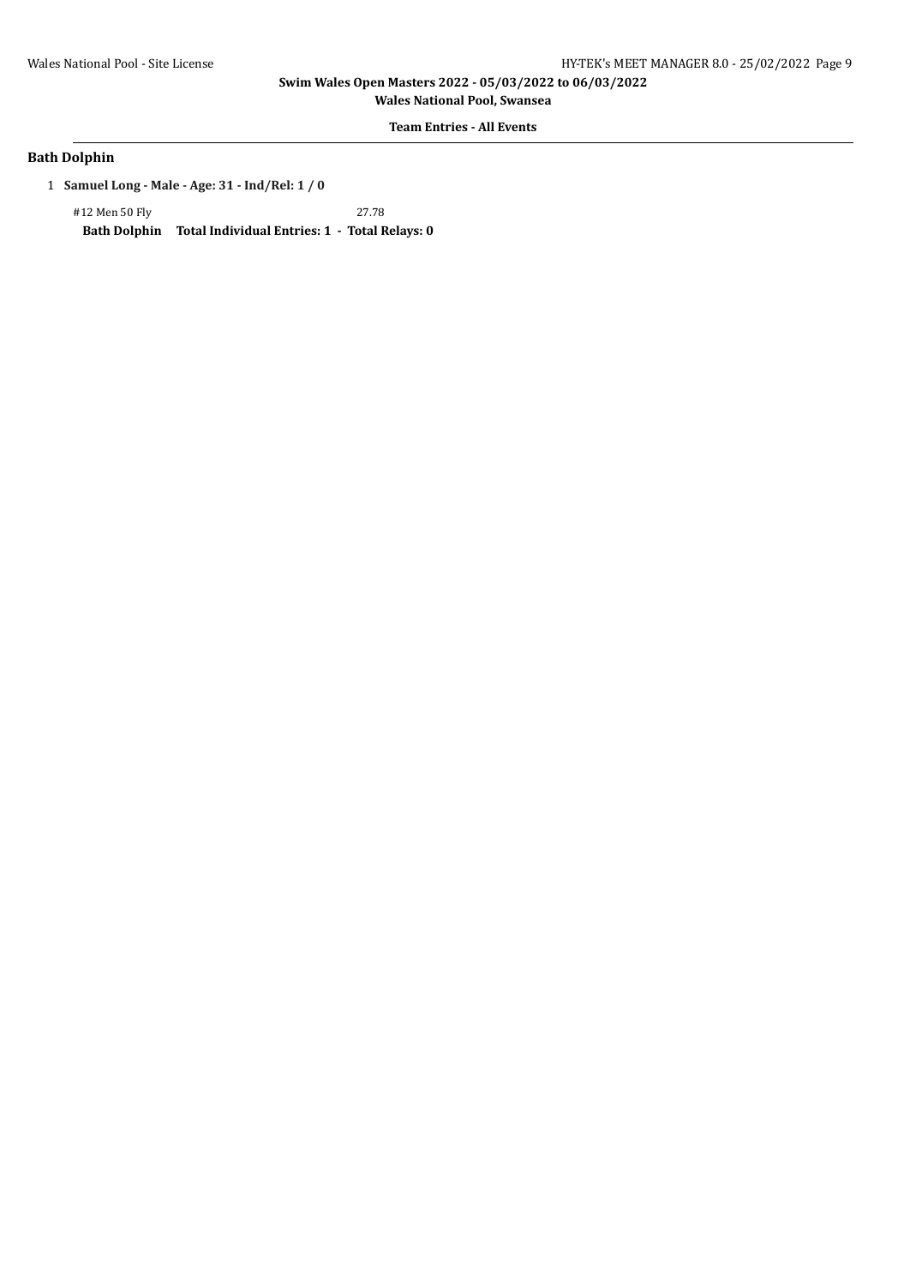**Wales National Pool, Swansea**

# **Team Entries - All Events**

### **Bath Dolphin**

1 **Samuel Long - Male - Age: 31 - Ind/Rel: 1 / 0**

#12 Men 50 Fly 27.78

**Bath Dolphin Total Individual Entries: 1 - Total Relays: 0**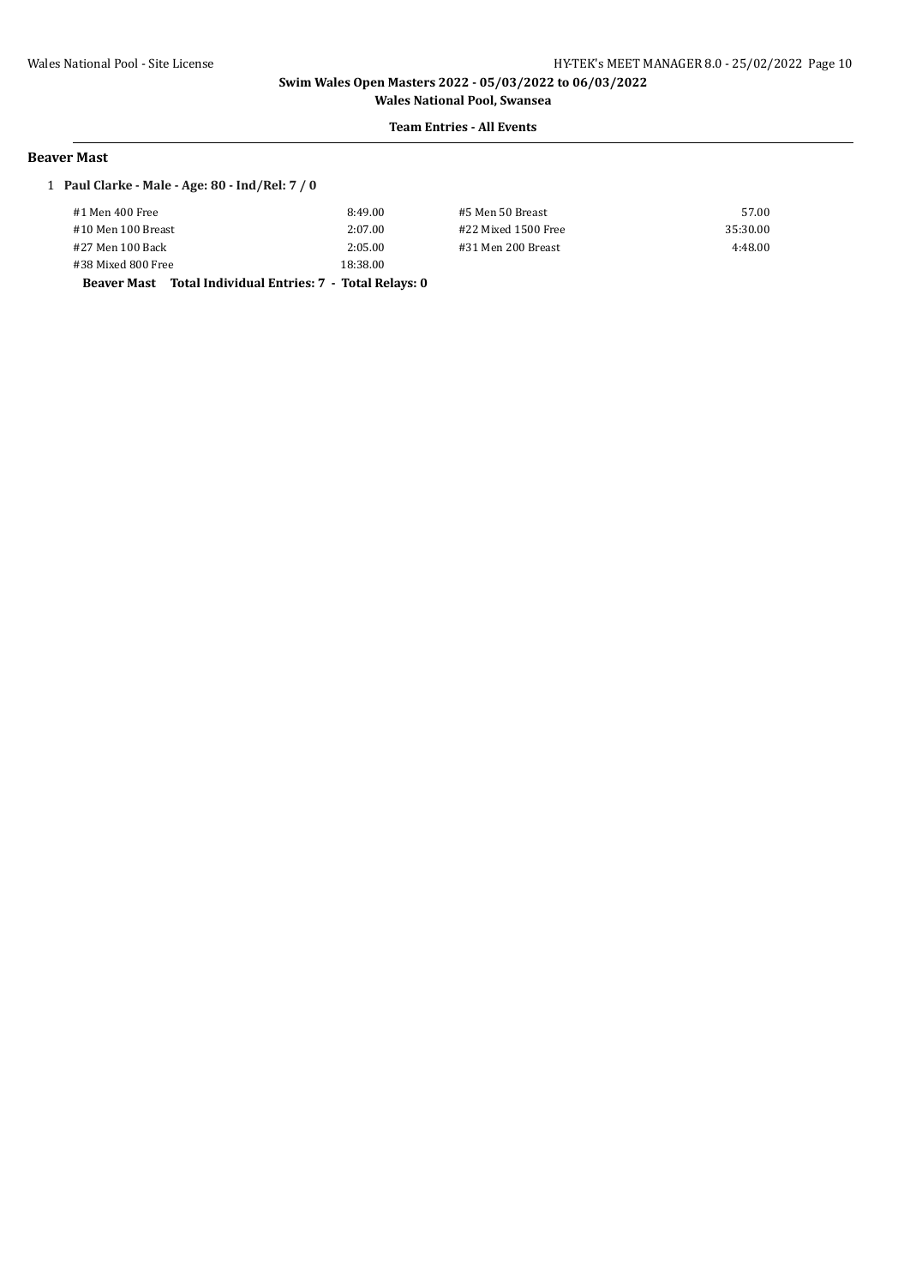# **Team Entries - All Events**

#### **Beaver Mast**

#### 1 **Paul Clarke - Male - Age: 80 - Ind/Rel: 7 / 0**

| #1 Men 400 Free                                           | 8:49.00  | #5 Men 50 Breast    | 57.00    |
|-----------------------------------------------------------|----------|---------------------|----------|
| #10 Men 100 Breast                                        | 2:07.00  | #22 Mixed 1500 Free | 35:30.00 |
| #27 Men 100 Back                                          | 2:05.00  | #31 Men 200 Breast  | 4:48.00  |
| #38 Mixed 800 Free                                        | 18:38.00 |                     |          |
| Beaver Mast Total Individual Entries: 7 - Total Relays: 0 |          |                     |          |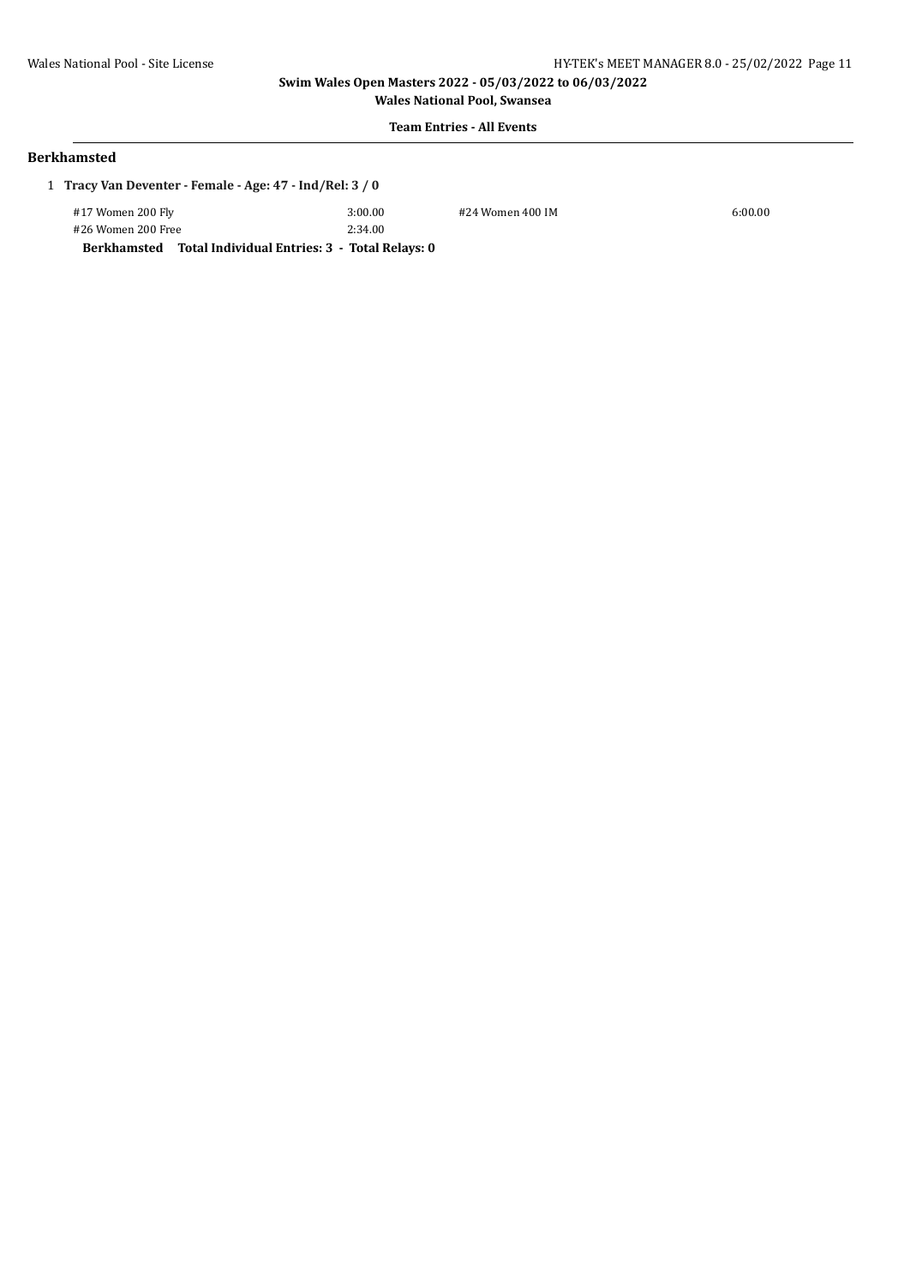**Wales National Pool, Swansea Team Entries - All Events**

### **Berkhamsted**

| 1 Tracy Van Deventer - Female - Age: 47 - Ind/Rel: 3 / 0  |         |                  |         |
|-----------------------------------------------------------|---------|------------------|---------|
| #17 Women 200 Fly                                         | 3:00.00 | #24 Women 400 IM | 6:00.00 |
| #26 Women 200 Free                                        | 2:34.00 |                  |         |
| Berkhamsted Total Individual Entries: 3 - Total Relays: 0 |         |                  |         |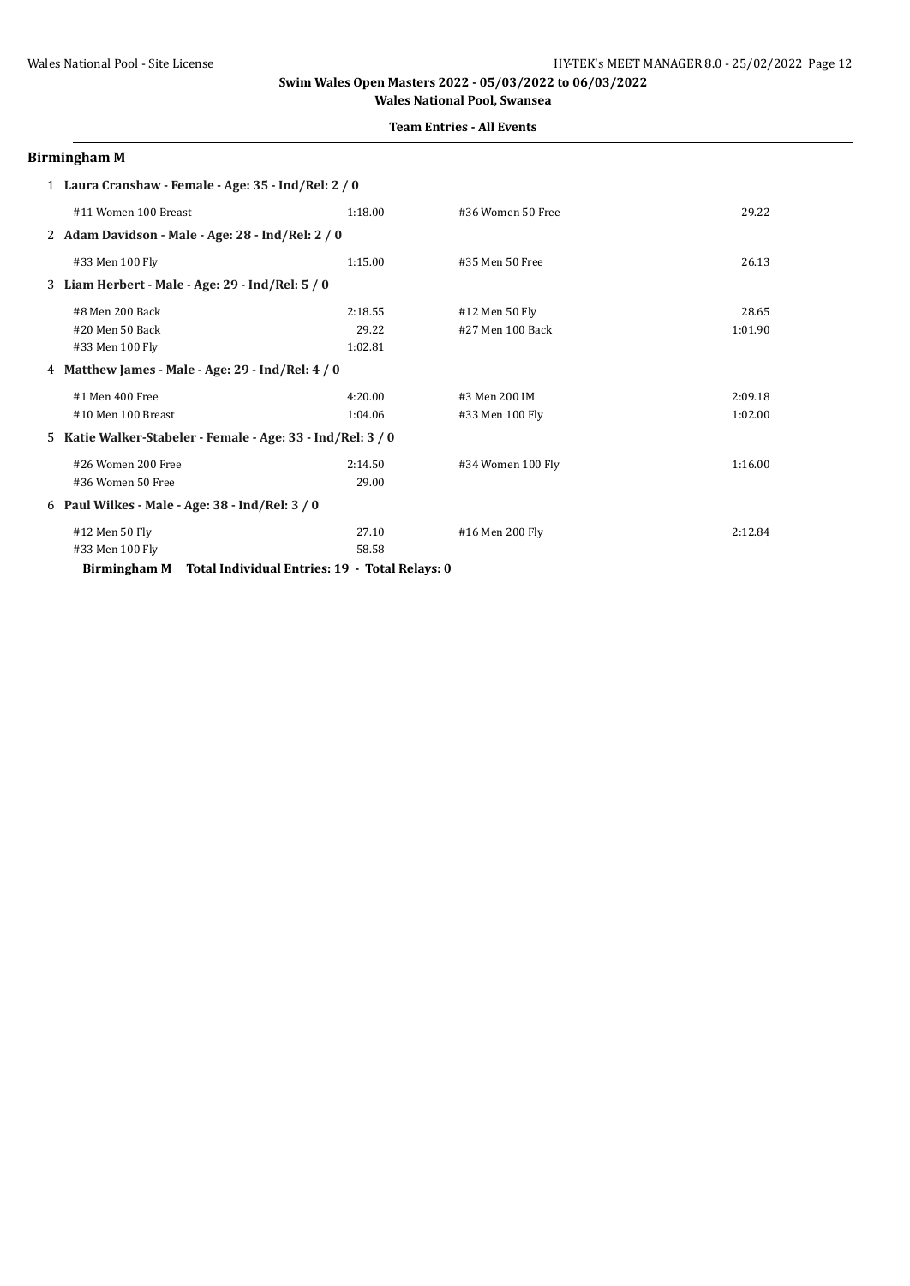### **Team Entries - All Events**

# **Birmingham M**

| 1 Laura Cranshaw - Female - Age: 35 - Ind/Rel: 2 / 0           |         |                   |         |  |
|----------------------------------------------------------------|---------|-------------------|---------|--|
| #11 Women 100 Breast                                           | 1:18.00 | #36 Women 50 Free | 29.22   |  |
| 2 Adam Davidson - Male - Age: 28 - Ind/Rel: 2 / 0              |         |                   |         |  |
| #33 Men 100 Fly                                                | 1:15.00 | #35 Men 50 Free   | 26.13   |  |
| 3 Liam Herbert - Male - Age: 29 - Ind/Rel: 5 / 0               |         |                   |         |  |
| #8 Men 200 Back                                                | 2:18.55 | #12 Men 50 Fly    | 28.65   |  |
| #20 Men 50 Back                                                | 29.22   | #27 Men 100 Back  | 1:01.90 |  |
| #33 Men 100 Fly                                                | 1:02.81 |                   |         |  |
| 4 Matthew James - Male - Age: 29 - Ind/Rel: $4/0$              |         |                   |         |  |
| #1 Men 400 Free                                                | 4:20.00 | #3 Men 200 IM     | 2:09.18 |  |
| #10 Men 100 Breast                                             | 1:04.06 | #33 Men 100 Fly   | 1:02.00 |  |
| 5 Katie Walker-Stabeler - Female - Age: 33 - Ind/Rel: 3 / 0    |         |                   |         |  |
| #26 Women 200 Free                                             | 2:14.50 | #34 Women 100 Fly | 1:16.00 |  |
| #36 Women 50 Free                                              | 29.00   |                   |         |  |
| 6 Paul Wilkes - Male - Age: 38 - Ind/Rel: 3 / 0                |         |                   |         |  |
| #12 Men 50 Fly                                                 | 27.10   | #16 Men 200 Fly   | 2:12.84 |  |
| #33 Men 100 Fly                                                | 58.58   |                   |         |  |
| Total Individual Entries: 19 - Total Relays: 0<br>Birmingham M |         |                   |         |  |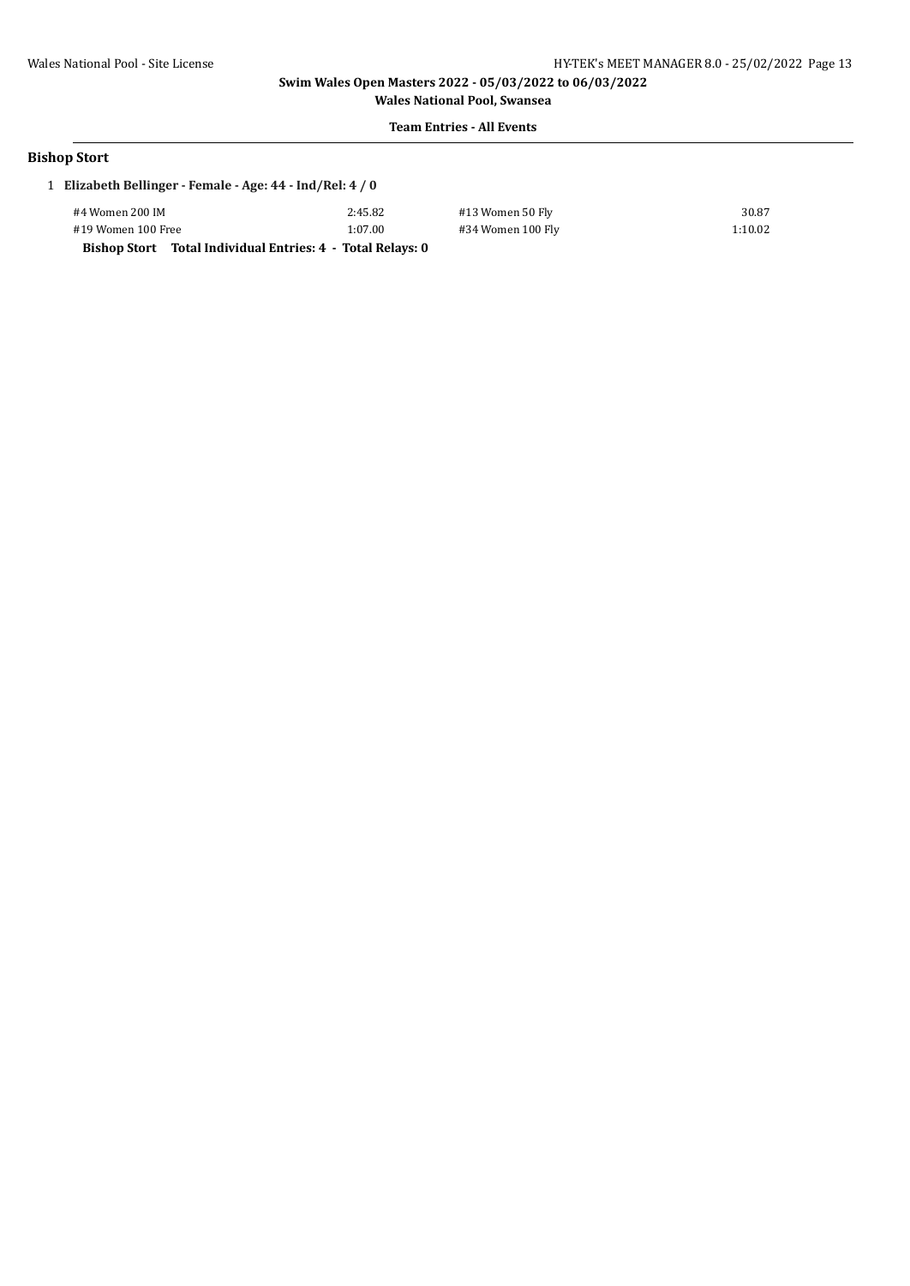**Wales National Pool, Swansea Team Entries - All Events**

#### **Bishop Stort**

|                    | 1 Elizabeth Bellinger - Female - Age: 44 - Ind/Rel: 4 / 0 |                   |         |  |  |  |
|--------------------|-----------------------------------------------------------|-------------------|---------|--|--|--|
| #4 Women 200 IM    | 2:45.82                                                   | #13 Women 50 Fly  | 30.87   |  |  |  |
| #19 Women 100 Free | 1:07.00                                                   | #34 Women 100 Fly | 1:10.02 |  |  |  |

**Bishop Stort Total Individual Entries: 4 - Total Relays: 0**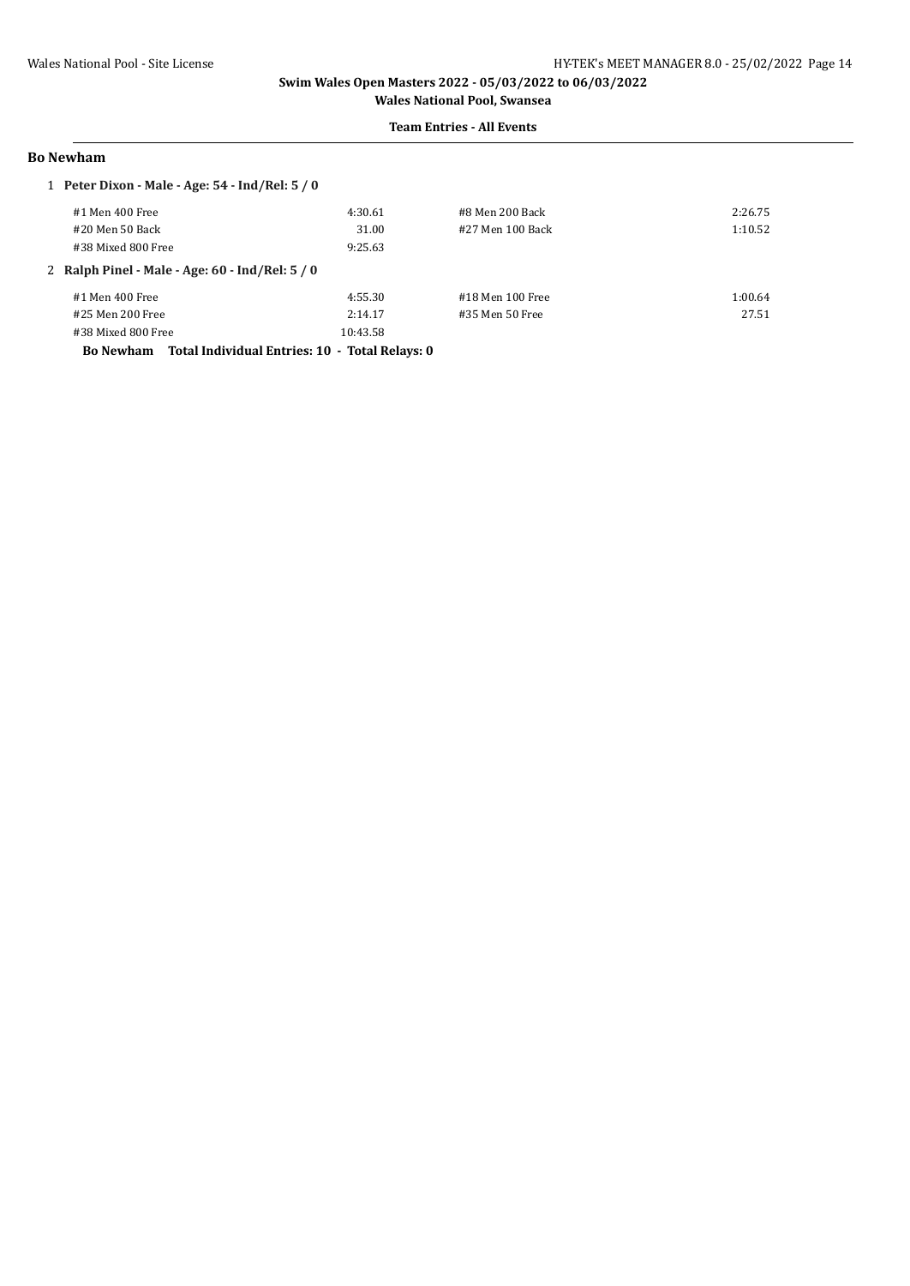#### **Team Entries - All Events**

#### **Bo Newham**

| 1 Peter Dixon - Male - Age: 54 - Ind/Rel: 5 / 0                    |          |                  |         |
|--------------------------------------------------------------------|----------|------------------|---------|
| #1 Men 400 Free                                                    | 4:30.61  | #8 Men 200 Back  | 2:26.75 |
| #20 Men 50 Back                                                    | 31.00    | #27 Men 100 Back | 1:10.52 |
| #38 Mixed 800 Free                                                 | 9:25.63  |                  |         |
| 2 Ralph Pinel - Male - Age: $60$ - Ind/Rel: $5/0$                  |          |                  |         |
| #1 Men 400 Free                                                    | 4:55.30  | #18 Men 100 Free | 1:00.64 |
| #25 Men 200 Free                                                   | 2:14.17  | #35 Men 50 Free  | 27.51   |
| #38 Mixed 800 Free                                                 | 10:43.58 |                  |         |
| Total Individual Entries: 10 - Total Relays: 0<br><b>Bo Newham</b> |          |                  |         |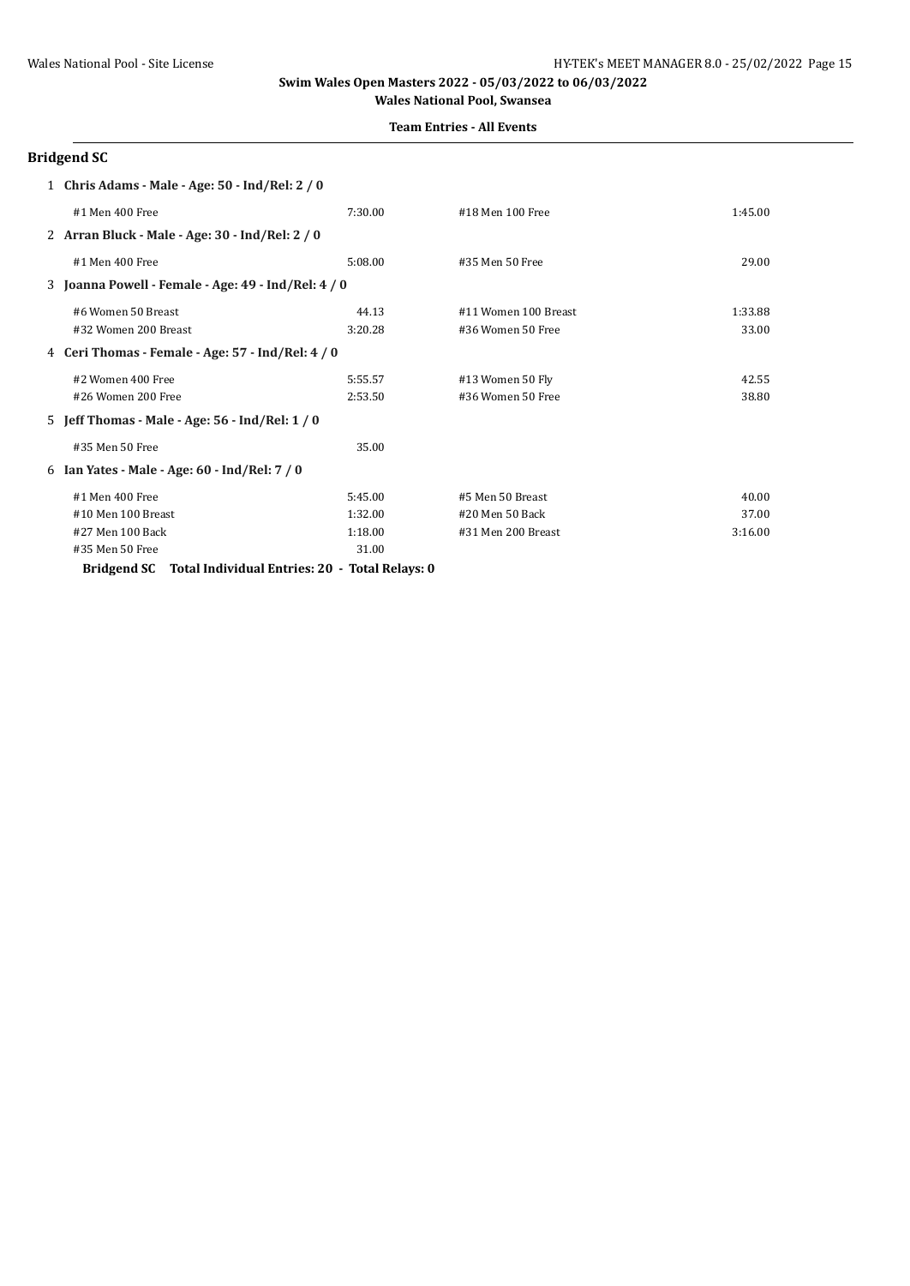#### **Team Entries - All Events**

# **Bridgend SC**

| 1 Chris Adams - Male - Age: 50 - Ind/Rel: 2 / 0     |         |                      |         |
|-----------------------------------------------------|---------|----------------------|---------|
| #1 Men 400 Free                                     | 7:30.00 | #18 Men 100 Free     | 1:45.00 |
| 2 Arran Bluck - Male - Age: 30 - Ind/Rel: 2 / 0     |         |                      |         |
| #1 Men 400 Free                                     | 5:08.00 | #35 Men 50 Free      | 29.00   |
| 3 Joanna Powell - Female - Age: 49 - Ind/Rel: 4 / 0 |         |                      |         |
| #6 Women 50 Breast                                  | 44.13   | #11 Women 100 Breast | 1:33.88 |
| #32 Women 200 Breast                                | 3:20.28 | #36 Women 50 Free    | 33.00   |
| 4 Ceri Thomas - Female - Age: 57 - Ind/Rel: 4 / 0   |         |                      |         |
| #2 Women 400 Free                                   | 5:55.57 | #13 Women 50 Fly     | 42.55   |
| #26 Women 200 Free                                  | 2:53.50 | #36 Women 50 Free    | 38.80   |
| 5 Jeff Thomas - Male - Age: 56 - Ind/Rel: 1 / 0     |         |                      |         |
| #35 Men 50 Free                                     | 35.00   |                      |         |
| 6 Ian Yates - Male - Age: 60 - Ind/Rel: 7 / 0       |         |                      |         |
| #1 Men 400 Free                                     | 5:45.00 | #5 Men 50 Breast     | 40.00   |
| #10 Men 100 Breast                                  | 1:32.00 | #20 Men 50 Back      | 37.00   |
| #27 Men 100 Back                                    | 1:18.00 | #31 Men 200 Breast   | 3:16.00 |
| #35 Men 50 Free                                     | 31.00   |                      |         |
|                                                     |         |                      |         |

**Bridgend SC Total Individual Entries: 20 - Total Relays: 0**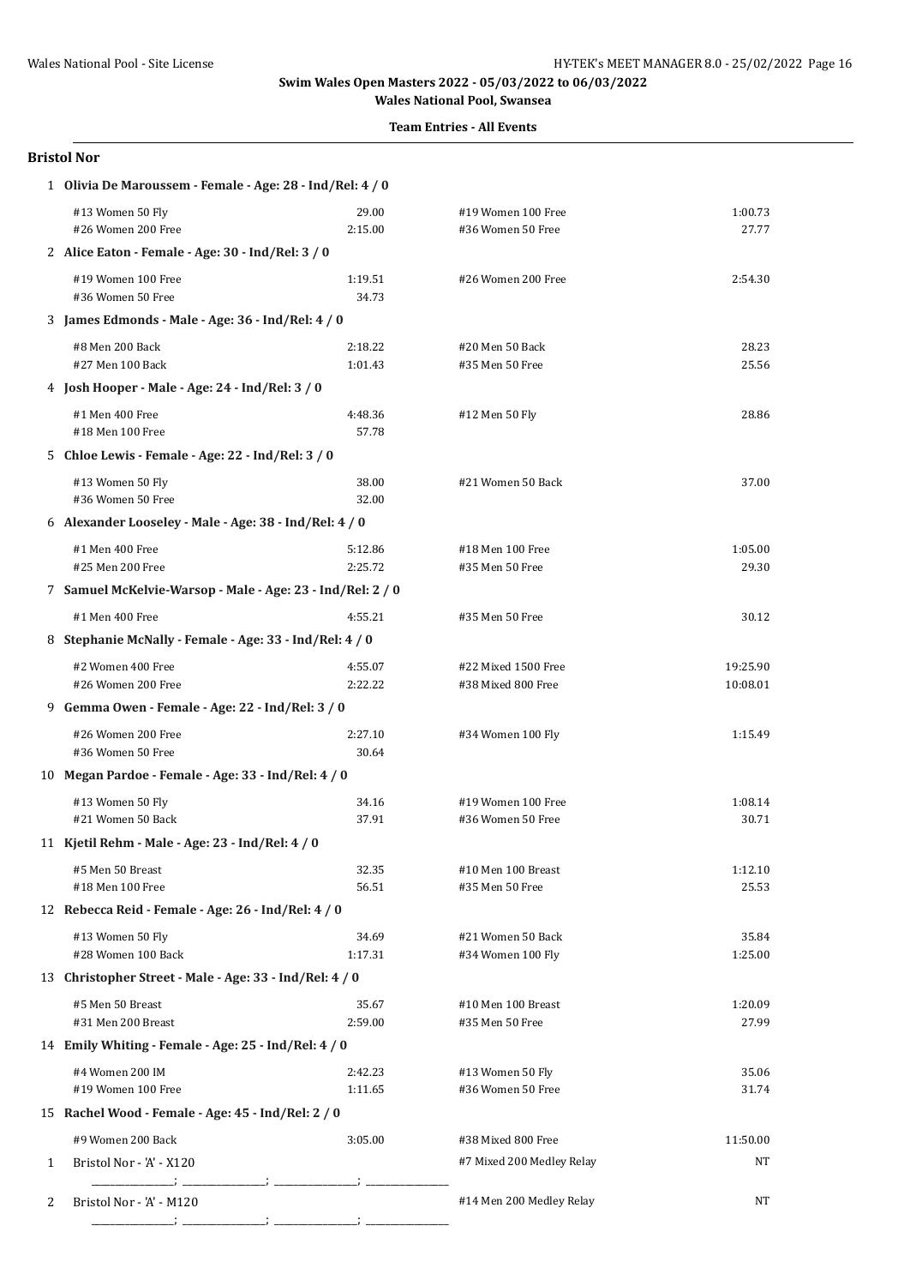# **Team Entries - All Events**

#### **Bristol Nor**

|   | 1 Olivia De Maroussem - Female - Age: 28 - Ind/Rel: 4 / 0  |                    |                                           |                      |  |  |
|---|------------------------------------------------------------|--------------------|-------------------------------------------|----------------------|--|--|
|   | #13 Women 50 Fly<br>#26 Women 200 Free                     | 29.00<br>2:15.00   | #19 Women 100 Free<br>#36 Women 50 Free   | 1:00.73<br>27.77     |  |  |
|   | 2 Alice Eaton - Female - Age: 30 - Ind/Rel: 3 / 0          |                    |                                           |                      |  |  |
|   | #19 Women 100 Free<br>#36 Women 50 Free                    | 1:19.51<br>34.73   | #26 Women 200 Free                        | 2:54.30              |  |  |
|   | 3 James Edmonds - Male - Age: 36 - Ind/Rel: 4 / 0          |                    |                                           |                      |  |  |
|   | #8 Men 200 Back<br>#27 Men 100 Back                        | 2:18.22<br>1:01.43 | #20 Men 50 Back<br>#35 Men 50 Free        | 28.23<br>25.56       |  |  |
|   | 4 Josh Hooper - Male - Age: 24 - Ind/Rel: 3 / 0            |                    |                                           |                      |  |  |
|   | #1 Men 400 Free<br>#18 Men 100 Free                        | 4:48.36<br>57.78   | #12 Men 50 Fly                            | 28.86                |  |  |
|   | 5 Chloe Lewis - Female - Age: 22 - Ind/Rel: 3 / 0          |                    |                                           |                      |  |  |
|   | #13 Women 50 Fly<br>#36 Women 50 Free                      | 38.00<br>32.00     | #21 Women 50 Back                         | 37.00                |  |  |
|   | 6 Alexander Looseley - Male - Age: 38 - Ind/Rel: 4 / 0     |                    |                                           |                      |  |  |
|   | #1 Men 400 Free<br>#25 Men 200 Free                        | 5:12.86<br>2:25.72 | #18 Men 100 Free<br>#35 Men 50 Free       | 1:05.00<br>29.30     |  |  |
|   | 7 Samuel McKelvie-Warsop - Male - Age: 23 - Ind/Rel: 2 / 0 |                    |                                           |                      |  |  |
|   | #1 Men 400 Free                                            | 4:55.21            | #35 Men 50 Free                           | 30.12                |  |  |
|   | 8 Stephanie McNally - Female - Age: 33 - Ind/Rel: 4 / 0    |                    |                                           |                      |  |  |
|   | #2 Women 400 Free<br>#26 Women 200 Free                    | 4:55.07<br>2:22.22 | #22 Mixed 1500 Free<br>#38 Mixed 800 Free | 19:25.90<br>10:08.01 |  |  |
|   | 9 Gemma Owen - Female - Age: 22 - Ind/Rel: 3 / 0           |                    |                                           |                      |  |  |
|   | #26 Women 200 Free<br>#36 Women 50 Free                    | 2:27.10<br>30.64   | #34 Women 100 Fly                         | 1:15.49              |  |  |
|   | 10 Megan Pardoe - Female - Age: 33 - Ind/Rel: 4 / 0        |                    |                                           |                      |  |  |
|   | #13 Women 50 Fly<br>#21 Women 50 Back                      | 34.16<br>37.91     | #19 Women 100 Free<br>#36 Women 50 Free   | 1:08.14<br>30.71     |  |  |
|   | 11 Kjetil Rehm - Male - Age: 23 - Ind/Rel: 4 / 0           |                    |                                           |                      |  |  |
|   | #5 Men 50 Breast<br>#18 Men 100 Free                       | 32.35<br>56.51     | #10 Men 100 Breast<br>#35 Men 50 Free     | 1:12.10<br>25.53     |  |  |
|   | 12 Rebecca Reid - Female - Age: 26 - Ind/Rel: 4 / 0        |                    |                                           |                      |  |  |
|   | #13 Women 50 Fly<br>#28 Women 100 Back                     | 34.69<br>1:17.31   | #21 Women 50 Back<br>#34 Women 100 Fly    | 35.84<br>1:25.00     |  |  |
|   | 13 Christopher Street - Male - Age: 33 - Ind/Rel: 4 / 0    |                    |                                           |                      |  |  |
|   | #5 Men 50 Breast<br>#31 Men 200 Breast                     | 35.67<br>2:59.00   | #10 Men 100 Breast<br>#35 Men 50 Free     | 1:20.09<br>27.99     |  |  |
|   | 14 Emily Whiting - Female - Age: 25 - Ind/Rel: 4 / 0       |                    |                                           |                      |  |  |
|   | #4 Women 200 IM<br>#19 Women 100 Free                      | 2:42.23<br>1:11.65 | #13 Women 50 Fly<br>#36 Women 50 Free     | 35.06<br>31.74       |  |  |
|   | 15 Rachel Wood - Female - Age: 45 - Ind/Rel: 2 / 0         |                    |                                           |                      |  |  |
|   | #9 Women 200 Back                                          | 3:05.00            | #38 Mixed 800 Free                        | 11:50.00             |  |  |
| 1 | Bristol Nor - 'A' - X120                                   |                    | #7 Mixed 200 Medley Relay                 | NT                   |  |  |
| 2 | Bristol Nor - 'A' - M120                                   |                    | #14 Men 200 Medley Relay                  | ΝT                   |  |  |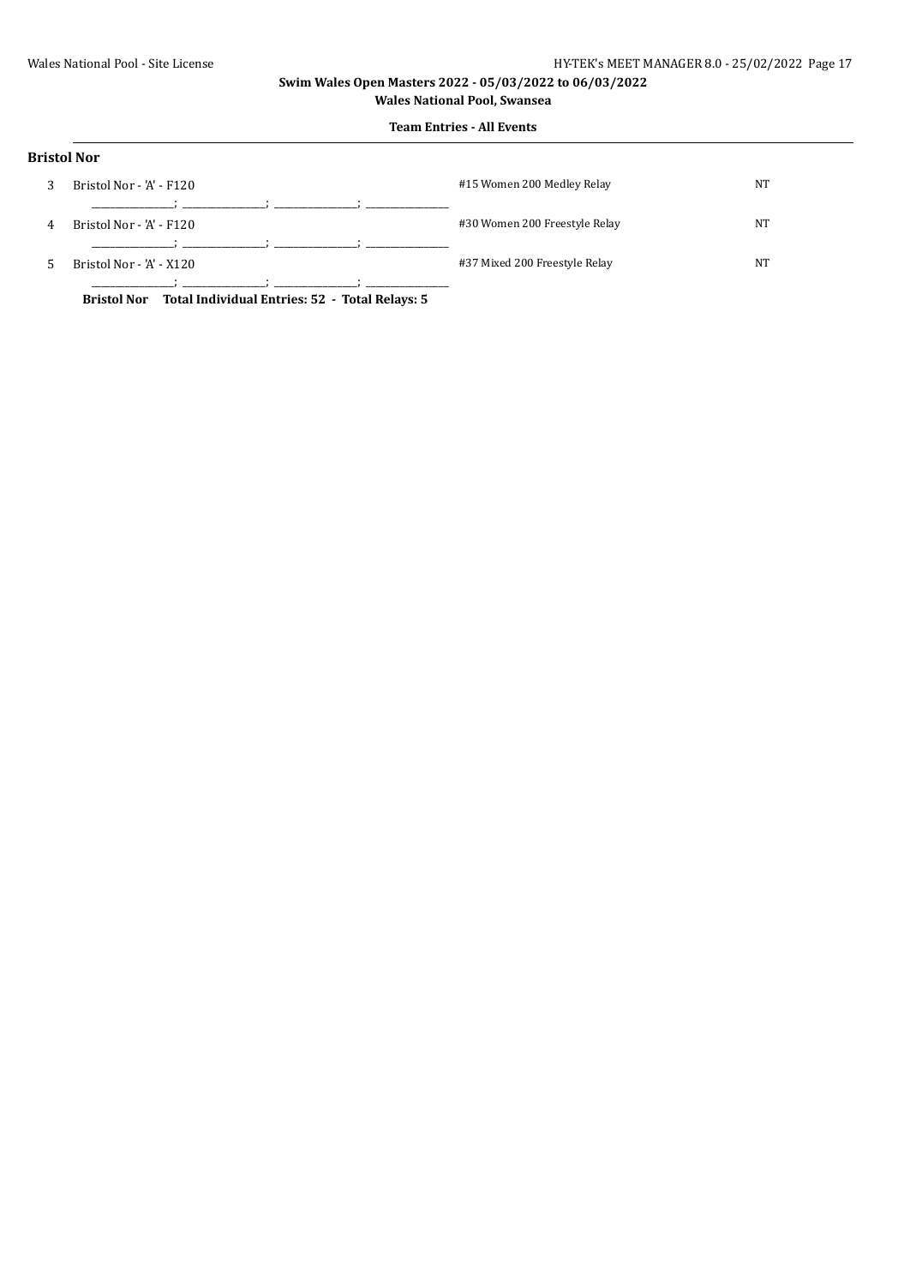# **Team Entries - All Events**

| <b>Bristol Nor</b> |                          |                               |    |
|--------------------|--------------------------|-------------------------------|----|
| 3                  | Bristol Nor - 'A' - F120 | #15 Women 200 Medley Relay    | NT |
| 4                  | Bristol Nor - 'A' - F120 | #30 Women 200 Freestyle Relay | NT |
| 5                  | Bristol Nor - 'A' - X120 | #37 Mixed 200 Freestyle Relay | NT |

**Bristol Nor Total Individual Entries: 52 - Total Relays: 5**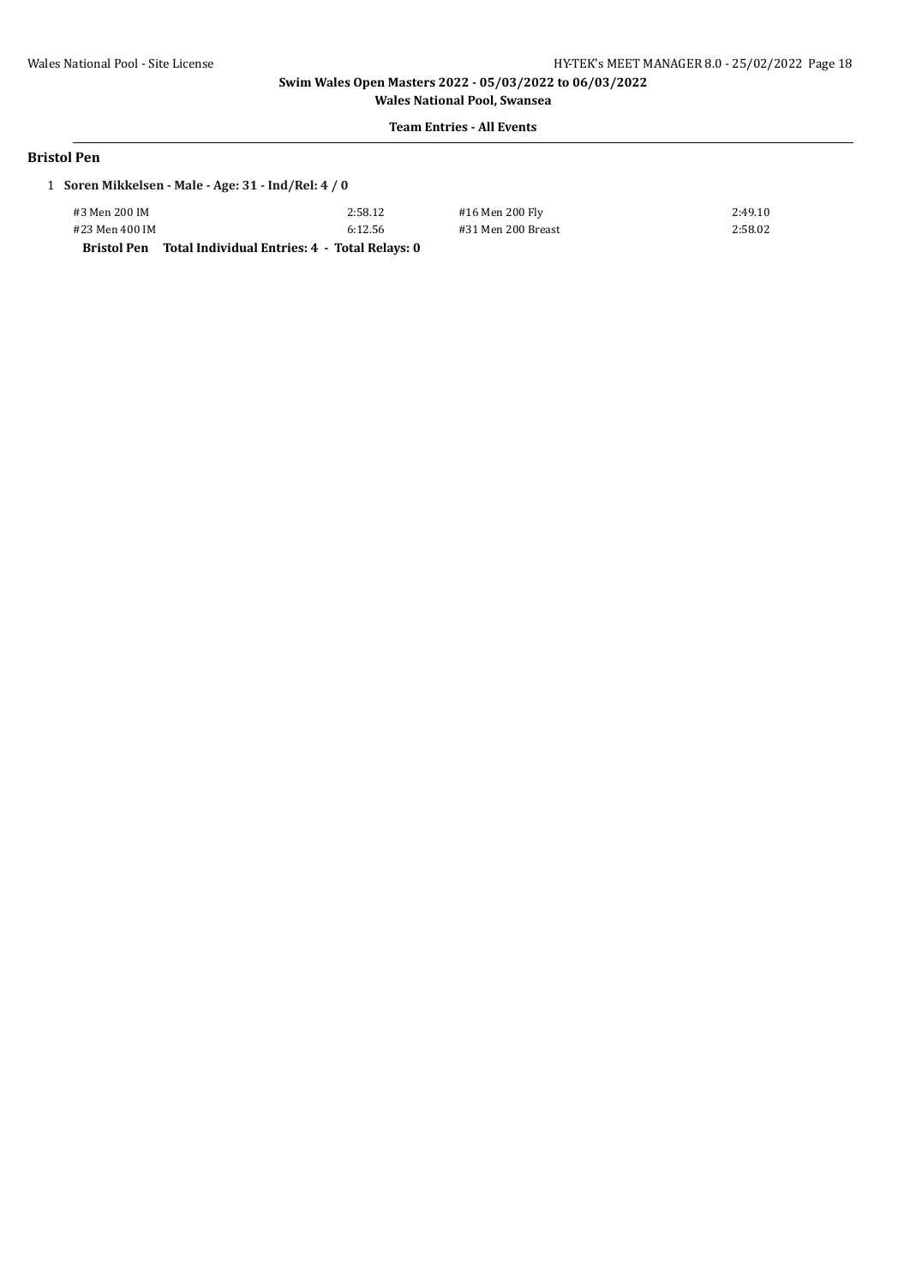**Wales National Pool, Swansea Team Entries - All Events**

#### **Bristol Pen**

# 1 **Soren Mikkelsen - Male - Age: 31 - Ind/Rel: 4 / 0**

| <b>Bristol Pen</b> | Total Individual Entries: 4 - Total Relays: 0 |    |
|--------------------|-----------------------------------------------|----|
| #23 Men 400 IM     | 6:12.56                                       | #: |
| #3 Men 200 IM      | 2:58.12                                       | #  |

16 Men 200 Fly 2:49.10 31 Men 200 Breast 2:58.02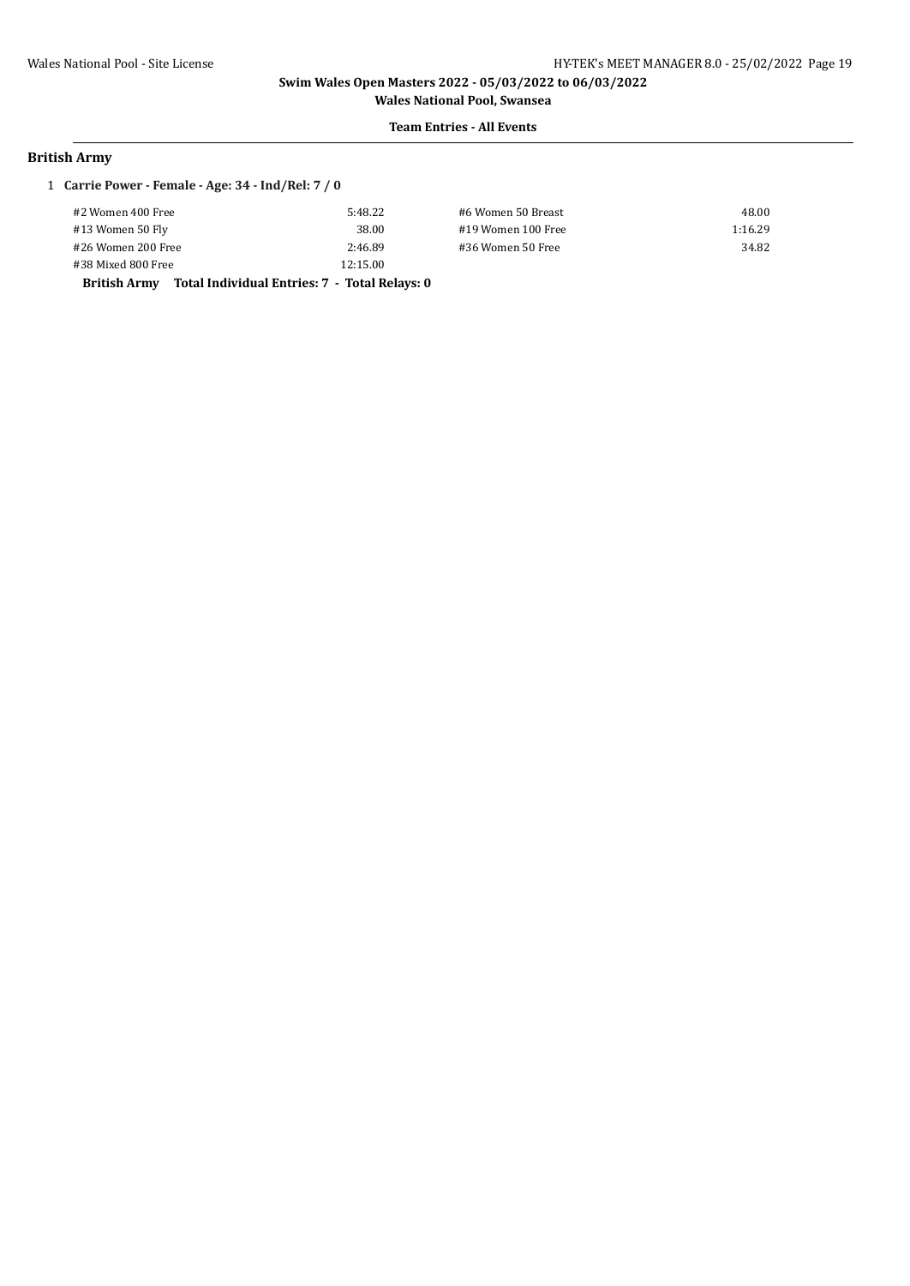**Wales National Pool, Swansea Team Entries - All Events**

### **British Army**

#### 1 **Carrie Power - Female - Age: 34 - Ind/Rel: 7 / 0**

| #2 Women 400 Free                                                    | 5:48.22  | #6 Women 50 Breast | 48.00   |
|----------------------------------------------------------------------|----------|--------------------|---------|
| #13 Women 50 Fly                                                     | 38.00    | #19 Women 100 Free | 1:16.29 |
| #26 Women 200 Free                                                   | 2:46.89  | #36 Women 50 Free  | 34.82   |
| #38 Mixed 800 Free                                                   | 12:15.00 |                    |         |
| Total Individual Entries: 7 - Total Relays: 0<br><b>British Army</b> |          |                    |         |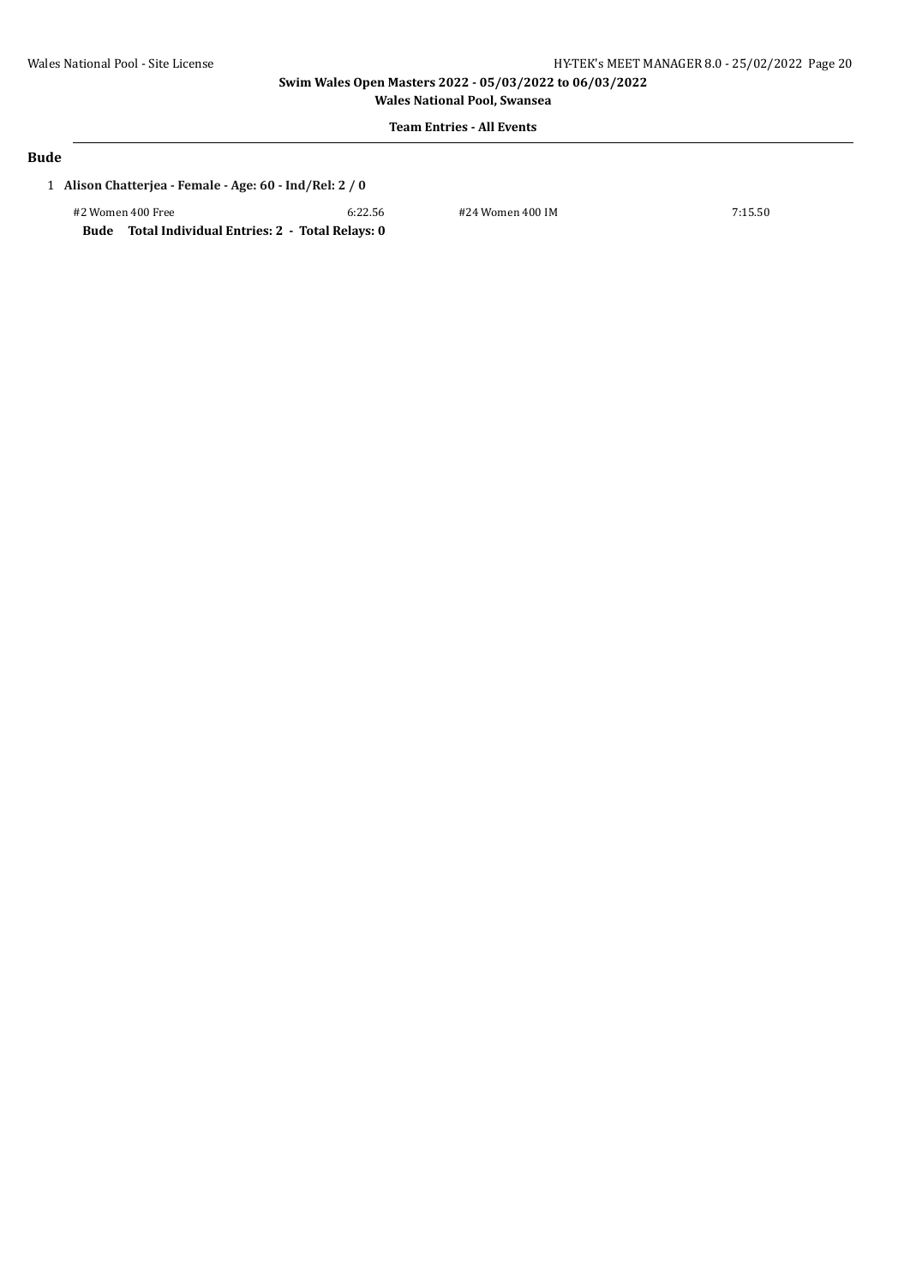**Wales National Pool, Swansea Team Entries - All Events**

#### **Bude**

### 1 **Alison Chatterjea - Female - Age: 60 - Ind/Rel: 2 / 0**

#2 Women 400 Free 6:22.56 #24 Women 400 IM 7:15.50 **Bude Total Individual Entries: 2 - Total Relays: 0**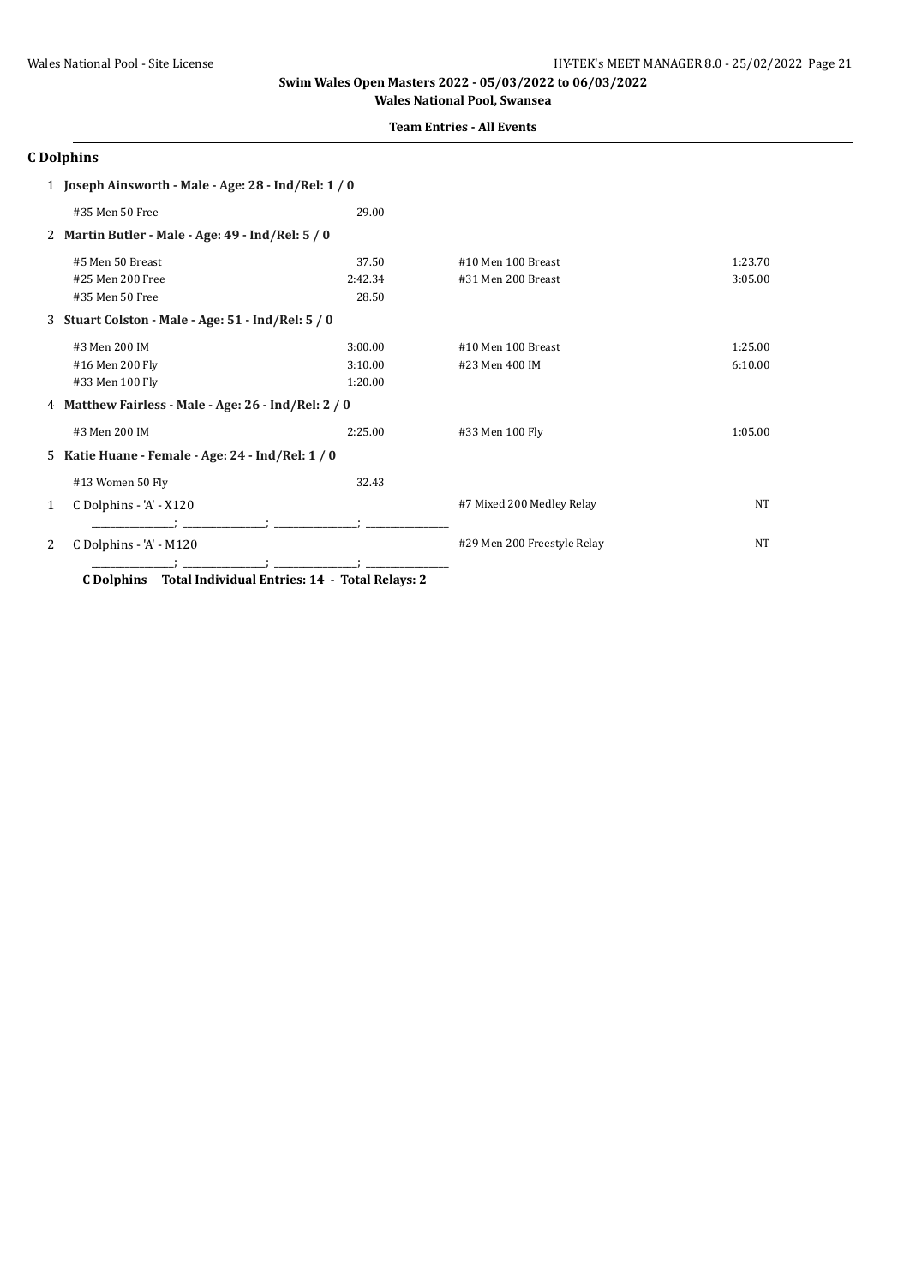### **Team Entries - All Events**

# **C Dolphins**

|   | 1 Joseph Ainsworth - Male - Age: 28 - Ind/Rel: 1 / 0 |         |                             |           |
|---|------------------------------------------------------|---------|-----------------------------|-----------|
|   | #35 Men 50 Free                                      | 29.00   |                             |           |
|   | 2 Martin Butler - Male - Age: 49 - Ind/Rel: 5 / 0    |         |                             |           |
|   | #5 Men 50 Breast                                     | 37.50   | #10 Men 100 Breast          | 1:23.70   |
|   | #25 Men 200 Free                                     | 2:42.34 | #31 Men 200 Breast          | 3:05.00   |
|   | #35 Men 50 Free                                      | 28.50   |                             |           |
|   | 3 Stuart Colston - Male - Age: 51 - Ind/Rel: 5 / 0   |         |                             |           |
|   | #3 Men 200 IM                                        | 3:00.00 | #10 Men 100 Breast          | 1:25.00   |
|   | #16 Men 200 Fly                                      | 3:10.00 | #23 Men 400 IM              | 6:10.00   |
|   | #33 Men 100 Fly                                      | 1:20.00 |                             |           |
|   | 4 Matthew Fairless - Male - Age: 26 - Ind/Rel: 2 / 0 |         |                             |           |
|   | #3 Men 200 IM                                        | 2:25.00 | #33 Men 100 Fly             | 1:05.00   |
|   | 5 Katie Huane - Female - Age: 24 - Ind/Rel: 1 / 0    |         |                             |           |
|   | #13 Women 50 Fly                                     | 32.43   |                             |           |
| 1 | C Dolphins - 'A' - X120                              |         | #7 Mixed 200 Medley Relay   | <b>NT</b> |
|   |                                                      |         |                             |           |
| 2 | C Dolphins - 'A' - M120                              |         | #29 Men 200 Freestyle Relay | <b>NT</b> |
|   |                                                      |         |                             |           |

**C Dolphins Total Individual Entries: 14 - Total Relays: 2**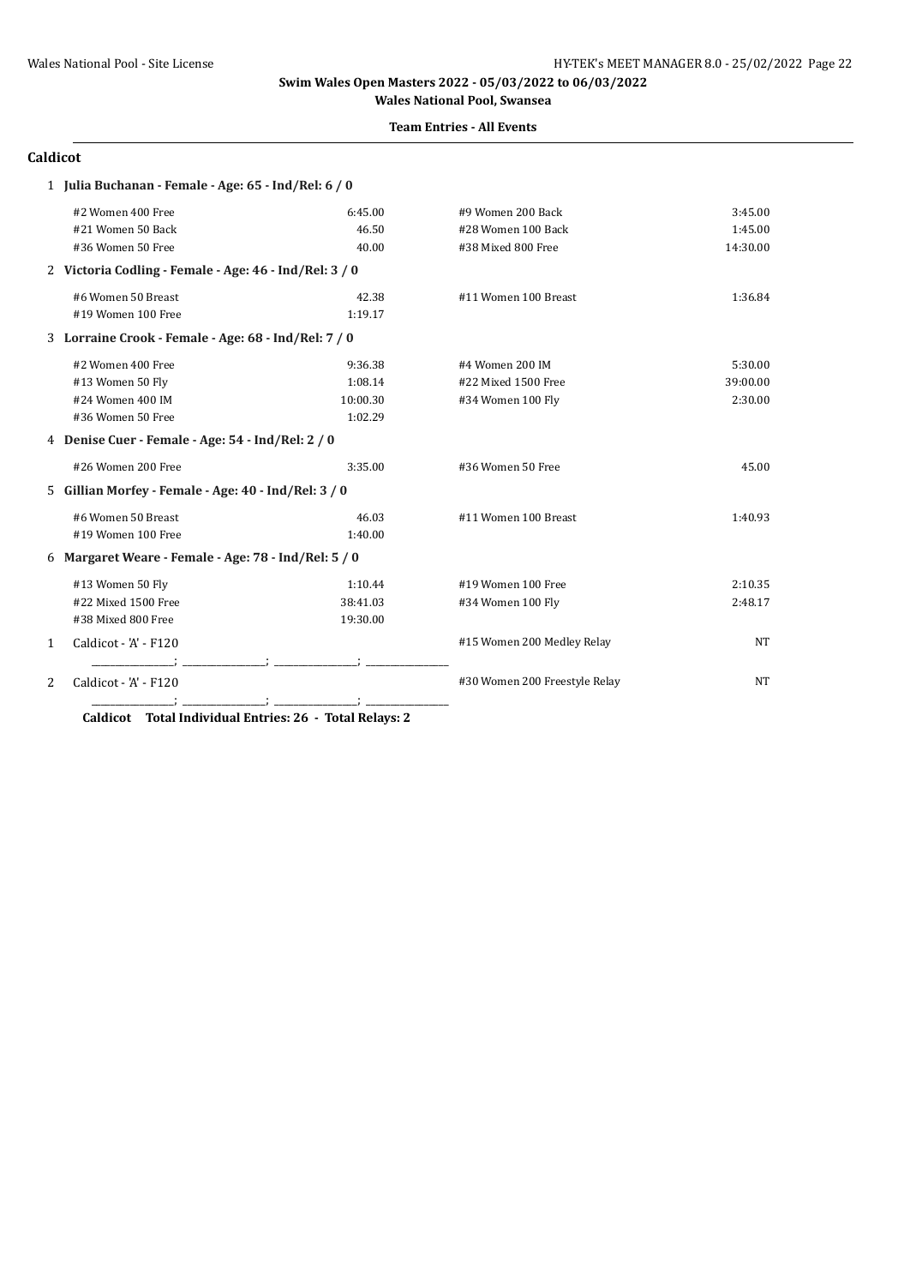#### **Team Entries - All Events**

#### **Caldicot**

|   | 1 Julia Buchanan - Female - Age: 65 - Ind/Rel: 6 / 0   |          |                               |           |
|---|--------------------------------------------------------|----------|-------------------------------|-----------|
|   | #2 Women 400 Free                                      | 6:45.00  | #9 Women 200 Back             | 3:45.00   |
|   | #21 Women 50 Back                                      | 46.50    | #28 Women 100 Back            | 1:45.00   |
|   | #36 Women 50 Free                                      | 40.00    | #38 Mixed 800 Free            | 14:30.00  |
|   | 2 Victoria Codling - Female - Age: 46 - Ind/Rel: 3 / 0 |          |                               |           |
|   | #6 Women 50 Breast                                     | 42.38    | #11 Women 100 Breast          | 1:36.84   |
|   | #19 Women 100 Free                                     | 1:19.17  |                               |           |
|   | 3 Lorraine Crook - Female - Age: 68 - Ind/Rel: 7 / 0   |          |                               |           |
|   | #2 Women 400 Free                                      | 9:36.38  | #4 Women 200 IM               | 5:30.00   |
|   | #13 Women 50 Fly                                       | 1:08.14  | #22 Mixed 1500 Free           | 39:00.00  |
|   | #24 Women 400 IM                                       | 10:00.30 | #34 Women 100 Fly             | 2:30.00   |
|   | #36 Women 50 Free                                      | 1:02.29  |                               |           |
|   | 4 Denise Cuer - Female - Age: 54 - Ind/Rel: 2 / 0      |          |                               |           |
|   | #26 Women 200 Free                                     | 3:35.00  | #36 Women 50 Free             | 45.00     |
|   | 5 Gillian Morfey - Female - Age: 40 - Ind/Rel: 3 / 0   |          |                               |           |
|   | #6 Women 50 Breast                                     | 46.03    | #11 Women 100 Breast          | 1:40.93   |
|   | #19 Women 100 Free                                     | 1:40.00  |                               |           |
|   | 6 Margaret Weare - Female - Age: 78 - Ind/Rel: 5 / 0   |          |                               |           |
|   | #13 Women 50 Fly                                       | 1:10.44  | #19 Women 100 Free            | 2:10.35   |
|   | #22 Mixed 1500 Free                                    | 38:41.03 | #34 Women 100 Fly             | 2:48.17   |
|   | #38 Mixed 800 Free                                     | 19:30.00 |                               |           |
| 1 | Caldicot - 'A' - F120                                  |          | #15 Women 200 Medley Relay    | NT        |
|   |                                                        |          |                               |           |
| 2 | Caldicot - 'A' - F120                                  |          | #30 Women 200 Freestyle Relay | <b>NT</b> |
|   |                                                        |          |                               |           |

**Caldicot Total Individual Entries: 26 - Total Relays: 2**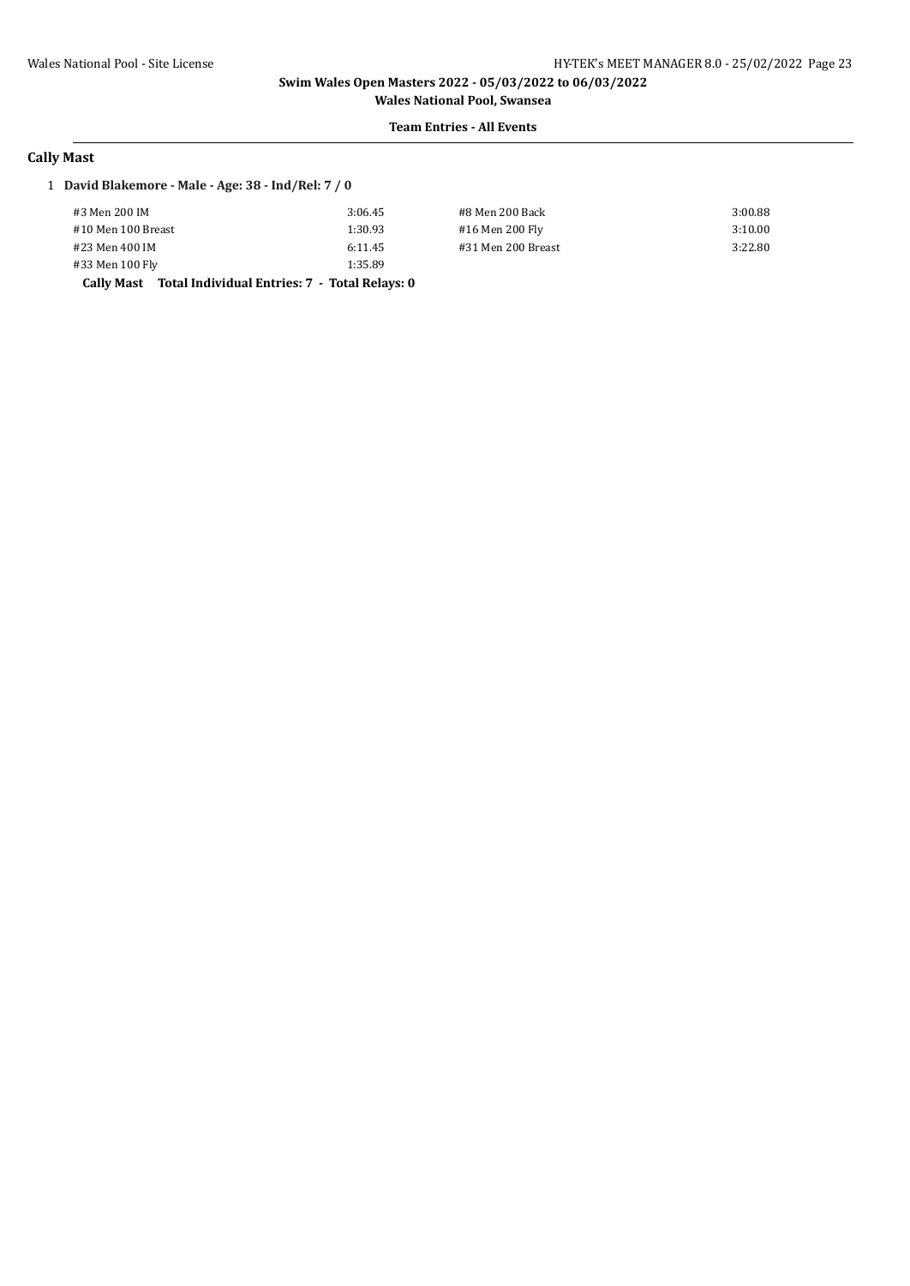**Wales National Pool, Swansea Team Entries - All Events**

### **Cally Mast**

#### 1 **David Blakemore - Male - Age: 38 - Ind/Rel: 7 / 0**

| #3 Men 200 IM                                            | 3:06.45 | #8 Men 200 Back    | 3:00.88 |
|----------------------------------------------------------|---------|--------------------|---------|
| #10 Men 100 Breast                                       | 1:30.93 | #16 Men 200 Fly    | 3:10.00 |
| #23 Men 400 IM                                           | 6:11.45 | #31 Men 200 Breast | 3:22.80 |
| #33 Men 100 Fly                                          | 1:35.89 |                    |         |
| Cally Mast Total Individual Entries: 7 - Total Relays: 0 |         |                    |         |

| 4en 200 Back   |  |
|----------------|--|
| Men 200 Fly    |  |
| Men 200 Breast |  |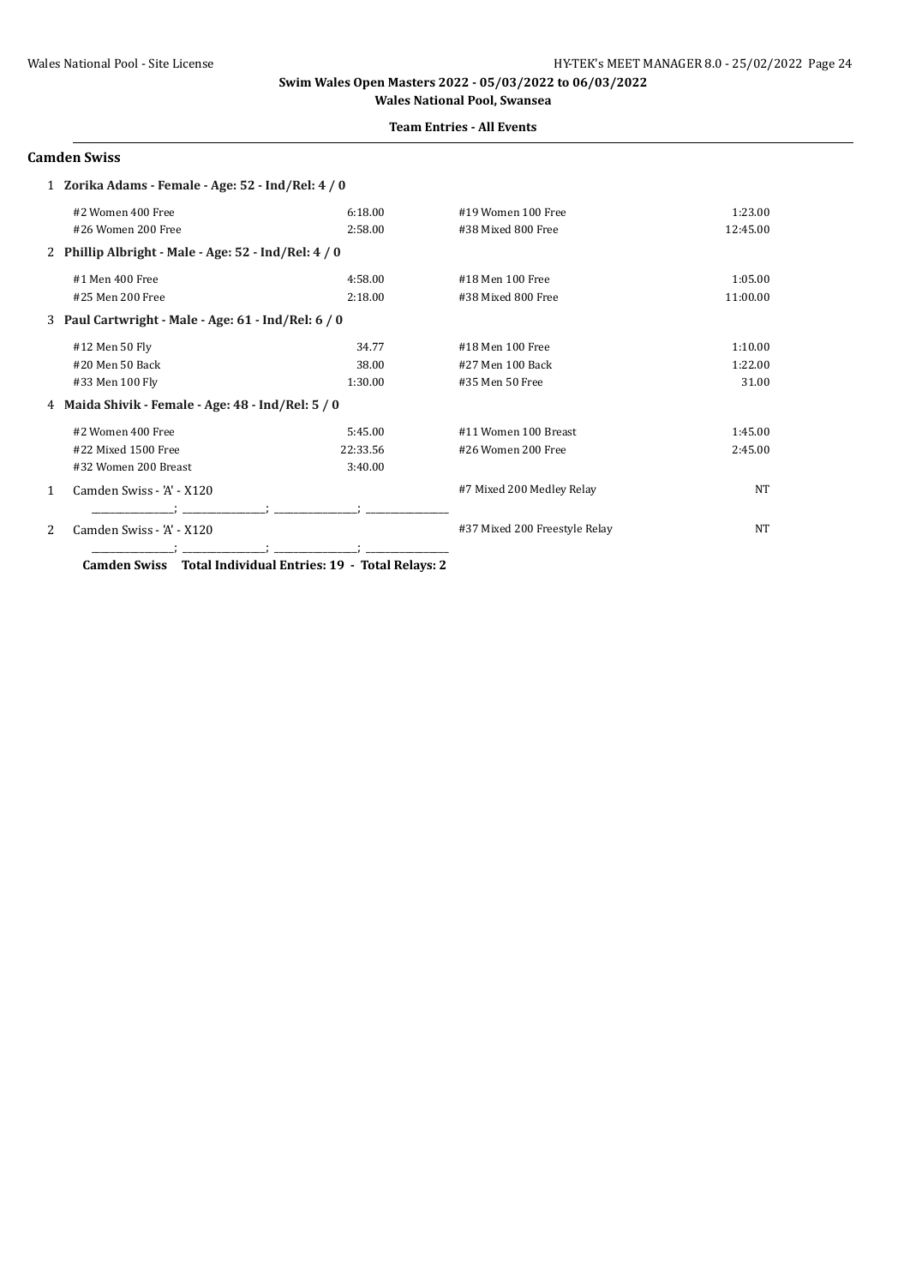#### **Team Entries - All Events**

### **Camden Swiss**

|              | 1 Zorika Adams - Female - Age: 52 - Ind/Rel: 4 / 0   |          |                               |           |
|--------------|------------------------------------------------------|----------|-------------------------------|-----------|
|              | #2 Women 400 Free                                    | 6:18.00  | #19 Women 100 Free            | 1:23.00   |
|              | #26 Women 200 Free                                   | 2:58.00  | #38 Mixed 800 Free            | 12:45.00  |
|              | 2 Phillip Albright - Male - Age: 52 - Ind/Rel: 4 / 0 |          |                               |           |
|              | #1 Men 400 Free                                      | 4:58.00  | #18 Men 100 Free              | 1:05.00   |
|              | #25 Men 200 Free                                     | 2:18.00  | #38 Mixed 800 Free            | 11:00.00  |
|              | 3 Paul Cartwright - Male - Age: 61 - Ind/Rel: 6 / 0  |          |                               |           |
|              | #12 Men 50 Fly                                       | 34.77    | #18 Men 100 Free              | 1:10.00   |
|              | #20 Men 50 Back                                      | 38.00    | #27 Men 100 Back              | 1:22.00   |
|              | #33 Men 100 Fly                                      | 1:30.00  | #35 Men 50 Free               | 31.00     |
|              | 4 Maida Shivik - Female - Age: 48 - Ind/Rel: 5 / 0   |          |                               |           |
|              | #2 Women 400 Free                                    | 5:45.00  | #11 Women 100 Breast          | 1:45.00   |
|              | #22 Mixed 1500 Free                                  | 22:33.56 | #26 Women 200 Free            | 2:45.00   |
|              | #32 Women 200 Breast                                 | 3:40.00  |                               |           |
| $\mathbf{1}$ | Camden Swiss - 'A' - X120                            |          | #7 Mixed 200 Medley Relay     | <b>NT</b> |
| 2            | Camden Swiss - 'A' - X120                            |          | #37 Mixed 200 Freestyle Relay | NT        |

**Camden Swiss Total Individual Entries: 19 - Total Relays: 2**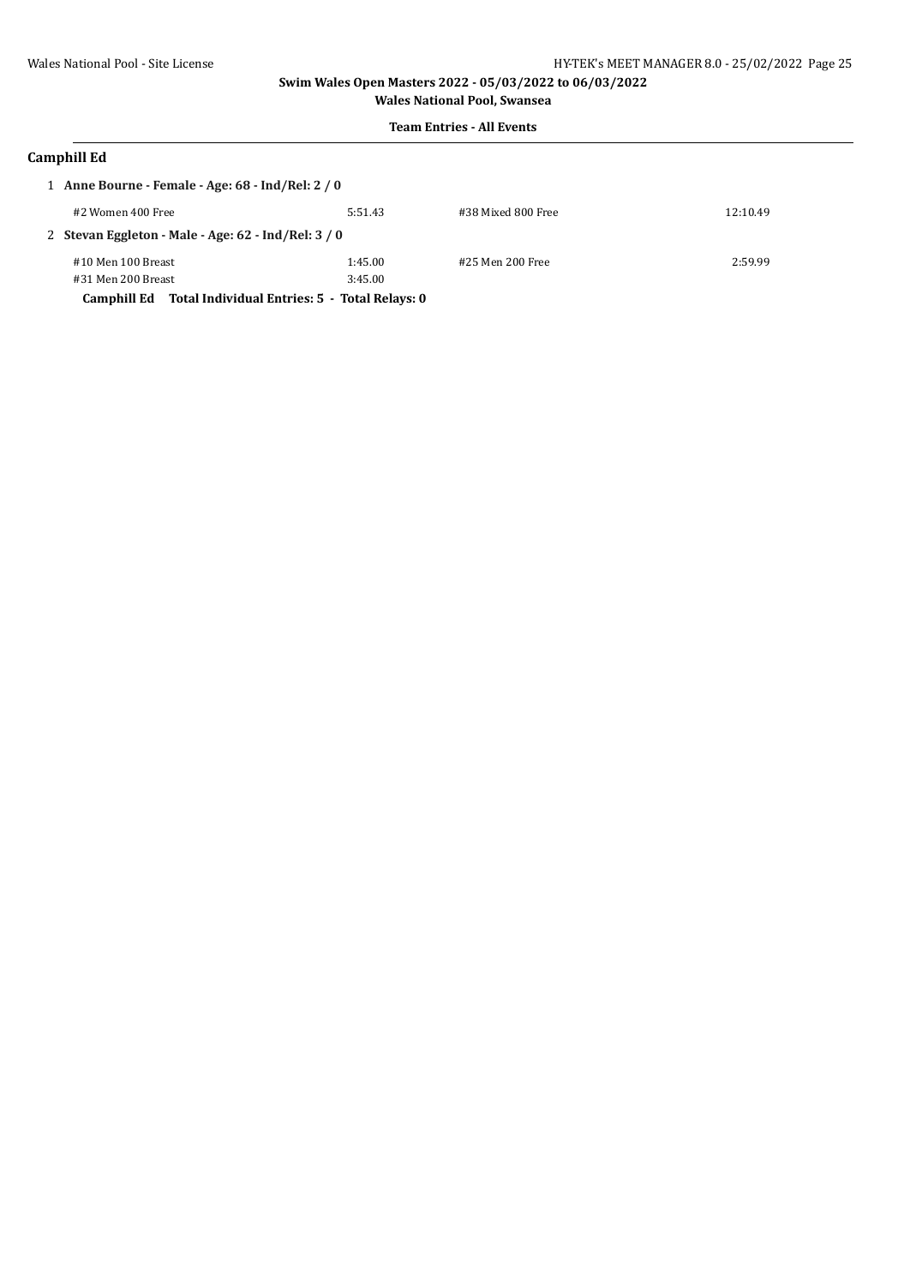### **Team Entries - All Events**

### **Camphill Ed**

| 1 Anne Bourne - Female - Age: $68$ - Ind/Rel: $2/0$ |                                                              |         |                    |          |
|-----------------------------------------------------|--------------------------------------------------------------|---------|--------------------|----------|
|                                                     | #2 Women 400 Free                                            | 5:51.43 | #38 Mixed 800 Free | 12:10.49 |
|                                                     | 2 Stevan Eggleton - Male - Age: 62 - Ind/Rel: 3 / 0          |         |                    |          |
|                                                     | #10 Men 100 Breast                                           | 1:45.00 | #25 Men 200 Free   | 2:59.99  |
|                                                     | #31 Men 200 Breast                                           | 3:45.00 |                    |          |
|                                                     | Total Individual Entries: 5 - Total Relays: 0<br>Camphill Ed |         |                    |          |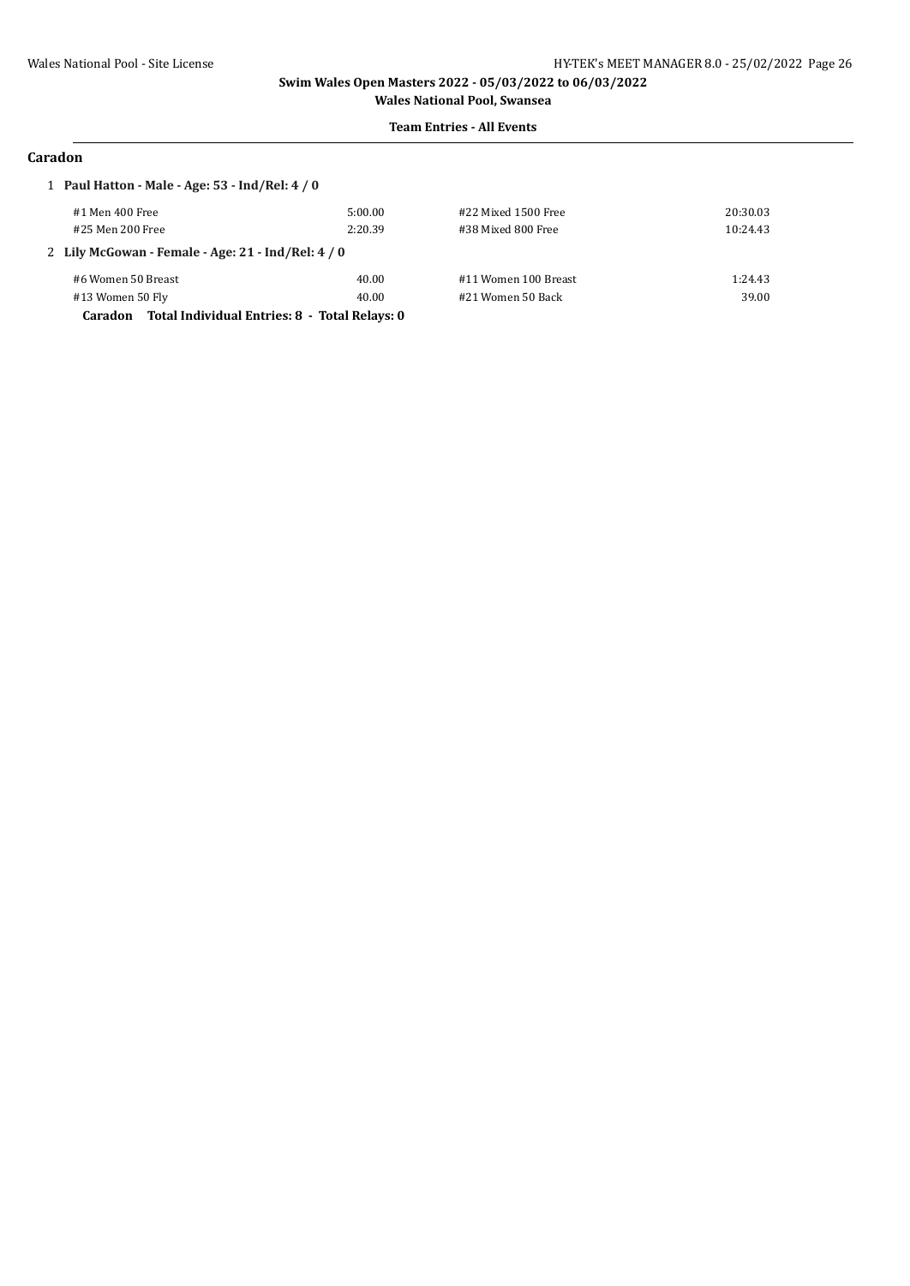#### **Team Entries - All Events**

### **Caradon**

| 1 Paul Hatton - Male - Age: 53 - Ind/Rel: 4 / 0          |         |                      |          |  |  |
|----------------------------------------------------------|---------|----------------------|----------|--|--|
| #1 Men 400 Free                                          | 5:00.00 | #22 Mixed 1500 Free  | 20:30.03 |  |  |
| #25 Men 200 Free                                         | 2:20.39 | #38 Mixed 800 Free   | 10:24.43 |  |  |
| 2 Lily McGowan - Female - Age: 21 - Ind/Rel: 4 / 0       |         |                      |          |  |  |
| #6 Women 50 Breast                                       | 40.00   | #11 Women 100 Breast | 1:24.43  |  |  |
| #13 Women 50 Fly                                         | 40.00   | #21 Women 50 Back    | 39.00    |  |  |
| Total Individual Entries: 8 - Total Relays: 0<br>Caradon |         |                      |          |  |  |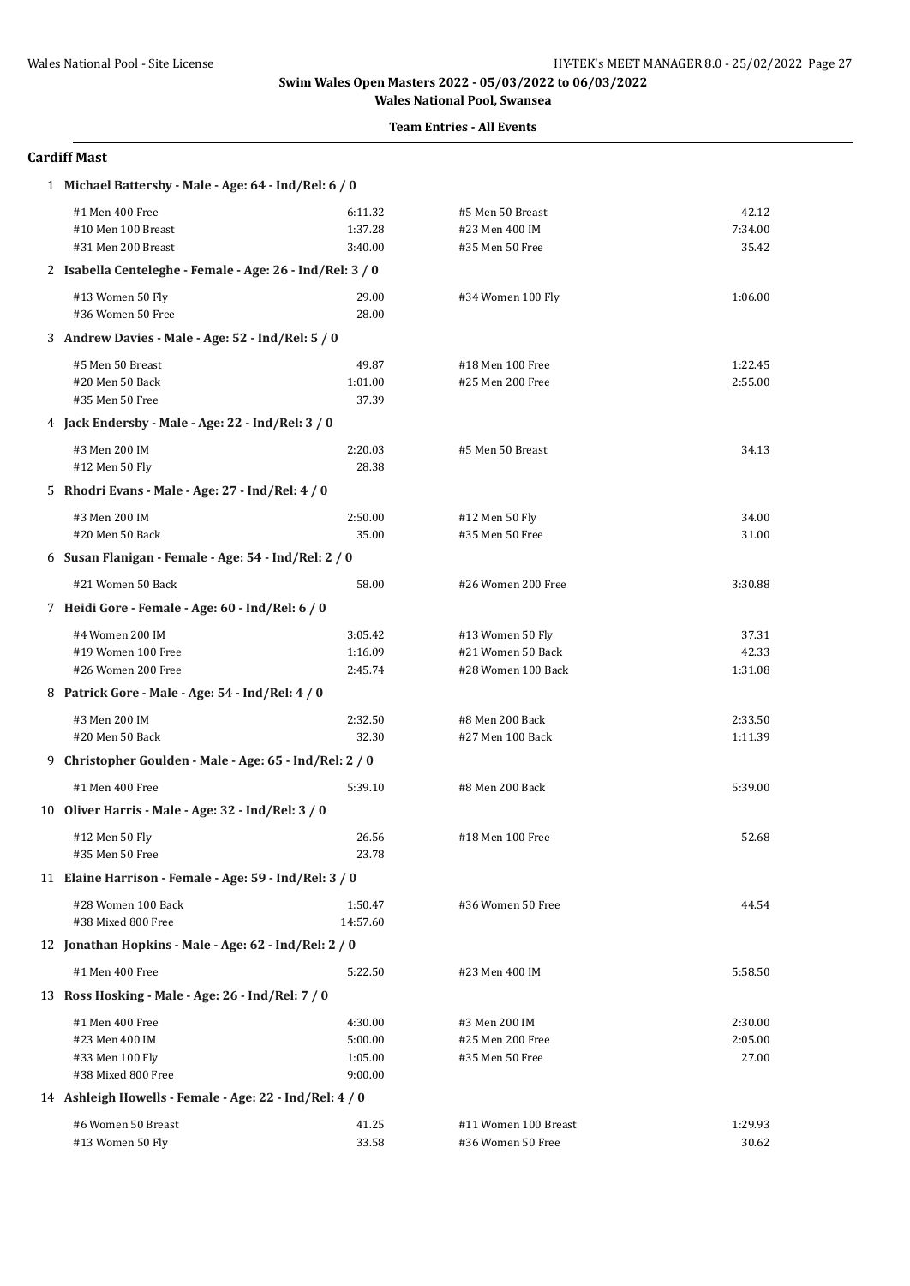# **Team Entries - All Events**

# **Cardiff Mast**

| 1 Michael Battersby - Male - Age: 64 - Ind/Rel: 6 / 0     |          |                      |         |  |  |
|-----------------------------------------------------------|----------|----------------------|---------|--|--|
| #1 Men 400 Free                                           | 6:11.32  | #5 Men 50 Breast     | 42.12   |  |  |
| #10 Men 100 Breast                                        | 1:37.28  | #23 Men 400 IM       | 7:34.00 |  |  |
| #31 Men 200 Breast                                        | 3:40.00  | #35 Men 50 Free      | 35.42   |  |  |
| 2 Isabella Centeleghe - Female - Age: 26 - Ind/Rel: 3 / 0 |          |                      |         |  |  |
| #13 Women 50 Fly                                          | 29.00    | #34 Women 100 Fly    | 1:06.00 |  |  |
| #36 Women 50 Free                                         | 28.00    |                      |         |  |  |
| 3 Andrew Davies - Male - Age: 52 - Ind/Rel: 5 / 0         |          |                      |         |  |  |
| #5 Men 50 Breast                                          | 49.87    | #18 Men 100 Free     | 1:22.45 |  |  |
| #20 Men 50 Back                                           | 1:01.00  | #25 Men 200 Free     | 2:55.00 |  |  |
| #35 Men 50 Free                                           | 37.39    |                      |         |  |  |
| 4 Jack Endersby - Male - Age: 22 - Ind/Rel: 3 / 0         |          |                      |         |  |  |
| #3 Men 200 IM                                             | 2:20.03  | #5 Men 50 Breast     | 34.13   |  |  |
| #12 Men 50 Fly                                            | 28.38    |                      |         |  |  |
| 5 Rhodri Evans - Male - Age: 27 - Ind/Rel: 4 / 0          |          |                      |         |  |  |
| #3 Men 200 IM                                             | 2:50.00  | #12 Men 50 Fly       | 34.00   |  |  |
| #20 Men 50 Back                                           | 35.00    | #35 Men 50 Free      | 31.00   |  |  |
| 6 Susan Flanigan - Female - Age: 54 - Ind/Rel: 2 / 0      |          |                      |         |  |  |
| #21 Women 50 Back                                         | 58.00    | #26 Women 200 Free   | 3:30.88 |  |  |
| 7 Heidi Gore - Female - Age: 60 - Ind/Rel: 6 / 0          |          |                      |         |  |  |
| #4 Women 200 IM                                           | 3:05.42  | #13 Women 50 Fly     | 37.31   |  |  |
| #19 Women 100 Free                                        | 1:16.09  | #21 Women 50 Back    | 42.33   |  |  |
| #26 Women 200 Free                                        | 2:45.74  | #28 Women 100 Back   | 1:31.08 |  |  |
| 8 Patrick Gore - Male - Age: 54 - Ind/Rel: 4 / 0          |          |                      |         |  |  |
| #3 Men 200 IM                                             | 2:32.50  | #8 Men 200 Back      | 2:33.50 |  |  |
| #20 Men 50 Back                                           | 32.30    | #27 Men 100 Back     | 1:11.39 |  |  |
| 9 Christopher Goulden - Male - Age: 65 - Ind/Rel: 2 / 0   |          |                      |         |  |  |
| #1 Men 400 Free                                           | 5:39.10  | #8 Men 200 Back      | 5:39.00 |  |  |
| 10 Oliver Harris - Male - Age: 32 - Ind/Rel: 3 / 0        |          |                      |         |  |  |
| #12 Men 50 Fly                                            | 26.56    | #18 Men 100 Free     | 52.68   |  |  |
| #35 Men 50 Free                                           | 23.78    |                      |         |  |  |
| 11 Elaine Harrison - Female - Age: 59 - Ind/Rel: 3 / 0    |          |                      |         |  |  |
| #28 Women 100 Back                                        | 1:50.47  | #36 Women 50 Free    | 44.54   |  |  |
| #38 Mixed 800 Free                                        | 14:57.60 |                      |         |  |  |
| 12 Jonathan Hopkins - Male - Age: 62 - Ind/Rel: 2 / 0     |          |                      |         |  |  |
| #1 Men 400 Free                                           | 5:22.50  | #23 Men 400 IM       | 5:58.50 |  |  |
| 13 Ross Hosking - Male - Age: 26 - Ind/Rel: 7 / 0         |          |                      |         |  |  |
| #1 Men 400 Free                                           | 4:30.00  | #3 Men 200 IM        | 2:30.00 |  |  |
| #23 Men 400 IM                                            | 5:00.00  | #25 Men 200 Free     | 2:05.00 |  |  |
| #33 Men 100 Fly                                           | 1:05.00  | #35 Men 50 Free      | 27.00   |  |  |
| #38 Mixed 800 Free                                        | 9:00.00  |                      |         |  |  |
| 14 Ashleigh Howells - Female - Age: 22 - Ind/Rel: 4 / 0   |          |                      |         |  |  |
| #6 Women 50 Breast                                        | 41.25    | #11 Women 100 Breast | 1:29.93 |  |  |
| #13 Women 50 Fly                                          | 33.58    | #36 Women 50 Free    | 30.62   |  |  |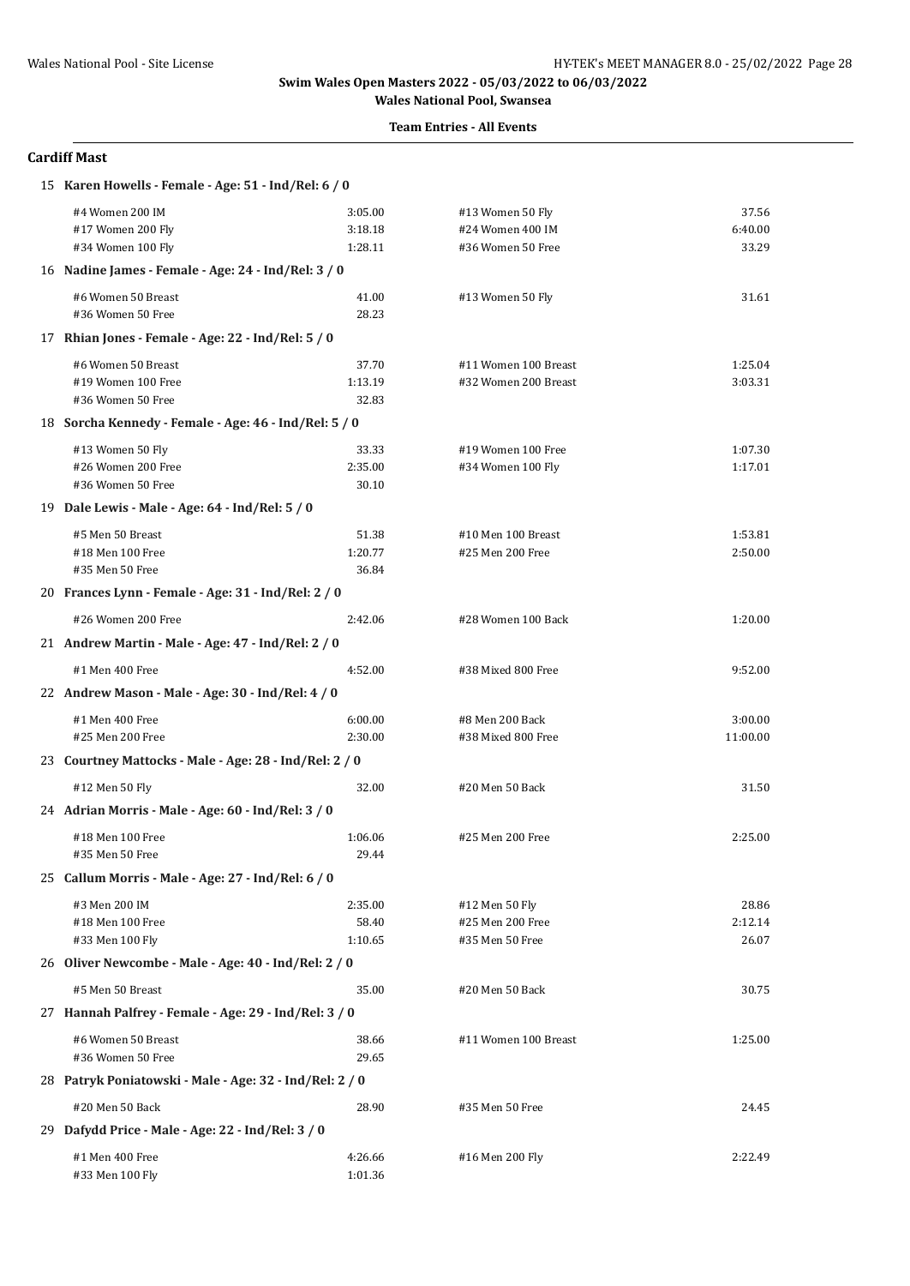### **Team Entries - All Events**

### **Cardiff Mast**

| 15 Karen Howells - Female - Age: 51 - Ind/Rel: 6 / 0    |         |                      |          |
|---------------------------------------------------------|---------|----------------------|----------|
| #4 Women 200 IM                                         | 3:05.00 | #13 Women 50 Fly     | 37.56    |
| #17 Women 200 Fly                                       | 3:18.18 | #24 Women 400 IM     | 6:40.00  |
| #34 Women 100 Fly                                       | 1:28.11 | #36 Women 50 Free    | 33.29    |
| 16 Nadine James - Female - Age: 24 - Ind/Rel: 3 / 0     |         |                      |          |
| #6 Women 50 Breast                                      | 41.00   | #13 Women 50 Fly     | 31.61    |
| #36 Women 50 Free                                       | 28.23   |                      |          |
| 17 Rhian Jones - Female - Age: 22 - Ind/Rel: 5 / 0      |         |                      |          |
| #6 Women 50 Breast                                      | 37.70   | #11 Women 100 Breast | 1:25.04  |
| #19 Women 100 Free                                      | 1:13.19 | #32 Women 200 Breast | 3:03.31  |
| #36 Women 50 Free                                       | 32.83   |                      |          |
| 18 Sorcha Kennedy - Female - Age: 46 - Ind/Rel: 5 / 0   |         |                      |          |
| #13 Women 50 Fly                                        | 33.33   | #19 Women 100 Free   | 1:07.30  |
| #26 Women 200 Free                                      | 2:35.00 | #34 Women 100 Fly    | 1:17.01  |
| #36 Women 50 Free                                       | 30.10   |                      |          |
| 19 Dale Lewis - Male - Age: 64 - Ind/Rel: 5 / 0         |         |                      |          |
| #5 Men 50 Breast                                        | 51.38   | #10 Men 100 Breast   | 1:53.81  |
| #18 Men 100 Free                                        | 1:20.77 | #25 Men 200 Free     | 2:50.00  |
| #35 Men 50 Free                                         | 36.84   |                      |          |
| 20 Frances Lynn - Female - Age: 31 - Ind/Rel: 2 / 0     |         |                      |          |
| #26 Women 200 Free                                      | 2:42.06 | #28 Women 100 Back   | 1:20.00  |
| 21 Andrew Martin - Male - Age: 47 - Ind/Rel: 2 / 0      |         |                      |          |
| #1 Men 400 Free                                         | 4:52.00 | #38 Mixed 800 Free   | 9:52.00  |
| 22 Andrew Mason - Male - Age: 30 - Ind/Rel: 4 / 0       |         |                      |          |
| #1 Men 400 Free                                         | 6:00.00 | #8 Men 200 Back      | 3:00.00  |
| #25 Men 200 Free                                        | 2:30.00 | #38 Mixed 800 Free   | 11:00.00 |
| 23 Courtney Mattocks - Male - Age: 28 - Ind/Rel: 2 / 0  |         |                      |          |
| #12 Men 50 Fly                                          | 32.00   | #20 Men 50 Back      | 31.50    |
| 24 Adrian Morris - Male - Age: 60 - Ind/Rel: 3 / 0      |         |                      |          |
| #18 Men 100 Free                                        | 1:06.06 | #25 Men 200 Free     | 2:25.00  |
| #35 Men 50 Free                                         | 29.44   |                      |          |
| 25 Callum Morris - Male - Age: 27 - Ind/Rel: 6 / 0      |         |                      |          |
| #3 Men 200 IM                                           | 2:35.00 | #12 Men 50 Fly       | 28.86    |
| #18 Men 100 Free                                        | 58.40   | #25 Men 200 Free     | 2:12.14  |
| #33 Men 100 Fly                                         | 1:10.65 | #35 Men 50 Free      | 26.07    |
| 26 Oliver Newcombe - Male - Age: 40 - Ind/Rel: 2 / 0    |         |                      |          |
| #5 Men 50 Breast                                        | 35.00   | #20 Men 50 Back      | 30.75    |
| 27 Hannah Palfrey - Female - Age: 29 - Ind/Rel: 3 / 0   |         |                      |          |
| #6 Women 50 Breast                                      | 38.66   | #11 Women 100 Breast | 1:25.00  |
| #36 Women 50 Free                                       | 29.65   |                      |          |
| 28 Patryk Poniatowski - Male - Age: 32 - Ind/Rel: 2 / 0 |         |                      |          |
| #20 Men 50 Back                                         | 28.90   | #35 Men 50 Free      | 24.45    |
| 29 Dafydd Price - Male - Age: 22 - Ind/Rel: 3 / 0       |         |                      |          |
| #1 Men 400 Free                                         | 4:26.66 | #16 Men 200 Fly      | 2:22.49  |
| #33 Men 100 Fly                                         | 1:01.36 |                      |          |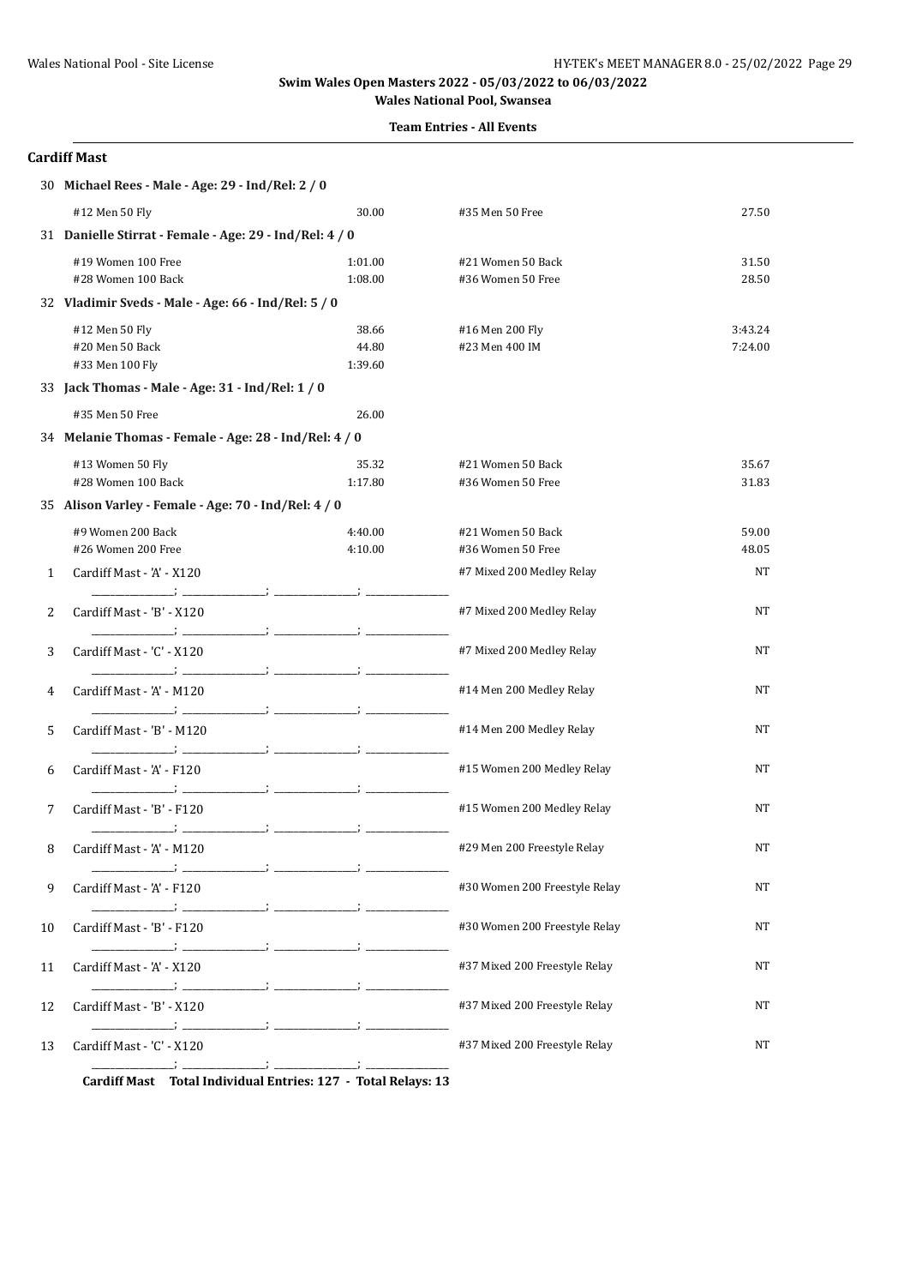### **Team Entries - All Events**

# **Cardiff Mast**

|              | 30 Michael Rees - Male - Age: 29 - Ind/Rel: 2 / 0                                                                                                                                                                                                                 |                    |                                        |                |
|--------------|-------------------------------------------------------------------------------------------------------------------------------------------------------------------------------------------------------------------------------------------------------------------|--------------------|----------------------------------------|----------------|
|              | #12 Men 50 Fly                                                                                                                                                                                                                                                    | 30.00              | #35 Men 50 Free                        | 27.50          |
|              | 31 Danielle Stirrat - Female - Age: 29 - Ind/Rel: 4 / 0                                                                                                                                                                                                           |                    |                                        |                |
|              | #19 Women 100 Free                                                                                                                                                                                                                                                | 1:01.00            | #21 Women 50 Back                      | 31.50          |
|              | #28 Women 100 Back                                                                                                                                                                                                                                                | 1:08.00            | #36 Women 50 Free                      | 28.50          |
|              | 32 Vladimir Sveds - Male - Age: 66 - Ind/Rel: 5 / 0                                                                                                                                                                                                               |                    |                                        |                |
|              | #12 Men 50 Fly                                                                                                                                                                                                                                                    | 38.66              | #16 Men 200 Fly                        | 3:43.24        |
|              | #20 Men 50 Back<br>#33 Men 100 Fly                                                                                                                                                                                                                                | 44.80<br>1:39.60   | #23 Men 400 IM                         | 7:24.00        |
|              | 33 Jack Thomas - Male - Age: 31 - Ind/Rel: 1 / 0                                                                                                                                                                                                                  |                    |                                        |                |
|              |                                                                                                                                                                                                                                                                   |                    |                                        |                |
|              | #35 Men 50 Free                                                                                                                                                                                                                                                   | 26.00              |                                        |                |
|              | 34 Melanie Thomas - Female - Age: 28 - Ind/Rel: 4 / 0                                                                                                                                                                                                             |                    |                                        |                |
|              | #13 Women 50 Fly<br>#28 Women 100 Back                                                                                                                                                                                                                            | 35.32<br>1:17.80   | #21 Women 50 Back<br>#36 Women 50 Free | 35.67<br>31.83 |
|              | 35 Alison Varley - Female - Age: 70 - Ind/Rel: 4 / 0                                                                                                                                                                                                              |                    |                                        |                |
|              |                                                                                                                                                                                                                                                                   |                    |                                        |                |
|              | #9 Women 200 Back<br>#26 Women 200 Free                                                                                                                                                                                                                           | 4:40.00<br>4:10.00 | #21 Women 50 Back<br>#36 Women 50 Free | 59.00<br>48.05 |
| $\mathbf{1}$ | Cardiff Mast - 'A' - X120                                                                                                                                                                                                                                         |                    | #7 Mixed 200 Medley Relay              | NT             |
|              |                                                                                                                                                                                                                                                                   |                    |                                        |                |
| 2            | Cardiff Mast - 'B' - X120                                                                                                                                                                                                                                         |                    | #7 Mixed 200 Medley Relay              | NT             |
| 3            | Cardiff Mast - 'C' - X120                                                                                                                                                                                                                                         |                    | #7 Mixed 200 Medley Relay              | NT             |
| 4            | Cardiff Mast - 'A' - M120                                                                                                                                                                                                                                         |                    | #14 Men 200 Medley Relay               | NΤ             |
| 5            | Cardiff Mast - 'B' - M120                                                                                                                                                                                                                                         |                    | #14 Men 200 Medley Relay               | NT             |
| 6            | <u> 1989 - Jan Storman Storman Storman Storman Storman Storman Storman Storman Storman Storman Storman Storman Storman Storman Storman Storman Storman Storman Storman Storman Storman Storman Storman Storman Storman Storman S</u><br>Cardiff Mast - 'A' - F120 |                    | #15 Women 200 Medley Relay             | NΤ             |
| 7            | Cardiff Mast - 'B' - F120                                                                                                                                                                                                                                         |                    | #15 Women 200 Medley Relay             | NΤ             |
| 8            | <b>SECOND CONTRACTOR</b><br>Cardiff Mast - 'A' - M120                                                                                                                                                                                                             |                    | #29 Men 200 Freestyle Relay            | NΤ             |
| 9            | Cardiff Mast - 'A' - F120                                                                                                                                                                                                                                         |                    | #30 Women 200 Freestyle Relay          | NΤ             |
| 10           | Cardiff Mast - 'B' - F120                                                                                                                                                                                                                                         |                    | #30 Women 200 Freestyle Relay          | NT             |
| 11           | Cardiff Mast - 'A' - X120                                                                                                                                                                                                                                         |                    | #37 Mixed 200 Freestyle Relay          | NT             |
| 12           | <u> 1989 - Jan Salaman Salah Barat Barat Barat Barat Barat Barat Barat Barat Barat Barat Barat Barat Barat Barat Barat Barat Barat Barat Barat Barat Barat Barat Barat Barat Barat Barat Barat Barat Barat Barat Barat Barat Bar</u><br>Cardiff Mast - 'B' - X120 |                    | #37 Mixed 200 Freestyle Relay          | NT             |
| 13           | Cardiff Mast - 'C' - X120                                                                                                                                                                                                                                         |                    | #37 Mixed 200 Freestyle Relay          | NΤ             |
|              | Candiff Most Total Individual Entries, 197 Total Delays, 19                                                                                                                                                                                                       |                    |                                        |                |

**Cardiff Mast Total Individual Entries: 127 - Total Relays: 13**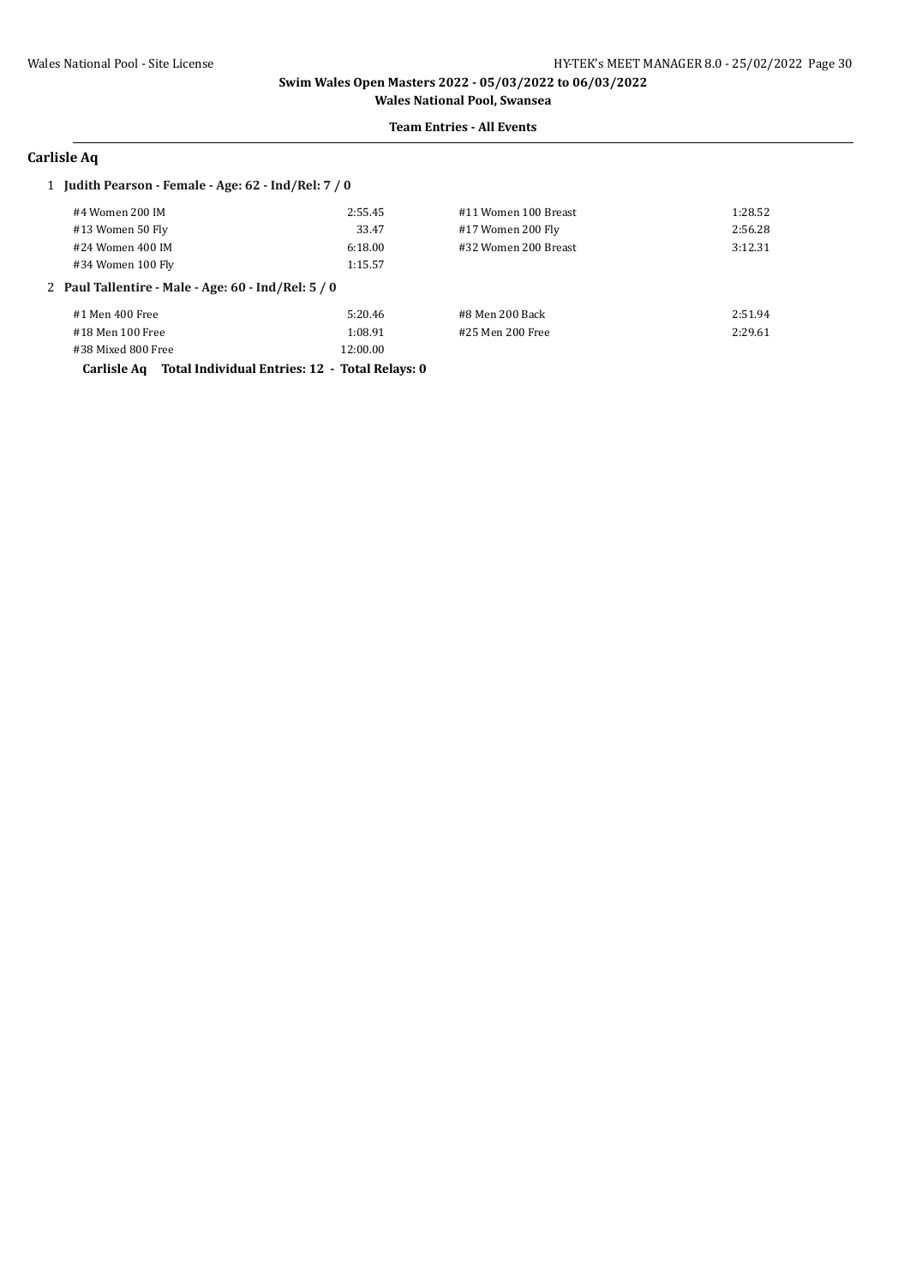#### **Team Entries - All Events**

# **Carlisle Aq**

#### 1 **Judith Pearson - Female - Age: 62 - Ind/Rel: 7 / 0**

| #4 Women 200 IM                                     | 2:55.45  | #11 Women 100 Breast | 1:28.52 |
|-----------------------------------------------------|----------|----------------------|---------|
| #13 Women 50 Fly                                    | 33.47    | #17 Women 200 Fly    | 2:56.28 |
| #24 Women 400 IM                                    | 6:18.00  | #32 Women 200 Breast | 3:12.31 |
| #34 Women 100 Fly                                   | 1:15.57  |                      |         |
| 2 Paul Tallentire - Male - Age: 60 - Ind/Rel: 5 / 0 |          |                      |         |
| #1 Men 400 Free                                     | 5:20.46  | #8 Men 200 Back      | 2:51.94 |
| #18 Men 100 Free                                    | 1:08.91  | #25 Men 200 Free     | 2:29.61 |
| #38 Mixed 800 Free                                  | 12:00.00 |                      |         |

**Carlisle Aq Total Individual Entries: 12 - Total Relays: 0**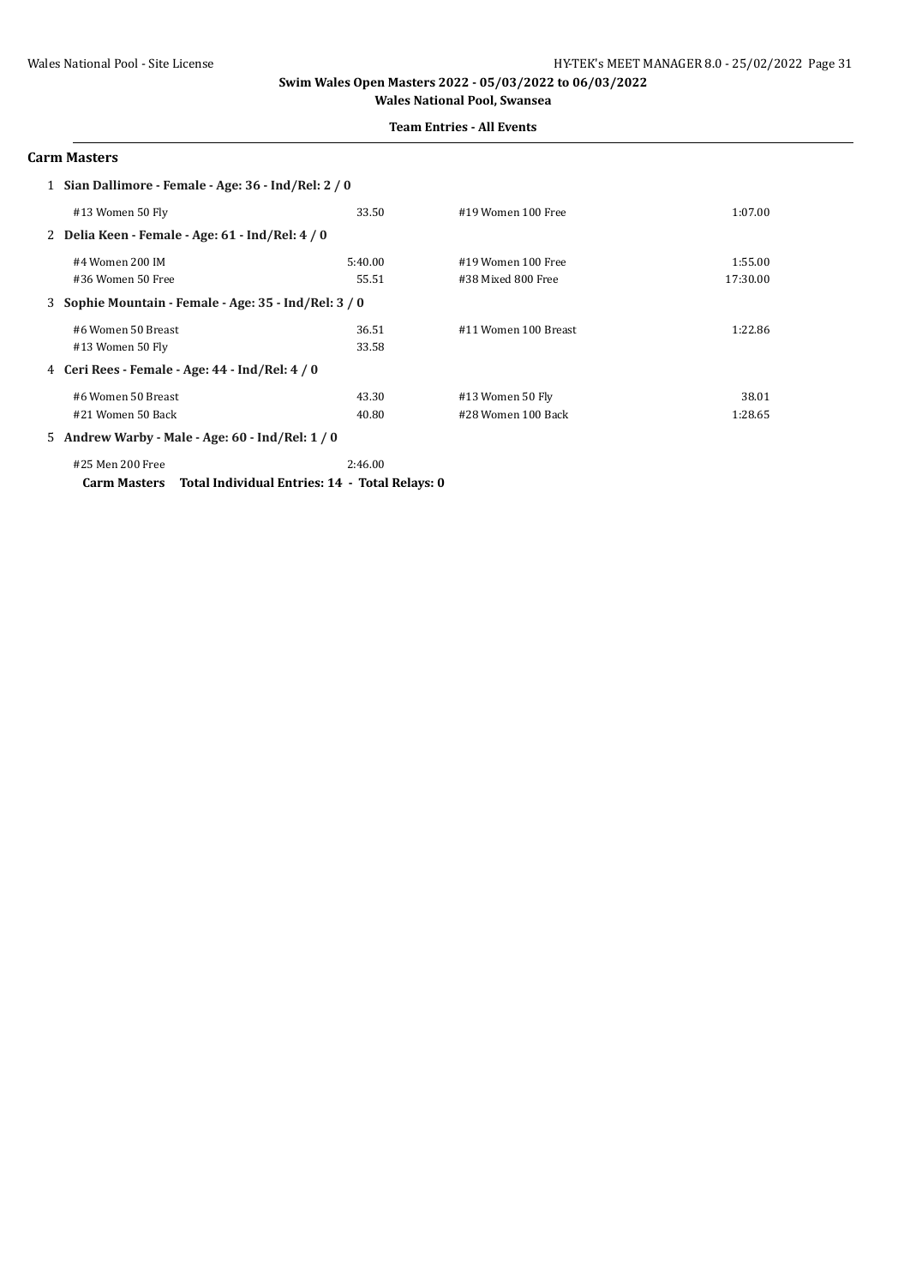#### **Team Entries - All Events**

### **Carm Masters**

| 1 Sian Dallimore - Female - Age: 36 - Ind/Rel: 2 / 0 |                                                       |         |                      |          |
|------------------------------------------------------|-------------------------------------------------------|---------|----------------------|----------|
|                                                      | #13 Women 50 Fly                                      | 33.50   | #19 Women 100 Free   | 1:07.00  |
|                                                      | 2 Delia Keen - Female - Age: 61 - Ind/Rel: 4 / 0      |         |                      |          |
|                                                      | #4 Women 200 IM                                       | 5:40.00 | #19 Women 100 Free   | 1:55.00  |
|                                                      | #36 Women 50 Free                                     | 55.51   | #38 Mixed 800 Free   | 17:30.00 |
|                                                      | 3 Sophie Mountain - Female - Age: 35 - Ind/Rel: 3 / 0 |         |                      |          |
|                                                      | #6 Women 50 Breast                                    | 36.51   | #11 Women 100 Breast | 1:22.86  |
|                                                      | #13 Women 50 Fly                                      | 33.58   |                      |          |
|                                                      | 4 Ceri Rees - Female - Age: 44 - Ind/Rel: 4 / 0       |         |                      |          |
|                                                      | #6 Women 50 Breast                                    | 43.30   | #13 Women 50 Fly     | 38.01    |
|                                                      | #21 Women 50 Back                                     | 40.80   | #28 Women 100 Back   | 1:28.65  |
|                                                      | 5 Andrew Warby - Male - Age: 60 - Ind/Rel: 1 / 0      |         |                      |          |
|                                                      | #25 Men 200 Free                                      | 2:46.00 |                      |          |

**Carm Masters Total Individual Entries: 14 - Total Relays: 0**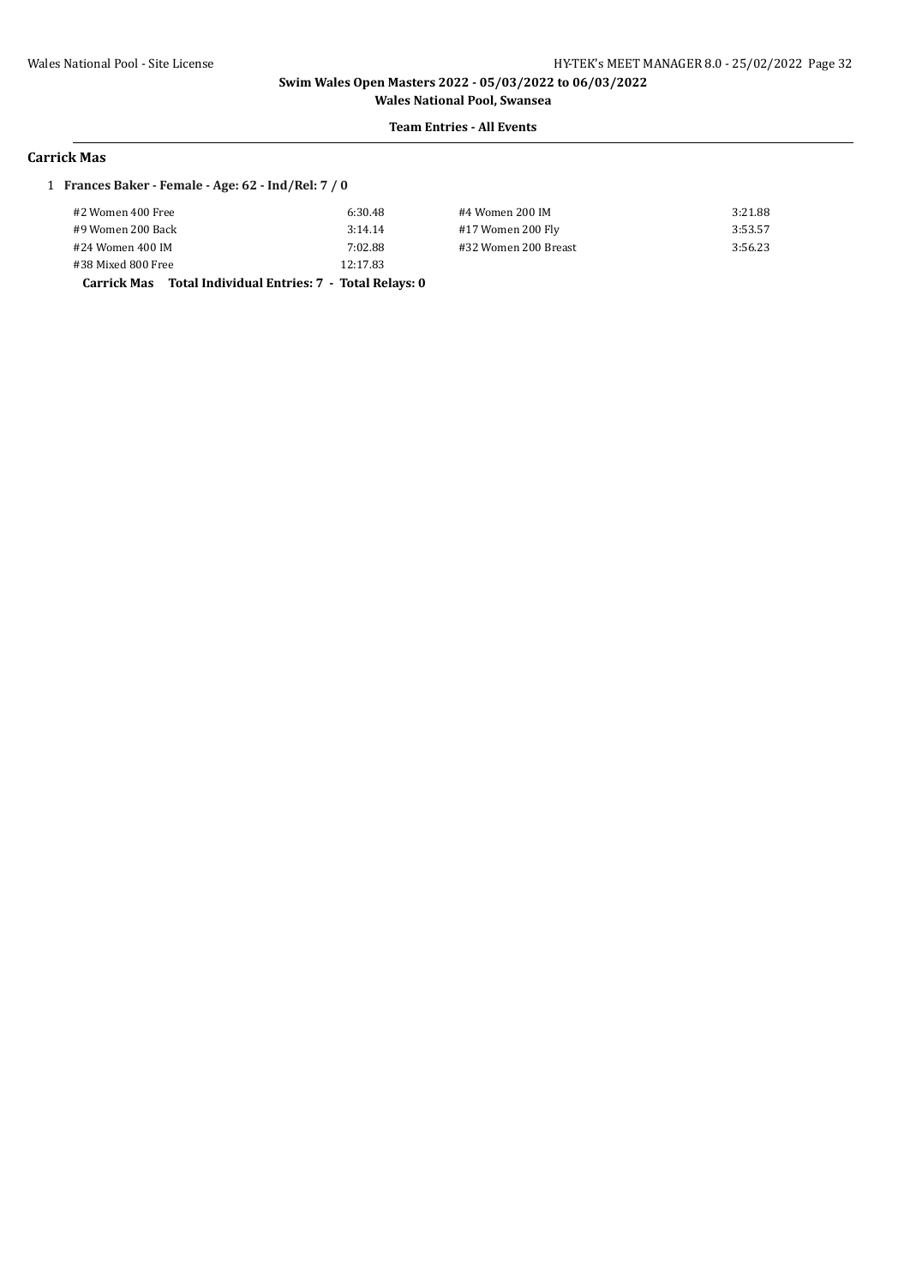**Wales National Pool, Swansea Team Entries - All Events**

#### **Carrick Mas**

### 1 **Frances Baker - Female - Age: 62 - Ind/Rel: 7 / 0**

| Couriely Moo Total Individual Entrice: 7 Total Delaye: 0 |          |                      |         |
|----------------------------------------------------------|----------|----------------------|---------|
| #38 Mixed 800 Free                                       | 12:17.83 |                      |         |
| #24 Women 400 IM                                         | 7:02.88  | #32 Women 200 Breast | 3:56.23 |
| #9 Women 200 Back                                        | 3:14.14  | #17 Women 200 Fly    | 3:53.57 |
| #2 Women 400 Free                                        | 6:30.48  | #4 Women 200 IM      | 3:21.88 |

**Carrick Mas Total Individual Entries: 7 - Total Relays: 0**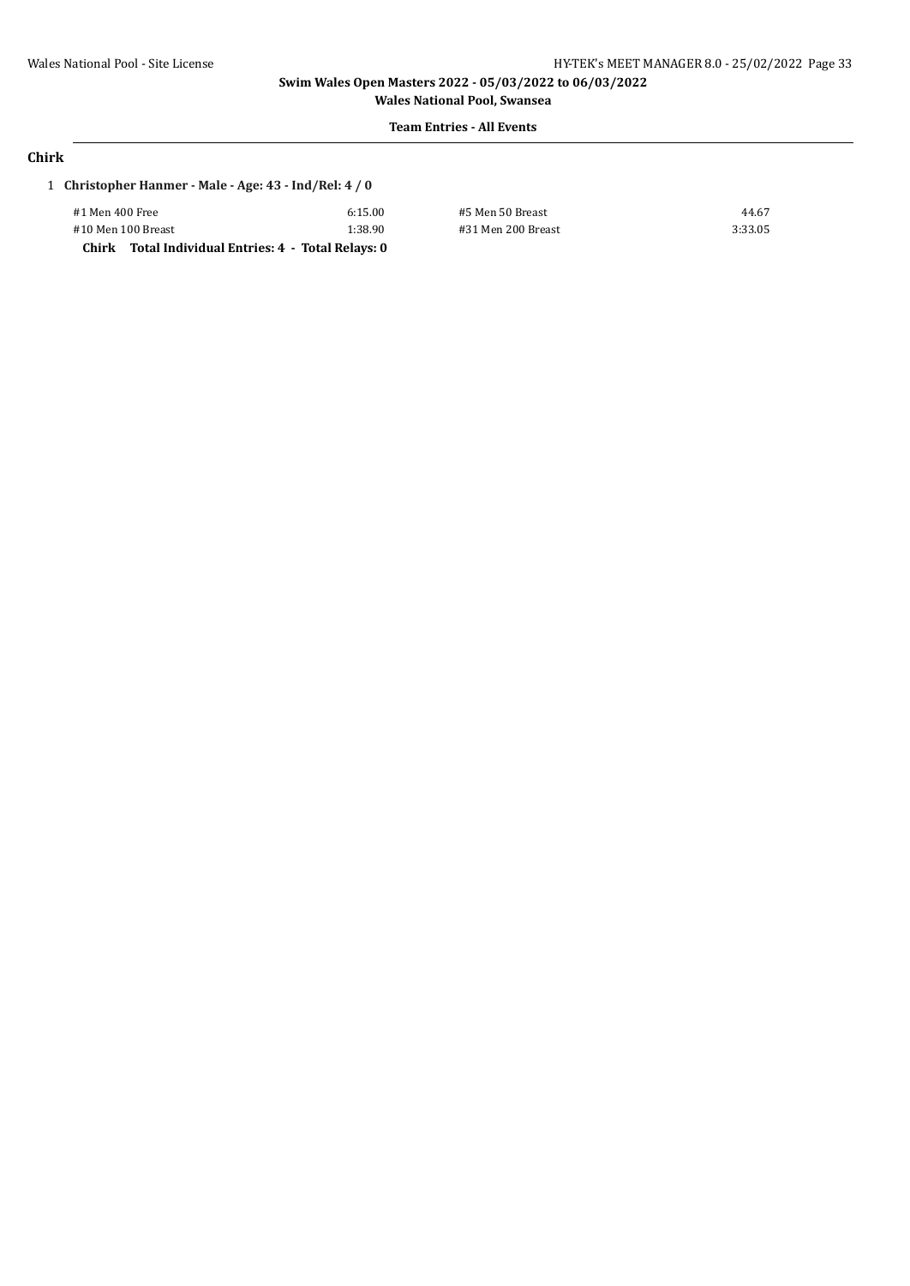#### **Team Entries - All Events**

# **Chirk**

|  | 1 Christopher Hanmer - Male - Age: 43 - Ind/Rel: 4 / 0 |  |  |
|--|--------------------------------------------------------|--|--|
|--|--------------------------------------------------------|--|--|

| #1 Men 400 Free<br>6:15.00    |                                                     |  |
|-------------------------------|-----------------------------------------------------|--|
| #10 Men 100 Breast<br>1:38.90 |                                                     |  |
|                               | Chirk Total Individual Entries: 4 - Total Relays: 0 |  |

#5 Men 50 Breast 44.67 #10 Men 100 Breast 1:38.90 #31 Men 200 Breast 3:33.05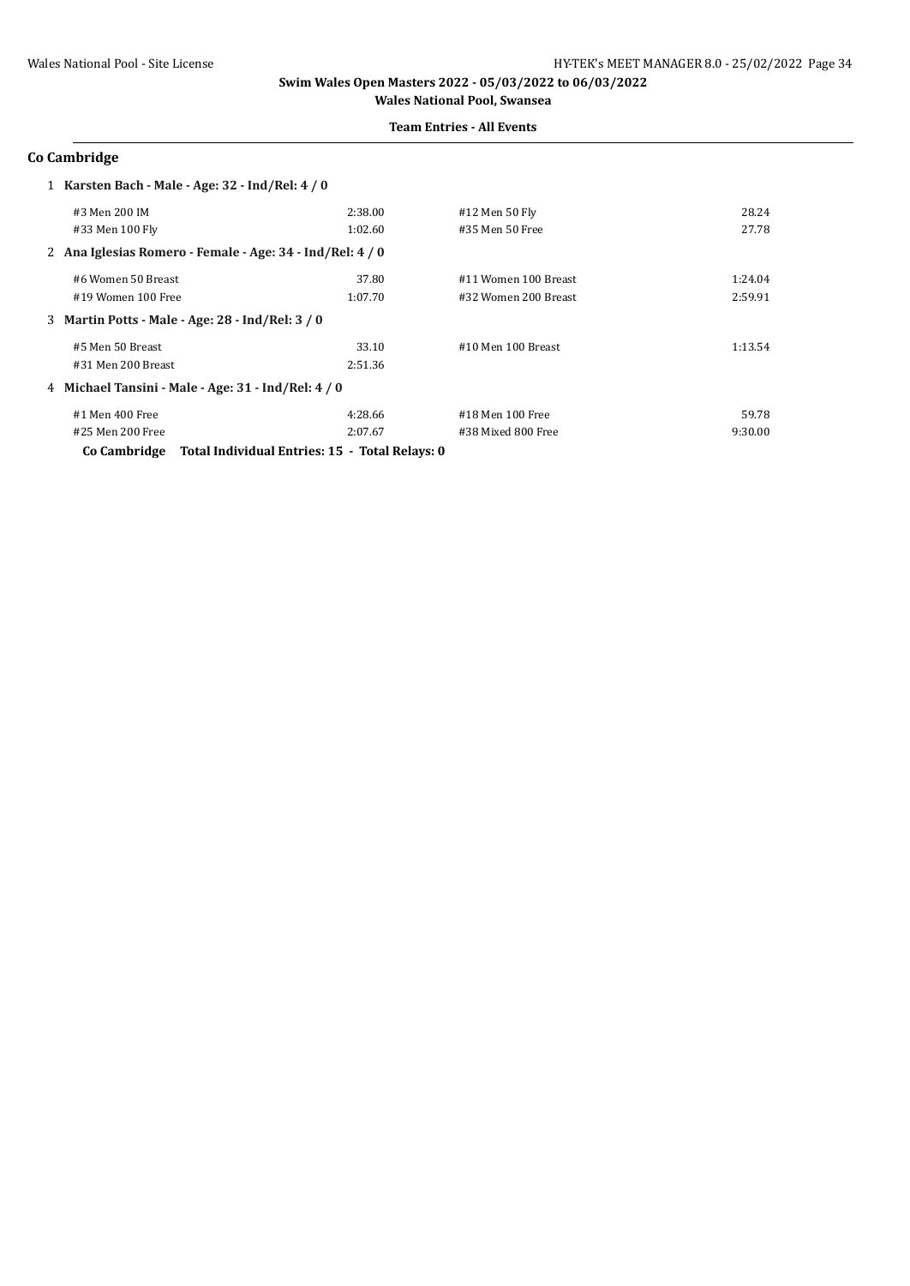#### **Team Entries - All Events**

### **Co Cambridge**

|                    | 1 Karsten Bach - Male - Age: 32 - Ind/Rel: 4 / 0          |         |                      |         |
|--------------------|-----------------------------------------------------------|---------|----------------------|---------|
| #3 Men 200 IM      |                                                           | 2:38.00 | #12 Men 50 Fly       | 28.24   |
| #33 Men 100 Fly    |                                                           | 1:02.60 | #35 Men 50 Free      | 27.78   |
|                    | 2 Ana Iglesias Romero - Female - Age: 34 - Ind/Rel: 4 / 0 |         |                      |         |
| #6 Women 50 Breast |                                                           | 37.80   | #11 Women 100 Breast | 1:24.04 |
| #19 Women 100 Free |                                                           | 1:07.70 | #32 Women 200 Breast | 2:59.91 |
|                    | 3 Martin Potts - Male - Age: 28 - Ind/Rel: 3 / 0          |         |                      |         |
| #5 Men 50 Breast   |                                                           | 33.10   | #10 Men 100 Breast   | 1:13.54 |
| #31 Men 200 Breast |                                                           | 2:51.36 |                      |         |
|                    | 4 Michael Tansini - Male - Age: 31 - Ind/Rel: 4 / 0       |         |                      |         |
| #1 Men 400 Free    |                                                           | 4:28.66 | #18 Men 100 Free     | 59.78   |
| #25 Men 200 Free   |                                                           | 2:07.67 | #38 Mixed 800 Free   | 9:30.00 |
| Co Cambridge       | Total Individual Entries: 15 - Total Relays: 0            |         |                      |         |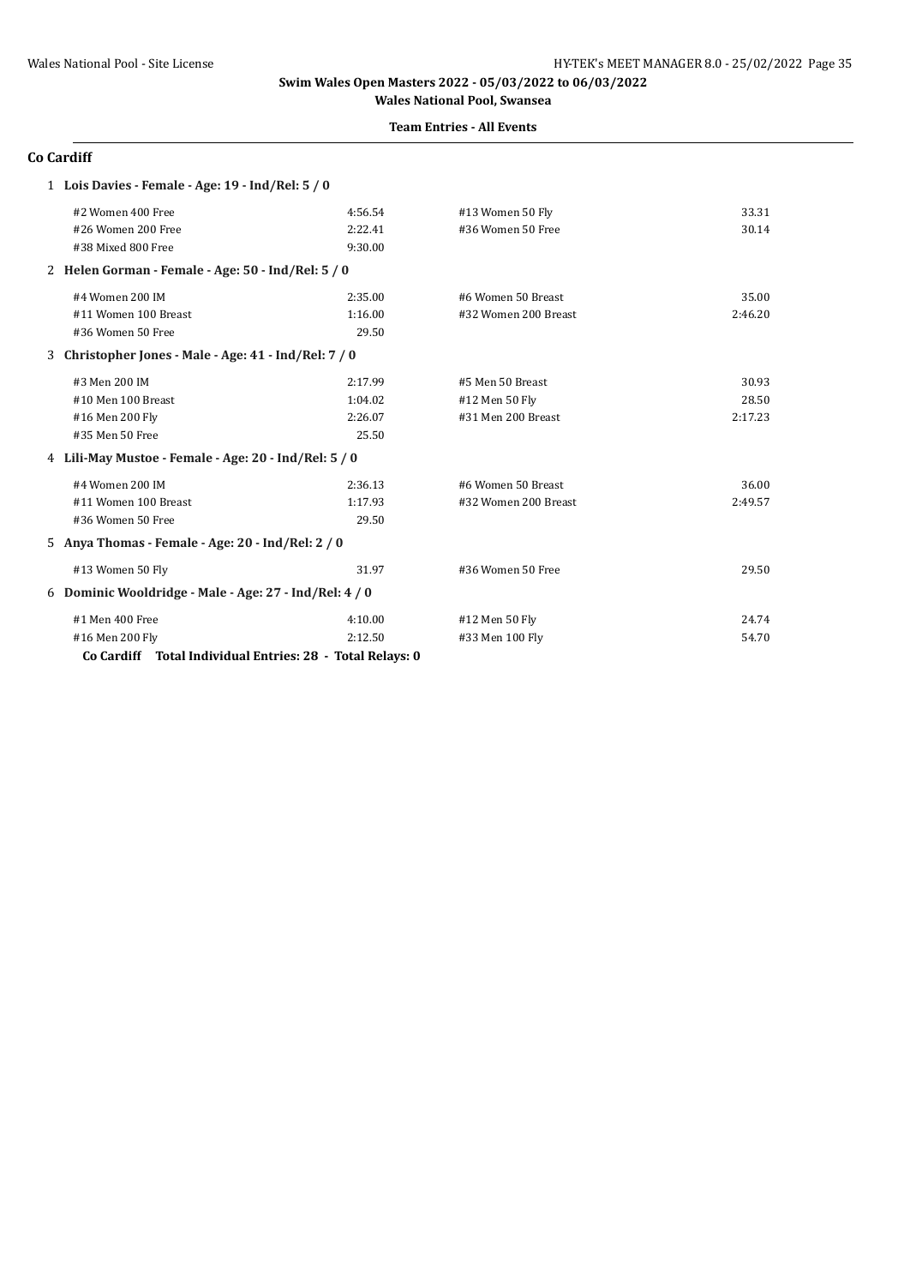#### **Team Entries - All Events**

### **Co Cardiff**

| 1 Lois Davies - Female - Age: 19 - Ind/Rel: 5 / 0         |         |                      |         |
|-----------------------------------------------------------|---------|----------------------|---------|
| #2 Women 400 Free                                         | 4:56.54 | #13 Women 50 Fly     | 33.31   |
| #26 Women 200 Free                                        | 2:22.41 | #36 Women 50 Free    | 30.14   |
| #38 Mixed 800 Free                                        | 9:30.00 |                      |         |
| 2 Helen Gorman - Female - Age: 50 - Ind/Rel: 5 / 0        |         |                      |         |
| #4 Women 200 IM                                           | 2:35.00 | #6 Women 50 Breast   | 35.00   |
| #11 Women 100 Breast                                      | 1:16.00 | #32 Women 200 Breast | 2:46.20 |
| #36 Women 50 Free                                         | 29.50   |                      |         |
| 3 Christopher Jones - Male - Age: 41 - Ind/Rel: 7 / 0     |         |                      |         |
| #3 Men 200 IM                                             | 2:17.99 | #5 Men 50 Breast     | 30.93   |
| #10 Men 100 Breast                                        | 1:04.02 | #12 Men 50 Fly       | 28.50   |
| #16 Men 200 Fly                                           | 2:26.07 | #31 Men 200 Breast   | 2:17.23 |
| #35 Men 50 Free                                           | 25.50   |                      |         |
| 4 Lili-May Mustoe - Female - Age: 20 - Ind/Rel: 5 / 0     |         |                      |         |
| #4 Women 200 IM                                           | 2:36.13 | #6 Women 50 Breast   | 36.00   |
| #11 Women 100 Breast                                      | 1:17.93 | #32 Women 200 Breast | 2:49.57 |
| #36 Women 50 Free                                         | 29.50   |                      |         |
| 5 Anya Thomas - Female - Age: 20 - Ind/Rel: 2 / 0         |         |                      |         |
| #13 Women 50 Fly                                          | 31.97   | #36 Women 50 Free    | 29.50   |
| 6 Dominic Wooldridge - Male - Age: 27 - Ind/Rel: 4 / 0    |         |                      |         |
| #1 Men 400 Free                                           | 4:10.00 | #12 Men 50 Fly       | 24.74   |
| #16 Men 200 Fly                                           | 2:12.50 | #33 Men 100 Fly      | 54.70   |
| Co Cardiff Total Individual Entries: 28 - Total Relays: 0 |         |                      |         |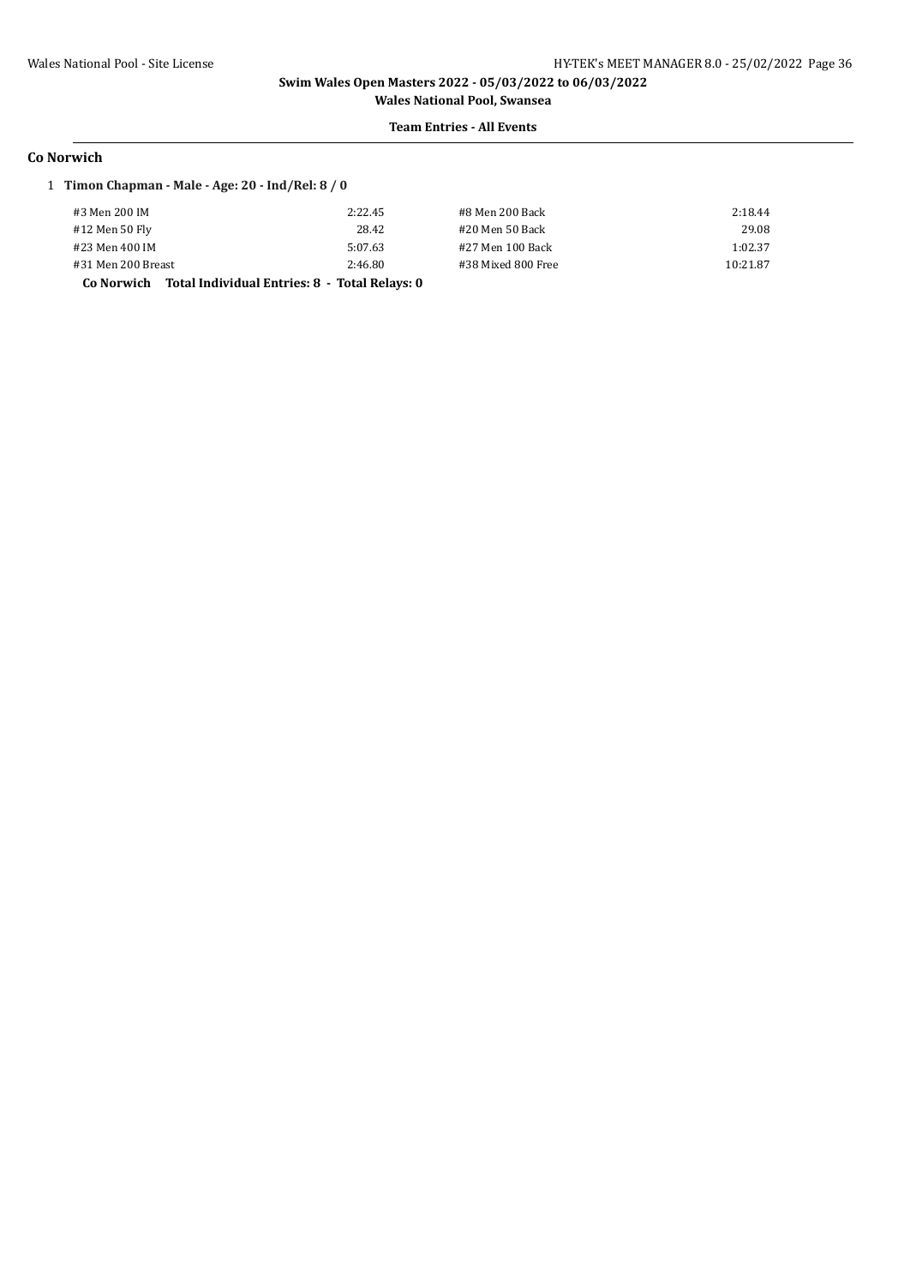# **Team Entries - All Events**

#### **Co Norwich**

### 1 **Timon Chapman - Male - Age: 20 - Ind/Rel: 8 / 0**

| #3 Men 200 IM                                               | 2:22.45 | #8 Men 200 Back    | 2:18.44  |
|-------------------------------------------------------------|---------|--------------------|----------|
| #12 Men 50 Fly                                              | 28.42   | #20 Men 50 Back    | 29.08    |
| #23 Men 400 IM                                              | 5:07.63 | #27 Men 100 Back   | 1:02.37  |
| #31 Men 200 Breast                                          | 2:46.80 | #38 Mixed 800 Free | 10:21.87 |
| Total Individual Entries: 8 - Total Relays: 0<br>Co Norwich |         |                    |          |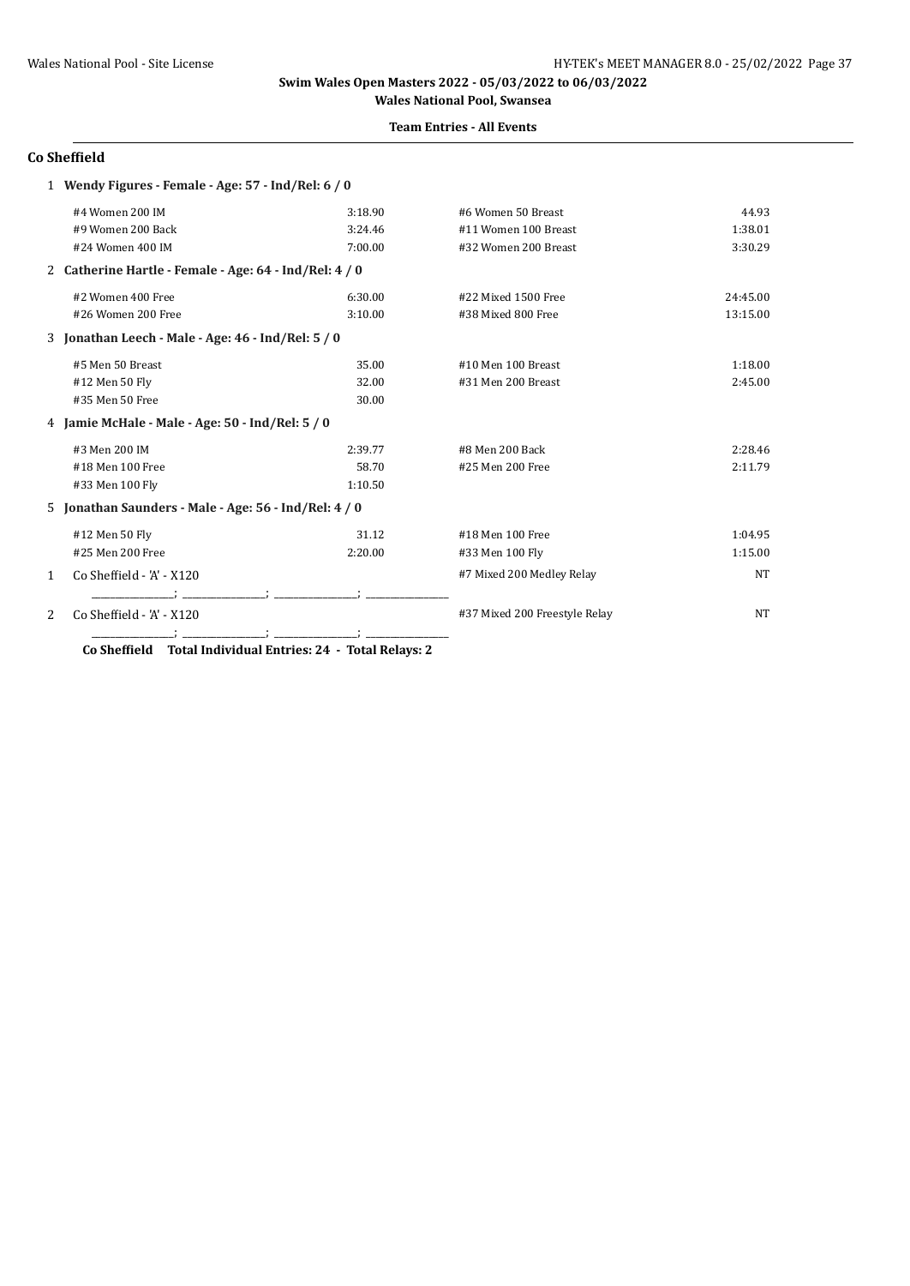### **Team Entries - All Events**

# **Co Sheffield**

|   | 1 Wendy Figures - Female - Age: 57 - Ind/Rel: 6 / 0    |                    |                               |           |
|---|--------------------------------------------------------|--------------------|-------------------------------|-----------|
|   | #4 Women 200 IM                                        | 3:18.90            | #6 Women 50 Breast            | 44.93     |
|   | #9 Women 200 Back                                      | 3:24.46            | #11 Women 100 Breast          | 1:38.01   |
|   | #24 Women 400 IM                                       | 7:00.00            | #32 Women 200 Breast          | 3:30.29   |
|   | 2 Catherine Hartle - Female - Age: 64 - Ind/Rel: 4 / 0 |                    |                               |           |
|   | #2 Women 400 Free                                      | 6:30.00            | #22 Mixed 1500 Free           | 24:45.00  |
|   | #26 Women 200 Free                                     | 3:10.00            | #38 Mixed 800 Free            | 13:15.00  |
|   | 3 Jonathan Leech - Male - Age: 46 - Ind/Rel: 5 / 0     |                    |                               |           |
|   | #5 Men 50 Breast                                       | 35.00              | #10 Men 100 Breast            | 1:18.00   |
|   | #12 Men 50 Fly                                         | 32.00              | #31 Men 200 Breast            | 2:45.00   |
|   | #35 Men 50 Free                                        | 30.00              |                               |           |
|   | 4 Jamie McHale - Male - Age: 50 - Ind/Rel: 5 / 0       |                    |                               |           |
|   | #3 Men 200 IM                                          | 2:39.77            | #8 Men 200 Back               | 2:28.46   |
|   | #18 Men 100 Free                                       | 58.70              | #25 Men 200 Free              | 2:11.79   |
|   | #33 Men 100 Fly                                        | 1:10.50            |                               |           |
|   | 5 Jonathan Saunders - Male - Age: 56 - Ind/Rel: 4 / 0  |                    |                               |           |
|   | #12 Men 50 Fly                                         | 31.12              | #18 Men 100 Free              | 1:04.95   |
|   | #25 Men 200 Free                                       | 2:20.00            | #33 Men 100 Fly               | 1:15.00   |
| 1 | Co Sheffield - 'A' - X120                              |                    | #7 Mixed 200 Medley Relay     | <b>NT</b> |
|   |                                                        |                    |                               |           |
| 2 | Co Sheffield - 'A' - X120                              |                    | #37 Mixed 200 Freestyle Relay | <b>NT</b> |
|   |                                                        | $\sim$ $\sim$<br>. |                               |           |

**Co Sheffield Total Individual Entries: 24 - Total Relays: 2**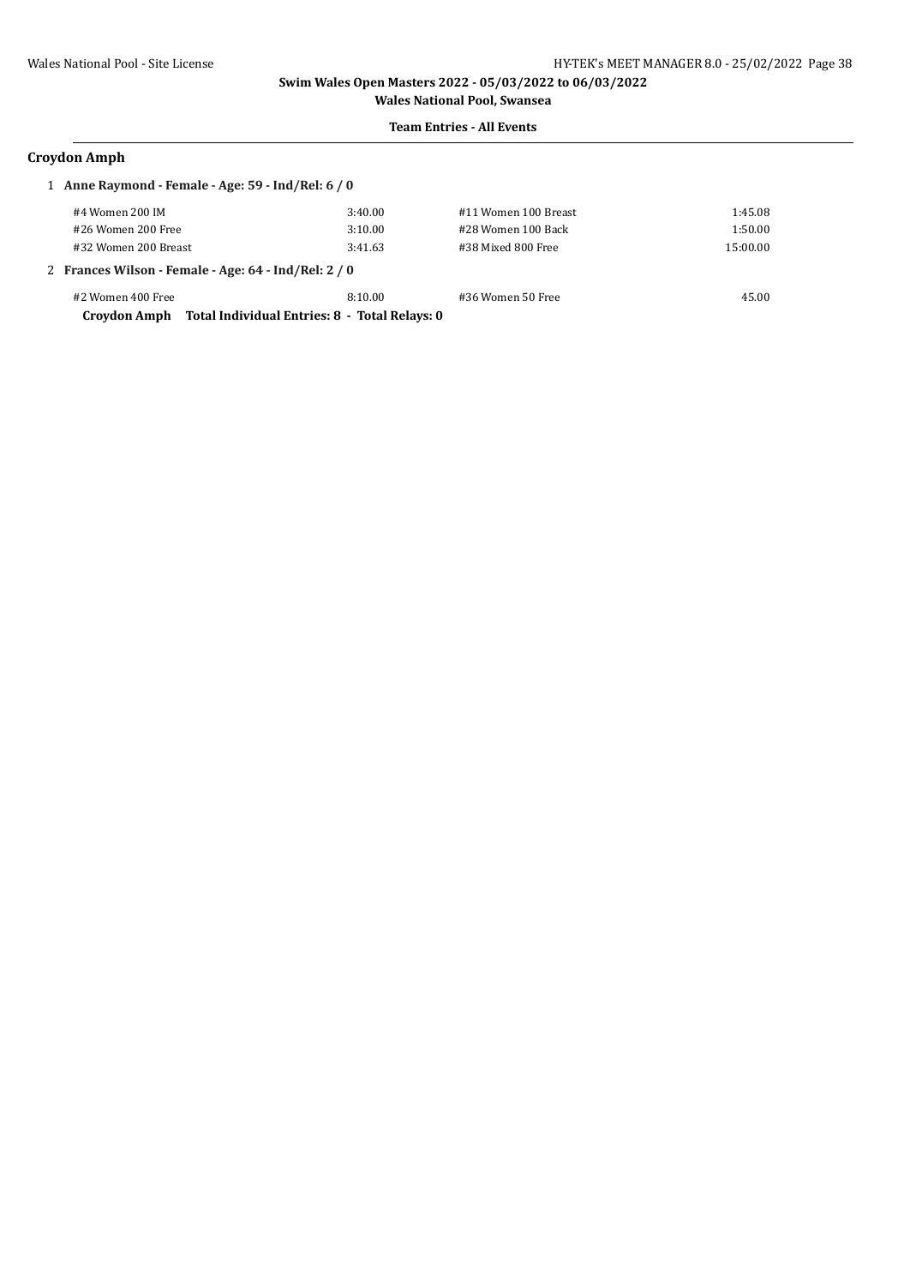# **Team Entries - All Events**

### **Croydon Amph**

| 1 Anne Raymond - Female - Age: 59 - Ind/Rel: 6 / 0   |                                               |                      |          |  |
|------------------------------------------------------|-----------------------------------------------|----------------------|----------|--|
| #4 Women 200 IM                                      | 3:40.00                                       | #11 Women 100 Breast | 1:45.08  |  |
| #26 Women 200 Free                                   | 3:10.00                                       | #28 Women 100 Back   | 1:50.00  |  |
| #32 Women 200 Breast                                 | 3:41.63                                       | #38 Mixed 800 Free   | 15:00.00 |  |
| 2 Frances Wilson - Female - Age: 64 - Ind/Rel: 2 / 0 |                                               |                      |          |  |
| #2 Women 400 Free                                    | 8:10.00                                       | #36 Women 50 Free    | 45.00    |  |
| Croydon Amph                                         | Total Individual Entries: 8 - Total Relays: 0 |                      |          |  |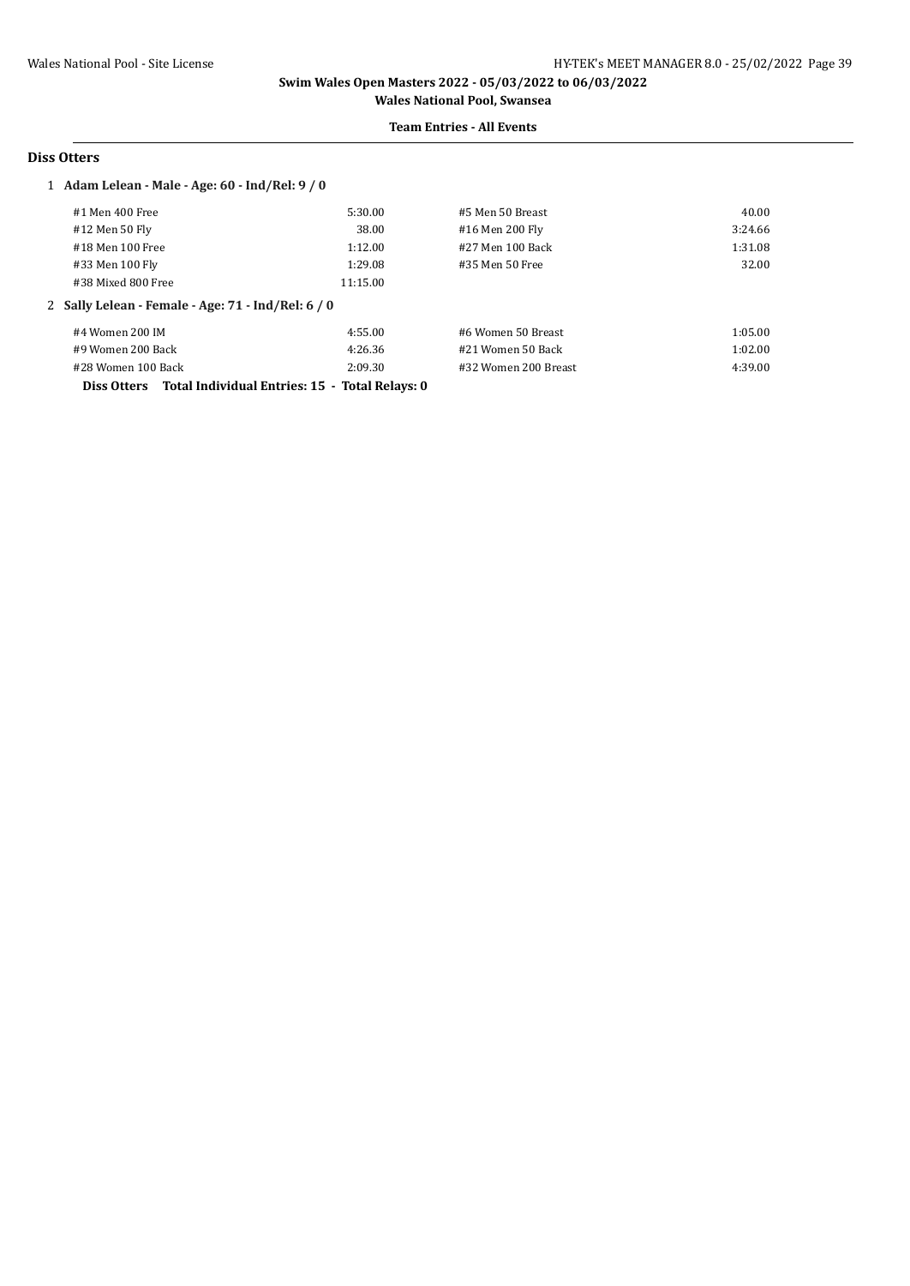#### **Team Entries - All Events**

### **Diss Otters**

### 1 **Adam Lelean - Male - Age: 60 - Ind/Rel: 9 / 0**

| #1 Men 400 Free                                    | 5:30.00  | #5 Men 50 Breast     | 40.00   |
|----------------------------------------------------|----------|----------------------|---------|
| #12 Men 50 Fly                                     | 38.00    | #16 Men 200 Fly      | 3:24.66 |
| #18 Men 100 Free                                   | 1:12.00  | #27 Men 100 Back     | 1:31.08 |
| #33 Men 100 Fly                                    | 1:29.08  | #35 Men 50 Free      | 32.00   |
| #38 Mixed 800 Free                                 | 11:15.00 |                      |         |
|                                                    |          |                      |         |
| 2 Sally Lelean - Female - Age: 71 - Ind/Rel: 6 / 0 |          |                      |         |
| #4 Women 200 IM                                    | 4:55.00  | #6 Women 50 Breast   | 1:05.00 |
| #9 Women 200 Back                                  | 4:26.36  | #21 Women 50 Back    | 1:02.00 |
| #28 Women 100 Back                                 | 2:09.30  | #32 Women 200 Breast | 4:39.00 |

**Diss Otters Total Individual Entries: 15 - Total Relays: 0**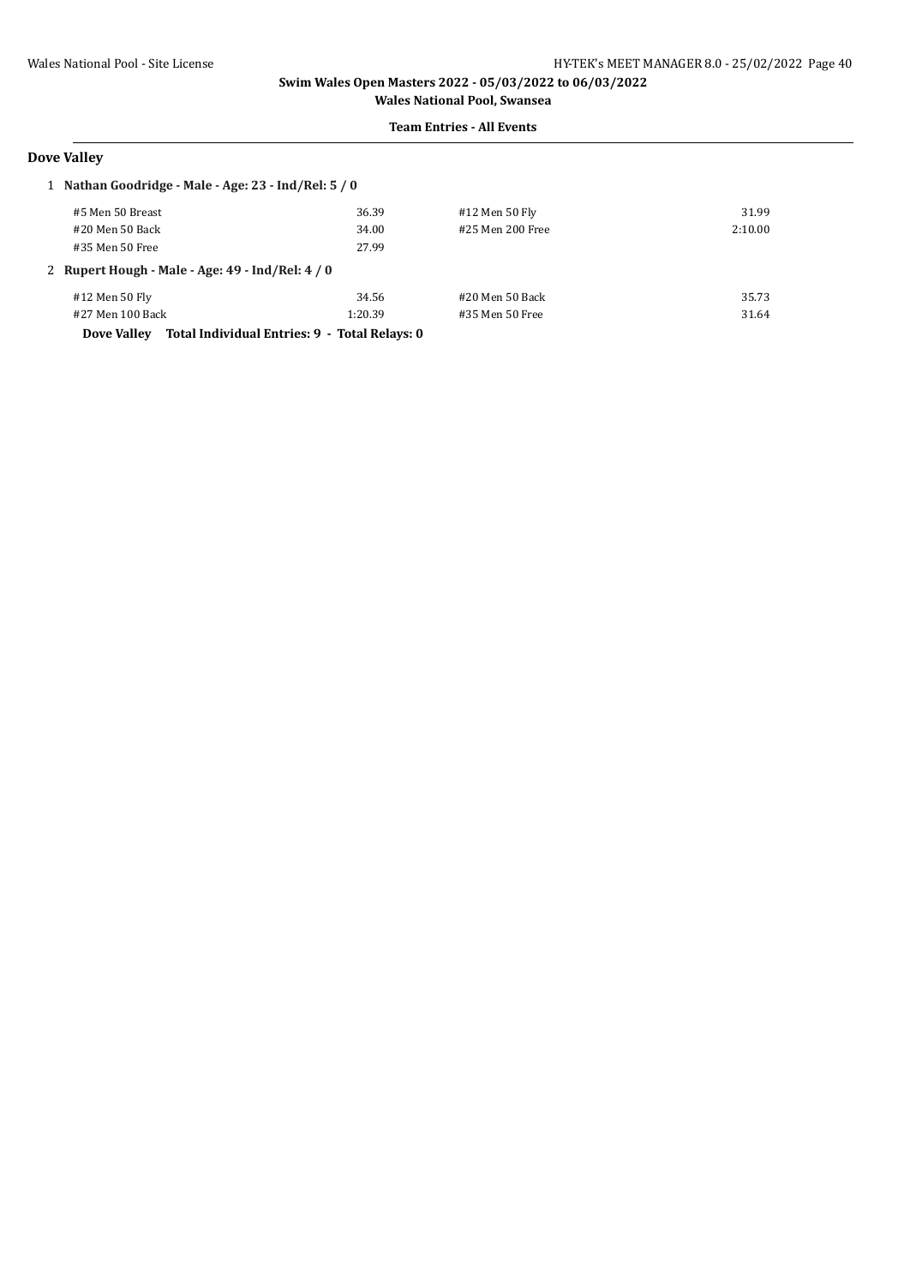#### **Team Entries - All Events**

# **Dove Valley**

| 1 Nathan Goodridge - Male - Age: 23 - Ind/Rel: 5 / 0 |                                               |                  |         |  |
|------------------------------------------------------|-----------------------------------------------|------------------|---------|--|
| #5 Men 50 Breast                                     | 36.39                                         | #12 Men 50 Fly   | 31.99   |  |
| #20 Men 50 Back                                      | 34.00                                         | #25 Men 200 Free | 2:10.00 |  |
| #35 Men 50 Free                                      | 27.99                                         |                  |         |  |
| 2 Rupert Hough - Male - Age: $49$ - Ind/Rel: $4/0$   |                                               |                  |         |  |
| #12 Men 50 Fly                                       | 34.56                                         | #20 Men 50 Back  | 35.73   |  |
| #27 Men 100 Back                                     | 1:20.39                                       | #35 Men 50 Free  | 31.64   |  |
| Dove Valley                                          | Total Individual Entries: 9 - Total Relays: 0 |                  |         |  |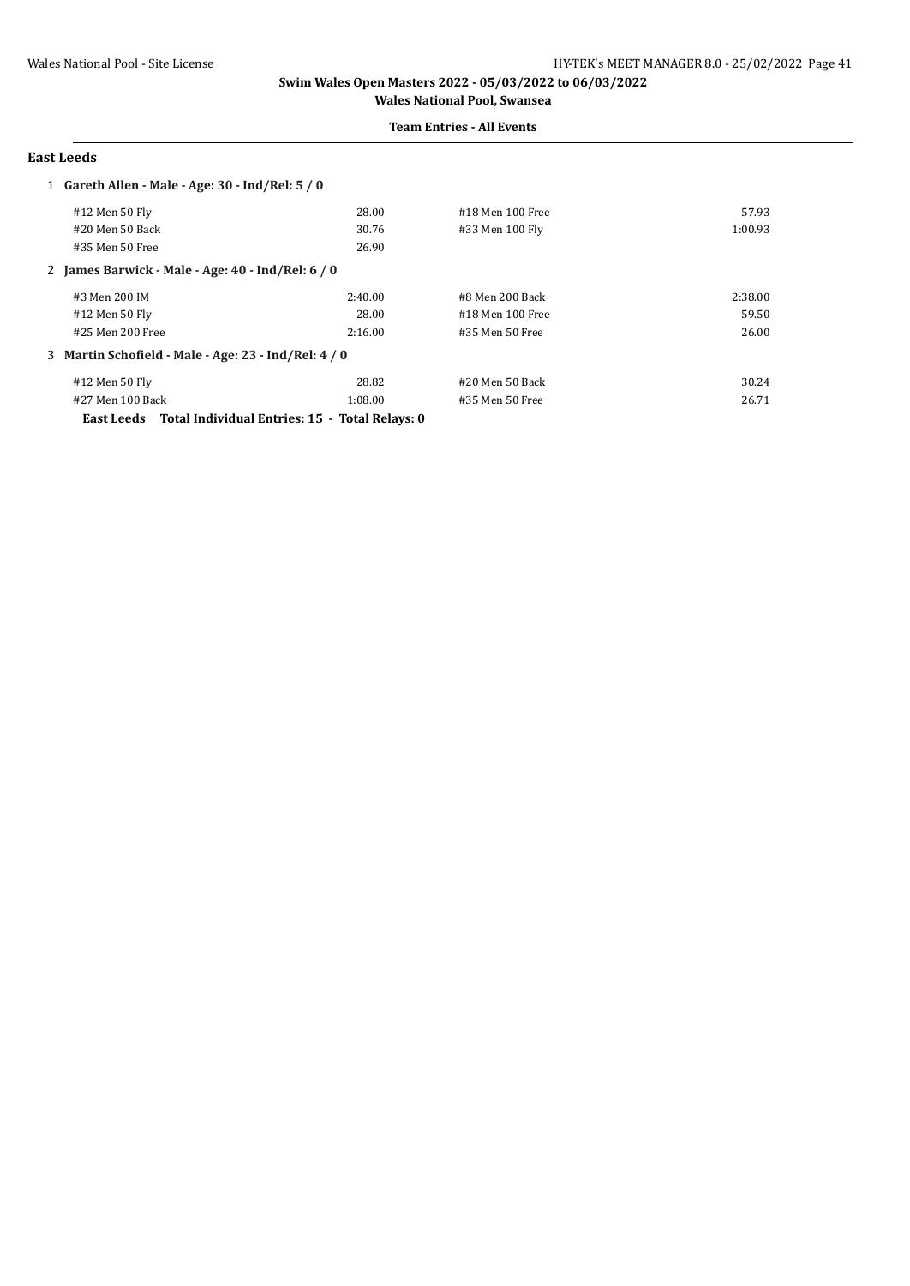#### **Team Entries - All Events**

#### **East Leeds**

| 1 Gareth Allen - Male - Age: 30 - Ind/Rel: 5 / 0     |         |                  |         |
|------------------------------------------------------|---------|------------------|---------|
| #12 Men 50 Fly                                       | 28.00   | #18 Men 100 Free | 57.93   |
| #20 Men 50 Back                                      | 30.76   | #33 Men 100 Fly  | 1:00.93 |
| #35 Men 50 Free                                      | 26.90   |                  |         |
| 2 James Barwick - Male - Age: 40 - Ind/Rel: 6 / 0    |         |                  |         |
| #3 Men 200 IM                                        | 2:40.00 | #8 Men 200 Back  | 2:38.00 |
| #12 Men 50 Fly                                       | 28.00   | #18 Men 100 Free | 59.50   |
| #25 Men 200 Free                                     | 2:16.00 | #35 Men 50 Free  | 26.00   |
| 3 Martin Schofield - Male - Age: 23 - Ind/Rel: 4 / 0 |         |                  |         |
| #12 Men 50 Fly                                       | 28.82   | #20 Men 50 Back  | 30.24   |
| #27 Men 100 Back                                     | 1:08.00 | #35 Men 50 Free  | 26.71   |

**East Leeds Total Individual Entries: 15 - Total Relays: 0**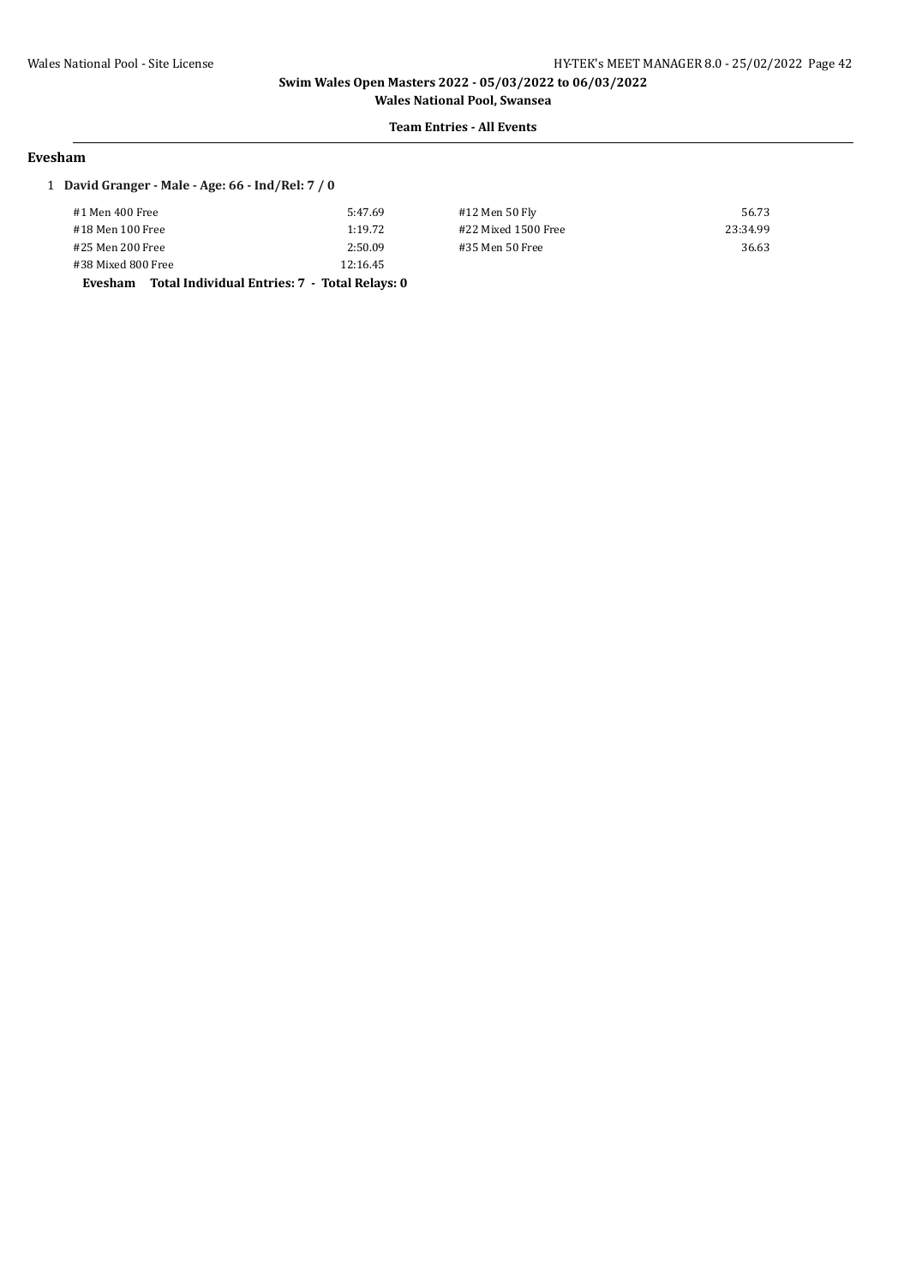**Team Entries - All Events**

#### **Evesham**

### 1 **David Granger - Male - Age: 66 - Ind/Rel: 7 / 0**

| Evecham Total Individual Entries: 7 - Total Delays: 0 |          |
|-------------------------------------------------------|----------|
| #38 Mixed 800 Free                                    | 12:16.45 |
| #25 Men 200 Free                                      | 2:50.09  |
| #18 Men 100 Free                                      | 1:19.72  |
| #1 Men 400 Free                                       | 5:47.69  |
|                                                       |          |

#12 Men 50 Fly 56.73 #18 Men 100 Free 1:19.72 #22 Mixed 1500 Free 23:34.99 #25 Men 200 Free 2:50.09 #35 Men 50 Free 36.63

**Evesham Total Individual Entries: 7 - Total Relays: 0**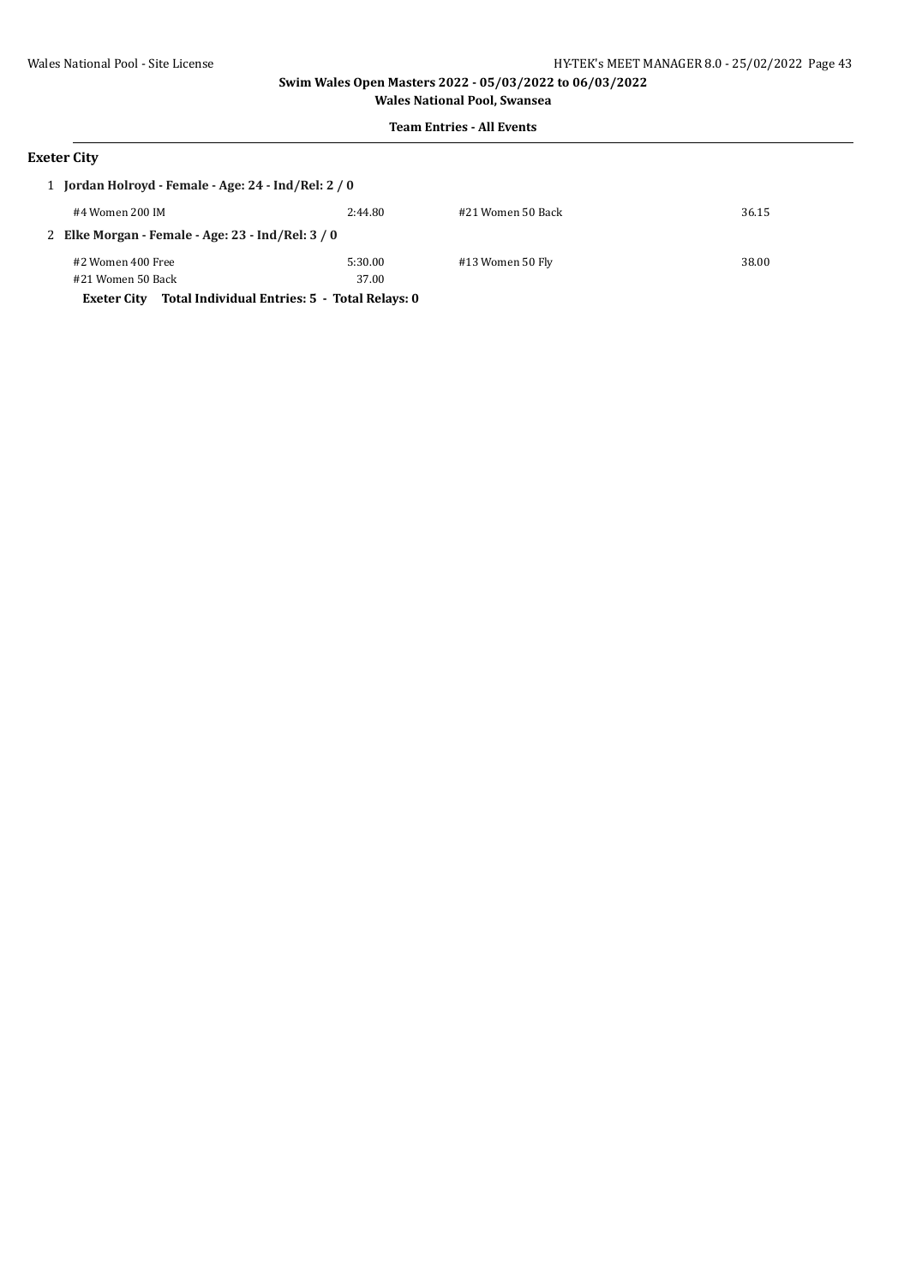# **Team Entries - All Events**

# **Exeter City**

|                                                   | 1 Jordan Holroyd - Female - Age: 24 - Ind/Rel: 2 / 0                |         |                   |       |  |
|---------------------------------------------------|---------------------------------------------------------------------|---------|-------------------|-------|--|
|                                                   | #4 Women 200 IM                                                     | 2:44.80 | #21 Women 50 Back | 36.15 |  |
| 2 Elke Morgan - Female - Age: 23 - Ind/Rel: 3 / 0 |                                                                     |         |                   |       |  |
|                                                   | #2 Women 400 Free                                                   | 5:30.00 | #13 Women 50 Fly  | 38.00 |  |
|                                                   | #21 Women 50 Back                                                   | 37.00   |                   |       |  |
|                                                   | Total Individual Entries: 5 - Total Relays: 0<br><b>Exeter City</b> |         |                   |       |  |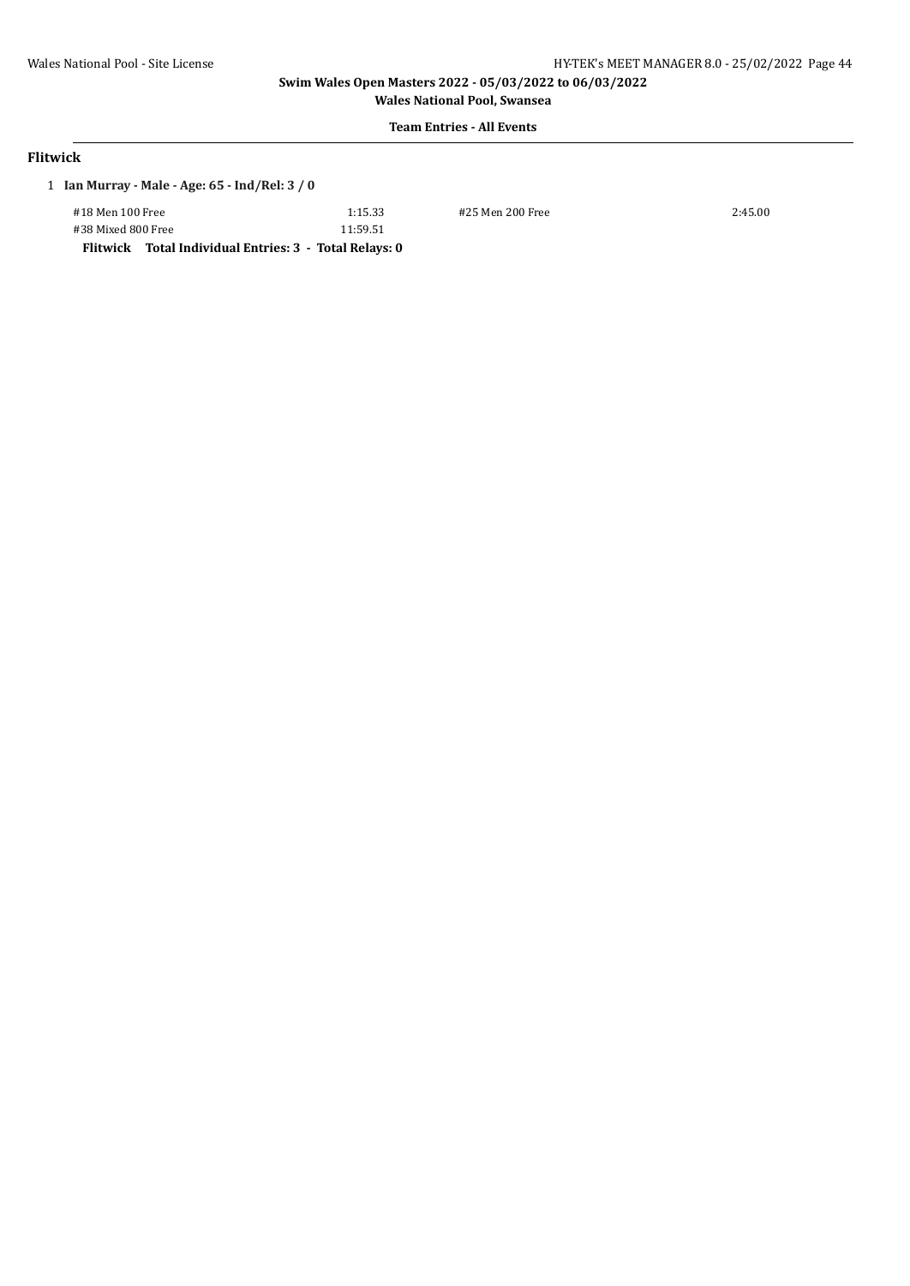**Wales National Pool, Swansea Team Entries - All Events**

### **Flitwick**

### 1 **Ian Murray - Male - Age: 65 - Ind/Rel: 3 / 0**

| #18 Men 100 Free   |  |
|--------------------|--|
| #38 Mixed 800 Free |  |

11:59.51

#18 Men 100 Free 1:15.33 #25 Men 200 Free 2:45.00

**Flitwick Total Individual Entries: 3 - Total Relays: 0**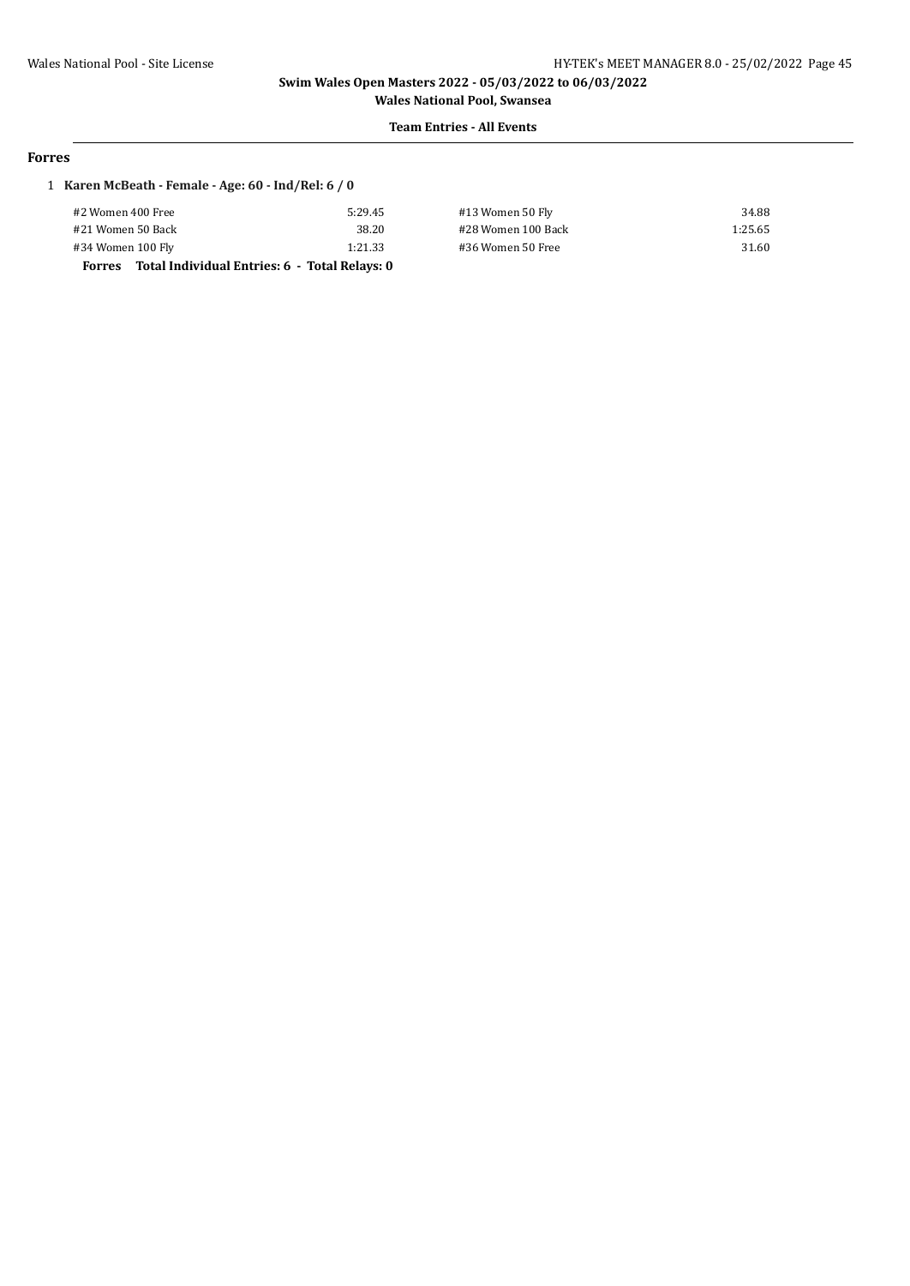#### **Team Entries - All Events**

#### **Forres**

### 1 **Karen McBeath - Female - Age: 60 - Ind/Rel: 6 / 0**

| #2 Women 400 Free                                              | 5:29.45 | #13 Women 50 Fly   | 34.88   |
|----------------------------------------------------------------|---------|--------------------|---------|
| #21 Women 50 Back                                              | 38.20   | #28 Women 100 Back | 1:25.65 |
| #34 Women 100 Fly                                              | 1:21.33 | #36 Women 50 Free  | 31.60   |
| Total Individual Entries: 6 - Total Relays: 0<br><b>Forres</b> |         |                    |         |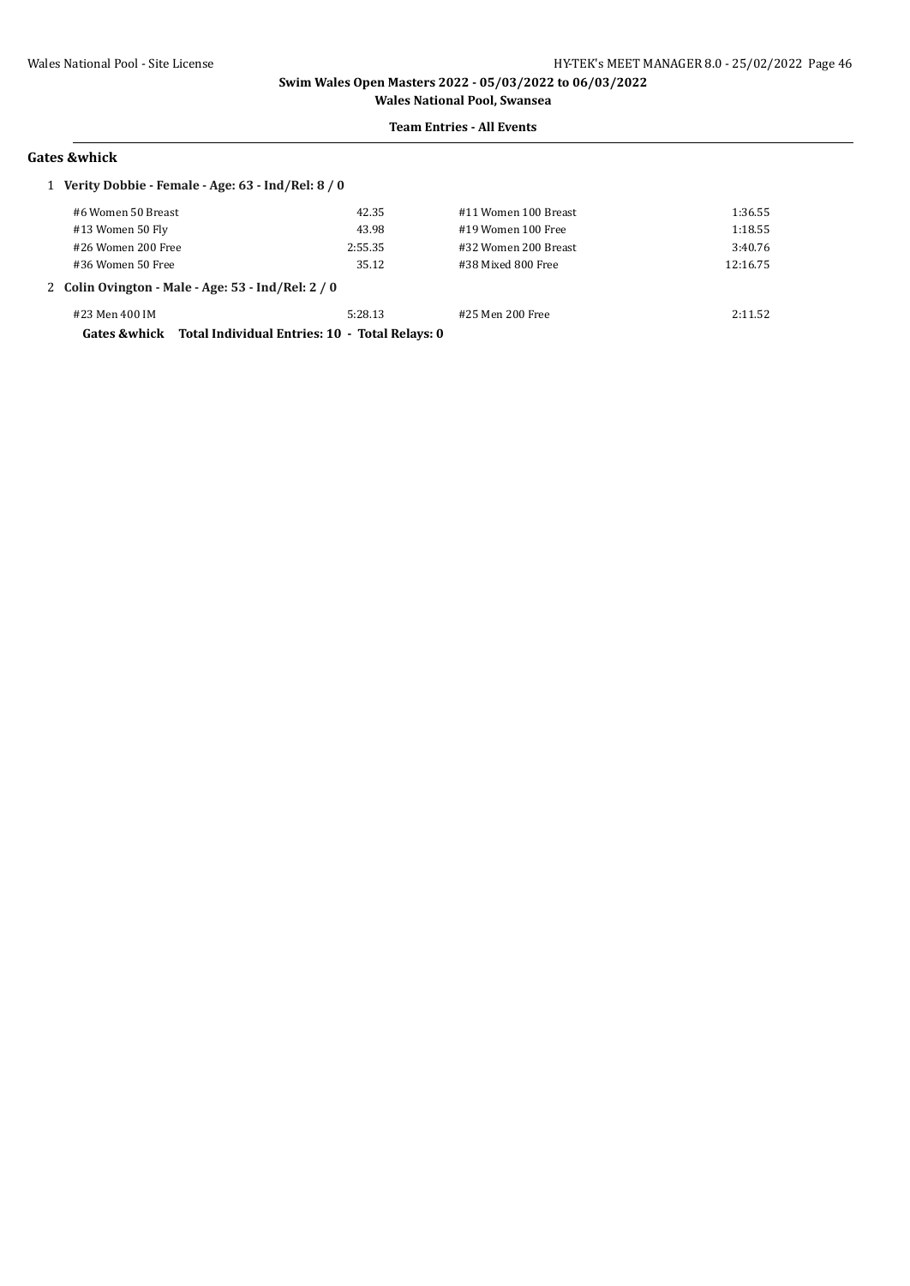### **Team Entries - All Events**

#### **Gates &whick**

| 1 Verity Dobbie - Female - Age: 63 - Ind/Rel: 8 / 0 |                                                                                |         |                      |          |
|-----------------------------------------------------|--------------------------------------------------------------------------------|---------|----------------------|----------|
|                                                     | #6 Women 50 Breast                                                             | 42.35   | #11 Women 100 Breast | 1:36.55  |
|                                                     | #13 Women 50 Fly                                                               | 43.98   | #19 Women 100 Free   | 1:18.55  |
|                                                     | #26 Women 200 Free                                                             | 2:55.35 | #32 Women 200 Breast | 3:40.76  |
|                                                     | #36 Women 50 Free                                                              | 35.12   | #38 Mixed 800 Free   | 12:16.75 |
| 2 Colin Ovington - Male - Age: 53 - Ind/Rel: 2 / 0  |                                                                                |         |                      |          |
|                                                     | #23 Men 400 IM<br>Gates & whick Total Individual Entries: 10 - Total Relays: 0 | 5:28.13 | #25 Men 200 Free     | 2:11.52  |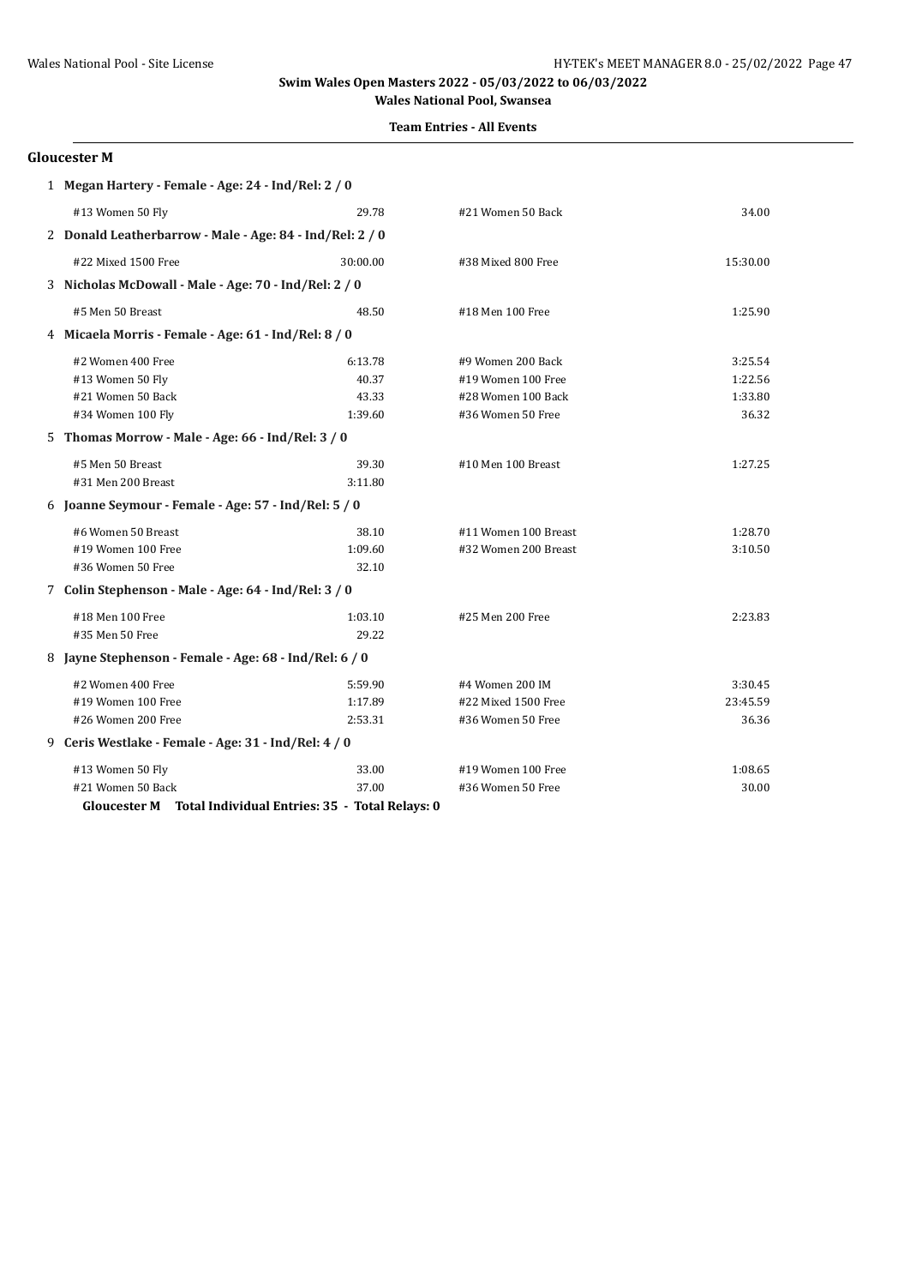# **Team Entries - All Events**

### **Gloucester M**

| 1 Megan Hartery - Female - Age: 24 - Ind/Rel: 2 / 0 |                                                                |          |                      |          |
|-----------------------------------------------------|----------------------------------------------------------------|----------|----------------------|----------|
|                                                     | #13 Women 50 Fly                                               | 29.78    | #21 Women 50 Back    | 34.00    |
|                                                     | 2 Donald Leatherbarrow - Male - Age: 84 - Ind/Rel: 2 / 0       |          |                      |          |
|                                                     | #22 Mixed 1500 Free                                            | 30:00.00 | #38 Mixed 800 Free   | 15:30.00 |
|                                                     | 3 Nicholas McDowall - Male - Age: 70 - Ind/Rel: 2 / 0          |          |                      |          |
|                                                     | #5 Men 50 Breast                                               | 48.50    | #18 Men 100 Free     | 1:25.90  |
|                                                     | 4 Micaela Morris - Female - Age: 61 - Ind/Rel: 8 / 0           |          |                      |          |
|                                                     | #2 Women 400 Free                                              | 6:13.78  | #9 Women 200 Back    | 3:25.54  |
|                                                     | #13 Women 50 Fly                                               | 40.37    | #19 Women 100 Free   | 1:22.56  |
|                                                     | #21 Women 50 Back                                              | 43.33    | #28 Women 100 Back   | 1:33.80  |
|                                                     | #34 Women 100 Fly                                              | 1:39.60  | #36 Women 50 Free    | 36.32    |
|                                                     | 5 Thomas Morrow - Male - Age: 66 - Ind/Rel: 3 / 0              |          |                      |          |
|                                                     | #5 Men 50 Breast                                               | 39.30    | #10 Men 100 Breast   | 1:27.25  |
|                                                     | #31 Men 200 Breast                                             | 3:11.80  |                      |          |
|                                                     | 6 Joanne Seymour - Female - Age: 57 - Ind/Rel: 5 / 0           |          |                      |          |
|                                                     | #6 Women 50 Breast                                             | 38.10    | #11 Women 100 Breast | 1:28.70  |
|                                                     | #19 Women 100 Free                                             | 1:09.60  | #32 Women 200 Breast | 3:10.50  |
|                                                     | #36 Women 50 Free                                              | 32.10    |                      |          |
|                                                     | 7 Colin Stephenson - Male - Age: 64 - Ind/Rel: 3 / 0           |          |                      |          |
|                                                     | #18 Men 100 Free                                               | 1:03.10  | #25 Men 200 Free     | 2:23.83  |
|                                                     | #35 Men 50 Free                                                | 29.22    |                      |          |
|                                                     | 8 Jayne Stephenson - Female - Age: 68 - Ind/Rel: 6 / 0         |          |                      |          |
|                                                     | #2 Women 400 Free                                              | 5:59.90  | #4 Women 200 IM      | 3:30.45  |
|                                                     | #19 Women 100 Free                                             | 1:17.89  | #22 Mixed 1500 Free  | 23:45.59 |
|                                                     | #26 Women 200 Free                                             | 2:53.31  | #36 Women 50 Free    | 36.36    |
|                                                     | 9 Ceris Westlake - Female - Age: 31 - Ind/Rel: 4 / 0           |          |                      |          |
|                                                     | #13 Women 50 Fly                                               | 33.00    | #19 Women 100 Free   | 1:08.65  |
|                                                     | #21 Women 50 Back                                              | 37.00    | #36 Women 50 Free    | 30.00    |
|                                                     | Total Individual Entries: 35 - Total Relays: 0<br>Gloucester M |          |                      |          |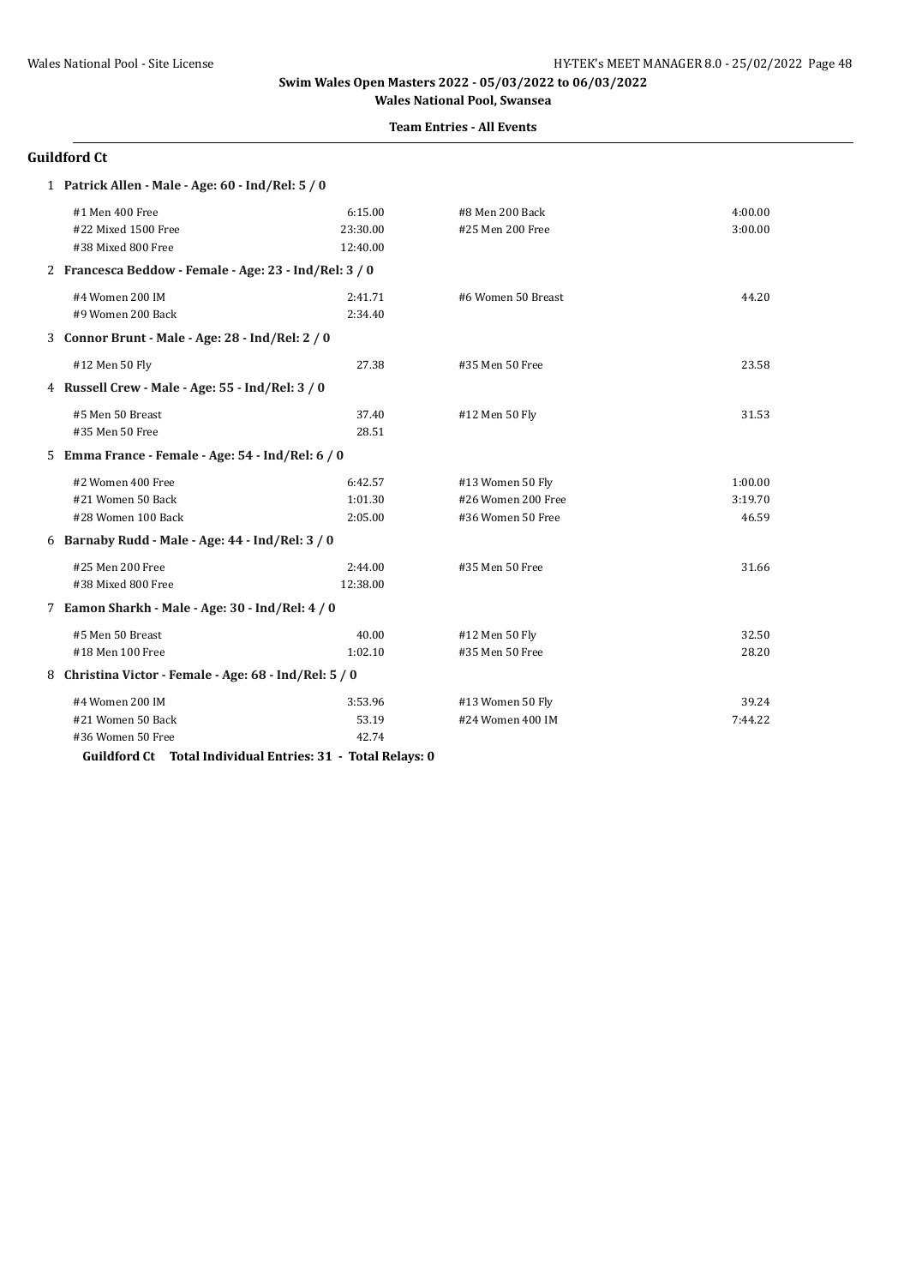#### **Team Entries - All Events**

# **Guildford Ct**

| 1 Patrick Allen - Male - Age: 60 - Ind/Rel: 5 / 0           |          |                    |         |  |  |
|-------------------------------------------------------------|----------|--------------------|---------|--|--|
| #1 Men 400 Free                                             | 6:15.00  | #8 Men 200 Back    | 4:00.00 |  |  |
| #22 Mixed 1500 Free                                         | 23:30.00 | #25 Men 200 Free   | 3:00.00 |  |  |
| #38 Mixed 800 Free                                          | 12:40.00 |                    |         |  |  |
| 2 Francesca Beddow - Female - Age: 23 - Ind/Rel: 3 / 0      |          |                    |         |  |  |
| #4 Women 200 IM                                             | 2:41.71  | #6 Women 50 Breast | 44.20   |  |  |
| #9 Women 200 Back                                           | 2:34.40  |                    |         |  |  |
| 3 Connor Brunt - Male - Age: 28 - Ind/Rel: 2 / 0            |          |                    |         |  |  |
| #12 Men 50 Fly                                              | 27.38    | #35 Men 50 Free    | 23.58   |  |  |
| 4 Russell Crew - Male - Age: 55 - Ind/Rel: 3 / 0            |          |                    |         |  |  |
| #5 Men 50 Breast                                            | 37.40    | #12 Men 50 Fly     | 31.53   |  |  |
| #35 Men 50 Free                                             | 28.51    |                    |         |  |  |
| 5 Emma France - Female - Age: 54 - Ind/Rel: 6 / 0           |          |                    |         |  |  |
| #2 Women 400 Free                                           | 6:42.57  | #13 Women 50 Fly   | 1:00.00 |  |  |
| #21 Women 50 Back                                           | 1:01.30  | #26 Women 200 Free | 3:19.70 |  |  |
| #28 Women 100 Back                                          | 2:05.00  | #36 Women 50 Free  | 46.59   |  |  |
| 6 Barnaby Rudd - Male - Age: 44 - Ind/Rel: 3 / 0            |          |                    |         |  |  |
| #25 Men 200 Free                                            | 2:44.00  | #35 Men 50 Free    | 31.66   |  |  |
| #38 Mixed 800 Free                                          | 12:38.00 |                    |         |  |  |
| 7 Eamon Sharkh - Male - Age: 30 - Ind/Rel: 4 / 0            |          |                    |         |  |  |
| #5 Men 50 Breast                                            | 40.00    | #12 Men 50 Fly     | 32.50   |  |  |
| #18 Men 100 Free                                            | 1:02.10  | #35 Men 50 Free    | 28.20   |  |  |
| 8 Christina Victor - Female - Age: 68 - Ind/Rel: 5 / 0      |          |                    |         |  |  |
| #4 Women 200 IM                                             | 3:53.96  | #13 Women 50 Fly   | 39.24   |  |  |
| #21 Women 50 Back                                           | 53.19    | #24 Women 400 IM   | 7:44.22 |  |  |
| #36 Women 50 Free                                           | 42.74    |                    |         |  |  |
| Guildford Ct Total Individual Entries: 31 - Total Relays: 0 |          |                    |         |  |  |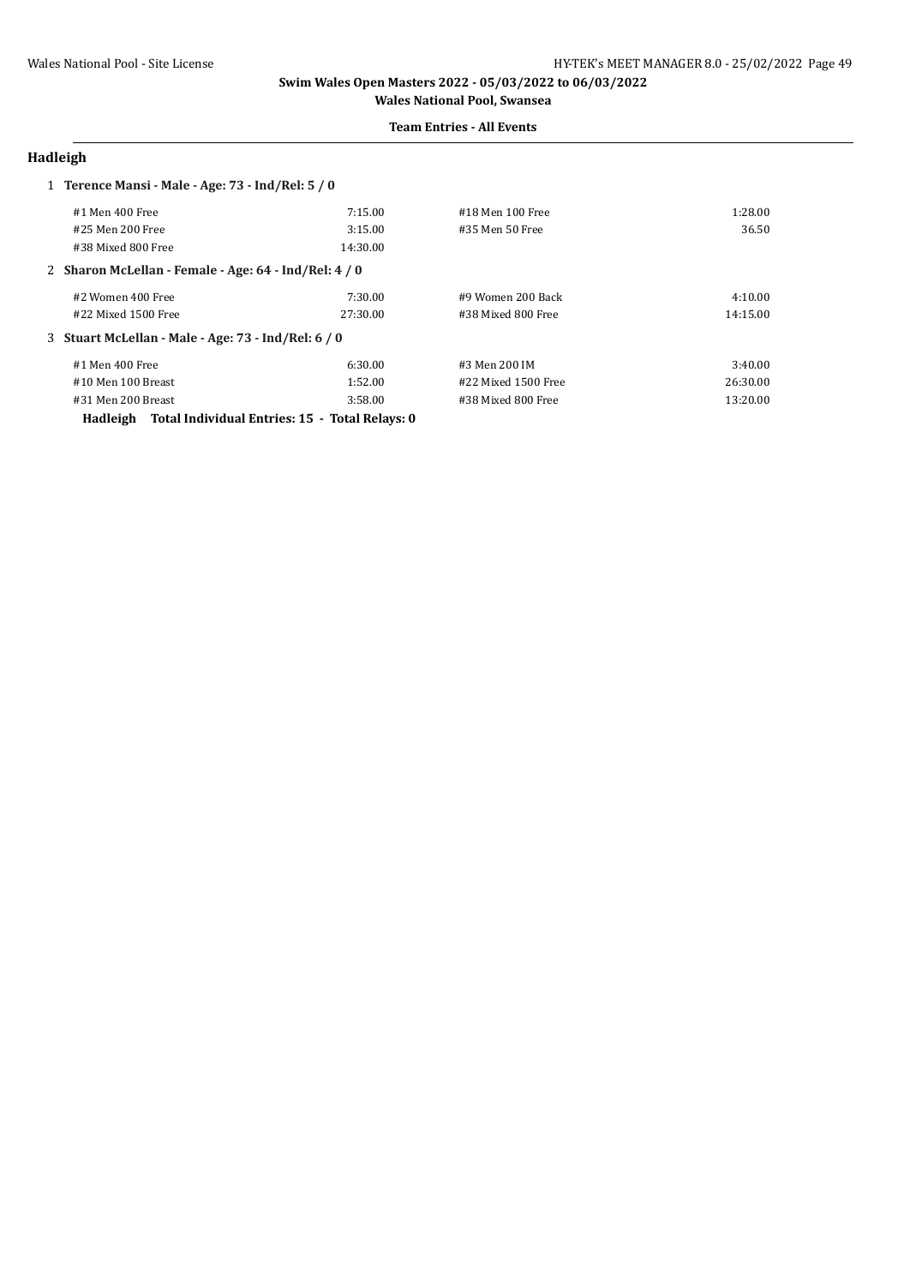### **Team Entries - All Events**

### **Hadleigh**

| 1 Terence Mansi - Male - Age: 73 - Ind/Rel: 5 / 0     |          |                     |          |
|-------------------------------------------------------|----------|---------------------|----------|
| #1 Men 400 Free                                       | 7:15.00  | #18 Men 100 Free    | 1:28.00  |
| #25 Men 200 Free                                      | 3:15.00  | #35 Men 50 Free     | 36.50    |
| #38 Mixed 800 Free                                    | 14:30.00 |                     |          |
| 2 Sharon McLellan - Female - Age: 64 - Ind/Rel: 4 / 0 |          |                     |          |
| #2 Women 400 Free                                     | 7:30.00  | #9 Women 200 Back   | 4:10.00  |
| #22 Mixed 1500 Free                                   | 27:30.00 | #38 Mixed 800 Free  | 14:15.00 |
| 3 Stuart McLellan - Male - Age: 73 - Ind/Rel: 6 / 0   |          |                     |          |
| #1 Men 400 Free                                       | 6:30.00  | #3 Men 200 IM       | 3:40.00  |
| #10 Men 100 Breast                                    | 1:52.00  | #22 Mixed 1500 Free | 26:30.00 |
| #31 Men 200 Breast                                    | 3:58.00  | #38 Mixed 800 Free  | 13:20.00 |

**Hadleigh Total Individual Entries: 15 - Total Relays: 0**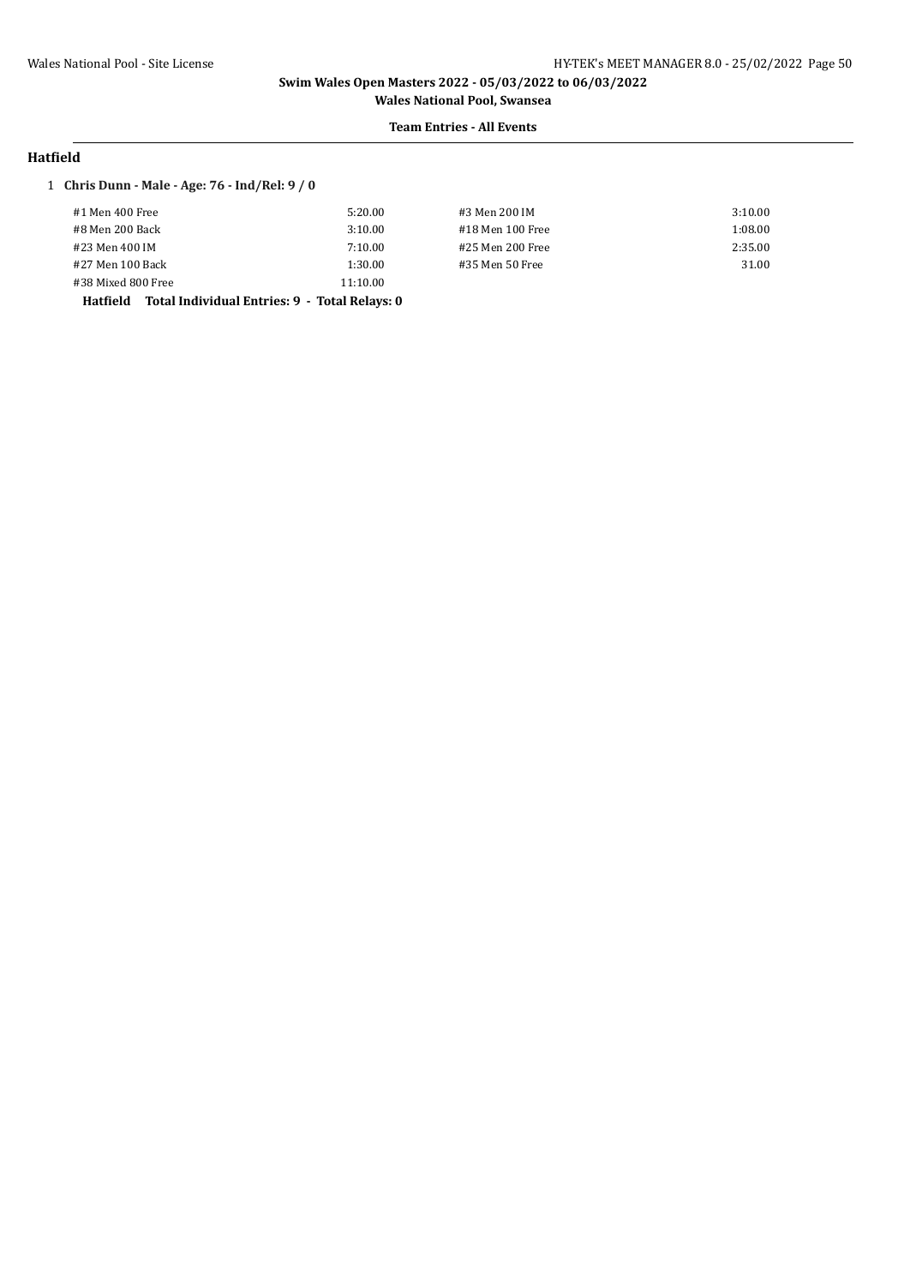# **Team Entries - All Events**

### **Hatfield**

### 1 **Chris Dunn - Male - Age: 76 - Ind/Rel: 9 / 0**

| #1 Men 400 Free    | 5:20.00  | #3 Men 200 IM    | 3:10.00 |
|--------------------|----------|------------------|---------|
| #8 Men 200 Back    | 3:10.00  | #18 Men 100 Free | 1:08.00 |
| #23 Men 400 IM     | 7:10.00  | #25 Men 200 Free | 2:35.00 |
| #27 Men 100 Back   | 1:30.00  | #35 Men 50 Free  | 31.00   |
| #38 Mixed 800 Free | 11:10.00 |                  |         |

**Hatfield Total Individual Entries: 9 - Total Relays: 0**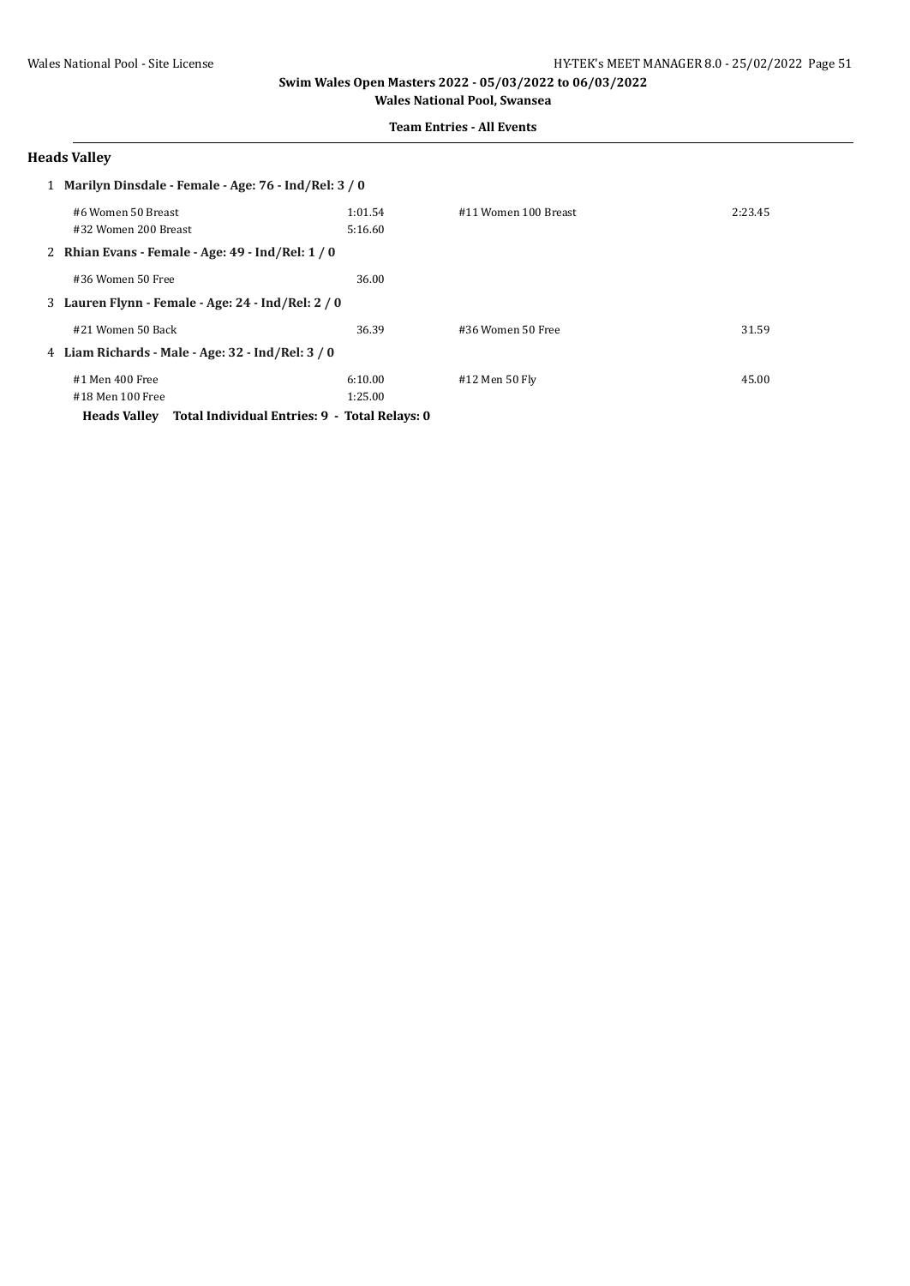**Team Entries - All Events**

### **Heads Valley**

| 1 Marilyn Dinsdale - Female - Age: 76 - Ind/Rel: 3 / 0               |         |                      |         |
|----------------------------------------------------------------------|---------|----------------------|---------|
| #6 Women 50 Breast                                                   | 1:01.54 | #11 Women 100 Breast | 2:23.45 |
| #32 Women 200 Breast                                                 | 5:16.60 |                      |         |
| 2 Rhian Evans - Female - Age: 49 - Ind/Rel: 1 / 0                    |         |                      |         |
| #36 Women 50 Free                                                    | 36.00   |                      |         |
| 3 Lauren Flynn - Female - Age: 24 - Ind/Rel: 2 / 0                   |         |                      |         |
| #21 Women 50 Back                                                    | 36.39   | #36 Women 50 Free    | 31.59   |
| 4 Liam Richards - Male - Age: 32 - Ind/Rel: 3/0                      |         |                      |         |
| #1 Men 400 Free                                                      | 6:10.00 | #12 Men 50 Fly       | 45.00   |
| #18 Men 100 Free                                                     | 1:25.00 |                      |         |
| Total Individual Entries: 9 - Total Relays: 0<br><b>Heads Valley</b> |         |                      |         |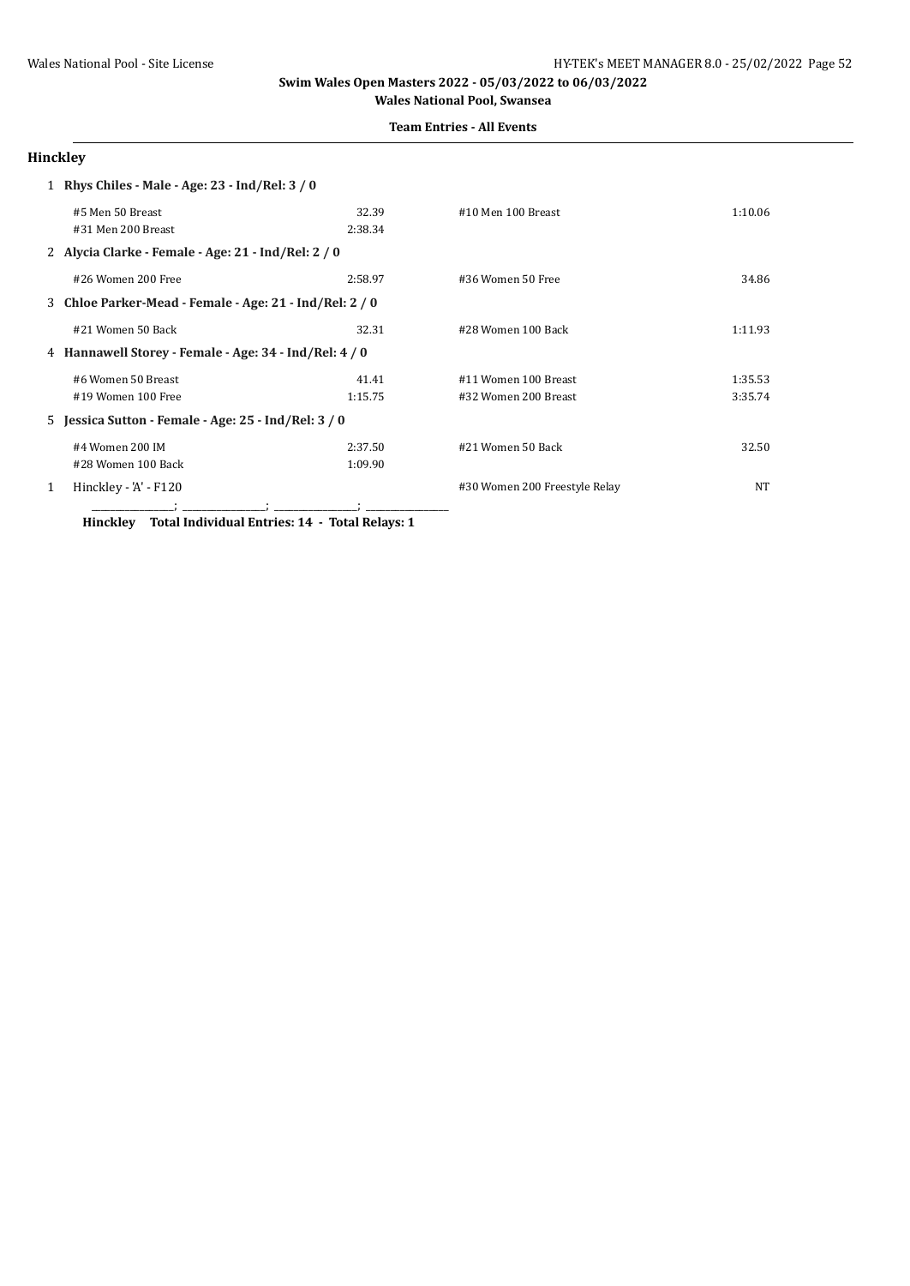**Team Entries - All Events**

# **Hinckley**

|   | 1 Rhys Chiles - Male - Age: 23 - Ind/Rel: 3/0           |         |                               |         |
|---|---------------------------------------------------------|---------|-------------------------------|---------|
|   | #5 Men 50 Breast                                        | 32.39   | #10 Men 100 Breast            | 1:10.06 |
|   | #31 Men 200 Breast                                      | 2:38.34 |                               |         |
|   | 2 Alycia Clarke - Female - Age: 21 - Ind/Rel: 2 / 0     |         |                               |         |
|   | #26 Women 200 Free                                      | 2:58.97 | #36 Women 50 Free             | 34.86   |
|   | 3 Chloe Parker-Mead - Female - Age: 21 - Ind/Rel: 2 / 0 |         |                               |         |
|   | #21 Women 50 Back                                       | 32.31   | #28 Women 100 Back            | 1:11.93 |
|   | 4 Hannawell Storey - Female - Age: 34 - Ind/Rel: 4 / 0  |         |                               |         |
|   | #6 Women 50 Breast                                      | 41.41   | #11 Women 100 Breast          | 1:35.53 |
|   | #19 Women 100 Free                                      | 1:15.75 | #32 Women 200 Breast          | 3:35.74 |
|   | 5 Jessica Sutton - Female - Age: 25 - Ind/Rel: 3 / 0    |         |                               |         |
|   | #4 Women 200 IM                                         | 2:37.50 | #21 Women 50 Back             | 32.50   |
|   | #28 Women 100 Back                                      | 1:09.90 |                               |         |
| 1 | Hinckley - 'A' - F120                                   |         | #30 Women 200 Freestyle Relay | NT      |
|   |                                                         |         |                               |         |

**Hinckley Total Individual Entries: 14 - Total Relays: 1**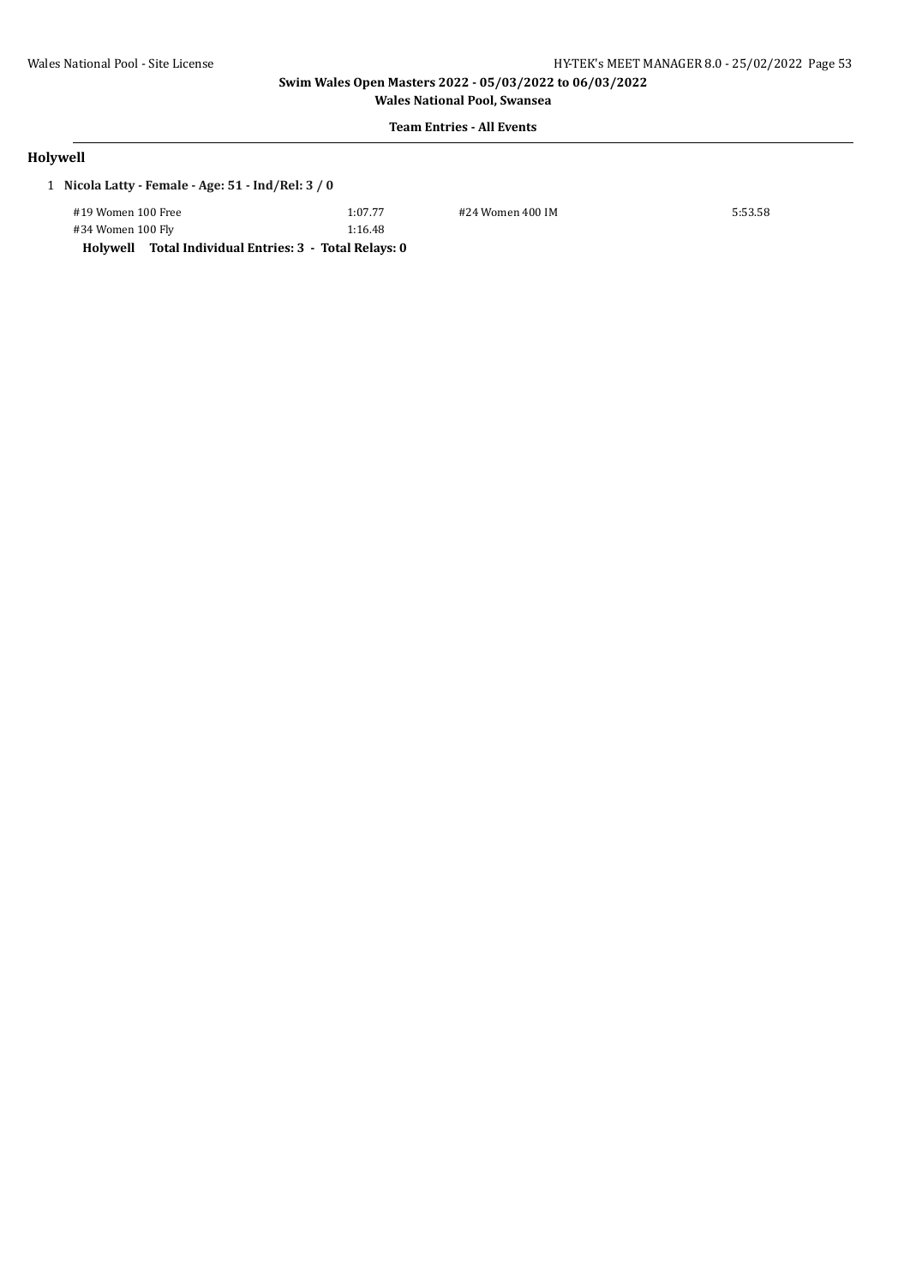**Wales National Pool, Swansea**

# **Team Entries - All Events**

# **Holywell**

| 1 Nicola Latty - Female - Age: 51 - Ind/Rel: 3 / 0 |  |
|----------------------------------------------------|--|
|                                                    |  |

#19 Women 100 Free 1:07.77 #24 Women 400 IM 5:53.58 #34 Women 100 Fly 1:16.48

**Holywell Total Individual Entries: 3 - Total Relays: 0**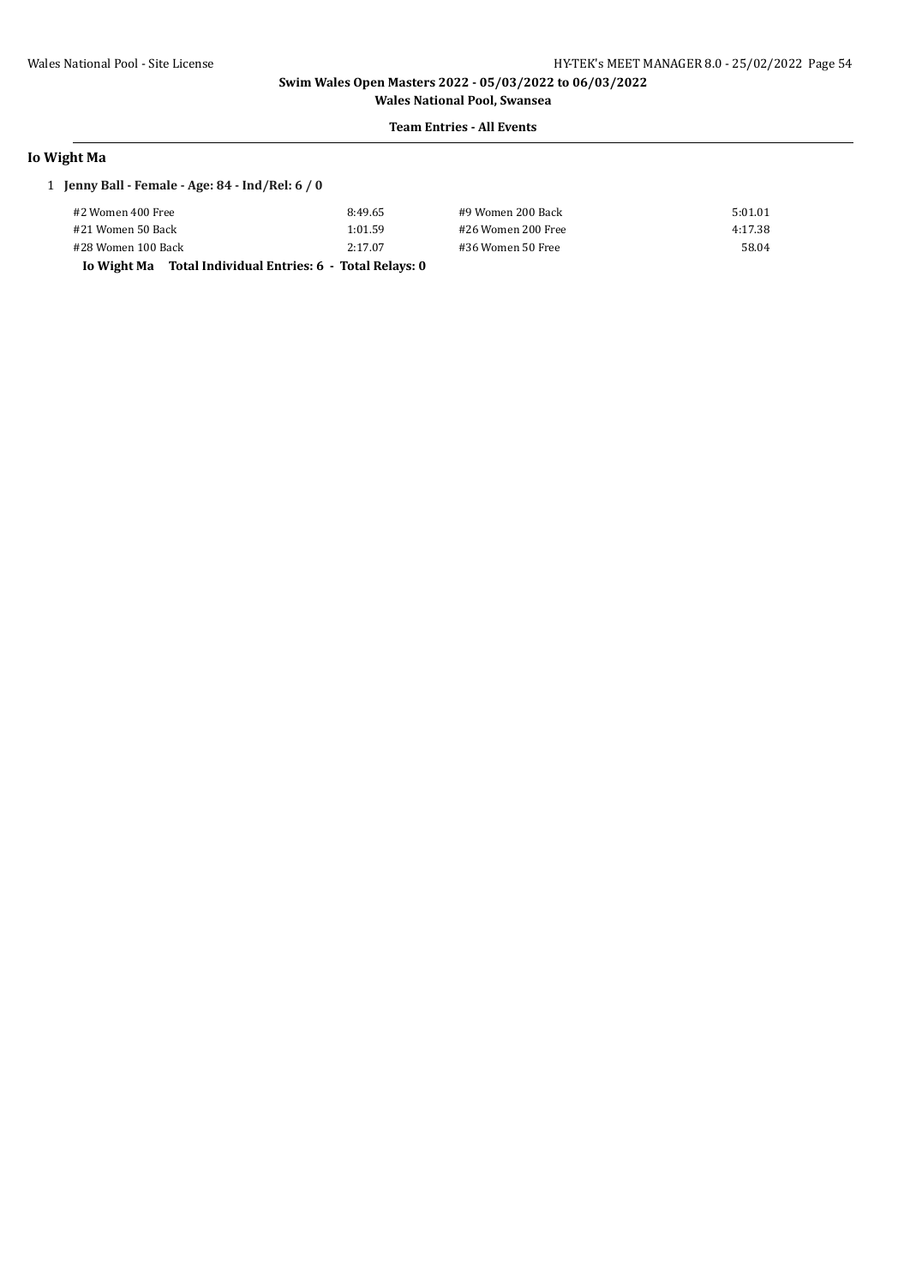**Wales National Pool, Swansea Team Entries - All Events**

### **Io Wight Ma**

### 1 **Jenny Ball - Female - Age: 84 - Ind/Rel: 6 / 0**

| #2 Women 400 Free                                             | 8:49.65 | #9 Women 200 Back  | 5:01.01 |
|---------------------------------------------------------------|---------|--------------------|---------|
| #21 Women 50 Back                                             | 1:01.59 | #26 Women 200 Free | 4:17.38 |
| #28 Women 100 Back                                            | 2:17.07 | #36 Women 50 Free  | 58.04   |
| Total Individual Entries: 6  - Total Relavs: 0<br>Io Wight Ma |         |                    |         |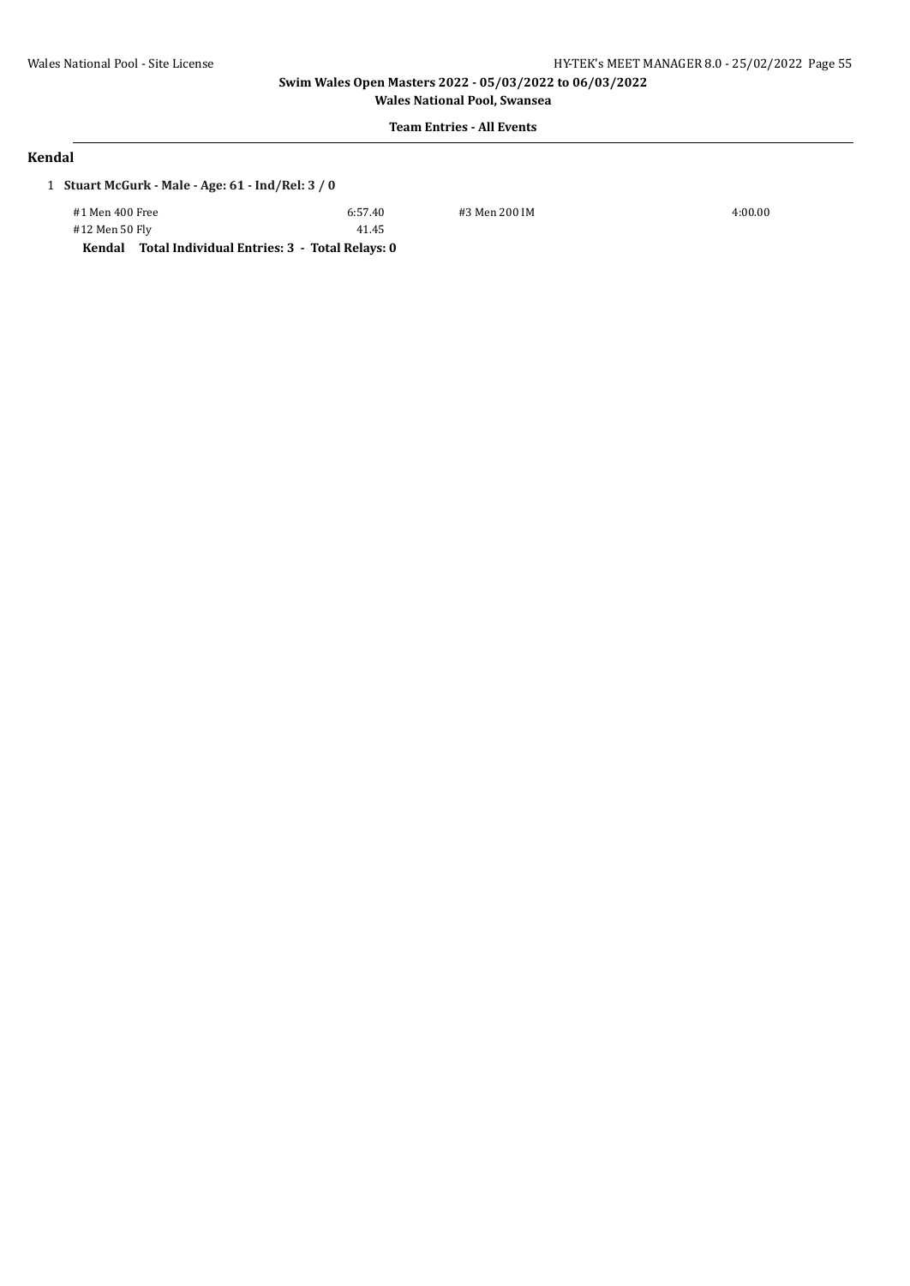**Wales National Pool, Swansea**

41.45

# **Team Entries - All Events**

### **Kendal**

1 **Stuart McGurk - Male - Age: 61 - Ind/Rel: 3 / 0**

| #1 Men 400 Free |  |  |  |
|-----------------|--|--|--|
| #12 Men 50 Fly  |  |  |  |
|                 |  |  |  |

#1 Men 400 Free 6:57.40 #3 Men 200 IM 4:00.00

**Kendal Total Individual Entries: 3 - Total Relays: 0**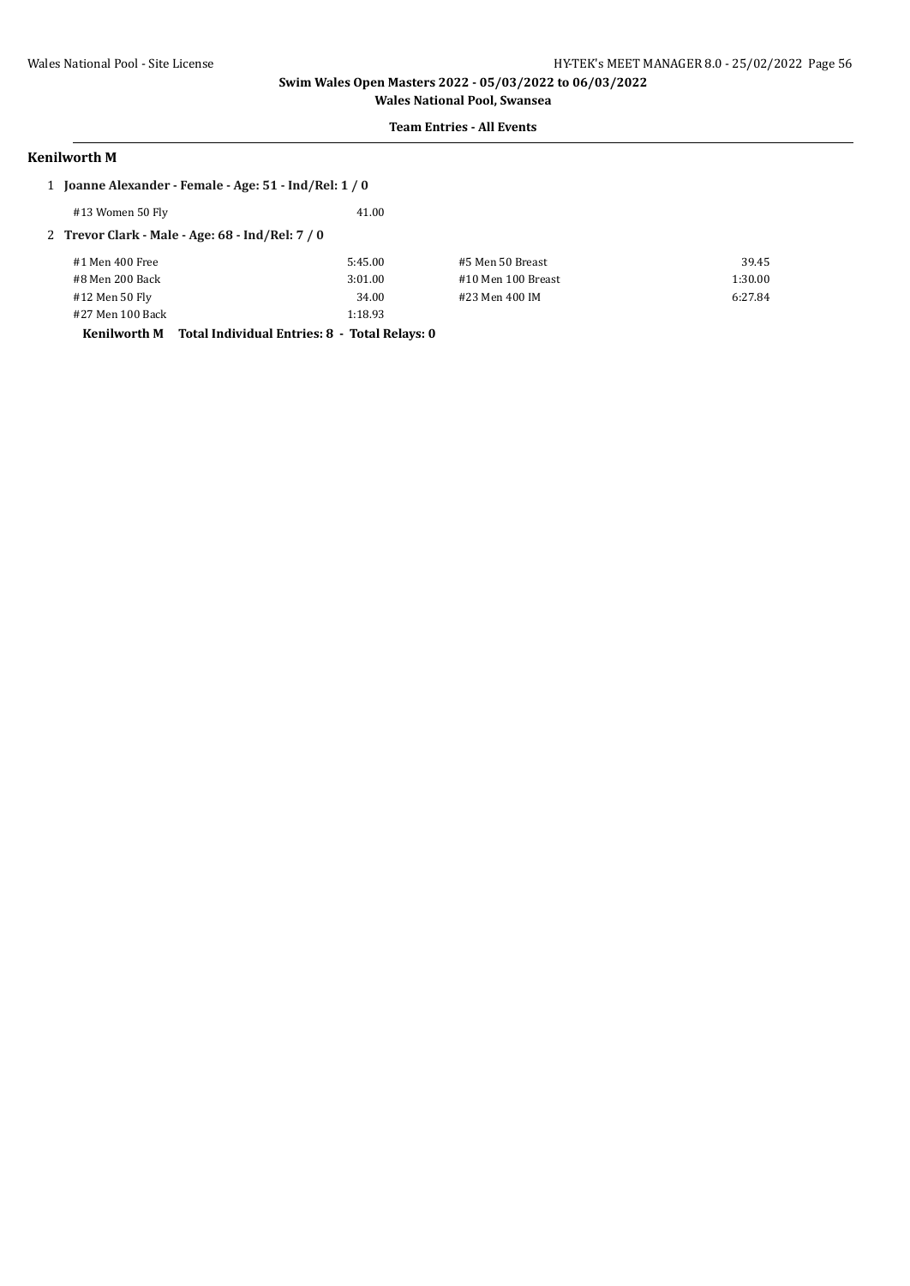# **Team Entries - All Events**

### **Kenilworth M**

| 1 Joanne Alexander - Female - Age: 51 - Ind/Rel: 1 / 0 |                                               |                    |         |
|--------------------------------------------------------|-----------------------------------------------|--------------------|---------|
| #13 Women 50 Fly                                       | 41.00                                         |                    |         |
| 2 Trevor Clark - Male - Age: $68$ - Ind/Rel: $7/0$     |                                               |                    |         |
| #1 Men 400 Free                                        | 5:45.00                                       | #5 Men 50 Breast   | 39.45   |
| #8 Men 200 Back                                        | 3:01.00                                       | #10 Men 100 Breast | 1:30.00 |
| #12 Men 50 Fly                                         | 34.00                                         | #23 Men 400 IM     | 6:27.84 |
| #27 Men 100 Back                                       | 1:18.93                                       |                    |         |
| Kenilworth M                                           | Total Individual Entries: 8 - Total Relays: 0 |                    |         |
|                                                        |                                               |                    |         |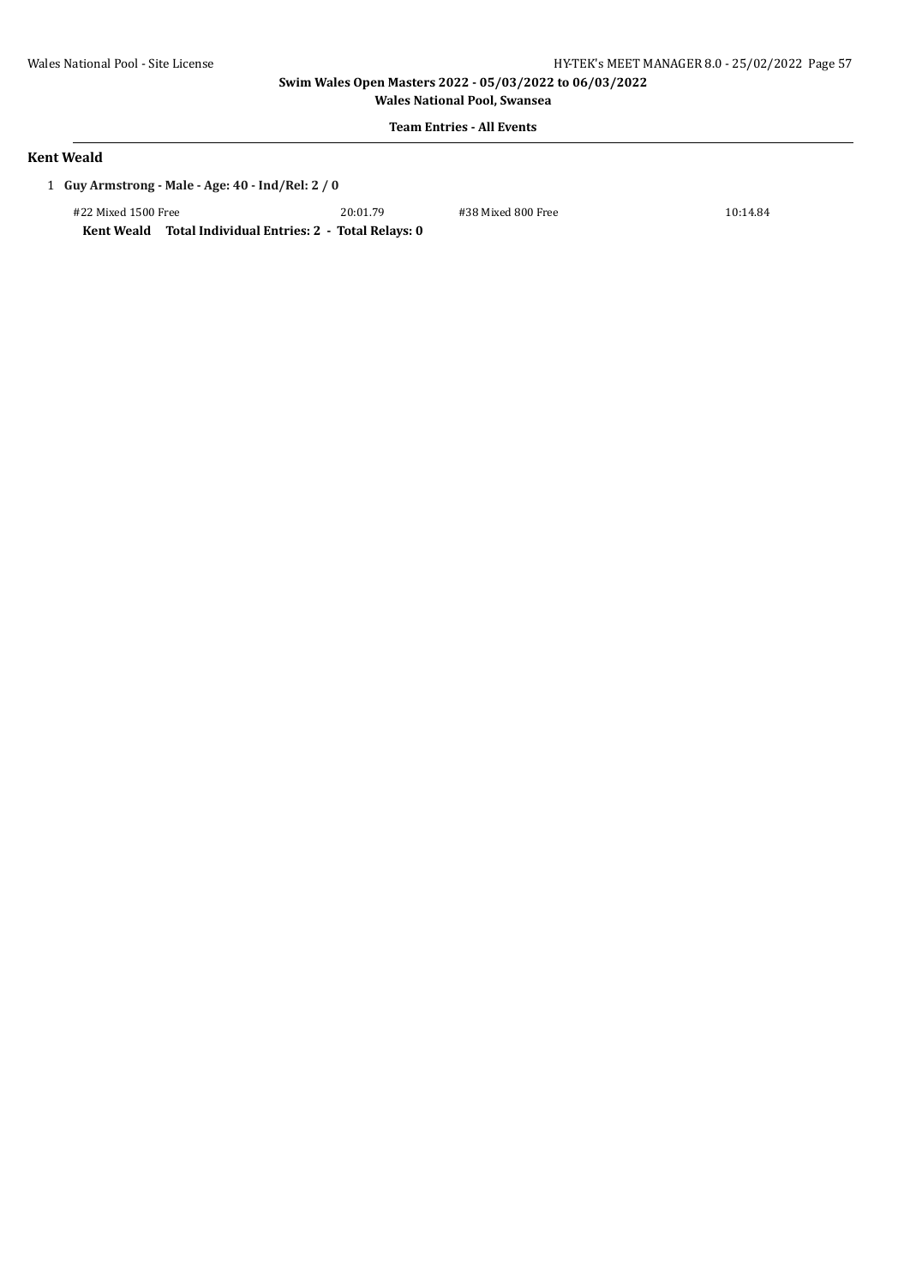**Wales National Pool, Swansea Team Entries - All Events**

### **Kent Weald**

1 **Guy Armstrong - Male - Age: 40 - Ind/Rel: 2 / 0**

#22 Mixed 1500 Free 20:01.79 #38 Mixed 800 Free 10:14.84

**Kent Weald Total Individual Entries: 2 - Total Relays: 0**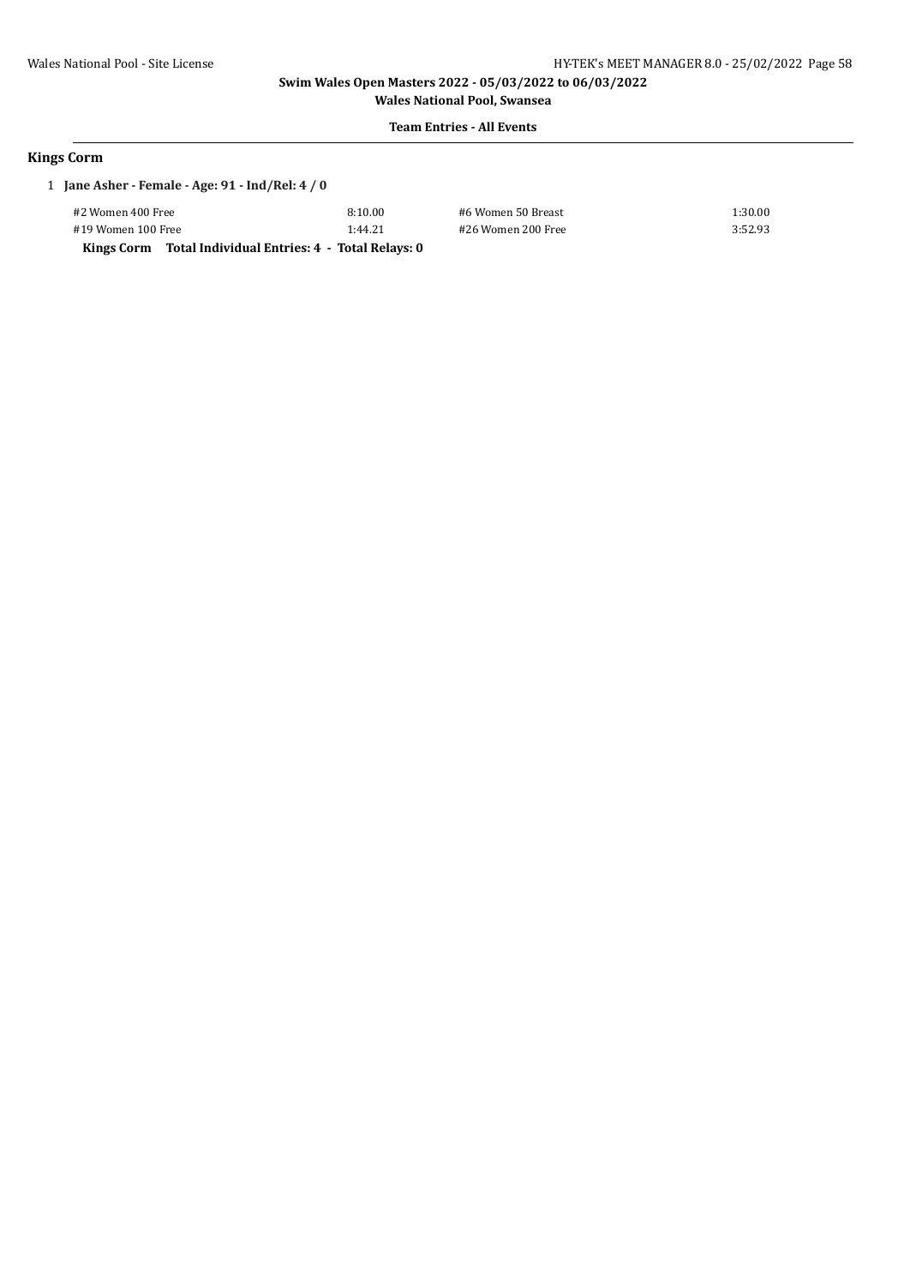**Wales National Pool, Swansea Team Entries - All Events**

### **Kings Corm**

| 1 Jane Asher - Female - Age: 91 - Ind/Rel: 4 / 0 |         |
|--------------------------------------------------|---------|
| #2 Women 400 Free                                | 8:10.00 |

#19 Women 100 Free 1:44.21 #26 Women 200 Free 3:52.93 **Kings Corm Total Individual Entries: 4 - Total Relays: 0**

#2 Women 400 Free 8:10.00 #6 Women 50 Breast 1:30.00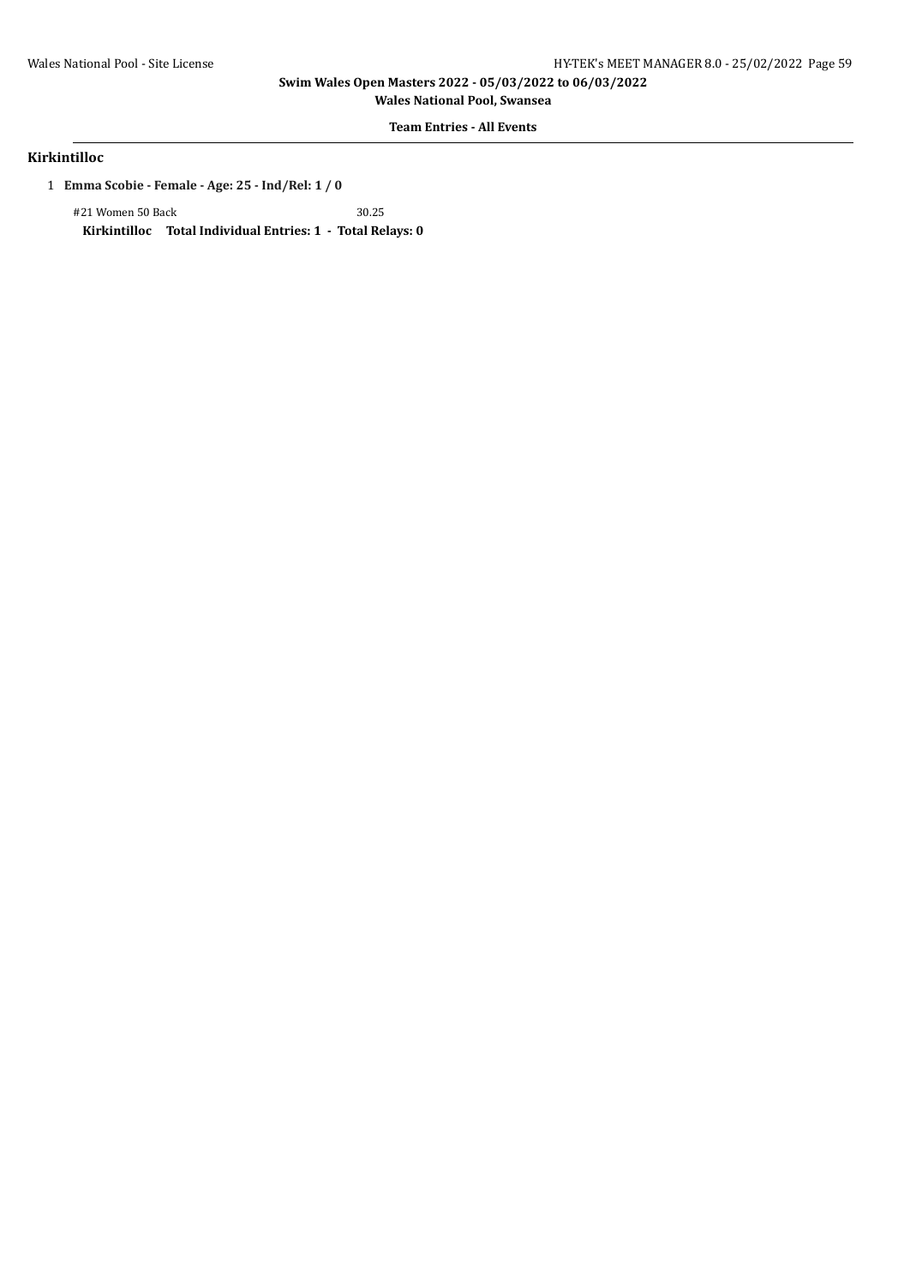**Wales National Pool, Swansea**

# **Team Entries - All Events**

# **Kirkintilloc**

1 **Emma Scobie - Female - Age: 25 - Ind/Rel: 1 / 0**

#21 Women 50 Back 30.25 **Kirkintilloc Total Individual Entries: 1 - Total Relays: 0**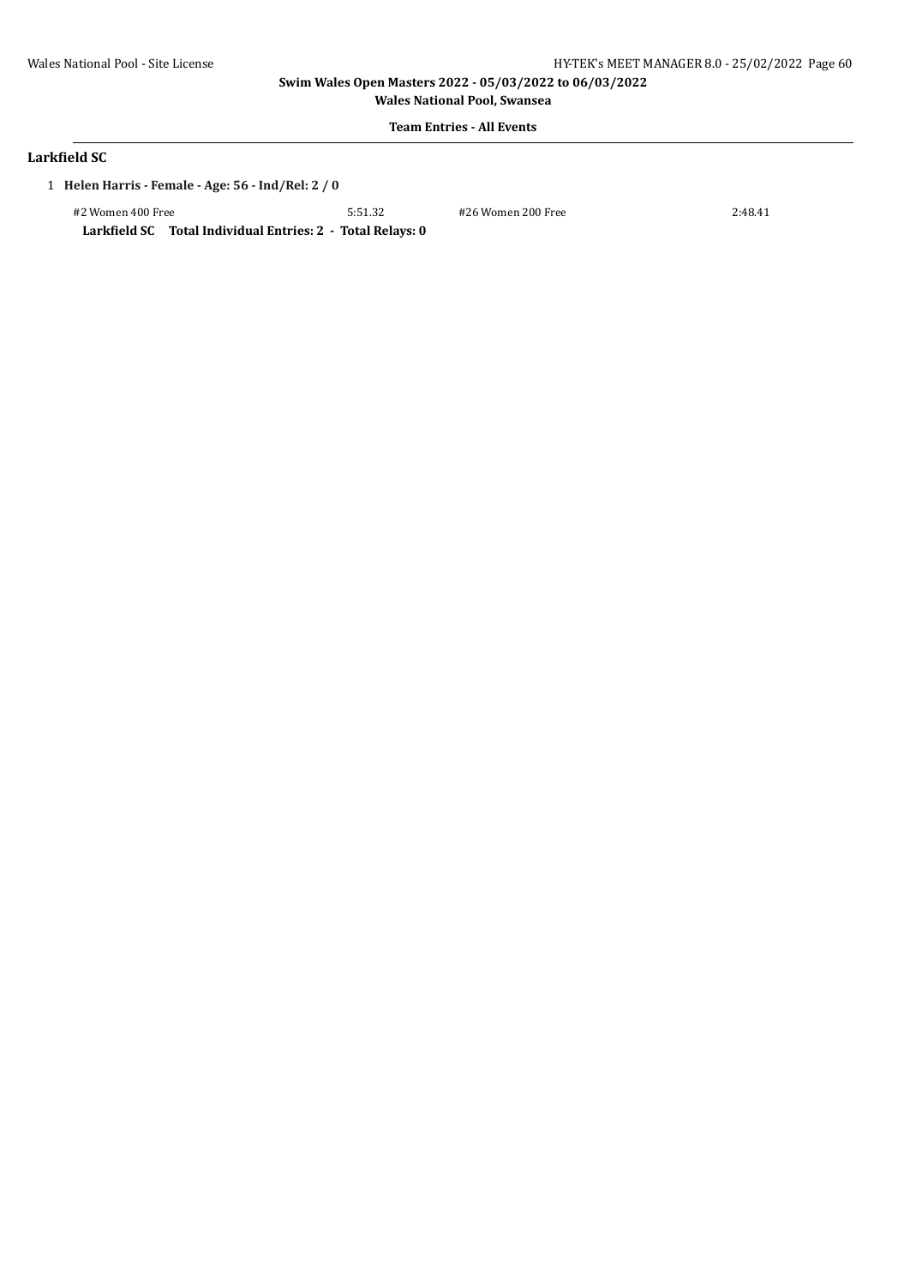**Wales National Pool, Swansea Team Entries - All Events**

### **Larkfield SC**

1 **Helen Harris - Female - Age: 56 - Ind/Rel: 2 / 0**

#2 Women 400 Free 5:51.32 #26 Women 200 Free 2:48.41 **Larkfield SC Total Individual Entries: 2 - Total Relays: 0**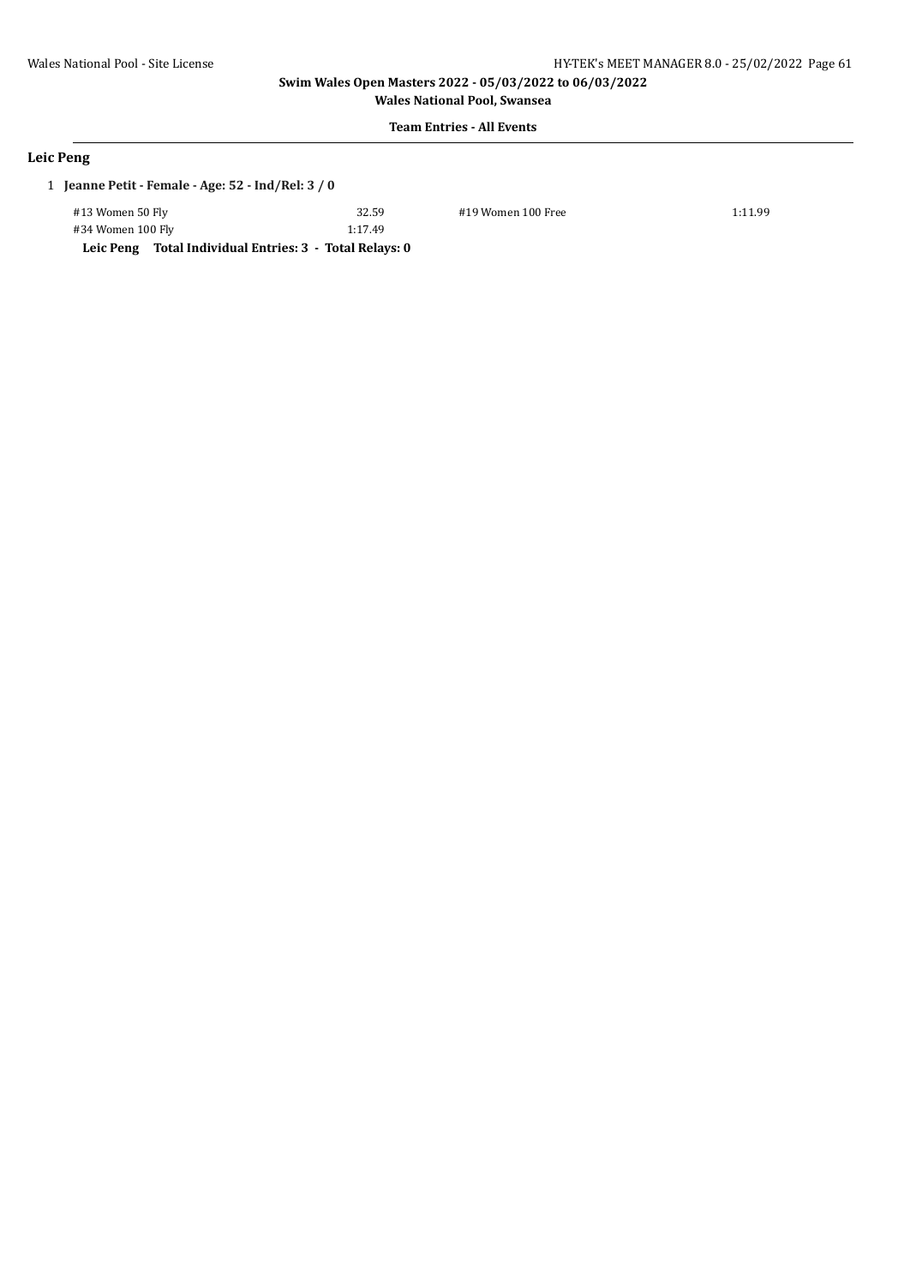**Wales National Pool, Swansea Team Entries - All Events**

### **Leic Peng**

|  | 1 Jeanne Petit - Female - Age: $52$ - Ind/Rel: $3/0$ |  |
|--|------------------------------------------------------|--|
|--|------------------------------------------------------|--|

| #13 Women 50 Fly  | 32.59   |
|-------------------|---------|
| #34 Women 100 Fly | 1:17.49 |

32.59 #19 Women 100 Free 1:11.99

**Leic Peng Total Individual Entries: 3 - Total Relays: 0**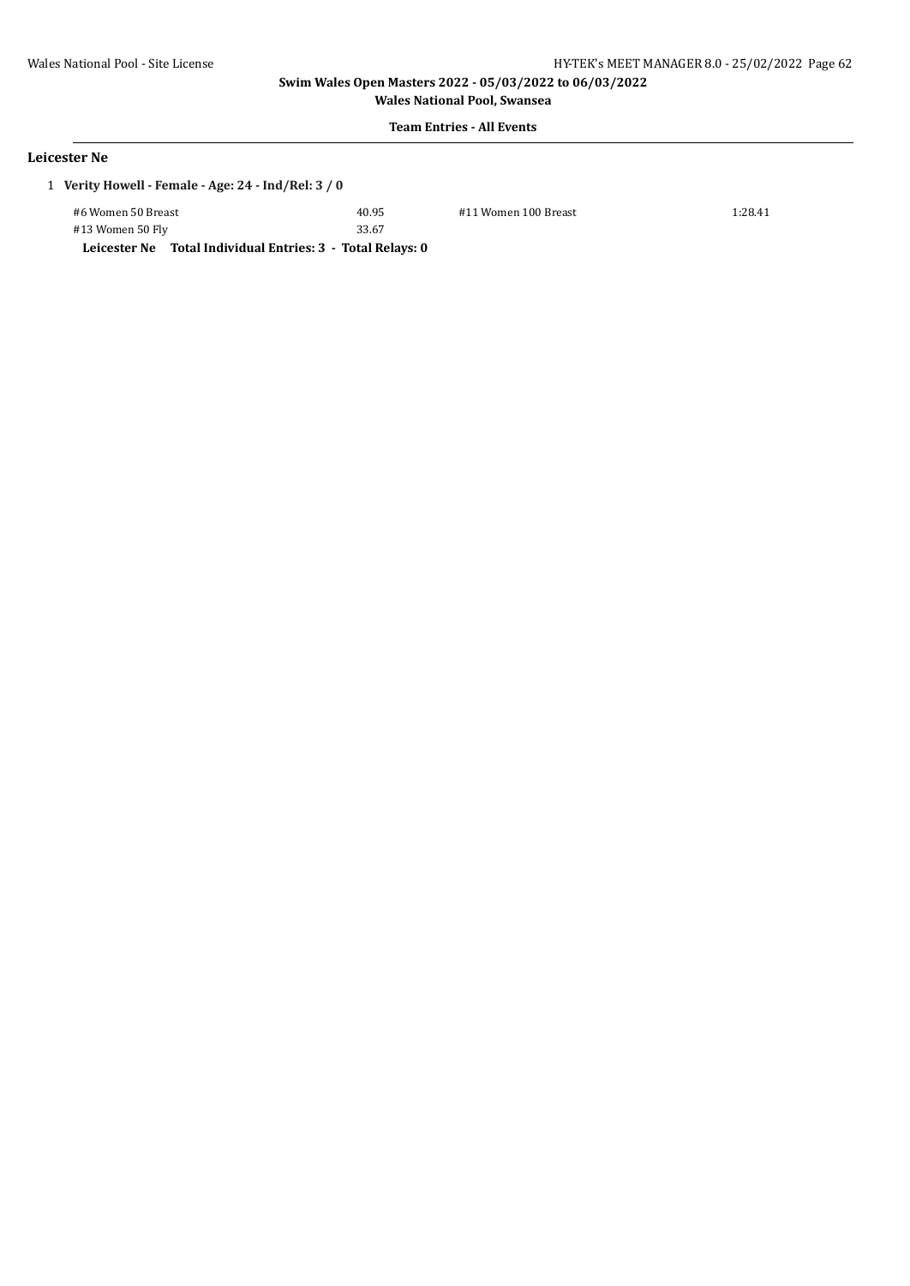**Wales National Pool, Swansea**

# **Team Entries - All Events**

### **Leicester Ne**

| 1 Verity Howell - Female - Age: 24 - Ind/Rel: 3 / 0 |       |                      |         |
|-----------------------------------------------------|-------|----------------------|---------|
| #6 Women 50 Breast                                  | 40.95 | #11 Women 100 Breast | 1:28.41 |
| #13 Women 50 Fly                                    | 33.67 |                      |         |

**Leicester Ne Total Individual Entries: 3 - Total Relays: 0**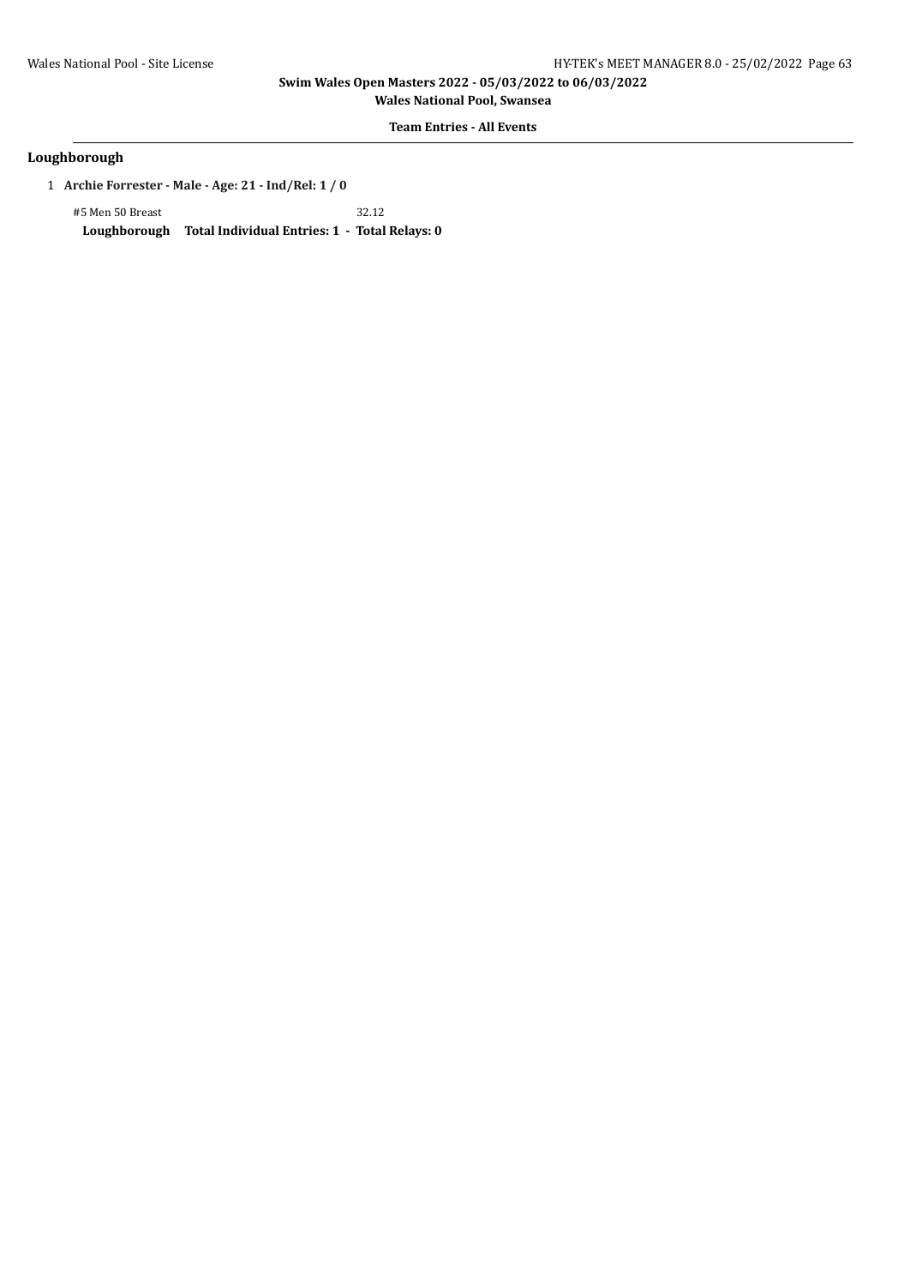**Wales National Pool, Swansea**

**Team Entries - All Events**

### **Loughborough**

1 **Archie Forrester - Male - Age: 21 - Ind/Rel: 1 / 0**

#5 Men 50 Breast 32.12 **Loughborough Total Individual Entries: 1 - Total Relays: 0**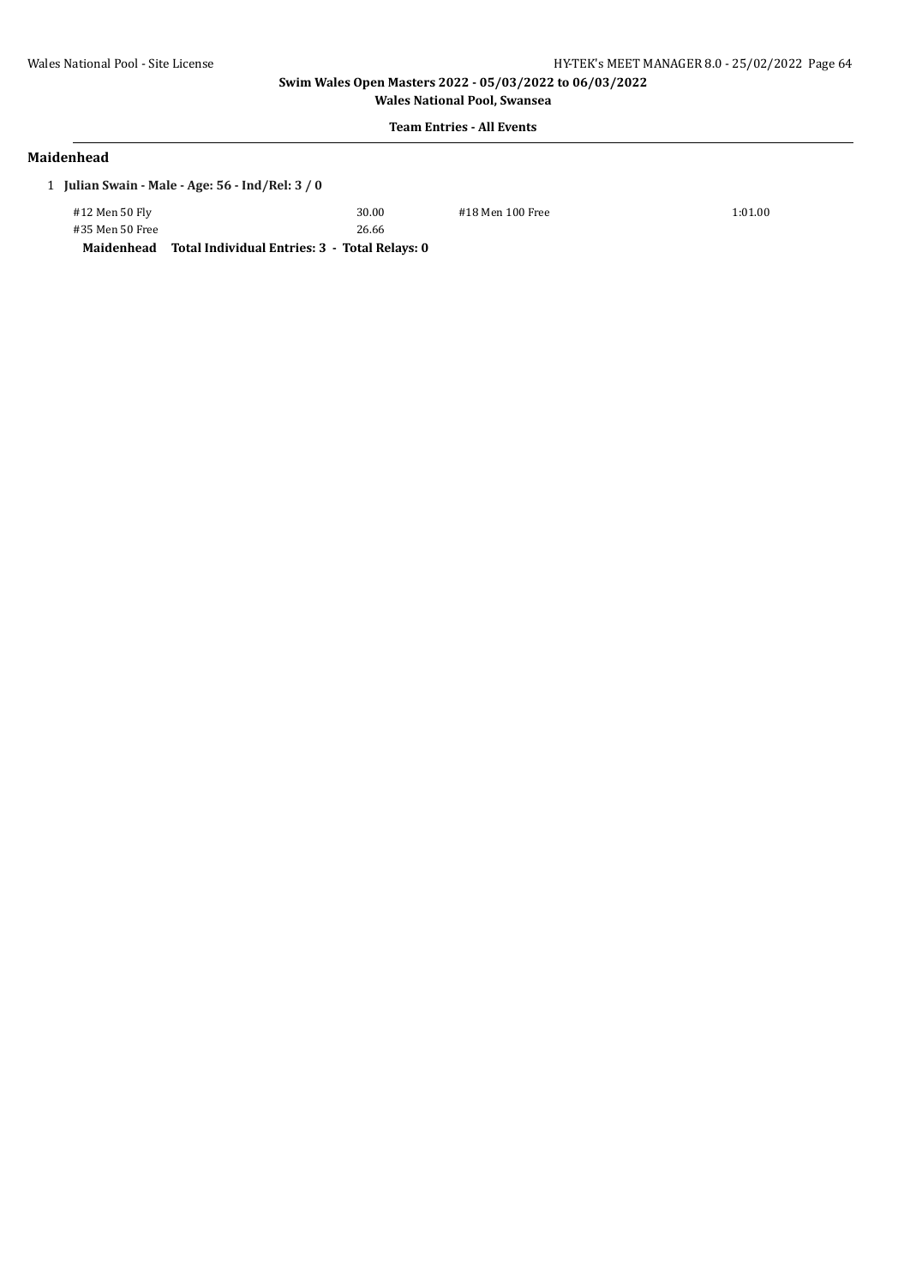**Wales National Pool, Swansea Team Entries - All Events**

#### **Maidenhead**

1 **Julian Swain - Male - Age: 56 - Ind/Rel: 3 / 0**

| Maidenhead      | Total Individual Entries: 3 - Total Relays: 0 |
|-----------------|-----------------------------------------------|
| #35 Men 50 Free | 26.66                                         |
| #12 Men 50 Fly  | 30.00                                         |

#18 Men 100 Free 1:01.00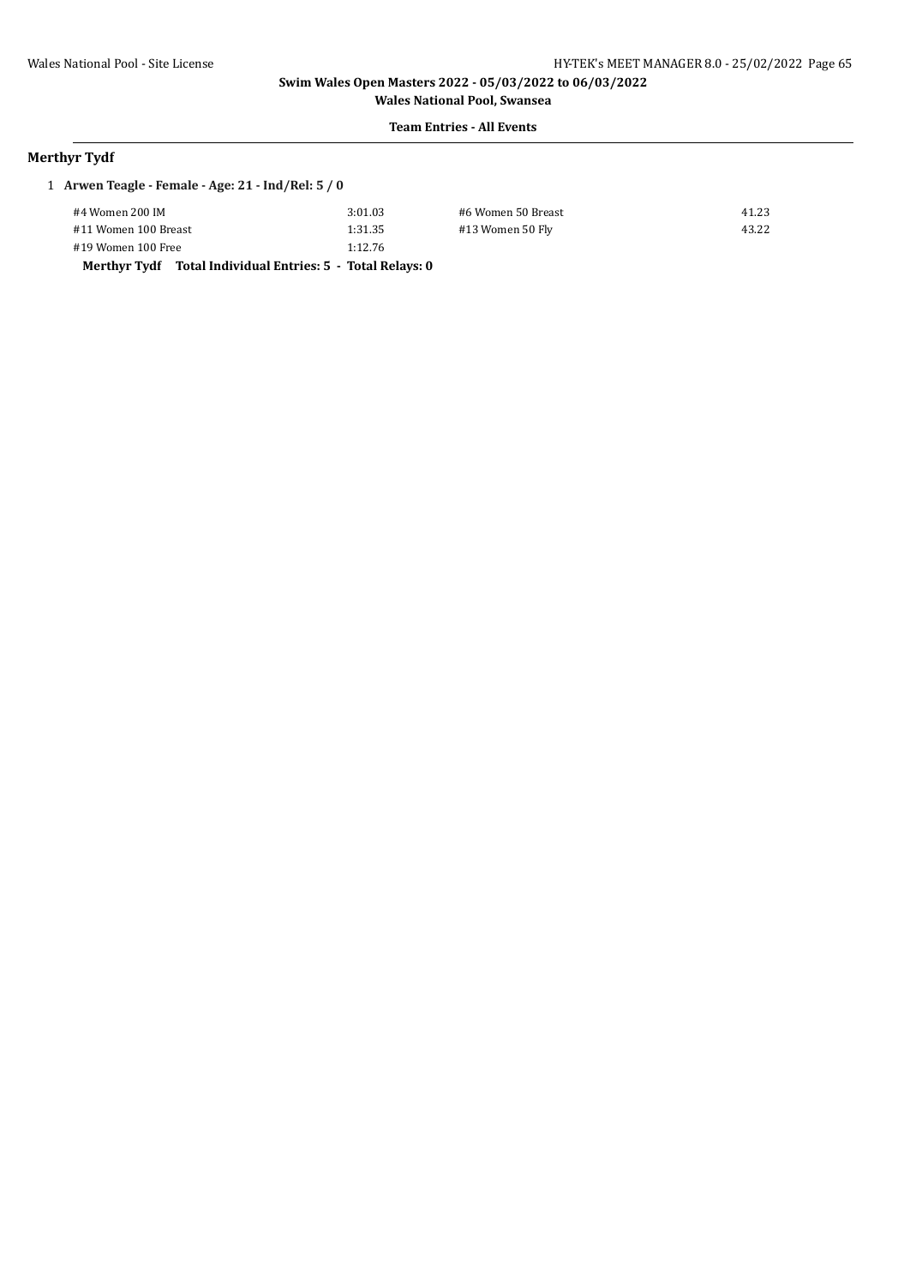**Wales National Pool, Swansea Team Entries - All Events**

### **Merthyr Tydf**

| 1 Arwen Teagle - Female - Age: 21 - Ind/Rel: $5/0$ |                                               |                    |       |  |  |
|----------------------------------------------------|-----------------------------------------------|--------------------|-------|--|--|
| #4 Women 200 IM                                    | 3:01.03                                       | #6 Women 50 Breast | 41.23 |  |  |
| #11 Women 100 Breast                               | 1:31.35                                       | #13 Women 50 Fly   | 43.22 |  |  |
| #19 Women 100 Free                                 | 1:12.76                                       |                    |       |  |  |
| Merthyr Tydf                                       | Total Individual Entries: 5 - Total Relays: 0 |                    |       |  |  |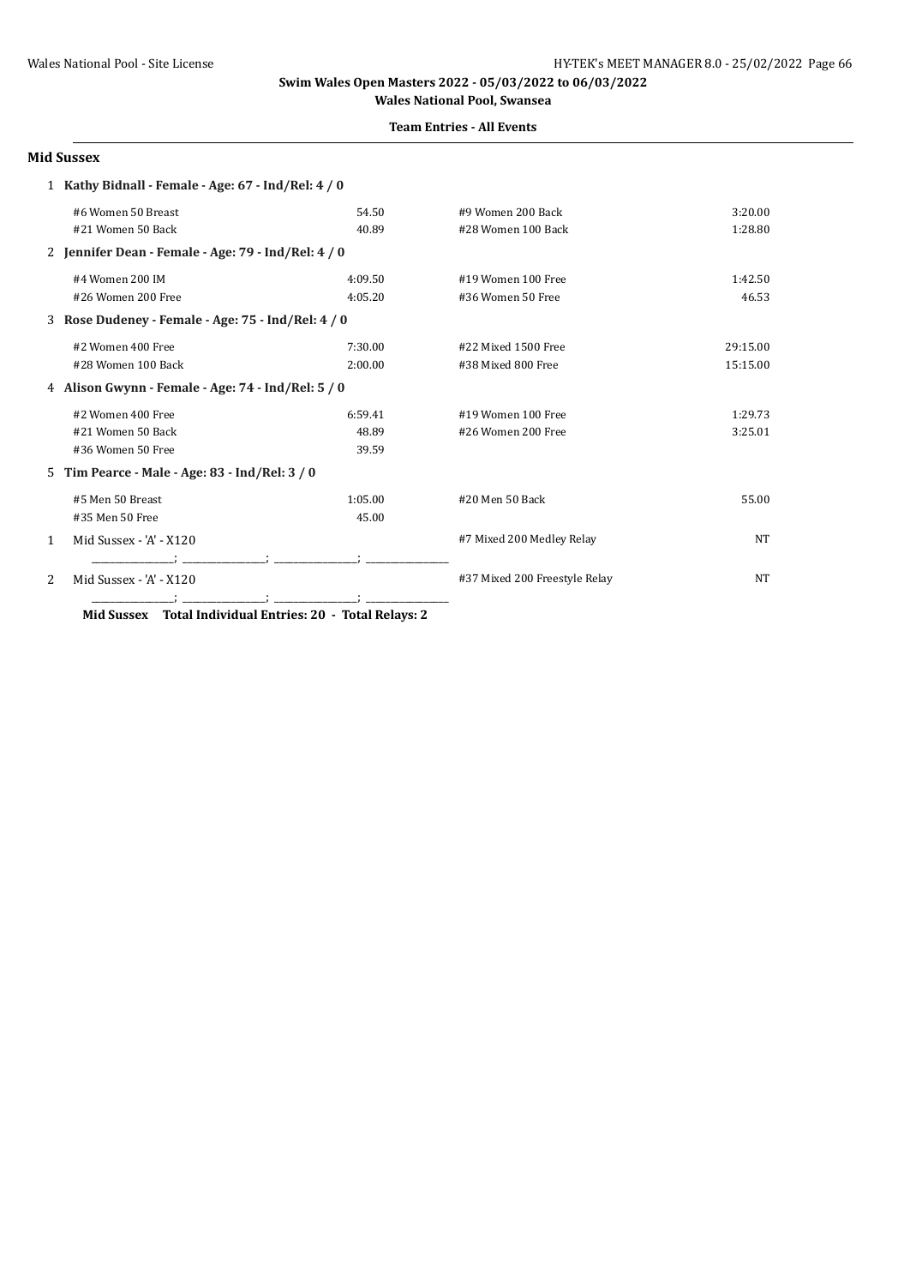#### **Team Entries - All Events**

#### **Mid Sussex**

|                                                    | 1 Kathy Bidnall - Female - Age: 67 - Ind/Rel: 4 / 0 |         |                               |           |
|----------------------------------------------------|-----------------------------------------------------|---------|-------------------------------|-----------|
|                                                    | #6 Women 50 Breast                                  | 54.50   | #9 Women 200 Back             | 3:20.00   |
|                                                    | #21 Women 50 Back                                   | 40.89   | #28 Women 100 Back            | 1:28.80   |
|                                                    | 2 Jennifer Dean - Female - Age: 79 - Ind/Rel: 4 / 0 |         |                               |           |
|                                                    | #4 Women 200 IM                                     | 4:09.50 | #19 Women 100 Free            | 1:42.50   |
|                                                    | #26 Women 200 Free                                  | 4:05.20 | #36 Women 50 Free             | 46.53     |
|                                                    | 3 Rose Dudeney - Female - Age: 75 - Ind/Rel: 4 / 0  |         |                               |           |
|                                                    | #2 Women 400 Free                                   | 7:30.00 | #22 Mixed 1500 Free           | 29:15.00  |
|                                                    | #28 Women 100 Back                                  | 2:00.00 | #38 Mixed 800 Free            | 15:15.00  |
| 4 Alison Gwynn - Female - Age: 74 - Ind/Rel: 5 / 0 |                                                     |         |                               |           |
|                                                    | #2 Women 400 Free                                   | 6:59.41 | #19 Women 100 Free            | 1:29.73   |
|                                                    | #21 Women 50 Back                                   | 48.89   | #26 Women 200 Free            | 3:25.01   |
|                                                    | #36 Women 50 Free                                   | 39.59   |                               |           |
|                                                    | 5 Tim Pearce - Male - Age: 83 - Ind/Rel: 3 / 0      |         |                               |           |
|                                                    | #5 Men 50 Breast                                    | 1:05.00 | #20 Men 50 Back               | 55.00     |
|                                                    | #35 Men 50 Free                                     | 45.00   |                               |           |
| 1                                                  | Mid Sussex - 'A' - X120                             |         | #7 Mixed 200 Medley Relay     | <b>NT</b> |
| 2                                                  | Mid Sussex - 'A' - X120                             |         | #37 Mixed 200 Freestyle Relay | <b>NT</b> |

**Mid Sussex Total Individual Entries: 20 - Total Relays: 2**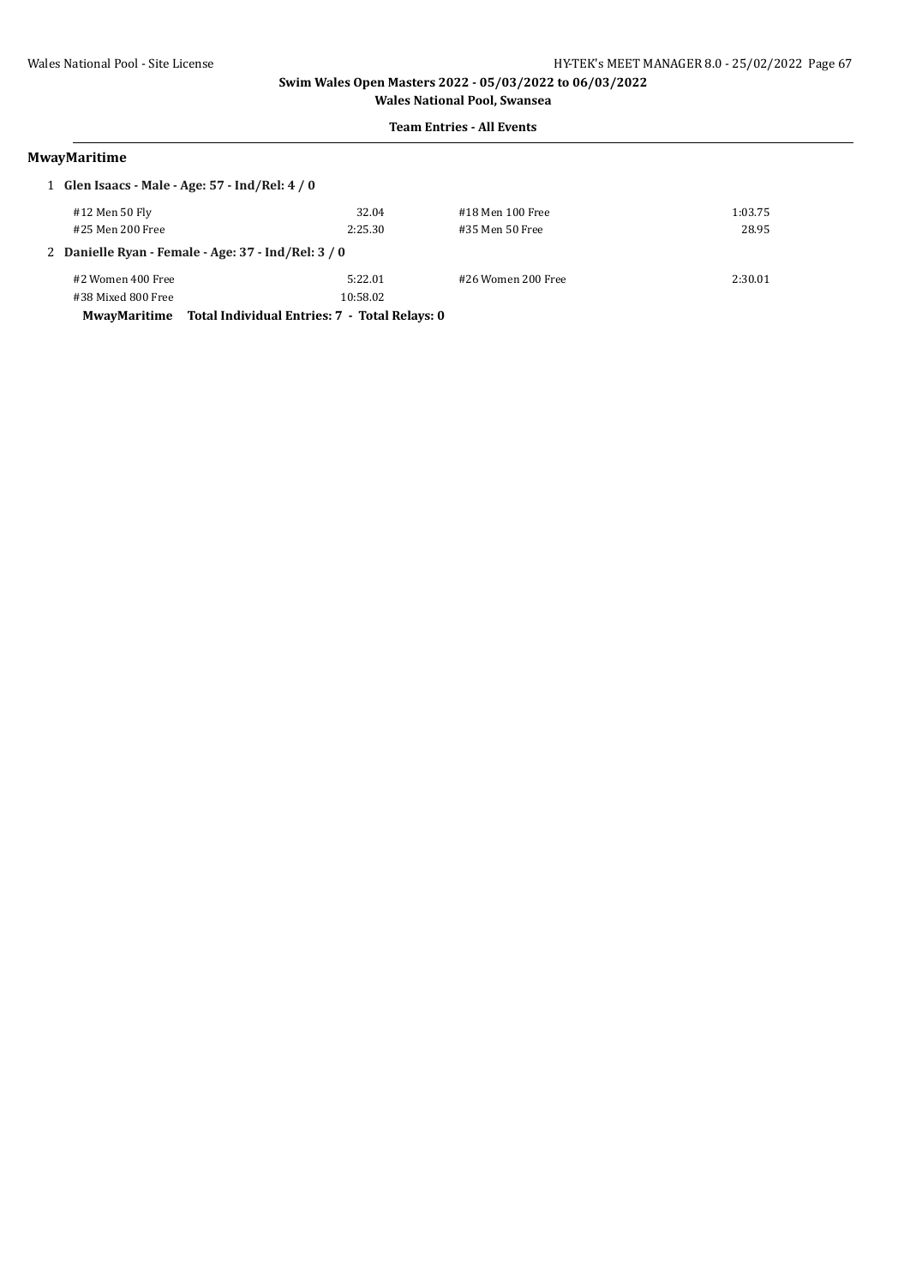### **Team Entries - All Events**

### **MwayMaritime**

| 1 Glen Isaacs - Male - Age: 57 - Ind/Rel: 4 / 0     |                                               |                    |         |  |
|-----------------------------------------------------|-----------------------------------------------|--------------------|---------|--|
| #12 Men 50 Fly                                      | 32.04                                         | #18 Men 100 Free   | 1:03.75 |  |
| #25 Men 200 Free                                    | 2:25.30                                       | #35 Men 50 Free    | 28.95   |  |
| 2 Danielle Ryan - Female - Age: 37 - Ind/Rel: 3 / 0 |                                               |                    |         |  |
| #2 Women 400 Free                                   | 5:22.01                                       | #26 Women 200 Free | 2:30.01 |  |
| #38 Mixed 800 Free                                  | 10:58.02                                      |                    |         |  |
| MwavMaritime                                        | Total Individual Entries: 7 - Total Relays: 0 |                    |         |  |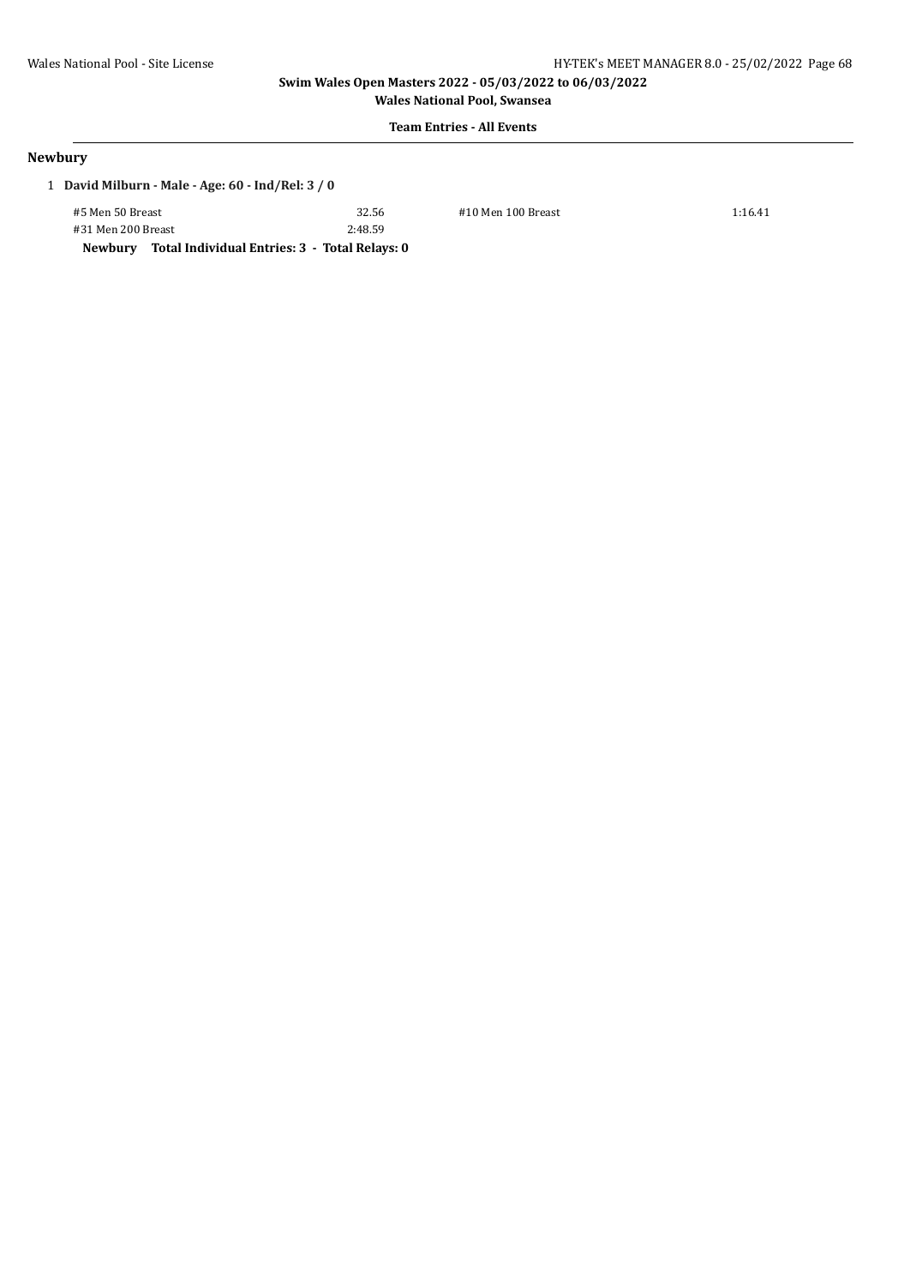**Wales National Pool, Swansea**

# **Team Entries - All Events**

#### **Newbury**

|  | 1 David Milburn - Male - Age: $60$ - Ind/Rel: $3/0$ |
|--|-----------------------------------------------------|
|--|-----------------------------------------------------|

#5 Men 50 Breast 32.56 #10 Men 100 Breast 1:16.41 #31 Men 200 Breast 2:48.59

**Newbury Total Individual Entries: 3 - Total Relays: 0**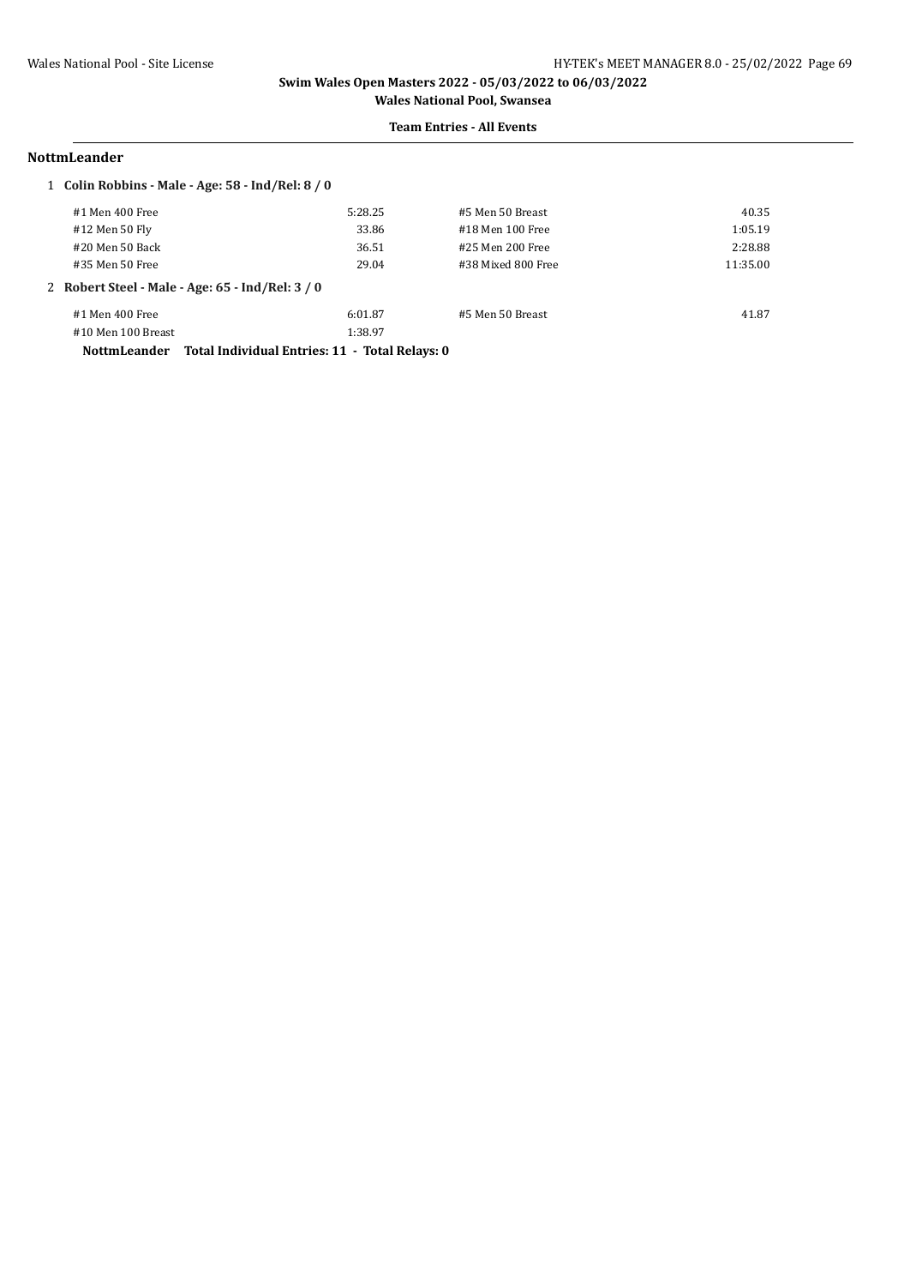### **Team Entries - All Events**

#### **NottmLeander**

| 1 Colin Robbins - Male - Age: $58$ - Ind/Rel: $8/0$ |                                                |                    |          |
|-----------------------------------------------------|------------------------------------------------|--------------------|----------|
| #1 Men 400 Free                                     | 5:28.25                                        | #5 Men 50 Breast   | 40.35    |
| #12 Men 50 Fly                                      | 33.86                                          | #18 Men 100 Free   | 1:05.19  |
| #20 Men 50 Back                                     | 36.51                                          | #25 Men 200 Free   | 2:28.88  |
| #35 Men 50 Free                                     | 29.04                                          | #38 Mixed 800 Free | 11:35.00 |
| 2 Robert Steel - Male - Age: 65 - Ind/Rel: 3 / 0    |                                                |                    |          |
| #1 Men 400 Free                                     | 6:01.87                                        | #5 Men 50 Breast   | 41.87    |
| #10 Men 100 Breast                                  | 1:38.97                                        |                    |          |
| <b>NottmLeander</b>                                 | Total Individual Entries: 11 - Total Relays: 0 |                    |          |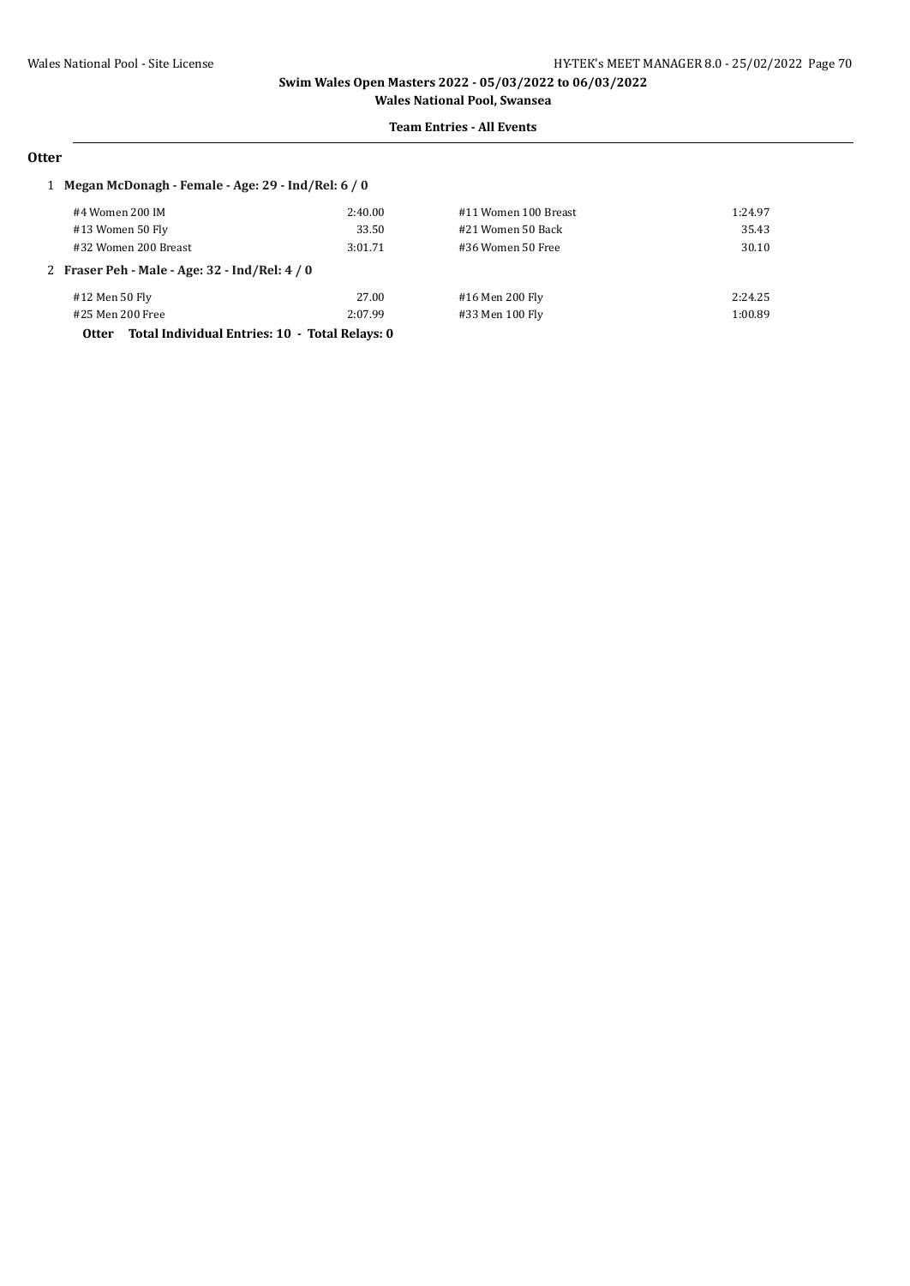#### **Team Entries - All Events**

# **Otter**

### 1 **Megan McDonagh - Female - Age: 29 - Ind/Rel: 6 / 0**

| #4 Women 200 IM                                                | 2:40.00 | #11 Women 100 Breast | 1:24.97 |
|----------------------------------------------------------------|---------|----------------------|---------|
| #13 Women 50 Fly                                               | 33.50   | #21 Women 50 Back    | 35.43   |
| #32 Women 200 Breast                                           | 3:01.71 | #36 Women 50 Free    | 30.10   |
| 2 Fraser Peh - Male - Age: 32 - Ind/Rel: 4 / 0                 |         |                      |         |
| #12 Men 50 Fly                                                 | 27.00   | #16 Men 200 Fly      | 2:24.25 |
| #25 Men 200 Free                                               | 2:07.99 | #33 Men 100 Fly      | 1:00.89 |
| Total Individual Entries: 10 - Total Relays: 0<br><b>Otter</b> |         |                      |         |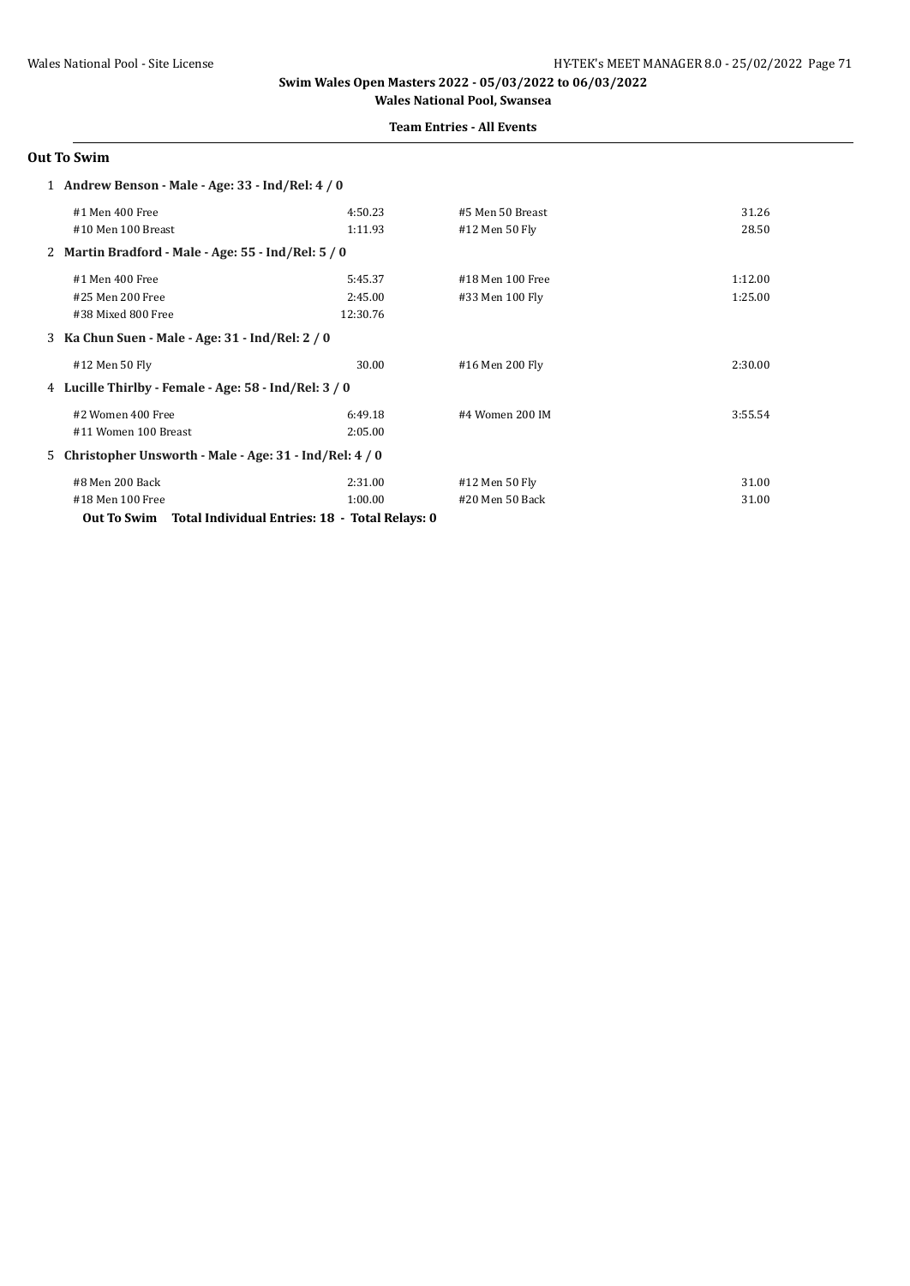### **Team Entries - All Events**

### **Out To Swim**

| 1 Andrew Benson - Male - Age: 33 - Ind/Rel: 4 / 0          |          |                  |         |
|------------------------------------------------------------|----------|------------------|---------|
| #1 Men 400 Free                                            | 4:50.23  | #5 Men 50 Breast | 31.26   |
| #10 Men 100 Breast                                         | 1:11.93  | #12 Men 50 Fly   | 28.50   |
| 2 Martin Bradford - Male - Age: 55 - Ind/Rel: 5 / 0        |          |                  |         |
| #1 Men 400 Free                                            | 5:45.37  | #18 Men 100 Free | 1:12.00 |
| #25 Men 200 Free                                           | 2:45.00  | #33 Men 100 Fly  | 1:25.00 |
| #38 Mixed 800 Free                                         | 12:30.76 |                  |         |
| 3 Ka Chun Suen - Male - Age: 31 - Ind/Rel: 2 / 0           |          |                  |         |
| #12 Men 50 Fly                                             | 30.00    | #16 Men 200 Fly  | 2:30.00 |
| 4 Lucille Thirlby - Female - Age: 58 - Ind/Rel: 3 / 0      |          |                  |         |
| #2 Women 400 Free                                          | 6:49.18  | #4 Women 200 IM  | 3:55.54 |
| #11 Women 100 Breast                                       | 2:05.00  |                  |         |
| 5 Christopher Unsworth - Male - Age: 31 - Ind/Rel: 4 / 0   |          |                  |         |
| #8 Men 200 Back                                            | 2:31.00  | #12 Men 50 Fly   | 31.00   |
| #18 Men 100 Free                                           | 1:00.00  | #20 Men 50 Back  | 31.00   |
| Out To Swim Total Individual Entries: 18 - Total Relays: 0 |          |                  |         |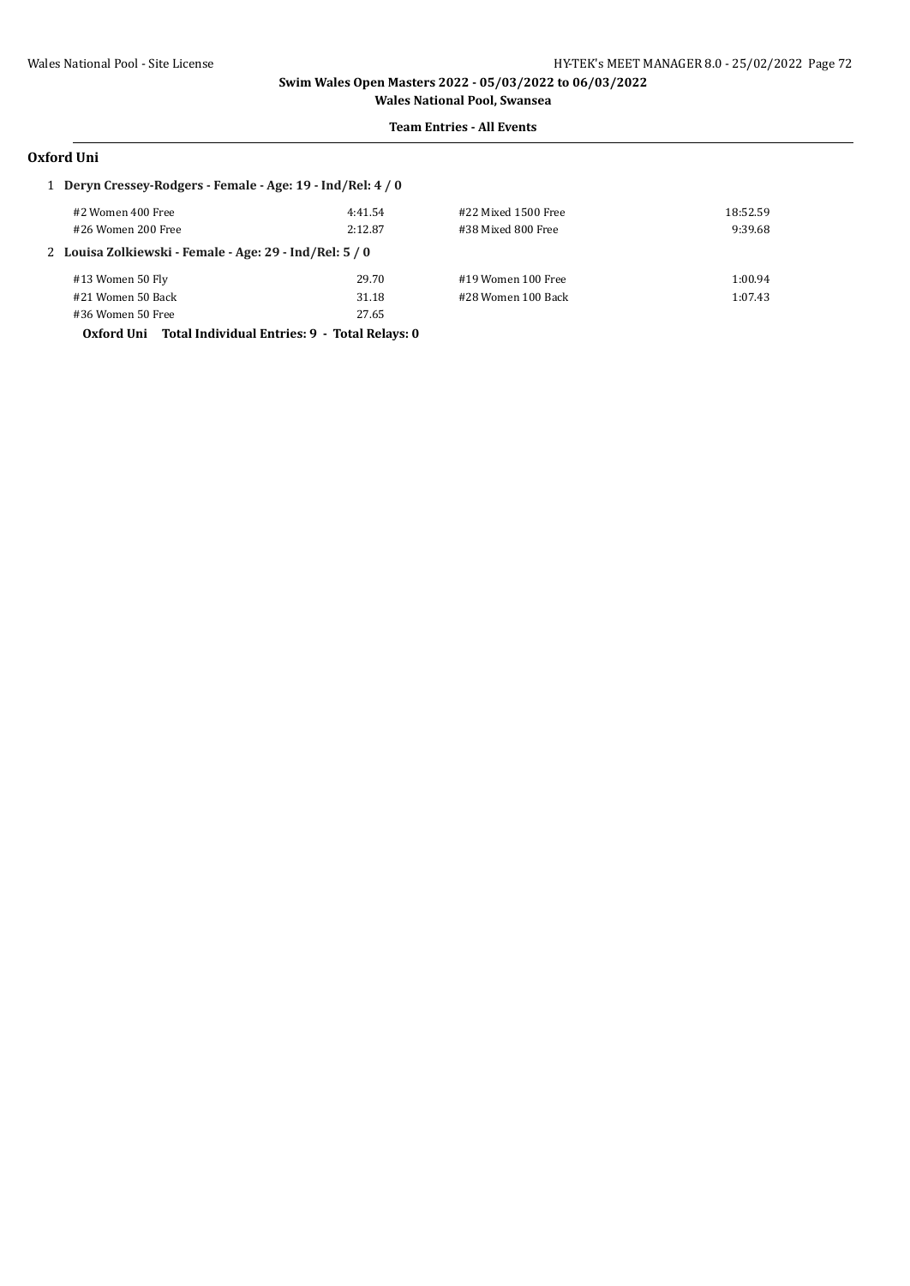#### **Team Entries - All Events**

### **Oxford Uni**

| 1 Deryn Cressey-Rodgers - Female - Age: 19 - Ind/Rel: 4 / 0 |                                                         |         |                     |          |  |
|-------------------------------------------------------------|---------------------------------------------------------|---------|---------------------|----------|--|
|                                                             | #2 Women 400 Free                                       | 4:41.54 | #22 Mixed 1500 Free | 18:52.59 |  |
|                                                             | #26 Women 200 Free                                      | 2:12.87 | #38 Mixed 800 Free  | 9:39.68  |  |
|                                                             | 2 Louisa Zolkiewski - Female - Age: 29 - Ind/Rel: 5 / 0 |         |                     |          |  |
|                                                             | #13 Women 50 Fly                                        | 29.70   | #19 Women 100 Free  | 1:00.94  |  |
|                                                             | #21 Women 50 Back                                       | 31.18   | #28 Women 100 Back  | 1:07.43  |  |
|                                                             | #36 Women 50 Free                                       | 27.65   |                     |          |  |
|                                                             |                                                         |         |                     |          |  |

**Oxford Uni Total Individual Entries: 9 - Total Relays: 0**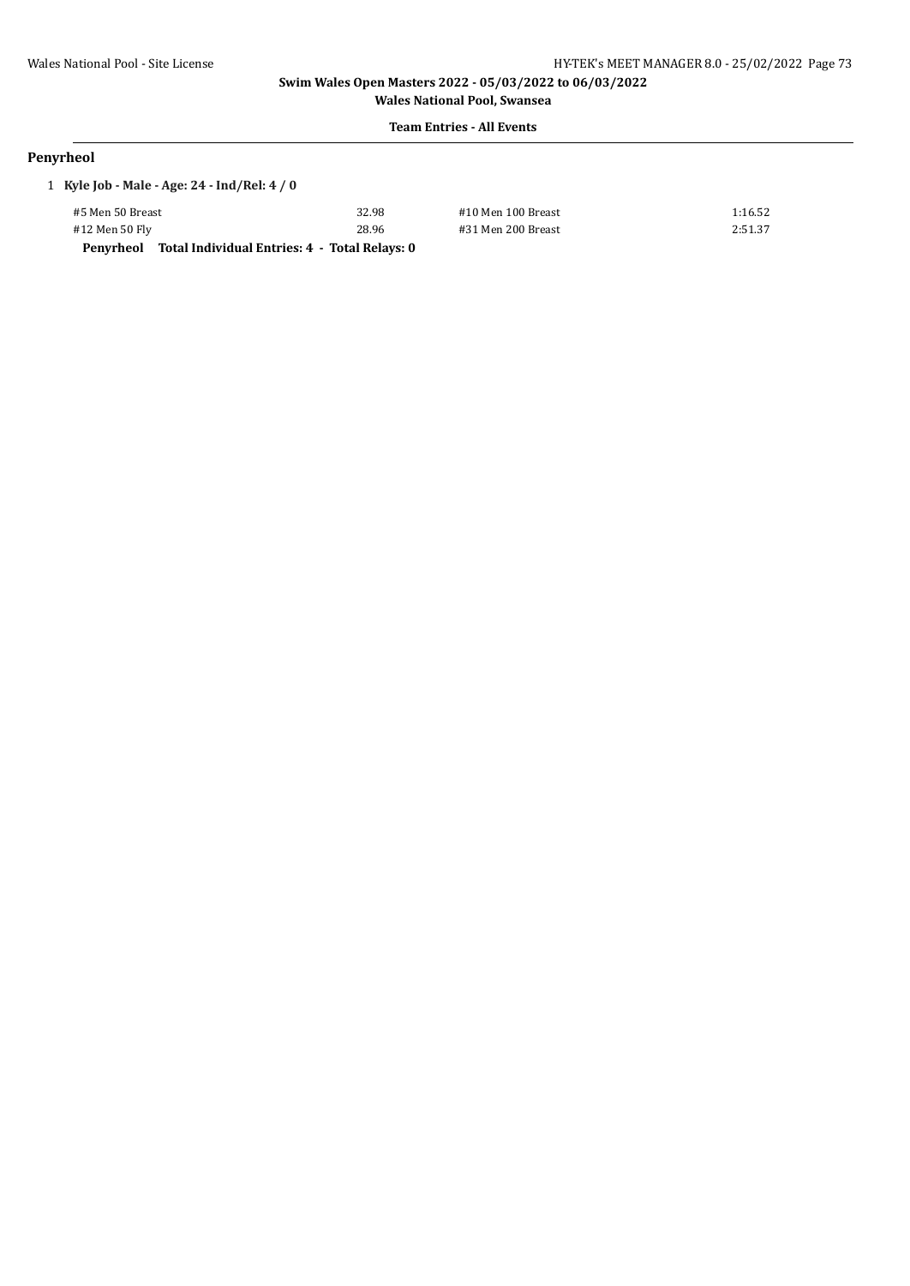#### **Team Entries - All Events**

# **Penyrheol**

| 1 Kyle Job - Male - Age: 24 - Ind/Rel: 4 / 0 |                                               |                    |         |  |  |
|----------------------------------------------|-----------------------------------------------|--------------------|---------|--|--|
| #5 Men 50 Breast                             | 32.98                                         | #10 Men 100 Breast | 1:16.52 |  |  |
| #12 Men 50 Fly                               | 28.96                                         | #31 Men 200 Breast | 2:51.37 |  |  |
| Penvrheol                                    | Total Individual Entries: 4 - Total Relays: 0 |                    |         |  |  |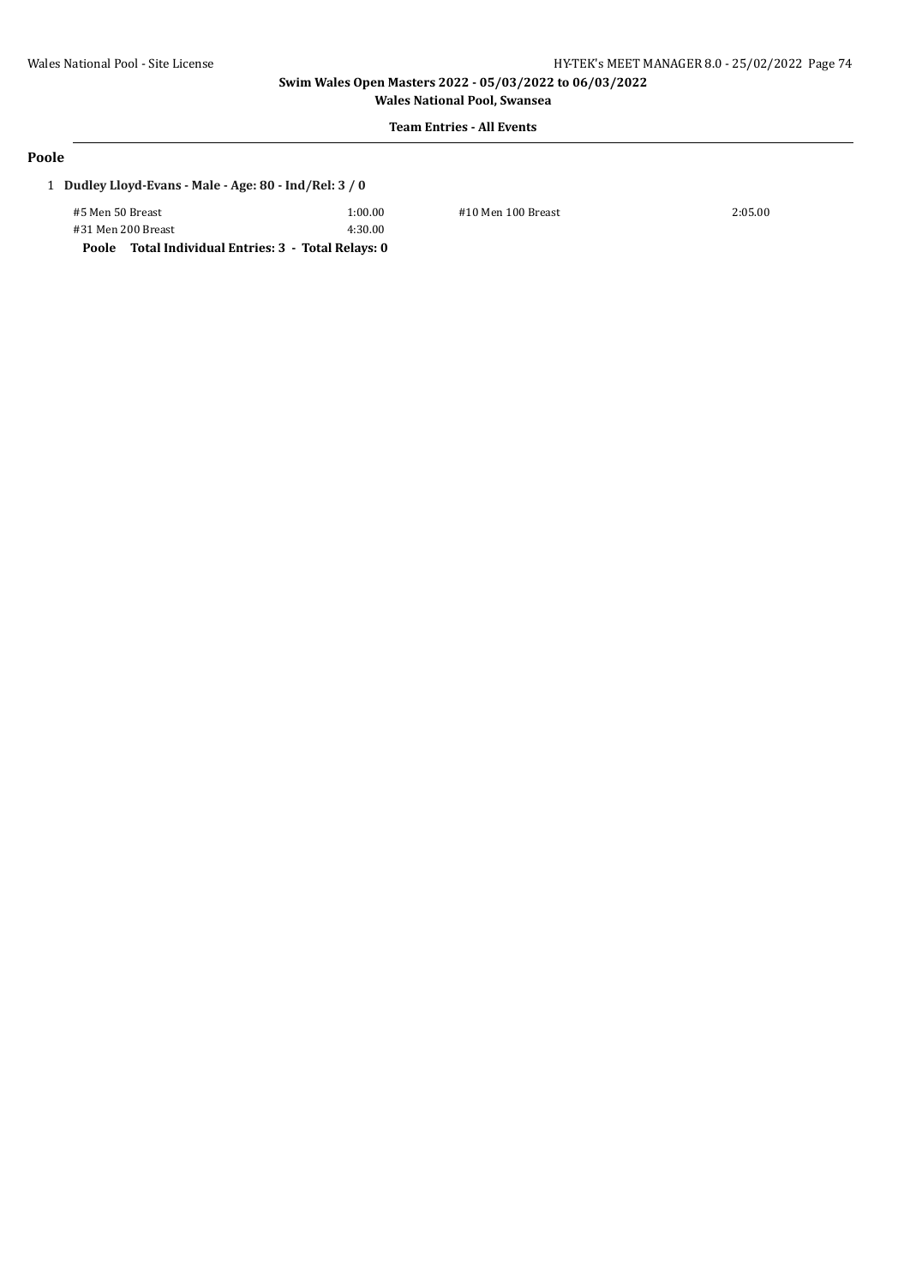**Wales National Pool, Swansea Team Entries - All Events**

#### **Poole**

## 1 **Dudley Lloyd-Evans - Male - Age: 80 - Ind/Rel: 3 / 0**

| #5 Men 50 Breast   |  | 1:00.00 |
|--------------------|--|---------|
| #31 Men 200 Breast |  | 4:30.00 |
|                    |  |         |

0.00 #10 Men 100 Breast 2:05.00

**Poole Total Individual Entries: 3 - Total Relays: 0**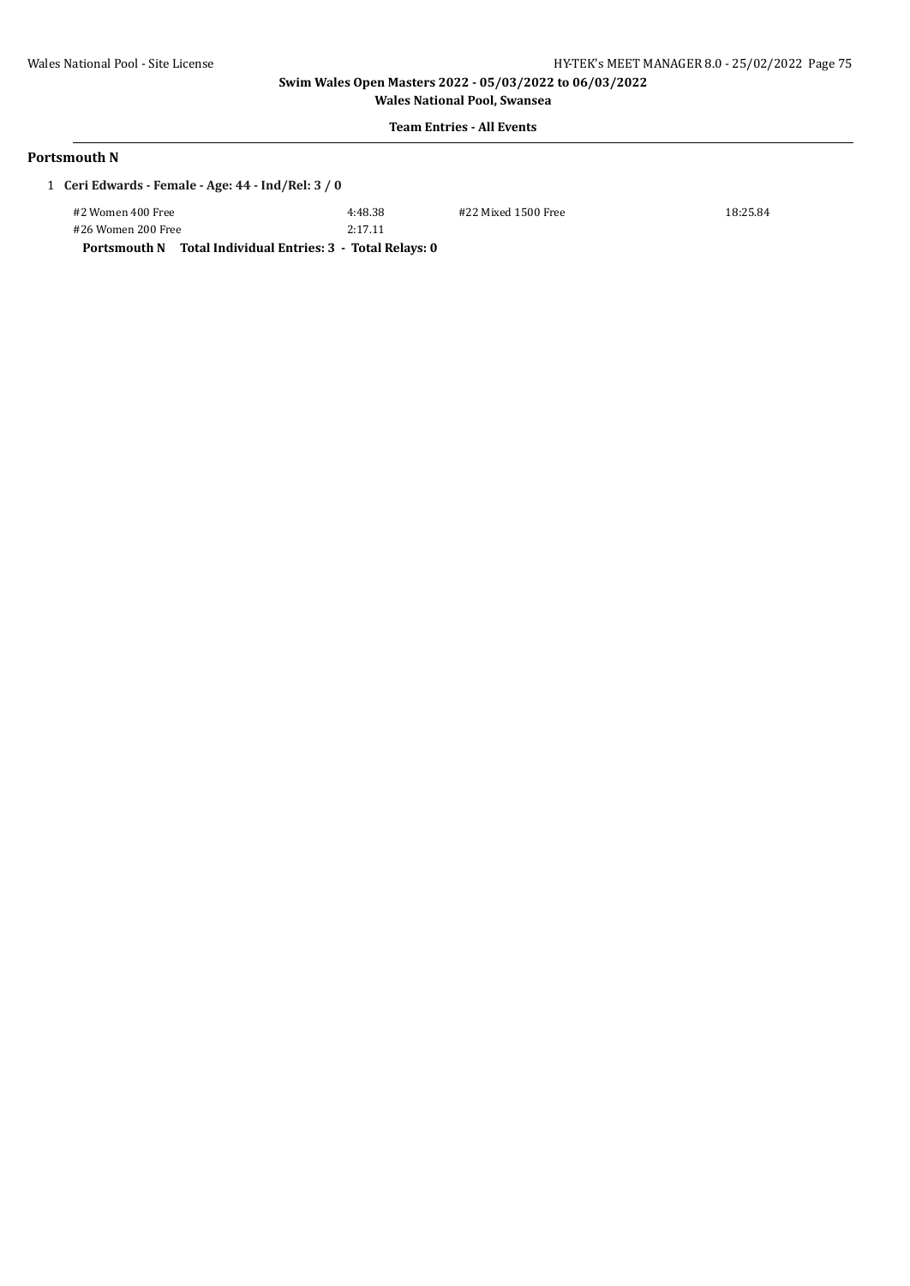**Wales National Pool, Swansea Team Entries - All Events**

## **Portsmouth N**

| 1 Ceri Edwards - Female - Age: 44 - Ind/Rel: 3 / 0 |  |
|----------------------------------------------------|--|
|----------------------------------------------------|--|

| #2 Women 400 Free  | 4:48.38 | #22 Mixed 1500 Free | 18:25.84 |
|--------------------|---------|---------------------|----------|
| #26 Women 200 Free | 2:17.11 |                     |          |

**Portsmouth N Total Individual Entries: 3 - Total Relays: 0**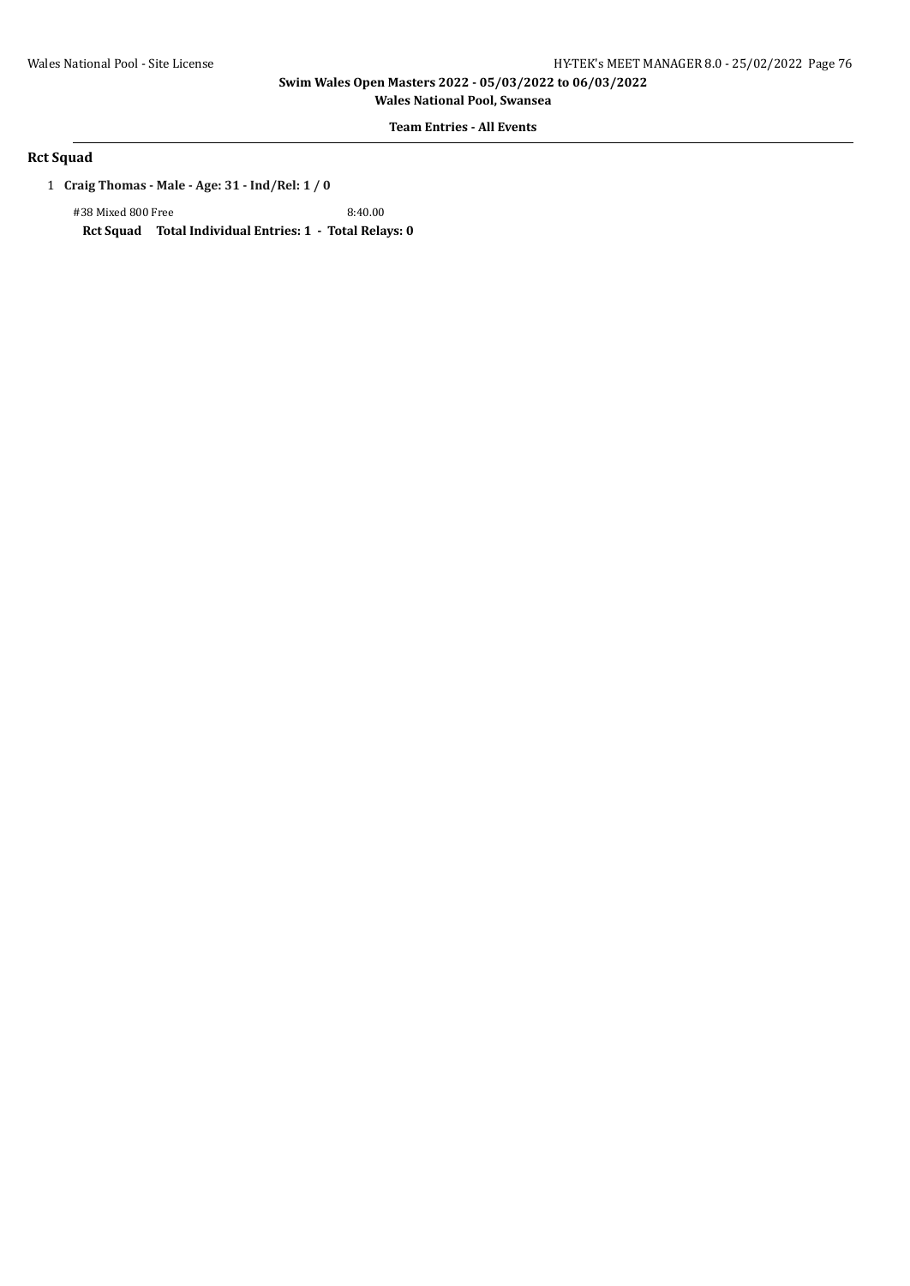**Wales National Pool, Swansea**

**Team Entries - All Events**

## **Rct Squad**

1 **Craig Thomas - Male - Age: 31 - Ind/Rel: 1 / 0**

#38 Mixed 800 Free 8:40.00 **Rct Squad Total Individual Entries: 1 - Total Relays: 0**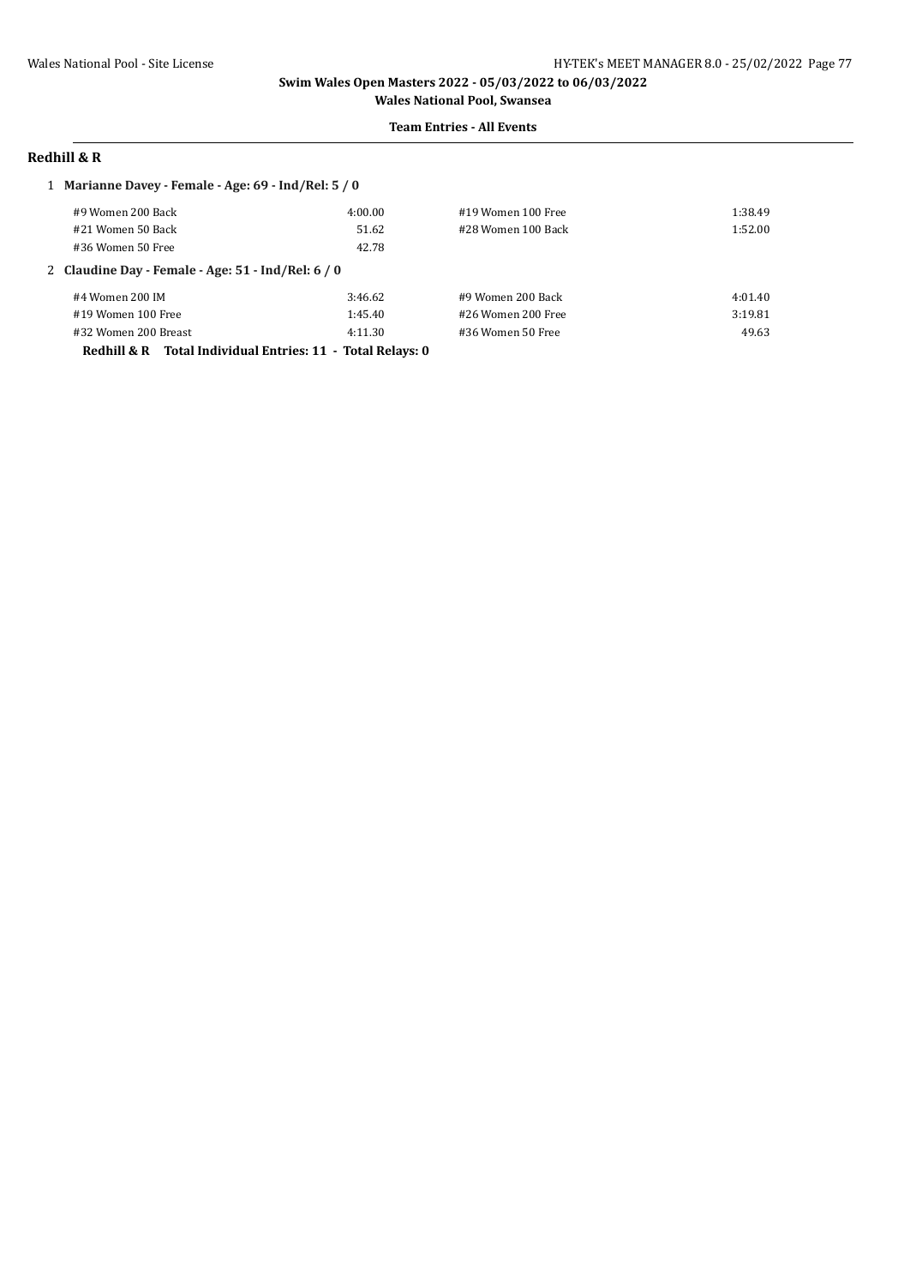#### **Team Entries - All Events**

# **Redhill & R**

| 1 Marianne Davey - Female - Age: 69 - Ind/Rel: 5 / 0          |         |                    |         |
|---------------------------------------------------------------|---------|--------------------|---------|
| #9 Women 200 Back                                             | 4:00.00 | #19 Women 100 Free | 1:38.49 |
| #21 Women 50 Back                                             | 51.62   | #28 Women 100 Back | 1:52.00 |
| #36 Women 50 Free                                             | 42.78   |                    |         |
| 2 Claudine Day - Female - Age: 51 - Ind/Rel: 6 / 0            |         |                    |         |
| #4 Women 200 IM                                               | 3:46.62 | #9 Women 200 Back  | 4:01.40 |
| #19 Women 100 Free                                            | 1:45.40 | #26 Women 200 Free | 3:19.81 |
| #32 Women 200 Breast                                          | 4:11.30 | #36 Women 50 Free  | 49.63   |
| Total Individual Entries: 11 - Total Relays: 0<br>Redhill & R |         |                    |         |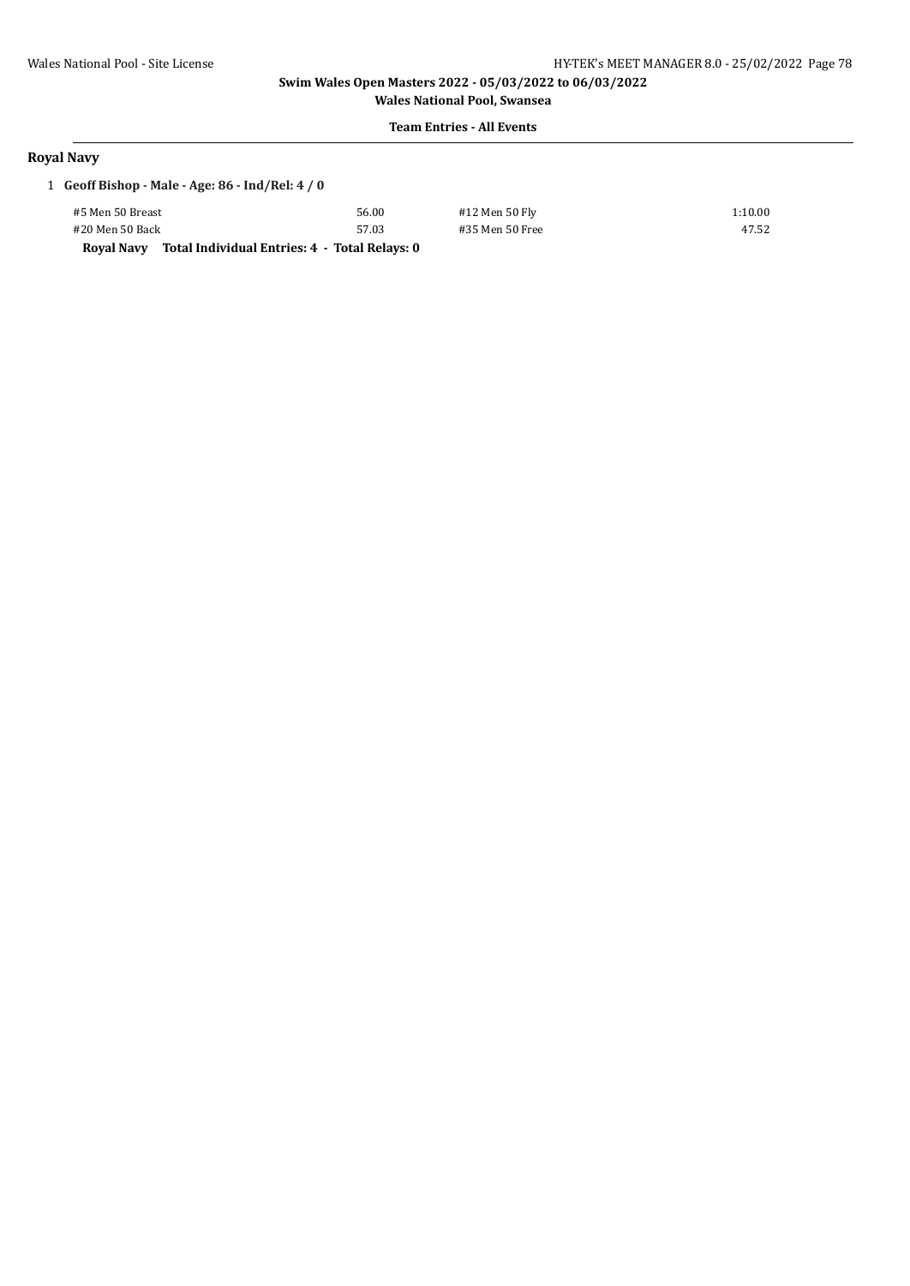**Wales National Pool, Swansea Team Entries - All Events**

#### **Royal Navy**

| 1 Geoff Bishop - Male - Age: $86$ - Ind/Rel: $4/0$ |                                               |                 |         |
|----------------------------------------------------|-----------------------------------------------|-----------------|---------|
| #5 Men 50 Breast                                   | 56.00                                         | #12 Men 50 Fly  | 1:10.00 |
| #20 Men 50 Back                                    | 57.03                                         | #35 Men 50 Free | 47.52   |
| Roval Navv                                         | Total Individual Entries: 4 - Total Relays: 0 |                 |         |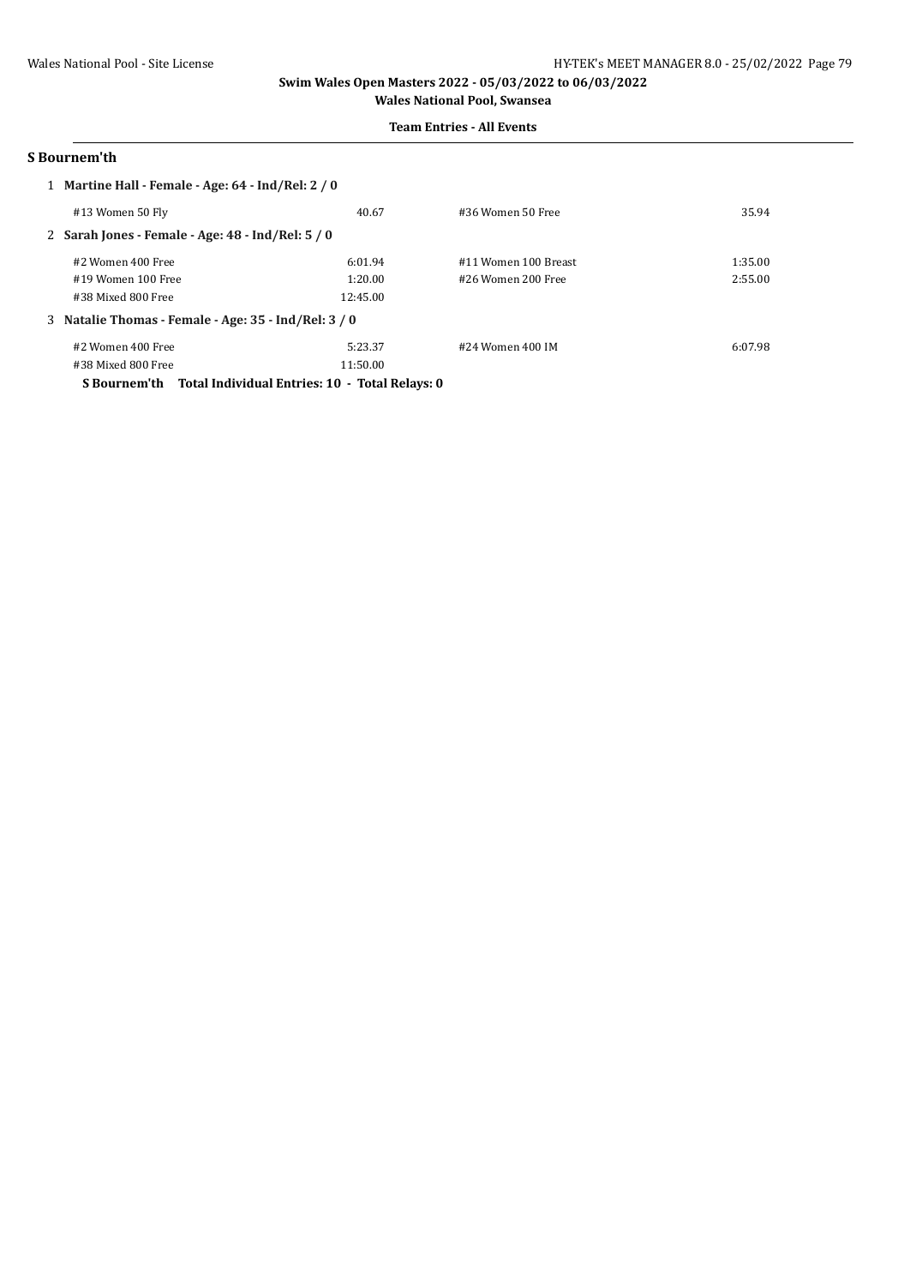# **Team Entries - All Events**

#### **S Bournem'th**

| 1 Martine Hall - Female - Age: 64 - Ind/Rel: 2 / 0  |          |                      |         |  |
|-----------------------------------------------------|----------|----------------------|---------|--|
| #13 Women 50 Fly                                    | 40.67    | #36 Women 50 Free    | 35.94   |  |
| 2 Sarah Jones - Female - Age: $48$ - Ind/Rel: $5/0$ |          |                      |         |  |
| #2 Women 400 Free                                   | 6:01.94  | #11 Women 100 Breast | 1:35.00 |  |
| #19 Women 100 Free                                  | 1:20.00  | #26 Women 200 Free   | 2:55.00 |  |
| #38 Mixed 800 Free                                  | 12:45.00 |                      |         |  |
| 3 Natalie Thomas - Female - Age: 35 - Ind/Rel: 3/0  |          |                      |         |  |
| #2 Women 400 Free                                   | 5:23.37  | #24 Women 400 IM     | 6:07.98 |  |
| #38 Mixed 800 Free                                  | 11:50.00 |                      |         |  |

**S Bournem'th Total Individual Entries: 10 - Total Relays: 0**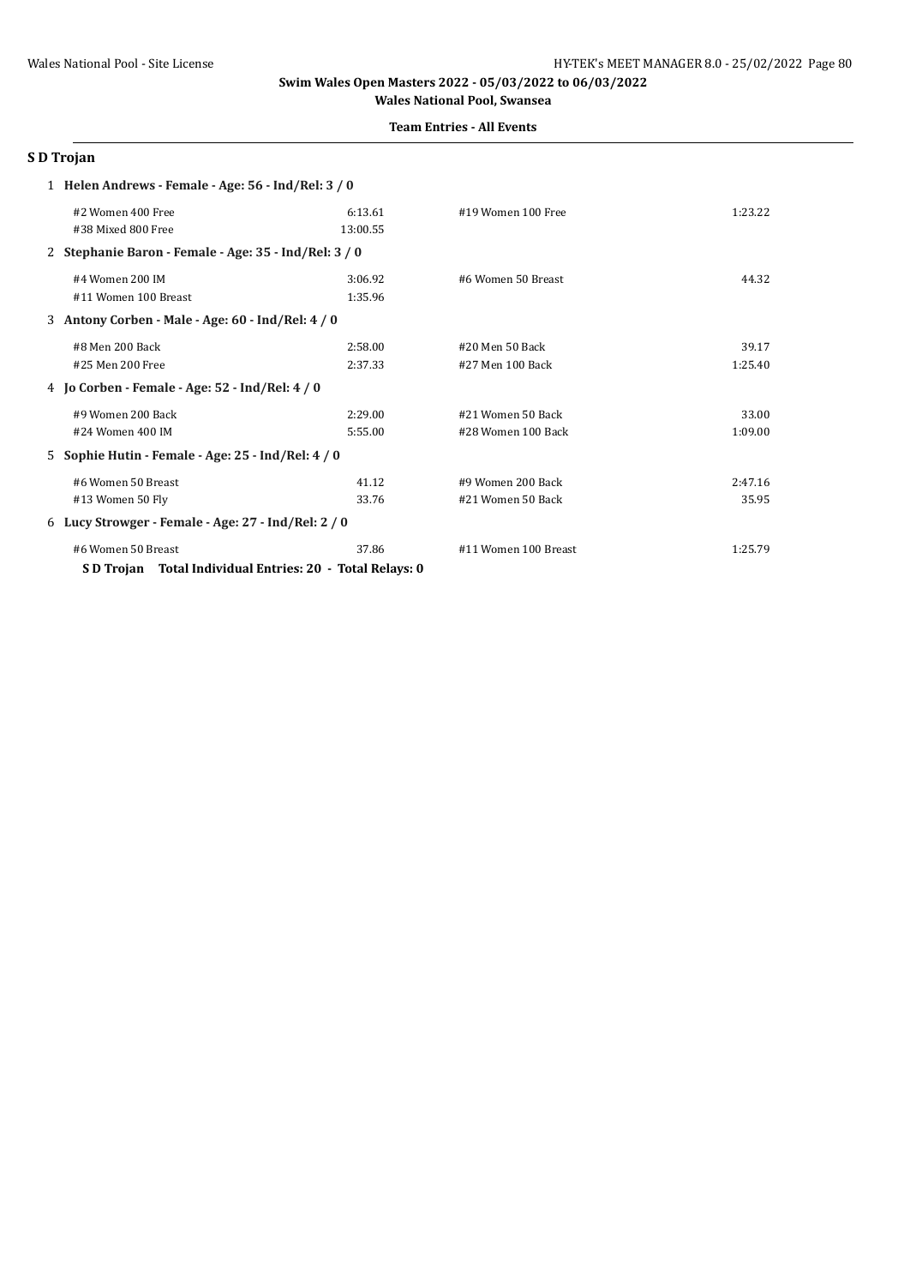## **Team Entries - All Events**

# **S D Trojan**

| 1 Helen Andrews - Female - Age: 56 - Ind/Rel: 3 / 0       |          |                      |         |  |
|-----------------------------------------------------------|----------|----------------------|---------|--|
| #2 Women 400 Free                                         | 6:13.61  | #19 Women 100 Free   | 1:23.22 |  |
| #38 Mixed 800 Free                                        | 13:00.55 |                      |         |  |
| 2 Stephanie Baron - Female - Age: 35 - Ind/Rel: 3 / 0     |          |                      |         |  |
| #4 Women 200 IM                                           | 3:06.92  | #6 Women 50 Breast   | 44.32   |  |
| #11 Women 100 Breast                                      | 1:35.96  |                      |         |  |
| 3 Antony Corben - Male - Age: 60 - Ind/Rel: 4 / 0         |          |                      |         |  |
| #8 Men 200 Back                                           | 2:58.00  | #20 Men 50 Back      | 39.17   |  |
| #25 Men 200 Free                                          | 2:37.33  | #27 Men 100 Back     | 1:25.40 |  |
| 4 Jo Corben - Female - Age: 52 - Ind/Rel: 4 / 0           |          |                      |         |  |
| #9 Women 200 Back                                         | 2:29.00  | #21 Women 50 Back    | 33.00   |  |
| #24 Women 400 IM                                          | 5:55.00  | #28 Women 100 Back   | 1:09.00 |  |
| 5 Sophie Hutin - Female - Age: 25 - Ind/Rel: 4 / 0        |          |                      |         |  |
| #6 Women 50 Breast                                        | 41.12    | #9 Women 200 Back    | 2:47.16 |  |
| #13 Women 50 Fly                                          | 33.76    | #21 Women 50 Back    | 35.95   |  |
| 6 Lucy Strowger - Female - Age: 27 - Ind/Rel: 2 / 0       |          |                      |         |  |
| #6 Women 50 Breast                                        | 37.86    | #11 Women 100 Breast | 1:25.79 |  |
| S D Trojan Total Individual Entries: 20 - Total Relays: 0 |          |                      |         |  |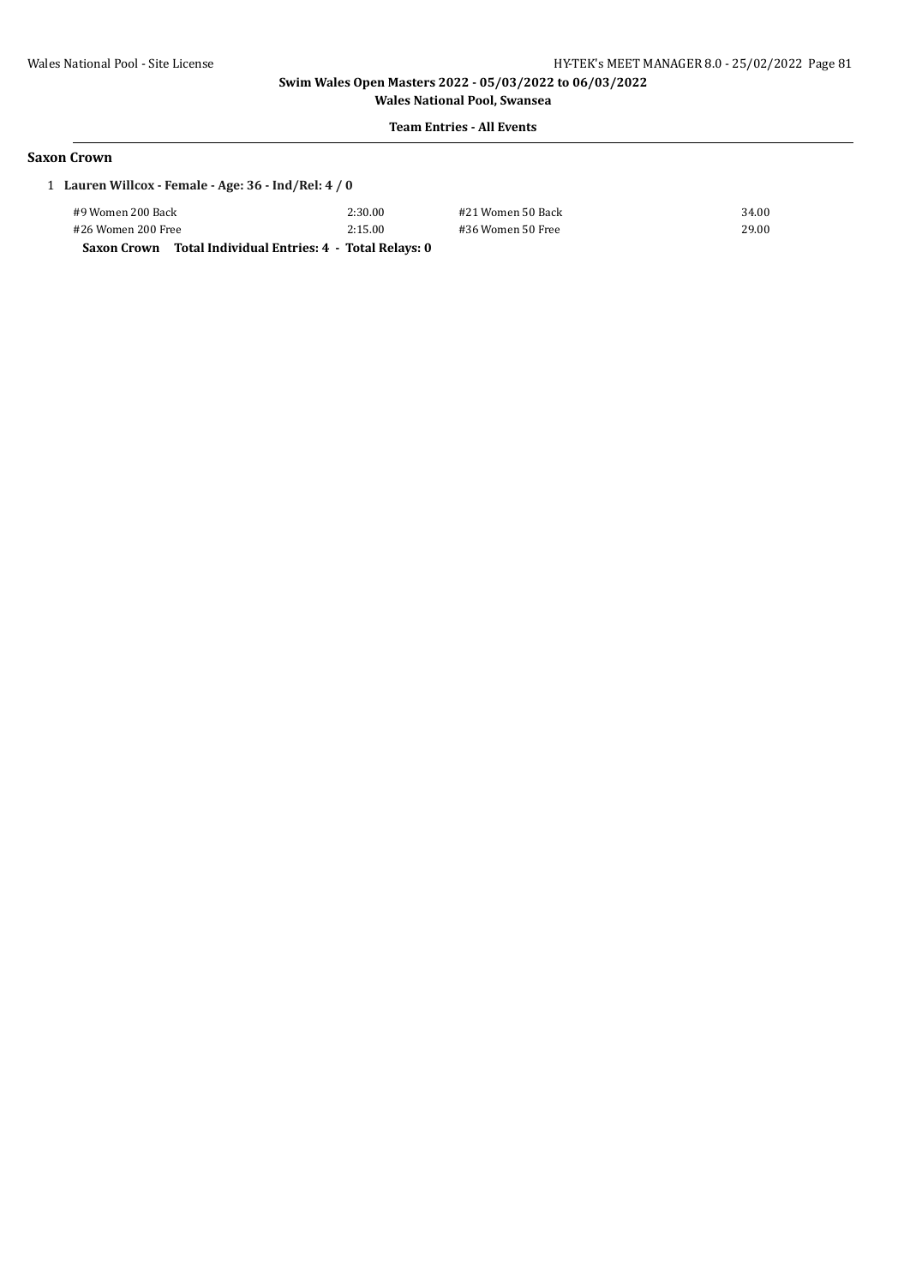**Wales National Pool, Swansea Team Entries - All Events**

#### **Saxon Crown**

| 1 Lauren Willcox - Female - Age: 36 - Ind/Rel: 4 / 0 |                                               |                   |       |  |
|------------------------------------------------------|-----------------------------------------------|-------------------|-------|--|
| #9 Women 200 Back                                    | 2:30.00                                       | #21 Women 50 Back | 34.00 |  |
| #26 Women 200 Free                                   | 2:15.00                                       | #36 Women 50 Free | 29.00 |  |
| Saxon Crown                                          | Total Individual Entries: 4 - Total Relays: 0 |                   |       |  |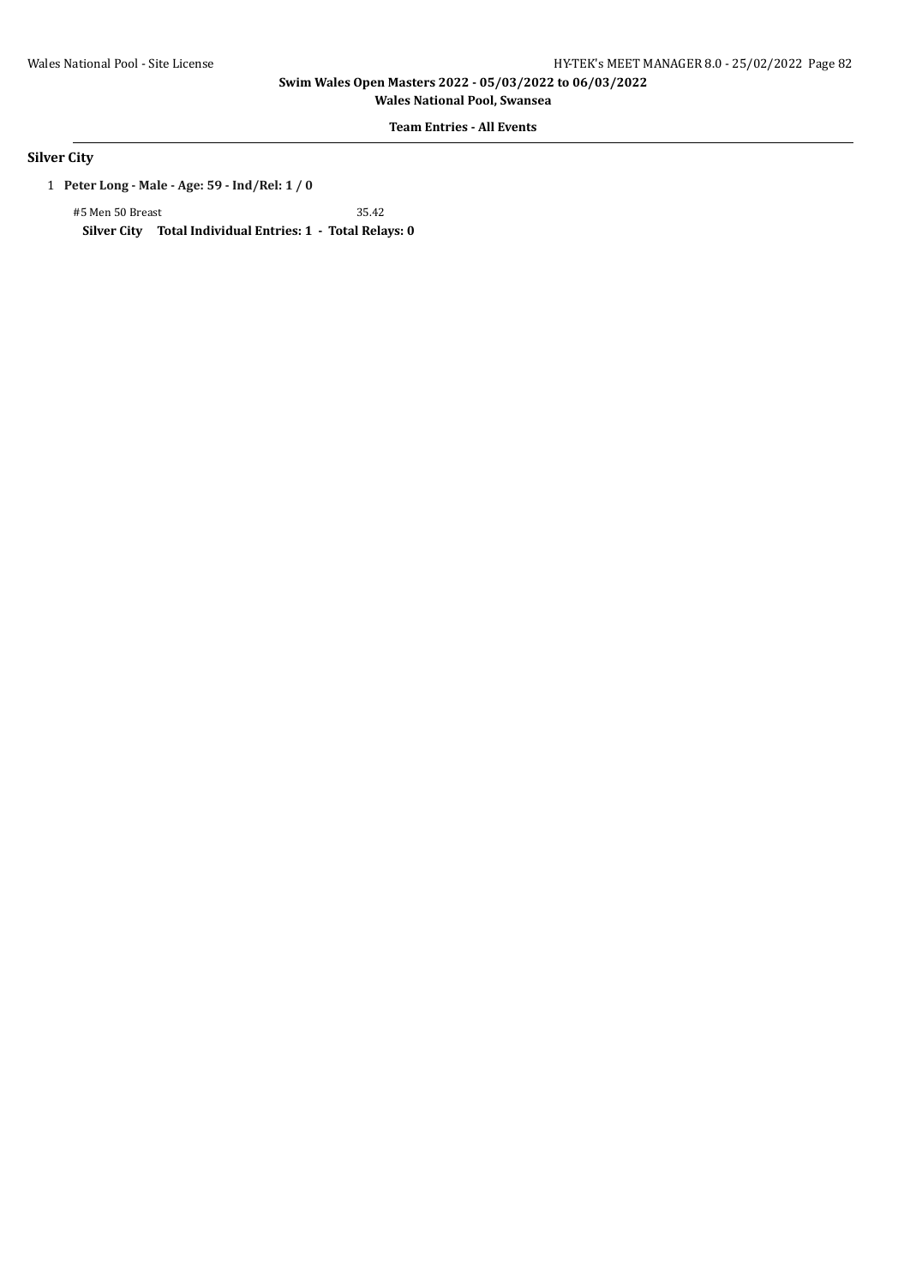**Wales National Pool, Swansea**

# **Team Entries - All Events**

# **Silver City**

1 **Peter Long - Male - Age: 59 - Ind/Rel: 1 / 0**

#5 Men 50 Breast 35.42 **Silver City Total Individual Entries: 1 - Total Relays: 0**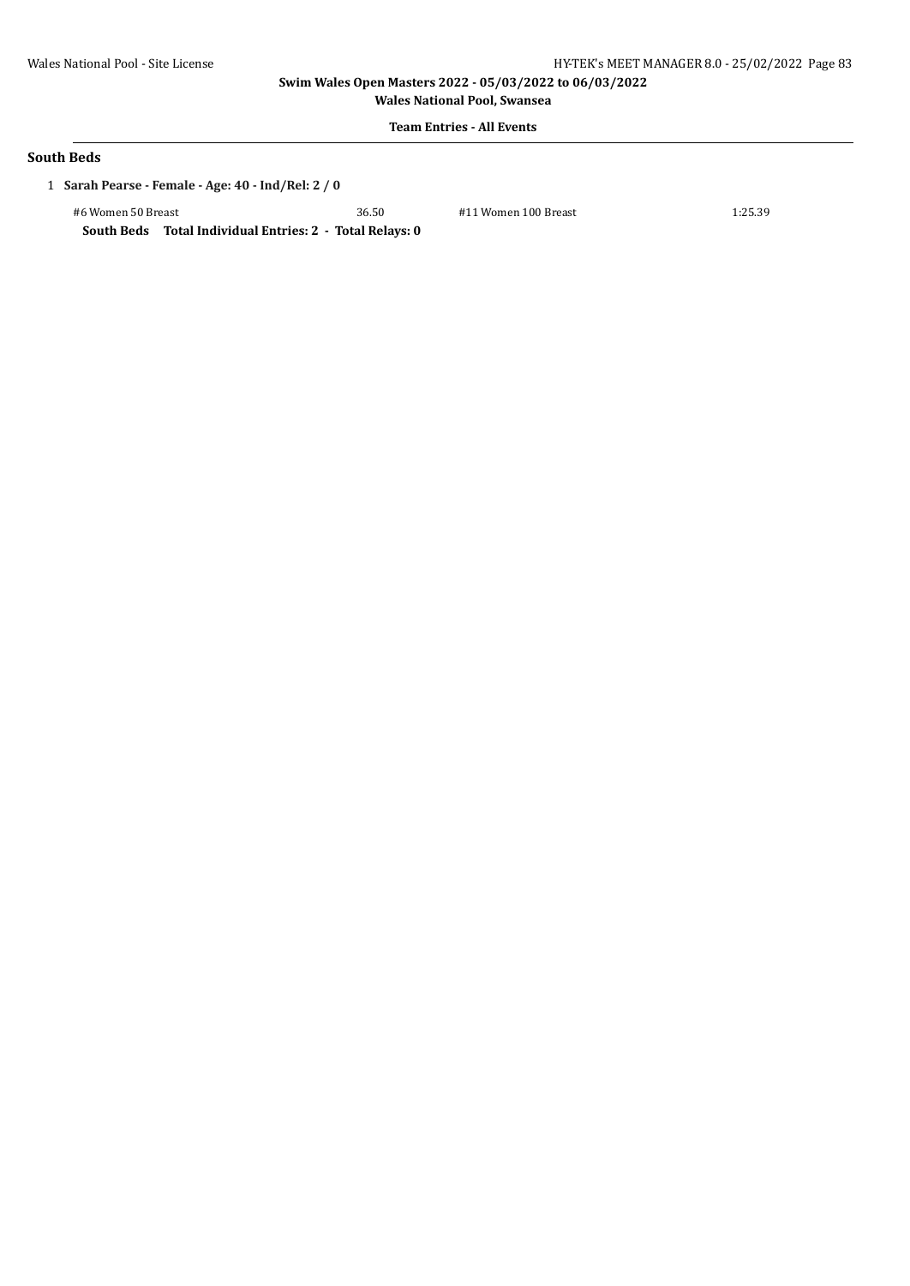**Wales National Pool, Swansea Team Entries - All Events**

#### **South Beds**

1 **Sarah Pearse - Female - Age: 40 - Ind/Rel: 2 / 0**

#6 Women 50 Breast 36.50 #11 Women 100 Breast 1:25.39 **South Beds Total Individual Entries: 2 - Total Relays: 0**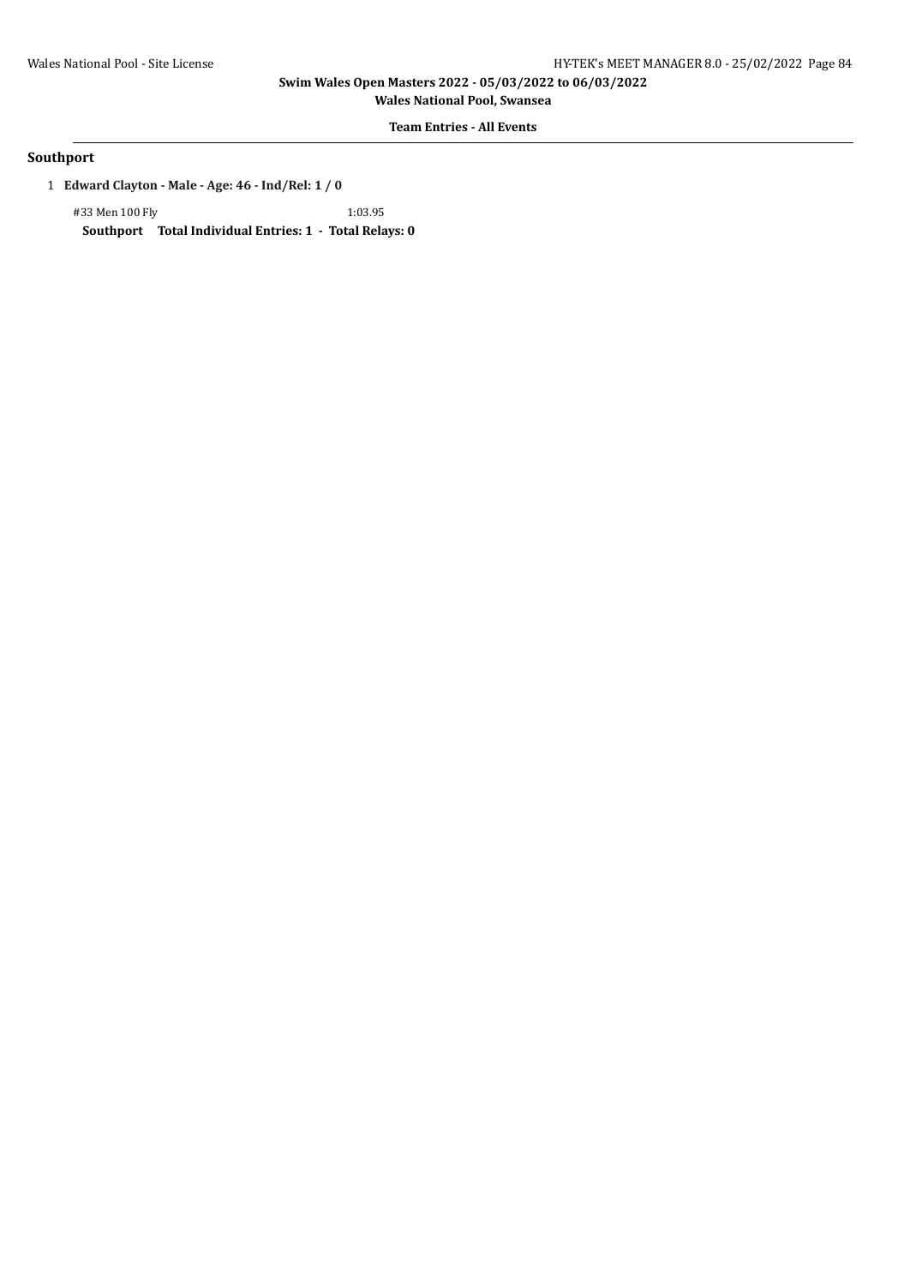**Wales National Pool, Swansea**

# **Team Entries - All Events**

## **Southport**

1 **Edward Clayton - Male - Age: 46 - Ind/Rel: 1 / 0**

#33 Men 100 Fly 1:03.95 **Southport Total Individual Entries: 1 - Total Relays: 0**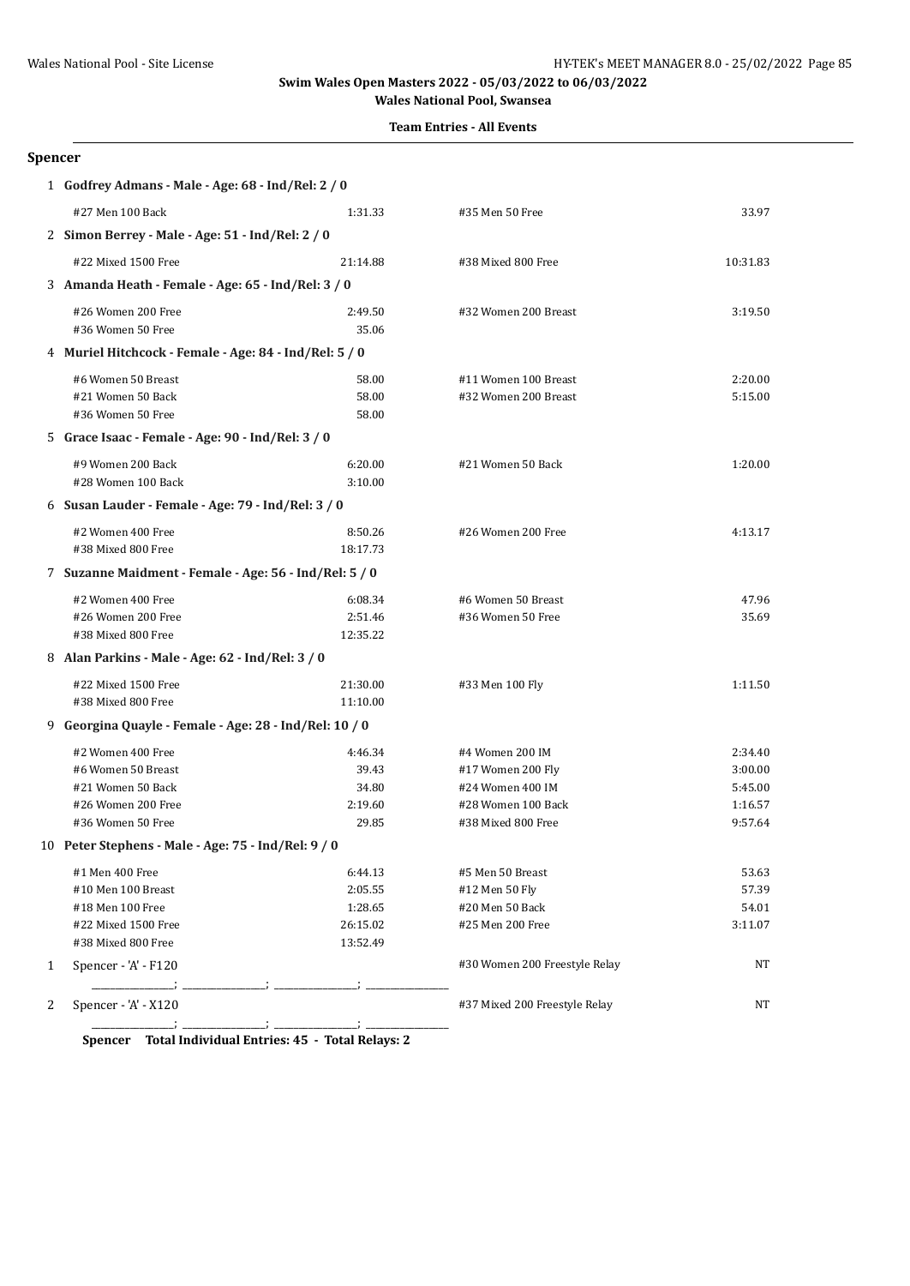# **Team Entries - All Events**

#### **Spencer**

|   | 1 Godfrey Admans - Male - Age: 68 - Ind/Rel: 2 / 0                                                      |                                                       |                                                                                                      |                                                     |  |  |
|---|---------------------------------------------------------------------------------------------------------|-------------------------------------------------------|------------------------------------------------------------------------------------------------------|-----------------------------------------------------|--|--|
|   | #27 Men 100 Back                                                                                        | 1:31.33                                               | #35 Men 50 Free                                                                                      | 33.97                                               |  |  |
|   | 2 Simon Berrey - Male - Age: 51 - Ind/Rel: 2 / 0                                                        |                                                       |                                                                                                      |                                                     |  |  |
|   | #22 Mixed 1500 Free                                                                                     | 21:14.88                                              | #38 Mixed 800 Free                                                                                   | 10:31.83                                            |  |  |
|   | 3 Amanda Heath - Female - Age: 65 - Ind/Rel: 3 / 0                                                      |                                                       |                                                                                                      |                                                     |  |  |
|   | #26 Women 200 Free<br>#36 Women 50 Free                                                                 | 2:49.50<br>35.06                                      | #32 Women 200 Breast                                                                                 | 3:19.50                                             |  |  |
|   | 4 Muriel Hitchcock - Female - Age: 84 - Ind/Rel: 5 / 0                                                  |                                                       |                                                                                                      |                                                     |  |  |
|   | #6 Women 50 Breast<br>#21 Women 50 Back<br>#36 Women 50 Free                                            | 58.00<br>58.00<br>58.00                               | #11 Women 100 Breast<br>#32 Women 200 Breast                                                         | 2:20.00<br>5:15.00                                  |  |  |
|   | 5 Grace Isaac - Female - Age: 90 - Ind/Rel: 3 / 0                                                       |                                                       |                                                                                                      |                                                     |  |  |
|   | #9 Women 200 Back<br>#28 Women 100 Back                                                                 | 6:20.00<br>3:10.00                                    | #21 Women 50 Back                                                                                    | 1:20.00                                             |  |  |
|   | 6 Susan Lauder - Female - Age: 79 - Ind/Rel: 3 / 0                                                      |                                                       |                                                                                                      |                                                     |  |  |
|   | #2 Women 400 Free<br>#38 Mixed 800 Free                                                                 | 8:50.26<br>18:17.73                                   | #26 Women 200 Free                                                                                   | 4:13.17                                             |  |  |
|   | 7 Suzanne Maidment - Female - Age: 56 - Ind/Rel: 5 / 0                                                  |                                                       |                                                                                                      |                                                     |  |  |
|   | #2 Women 400 Free<br>#26 Women 200 Free<br>#38 Mixed 800 Free                                           | 6:08.34<br>2:51.46<br>12:35.22                        | #6 Women 50 Breast<br>#36 Women 50 Free                                                              | 47.96<br>35.69                                      |  |  |
|   |                                                                                                         | 8 Alan Parkins - Male - Age: 62 - Ind/Rel: 3 / 0      |                                                                                                      |                                                     |  |  |
|   | #22 Mixed 1500 Free<br>#38 Mixed 800 Free                                                               | 21:30.00<br>11:10.00                                  | #33 Men 100 Fly                                                                                      | 1:11.50                                             |  |  |
|   | 9 Georgina Quayle - Female - Age: 28 - Ind/Rel: 10 / 0                                                  |                                                       |                                                                                                      |                                                     |  |  |
|   | #2 Women 400 Free<br>#6 Women 50 Breast<br>#21 Women 50 Back<br>#26 Women 200 Free<br>#36 Women 50 Free | 4:46.34<br>39.43<br>34.80<br>2:19.60<br>29.85         | #4 Women 200 IM<br>#17 Women 200 Fly<br>#24 Women 400 IM<br>#28 Women 100 Back<br>#38 Mixed 800 Free | 2:34.40<br>3:00.00<br>5:45.00<br>1:16.57<br>9:57.64 |  |  |
|   | 10 Peter Stephens - Male - Age: 75 - Ind/Rel: 9 / 0                                                     |                                                       |                                                                                                      |                                                     |  |  |
|   | #1 Men 400 Free<br>#10 Men 100 Breast<br>#18 Men 100 Free<br>#22 Mixed 1500 Free<br>#38 Mixed 800 Free  | 6:44.13<br>2:05.55<br>1:28.65<br>26:15.02<br>13:52.49 | #5 Men 50 Breast<br>#12 Men 50 Fly<br>#20 Men 50 Back<br>#25 Men 200 Free                            | 53.63<br>57.39<br>54.01<br>3:11.07                  |  |  |
| 1 | Spencer - 'A' - F120                                                                                    |                                                       | #30 Women 200 Freestyle Relay                                                                        | NT                                                  |  |  |
| 2 | Spencer - 'A' - X120                                                                                    |                                                       | #37 Mixed 200 Freestyle Relay                                                                        | NΤ                                                  |  |  |

**Spencer Total Individual Entries: 45 - Total Relays: 2**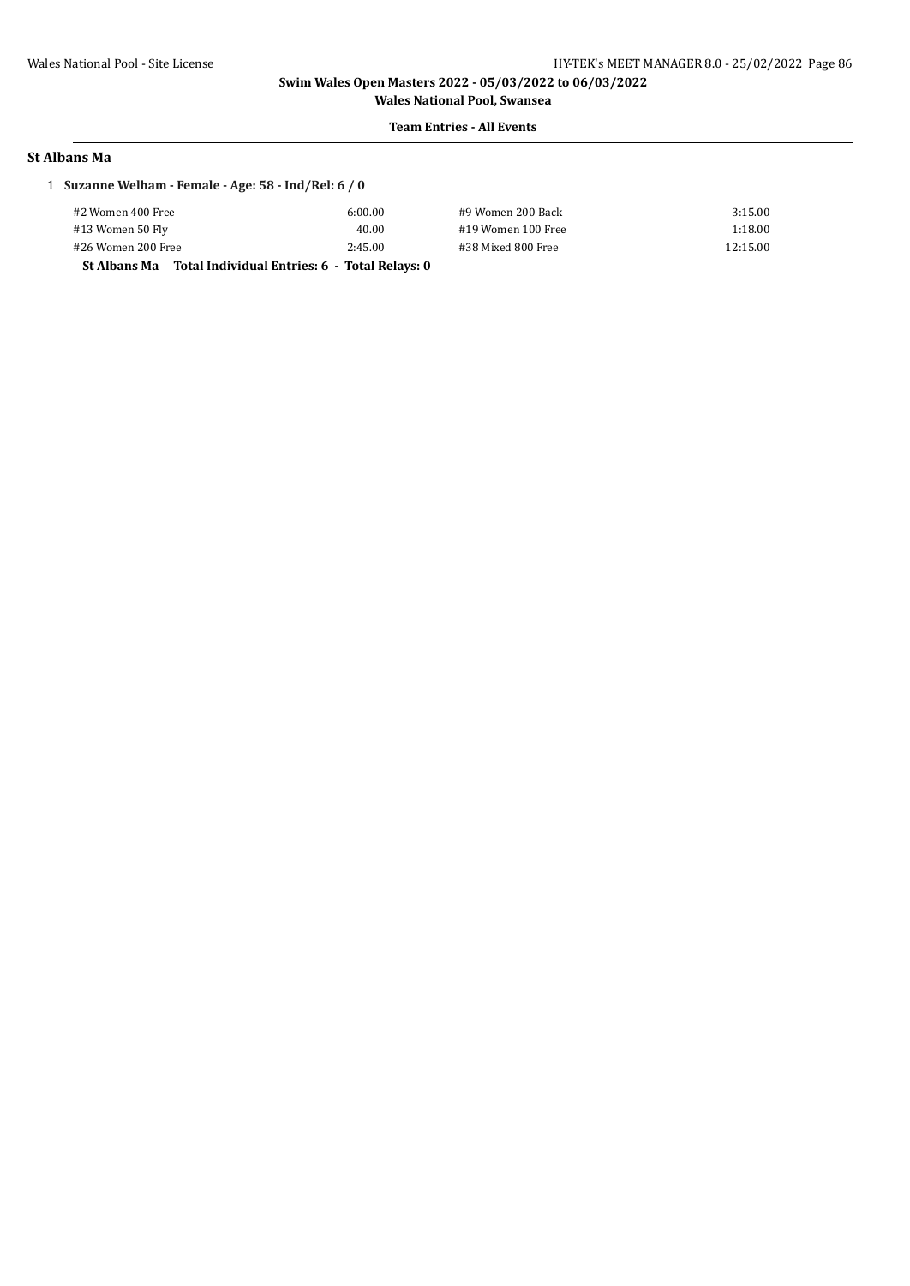**Wales National Pool, Swansea Team Entries - All Events**

# **St Albans Ma**

# 1 **Suzanne Welham - Female - Age: 58 - Ind/Rel: 6 / 0**

| #2 Women 400 Free                                                    | 6:00.00 | #9 Women 200 Back  | 3:15.00  |
|----------------------------------------------------------------------|---------|--------------------|----------|
| #13 Women 50 Fly                                                     | 40.00   | #19 Women 100 Free | 1:18.00  |
| #26 Women 200 Free                                                   | 2:45.00 | #38 Mixed 800 Free | 12:15.00 |
| Total Individual Entries: 6 - Total Relays: 0<br><b>St Albans Ma</b> |         |                    |          |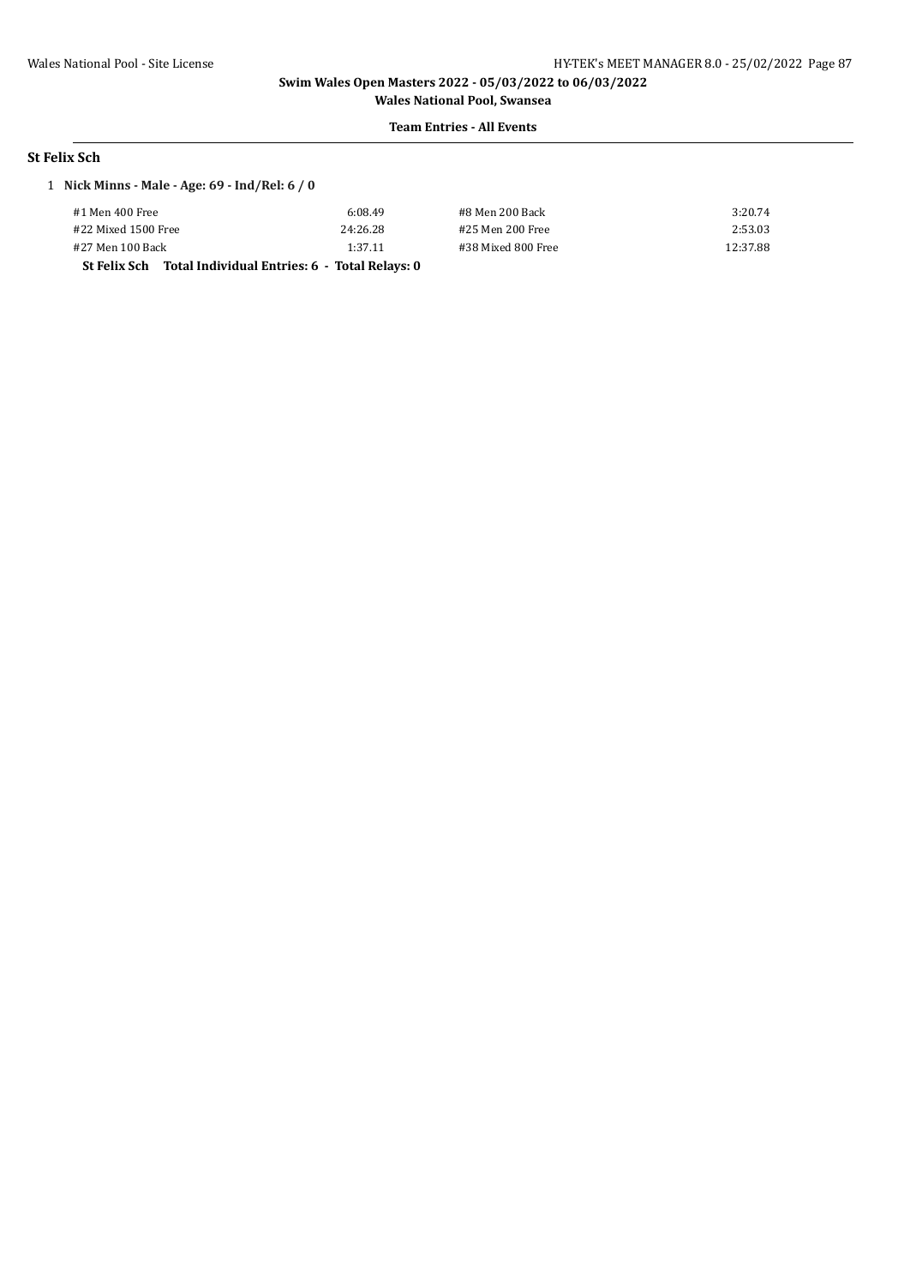**Wales National Pool, Swansea Team Entries - All Events**

#### **St Felix Sch**

# 1 **Nick Minns - Male - Age: 69 - Ind/Rel: 6 / 0**

| #1 Men 400 Free                                            | 6:08.49  | #8 Men 200 Back    | 3:20.74  |
|------------------------------------------------------------|----------|--------------------|----------|
| #22 Mixed 1500 Free                                        | 24:26.28 | #25 Men 200 Free   | 2:53.03  |
| #27 Men 100 Back                                           | 1:37.11  | #38 Mixed 800 Free | 12:37.88 |
| St Felix Sch Total Individual Entries: 6 - Total Relays: 0 |          |                    |          |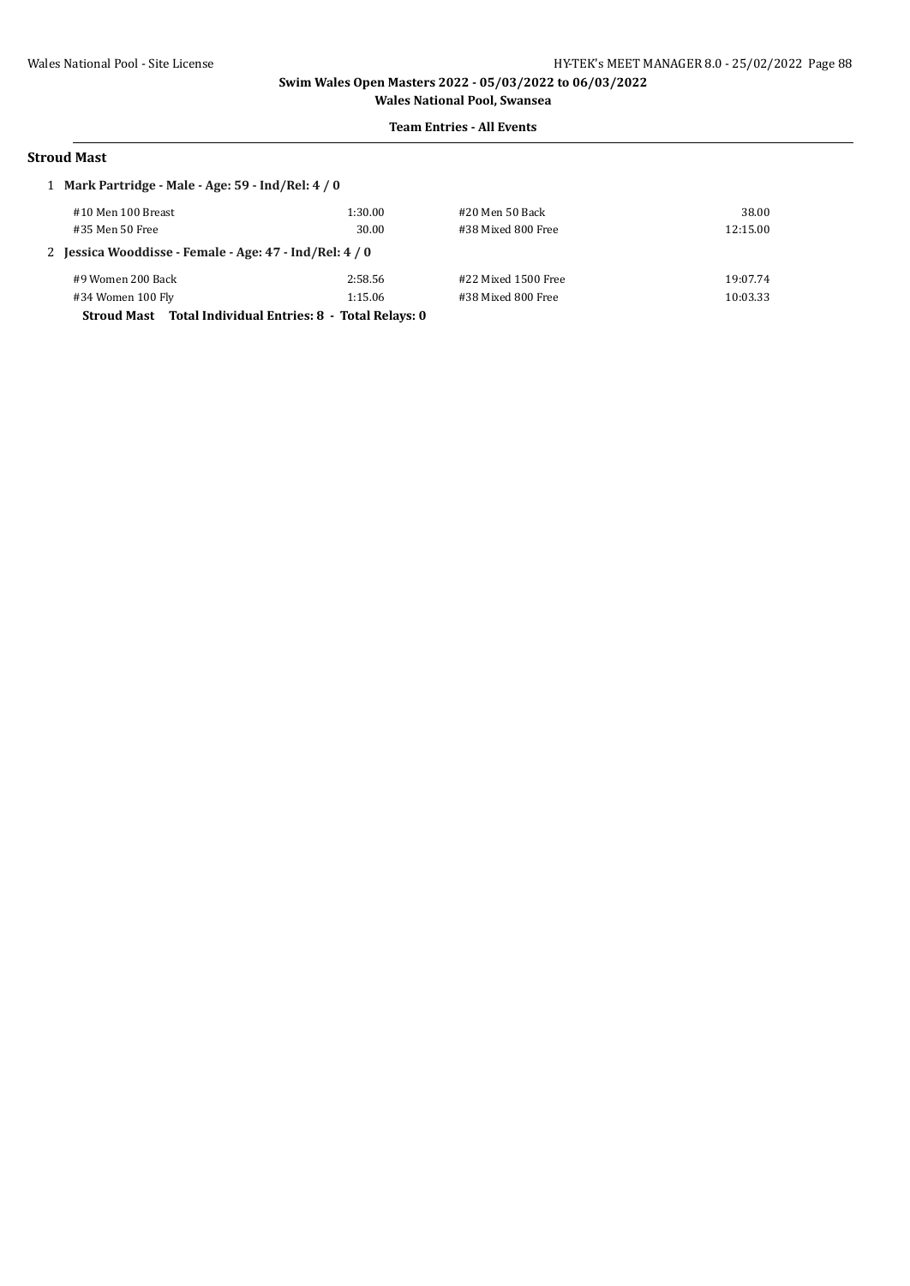#### **Team Entries - All Events**

#### **Stroud Mast**

| 1 Mark Partridge - Male - Age: 59 - Ind/Rel: 4 / 0        |         |                       |          |  |  |
|-----------------------------------------------------------|---------|-----------------------|----------|--|--|
| #10 Men 100 Breast                                        | 1:30.00 | #20 Men 50 Back       | 38.00    |  |  |
| #35 Men 50 Free                                           | 30.00   | #38 Mixed 800 Free    | 12:15.00 |  |  |
| 2 Jessica Wooddisse - Female - Age: 47 - Ind/Rel: 4 / 0   |         |                       |          |  |  |
| #9 Women 200 Back                                         | 2:58.56 | $#22$ Mixed 1500 Free | 19:07.74 |  |  |
| #34 Women 100 Fly                                         | 1:15.06 | #38 Mixed 800 Free    | 10:03.33 |  |  |
| Stroud Mast Total Individual Entries: 8 - Total Relays: 0 |         |                       |          |  |  |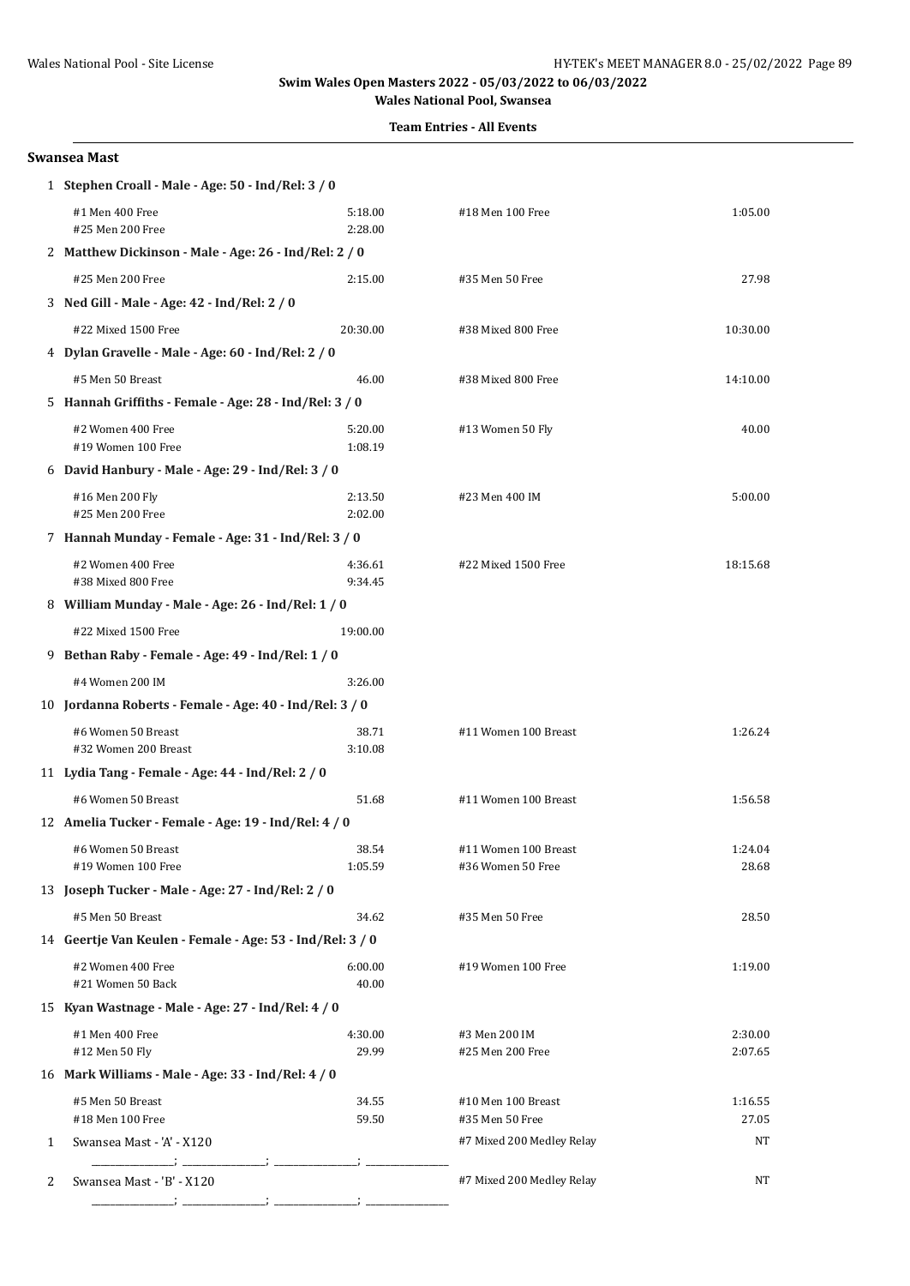**Team Entries - All Events**

#### **Swansea Mast**

|   | 1 Stephen Croall - Male - Age: 50 - Ind/Rel: 3 / 0        |                    |                                   |                    |  |  |
|---|-----------------------------------------------------------|--------------------|-----------------------------------|--------------------|--|--|
|   | #1 Men 400 Free<br>#25 Men 200 Free                       | 5:18.00<br>2:28.00 | #18 Men 100 Free                  | 1:05.00            |  |  |
|   | 2 Matthew Dickinson - Male - Age: 26 - Ind/Rel: 2 / 0     |                    |                                   |                    |  |  |
|   | #25 Men 200 Free                                          | 2:15.00            | #35 Men 50 Free                   | 27.98              |  |  |
|   | 3 Ned Gill - Male - Age: 42 - Ind/Rel: 2 / 0              |                    |                                   |                    |  |  |
|   | #22 Mixed 1500 Free                                       | 20:30.00           | #38 Mixed 800 Free                | 10:30.00           |  |  |
|   | 4 Dylan Gravelle - Male - Age: 60 - Ind/Rel: 2 / 0        |                    |                                   |                    |  |  |
|   | #5 Men 50 Breast                                          | 46.00              | #38 Mixed 800 Free                | 14:10.00           |  |  |
|   | 5 Hannah Griffiths - Female - Age: 28 - Ind/Rel: 3 / 0    |                    |                                   |                    |  |  |
|   | #2 Women 400 Free<br>#19 Women 100 Free                   | 5:20.00<br>1:08.19 | #13 Women 50 Fly                  | 40.00              |  |  |
|   | 6 David Hanbury - Male - Age: 29 - Ind/Rel: 3 / 0         |                    |                                   |                    |  |  |
|   | #16 Men 200 Fly<br>#25 Men 200 Free                       | 2:13.50<br>2:02.00 | #23 Men 400 IM                    | 5:00.00            |  |  |
|   | 7 Hannah Munday - Female - Age: 31 - Ind/Rel: 3 / 0       |                    |                                   |                    |  |  |
|   | #2 Women 400 Free<br>#38 Mixed 800 Free                   | 4:36.61<br>9:34.45 | #22 Mixed 1500 Free               | 18:15.68           |  |  |
|   | 8 William Munday - Male - Age: 26 - Ind/Rel: 1 / 0        |                    |                                   |                    |  |  |
|   | #22 Mixed 1500 Free                                       | 19:00.00           |                                   |                    |  |  |
|   | 9 Bethan Raby - Female - Age: 49 - Ind/Rel: 1 / 0         |                    |                                   |                    |  |  |
|   | #4 Women 200 IM                                           | 3:26.00            |                                   |                    |  |  |
|   | 10 Jordanna Roberts - Female - Age: 40 - Ind/Rel: 3 / 0   |                    |                                   |                    |  |  |
|   | #6 Women 50 Breast<br>#32 Women 200 Breast                | 38.71<br>3:10.08   | #11 Women 100 Breast              | 1:26.24            |  |  |
|   | 11 Lydia Tang - Female - Age: 44 - Ind/Rel: 2 / 0         |                    |                                   |                    |  |  |
|   | #6 Women 50 Breast                                        | 51.68              | #11 Women 100 Breast              | 1:56.58            |  |  |
|   | 12 Amelia Tucker - Female - Age: 19 - Ind/Rel: 4 / 0      |                    |                                   |                    |  |  |
|   | #6 Women 50 Breast                                        | 38.54              | #11 Women 100 Breast              | 1:24.04            |  |  |
|   | #19 Women 100 Free                                        | 1:05.59            | #36 Women 50 Free                 | 28.68              |  |  |
|   | 13 Joseph Tucker - Male - Age: 27 - Ind/Rel: 2 / 0        |                    |                                   |                    |  |  |
|   | #5 Men 50 Breast                                          | 34.62              | #35 Men 50 Free                   | 28.50              |  |  |
|   | 14 Geertje Van Keulen - Female - Age: 53 - Ind/Rel: 3 / 0 |                    |                                   |                    |  |  |
|   | #2 Women 400 Free<br>#21 Women 50 Back                    | 6:00.00<br>40.00   | #19 Women 100 Free                | 1:19.00            |  |  |
|   | 15 Kyan Wastnage - Male - Age: 27 - Ind/Rel: 4 / 0        |                    |                                   |                    |  |  |
|   | #1 Men 400 Free<br>#12 Men 50 Fly                         | 4:30.00<br>29.99   | #3 Men 200 IM<br>#25 Men 200 Free | 2:30.00<br>2:07.65 |  |  |
|   | 16 Mark Williams - Male - Age: 33 - Ind/Rel: 4 / 0        |                    |                                   |                    |  |  |
|   | #5 Men 50 Breast                                          | 34.55              | #10 Men 100 Breast                | 1:16.55            |  |  |
|   | #18 Men 100 Free                                          | 59.50              | #35 Men 50 Free                   | 27.05              |  |  |
| 1 | Swansea Mast - 'A' - X120                                 |                    | #7 Mixed 200 Medley Relay         | NT                 |  |  |
| 2 | Swansea Mast - 'B' - X120                                 |                    | #7 Mixed 200 Medley Relay         | NT                 |  |  |
|   |                                                           |                    |                                   |                    |  |  |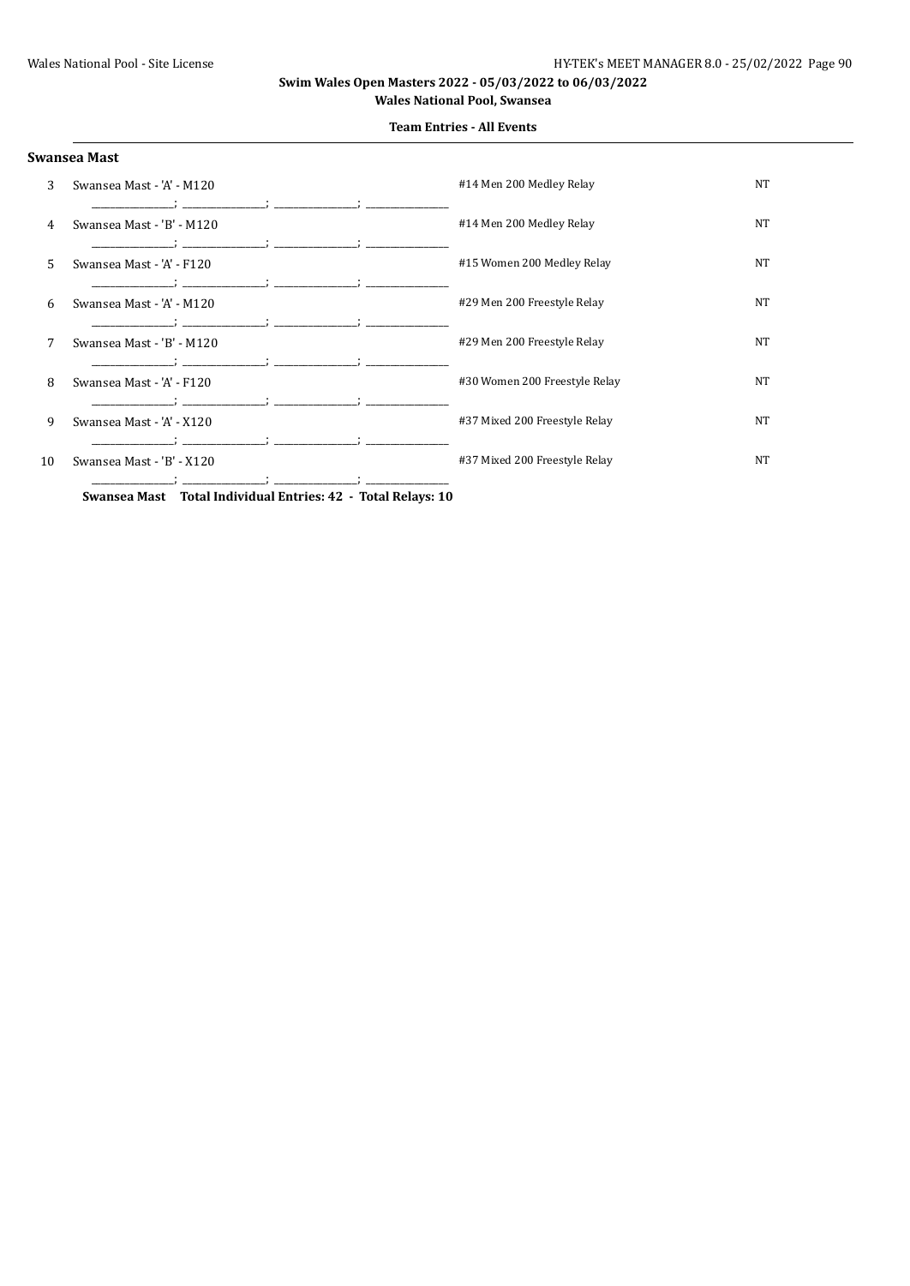| Swansea Mast |  |
|--------------|--|
|--------------|--|

**Team Entries - All Events**

| 3  | Swansea Mast - 'A' - M120                                                                                                   | #14 Men 200 Medley Relay      | NT |
|----|-----------------------------------------------------------------------------------------------------------------------------|-------------------------------|----|
| 4  | Swansea Mast - 'B' - M120                                                                                                   | #14 Men 200 Medley Relay      | NT |
| 5. | Swansea Mast - 'A' - F120                                                                                                   | #15 Women 200 Medley Relay    | NT |
| 6  | Swansea Mast - 'A' - M120                                                                                                   | #29 Men 200 Freestyle Relay   | NT |
| 7  | the control of the control of the control of the con-<br>Swansea Mast - 'B' - M120                                          | #29 Men 200 Freestyle Relay   | NT |
| 8  | Swansea Mast - 'A' - F120                                                                                                   | #30 Women 200 Freestyle Relay | NT |
| 9  | Swansea Mast - 'A' - X120                                                                                                   | #37 Mixed 200 Freestyle Relay | NT |
| 10 | Swansea Mast - 'B' - X120                                                                                                   | #37 Mixed 200 Freestyle Relay | NT |
|    | $T_{\text{total}}$ $D_{\text{e}}$ $L_{\text{total}}$ $A \Omega$<br>Conservation March - The Lat Lat José José Database - 49 |                               |    |

**Swansea Mast Total Individual Entries: 42 - Total Relays: 10**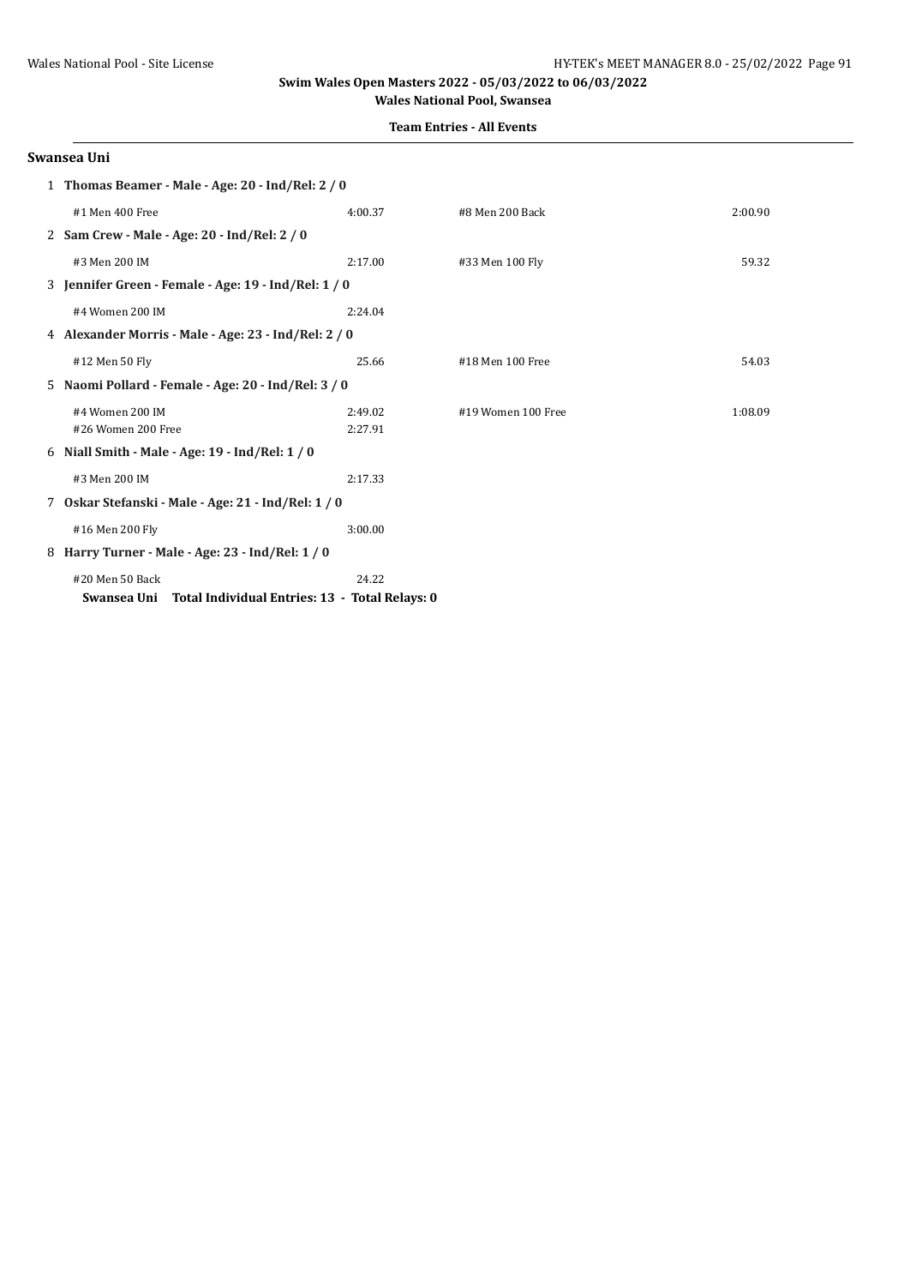**Team Entries - All Events**

#### **Swansea Uni**

| 1 Thomas Beamer - Male - Age: 20 - Ind/Rel: 2 / 0             |         |                    |         |  |
|---------------------------------------------------------------|---------|--------------------|---------|--|
| #1 Men 400 Free                                               | 4:00.37 | #8 Men 200 Back    | 2:00.90 |  |
| 2 Sam Crew - Male - Age: 20 - Ind/Rel: 2 / 0                  |         |                    |         |  |
| #3 Men 200 IM                                                 | 2:17.00 | #33 Men 100 Fly    | 59.32   |  |
| 3 Jennifer Green - Female - Age: 19 - Ind/Rel: 1 / 0          |         |                    |         |  |
| #4 Women 200 IM                                               | 2:24.04 |                    |         |  |
| 4 Alexander Morris - Male - Age: 23 - Ind/Rel: 2 / 0          |         |                    |         |  |
| #12 Men 50 Fly                                                | 25.66   | #18 Men 100 Free   | 54.03   |  |
| 5 Naomi Pollard - Female - Age: 20 - Ind/Rel: 3 / 0           |         |                    |         |  |
| #4 Women 200 IM                                               | 2:49.02 | #19 Women 100 Free | 1:08.09 |  |
| #26 Women 200 Free                                            | 2:27.91 |                    |         |  |
| 6 Niall Smith - Male - Age: 19 - Ind/Rel: 1 / 0               |         |                    |         |  |
| #3 Men 200 IM                                                 | 2:17.33 |                    |         |  |
| 7 Oskar Stefanski - Male - Age: 21 - Ind/Rel: 1 / 0           |         |                    |         |  |
| #16 Men 200 Fly                                               | 3:00.00 |                    |         |  |
| 8 Harry Turner - Male - Age: 23 - Ind/Rel: 1 / 0              |         |                    |         |  |
| #20 Men 50 Back                                               | 24.22   |                    |         |  |
| Total Individual Entries: 13 - Total Relays: 0<br>Swansea Uni |         |                    |         |  |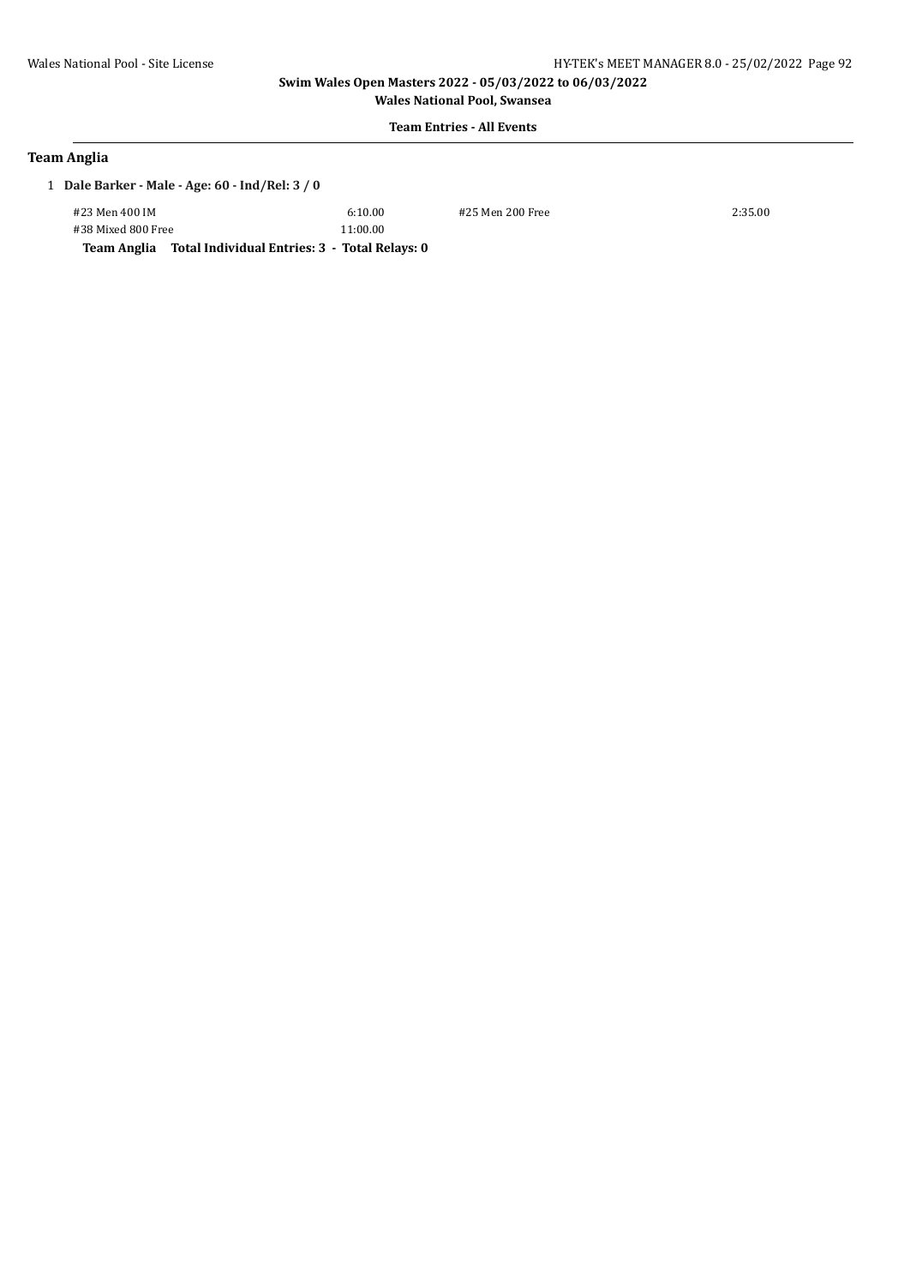**Wales National Pool, Swansea**

# **Team Entries - All Events**

### **Team Anglia**

1 **Dale Barker - Male - Age: 60 - Ind/Rel: 3 / 0**

#23 Men 400 IM 6:10.00 #25 Men 200 Free 2:35.00 #38 Mixed 800 Free 11:00.00

**Team Anglia Total Individual Entries: 3 - Total Relays: 0**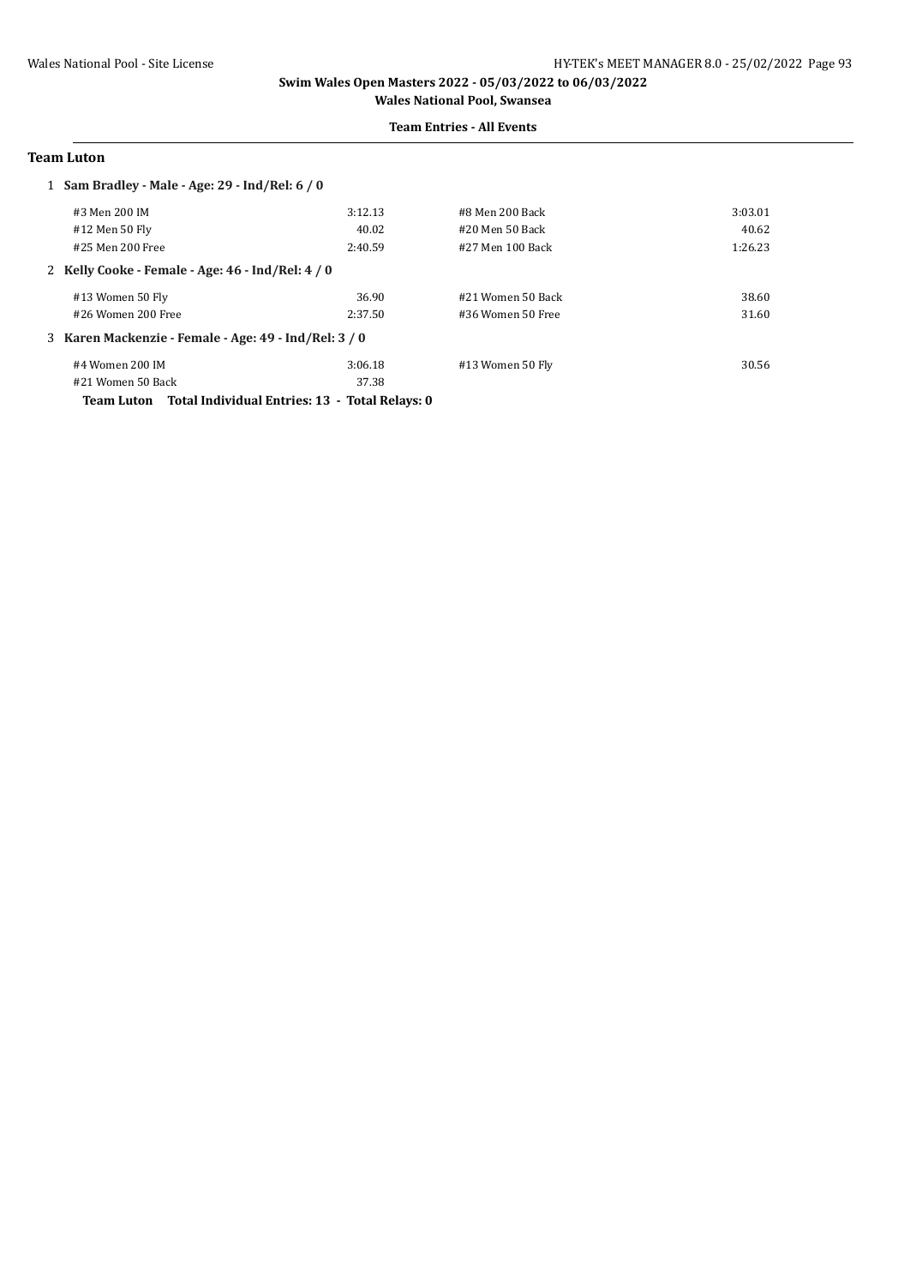#### **Team Entries - All Events**

#### **Team Luton**

| 1 Sam Bradley - Male - Age: 29 - Ind/Rel: 6 / 0       |         |                   |         |
|-------------------------------------------------------|---------|-------------------|---------|
| #3 Men 200 IM                                         | 3:12.13 | #8 Men 200 Back   | 3:03.01 |
| #12 Men 50 Fly                                        | 40.02   | #20 Men 50 Back   | 40.62   |
| #25 Men 200 Free                                      | 2:40.59 | #27 Men 100 Back  | 1:26.23 |
| 2 Kelly Cooke - Female - Age: 46 - Ind/Rel: 4 / 0     |         |                   |         |
| #13 Women 50 Fly                                      | 36.90   | #21 Women 50 Back | 38.60   |
| #26 Women 200 Free                                    | 2:37.50 | #36 Women 50 Free | 31.60   |
| 3 Karen Mackenzie - Female - Age: 49 - Ind/Rel: 3 / 0 |         |                   |         |
| #4 Women 200 IM                                       | 3:06.18 | #13 Women 50 Fly  | 30.56   |
| #21 Women 50 Back                                     | 37.38   |                   |         |

**Team Luton Total Individual Entries: 13 - Total Relays: 0**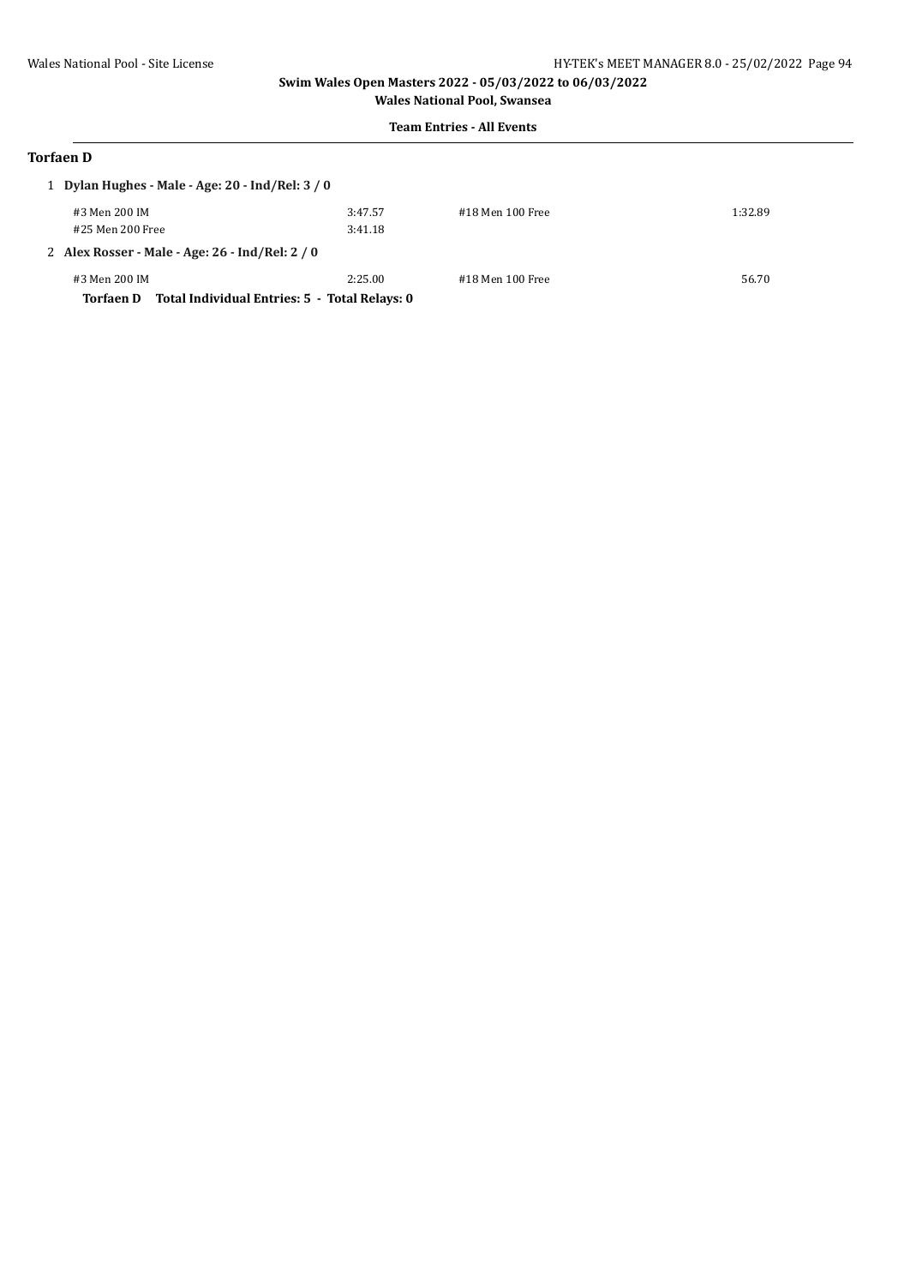#### **Team Entries - All Events**

# **Torfaen D**

| 1 Dylan Hughes - Male - Age: 20 - Ind/Rel: 3 / 0           |         |                  |         |
|------------------------------------------------------------|---------|------------------|---------|
| #3 Men 200 IM                                              | 3:47.57 | #18 Men 100 Free | 1:32.89 |
| #25 Men 200 Free                                           | 3:41.18 |                  |         |
| 2 Alex Rosser - Male - Age: 26 - Ind/Rel: 2 / 0            |         |                  |         |
| #3 Men 200 IM                                              | 2:25.00 | #18 Men 100 Free | 56.70   |
| Total Individual Entries: 5 - Total Relays: 0<br>Torfaen D |         |                  |         |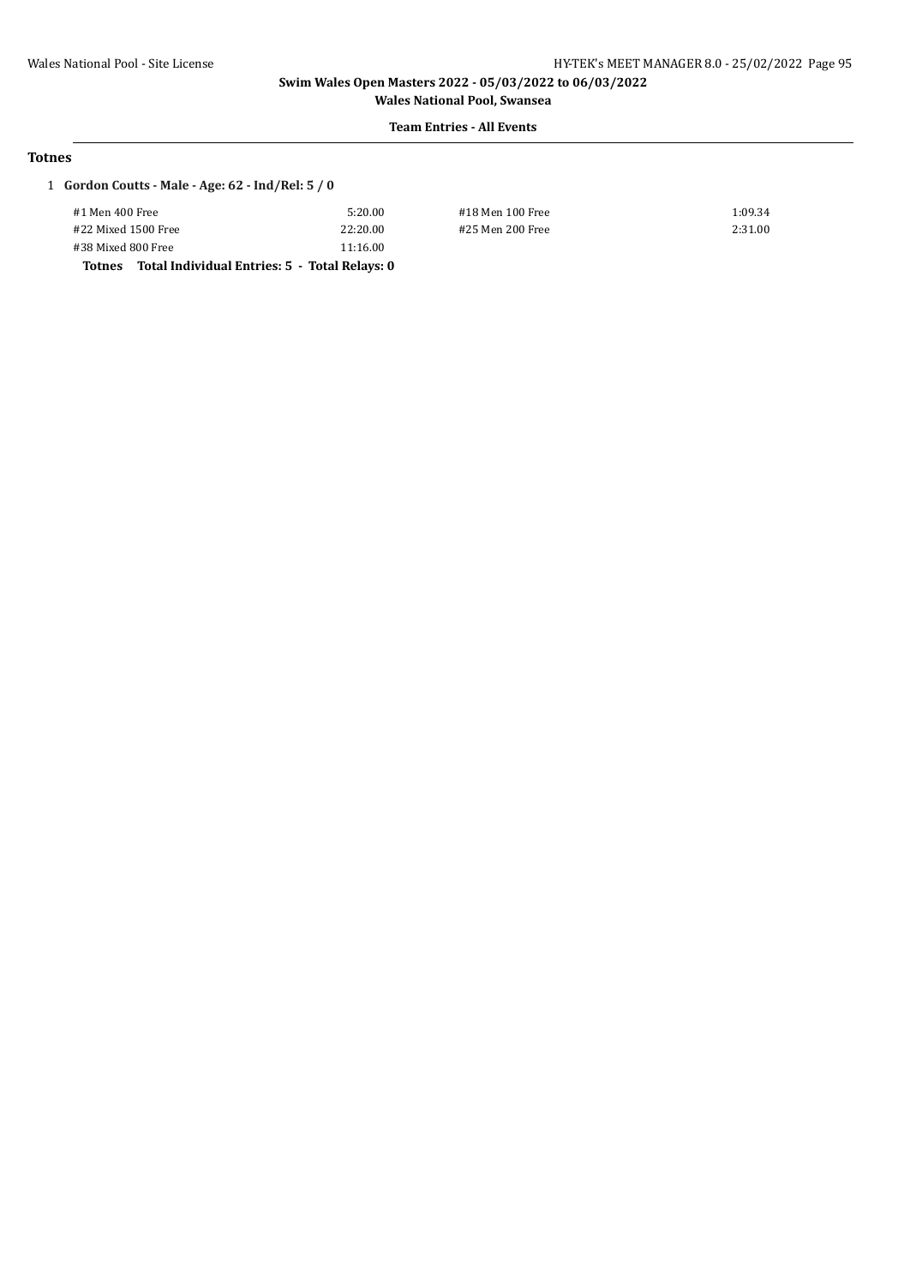# **Team Entries - All Events**

#### **Totnes**

#### 1 **Gordon Coutts - Male - Age: 62 - Ind/Rel: 5 / 0**

|                     | Totnes Total Individual Entries: 5 - Total Relays: 0 |          |
|---------------------|------------------------------------------------------|----------|
| #38 Mixed 800 Free  |                                                      | 11:16.00 |
| #22 Mixed 1500 Free |                                                      | 22:20.00 |
| #1 Men 400 Free     |                                                      | 5:20.00  |
|                     |                                                      |          |

#1 Men 400 Free 5:20.00 #18 Men 100 Free 1:09.34 #22 Mixed 1500 Free 22:20.00 #25 Men 200 Free 2:31.00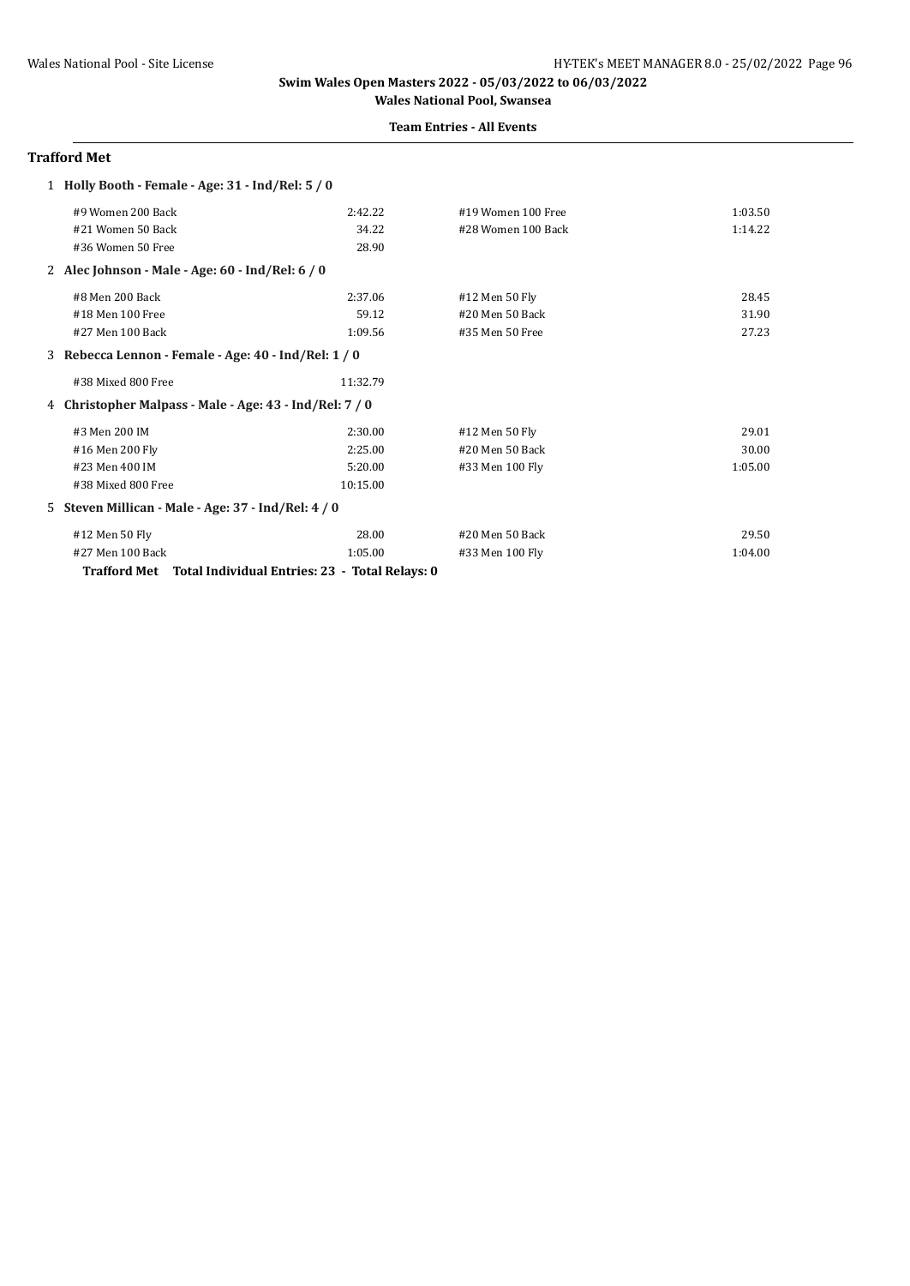#### **Team Entries - All Events**

#### **Trafford Met**

| 1 Holly Booth - Female - Age: 31 - Ind/Rel: 5 / 0           |          |                    |         |  |  |
|-------------------------------------------------------------|----------|--------------------|---------|--|--|
| #9 Women 200 Back                                           | 2:42.22  | #19 Women 100 Free | 1:03.50 |  |  |
| #21 Women 50 Back                                           | 34.22    | #28 Women 100 Back | 1:14.22 |  |  |
| #36 Women 50 Free                                           | 28.90    |                    |         |  |  |
| 2 Alec Johnson - Male - Age: $60$ - Ind/Rel: $6/0$          |          |                    |         |  |  |
| #8 Men 200 Back                                             | 2:37.06  | #12 Men 50 Fly     | 28.45   |  |  |
| #18 Men 100 Free                                            | 59.12    | #20 Men 50 Back    | 31.90   |  |  |
| #27 Men 100 Back                                            | 1:09.56  | #35 Men 50 Free    | 27.23   |  |  |
| 3 Rebecca Lennon - Female - Age: 40 - Ind/Rel: 1 / 0        |          |                    |         |  |  |
| #38 Mixed 800 Free                                          | 11:32.79 |                    |         |  |  |
| 4 Christopher Malpass - Male - Age: 43 - Ind/Rel: 7 / 0     |          |                    |         |  |  |
| #3 Men 200 IM                                               | 2:30.00  | #12 Men 50 Fly     | 29.01   |  |  |
| #16 Men 200 Fly                                             | 2:25.00  | #20 Men 50 Back    | 30.00   |  |  |
| #23 Men 400 IM                                              | 5:20.00  | #33 Men 100 Fly    | 1:05.00 |  |  |
| #38 Mixed 800 Free                                          | 10:15.00 |                    |         |  |  |
| 5 Steven Millican - Male - Age: 37 - Ind/Rel: 4 / 0         |          |                    |         |  |  |
| #12 Men 50 Fly                                              | 28.00    | #20 Men 50 Back    | 29.50   |  |  |
| #27 Men 100 Back                                            | 1:05.00  | #33 Men 100 Fly    | 1:04.00 |  |  |
| Trafford Met Total Individual Entries: 23 - Total Relays: 0 |          |                    |         |  |  |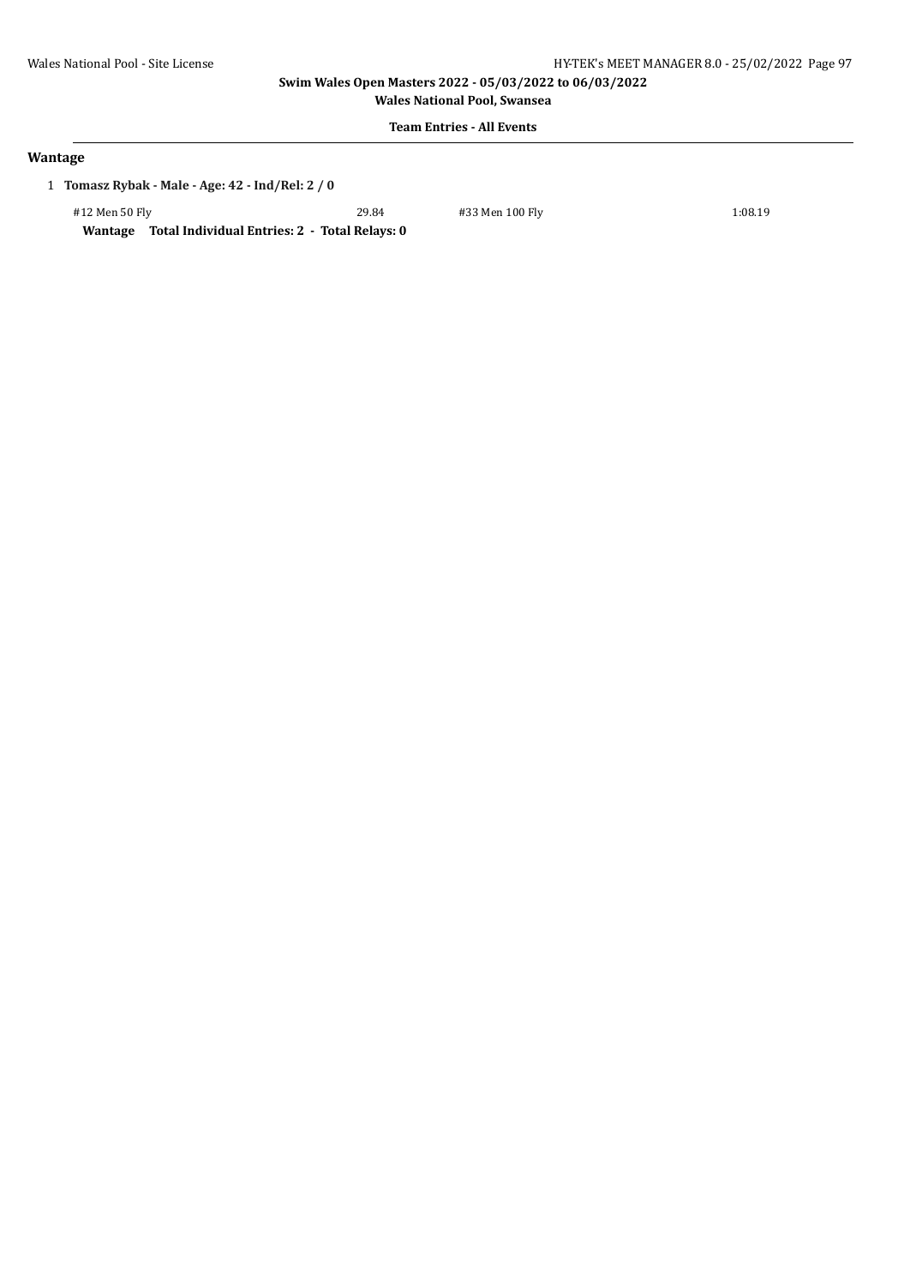**Wales National Pool, Swansea**

# **Team Entries - All Events**

#### **Wantage**

1 **Tomasz Rybak - Male - Age: 42 - Ind/Rel: 2 / 0**

#12 Men 50 Fly 29.84 #33 Men 100 Fly 1:08.19

**Wantage Total Individual Entries: 2 - Total Relays: 0**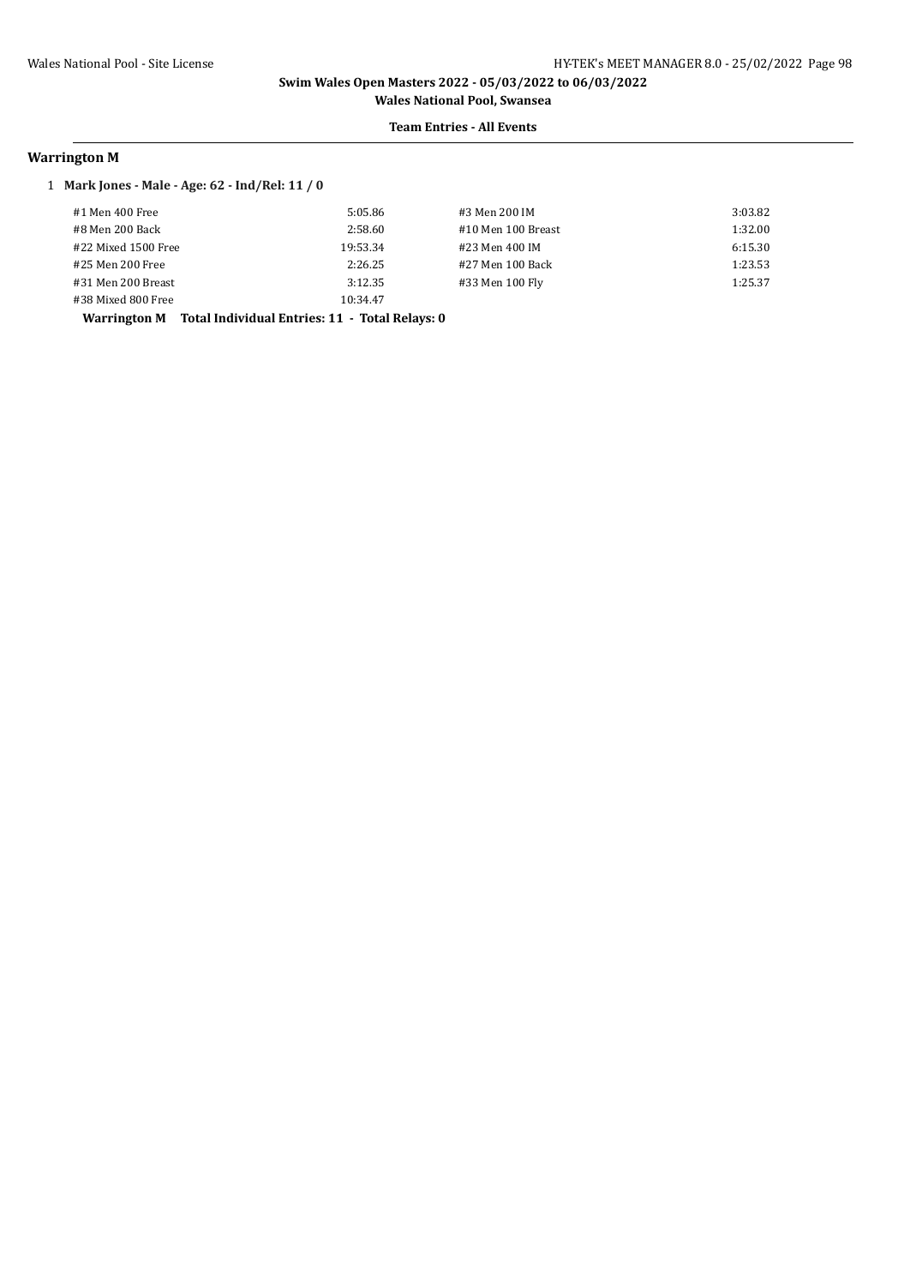**Wales National Pool, Swansea Team Entries - All Events**

# **Warrington M**

#### 1 **Mark Jones - Male - Age: 62 - Ind/Rel: 11 / 0**

| #1 Men 400 Free     | 5:05.86  | #3 Men 200 IM      | 3:03.82 |
|---------------------|----------|--------------------|---------|
| #8 Men 200 Back     | 2:58.60  | #10 Men 100 Breast | 1:32.00 |
| #22 Mixed 1500 Free | 19:53.34 | #23 Men 400 IM     | 6:15.30 |
| #25 Men 200 Free    | 2:26.25  | #27 Men 100 Back   | 1:23.53 |
| #31 Men 200 Breast  | 3:12.35  | #33 Men 100 Fly    | 1:25.37 |
| #38 Mixed 800 Free  | 10:34.47 |                    |         |

**Warrington M Total Individual Entries: 11 - Total Relays: 0**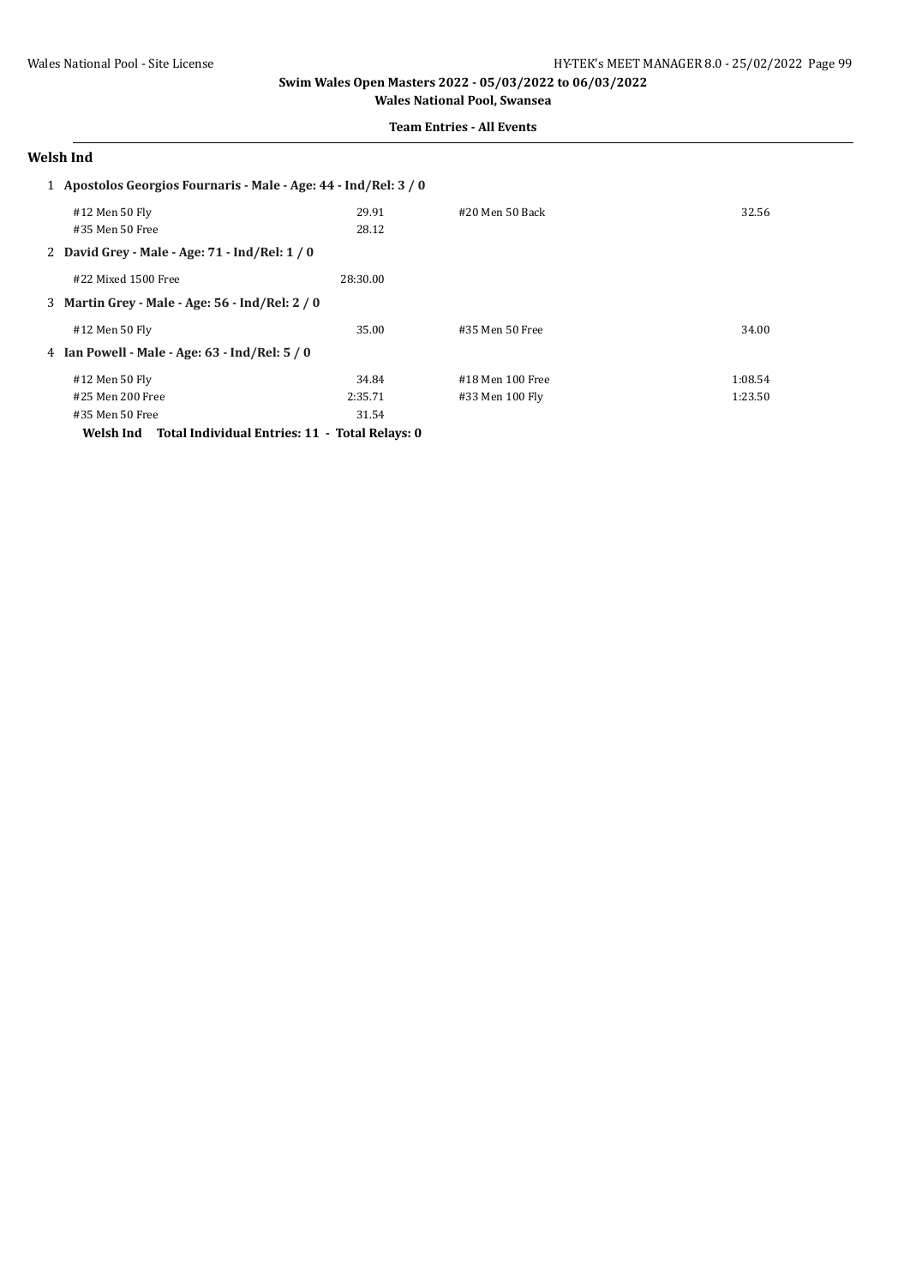**Wales National Pool, Swansea Team Entries - All Events**

## **Welsh Ind**

| 1 Apostolos Georgios Fournaris - Male - Age: 44 - Ind/Rel: 3 / 0 |                                                 |          |                   |         |
|------------------------------------------------------------------|-------------------------------------------------|----------|-------------------|---------|
|                                                                  | #12 Men 50 Fly                                  | 29.91    | $#20$ Men 50 Back | 32.56   |
|                                                                  | #35 Men 50 Free                                 | 28.12    |                   |         |
|                                                                  | 2 David Grey - Male - Age: 71 - Ind/Rel: 1 / 0  |          |                   |         |
|                                                                  | #22 Mixed 1500 Free                             | 28:30.00 |                   |         |
|                                                                  | 3 Martin Grey - Male - Age: 56 - Ind/Rel: 2 / 0 |          |                   |         |
|                                                                  | #12 Men 50 Fly                                  | 35.00    | #35 Men 50 Free   | 34.00   |
|                                                                  | 4 Ian Powell - Male - Age: 63 - Ind/Rel: 5/0    |          |                   |         |
|                                                                  | #12 Men 50 Fly                                  | 34.84    | #18 Men 100 Free  | 1:08.54 |
|                                                                  | #25 Men 200 Free                                | 2:35.71  | #33 Men 100 Flv   | 1:23.50 |
|                                                                  | #35 Men 50 Free                                 | 31.54    |                   |         |

**Welsh Ind Total Individual Entries: 11 - Total Relays: 0**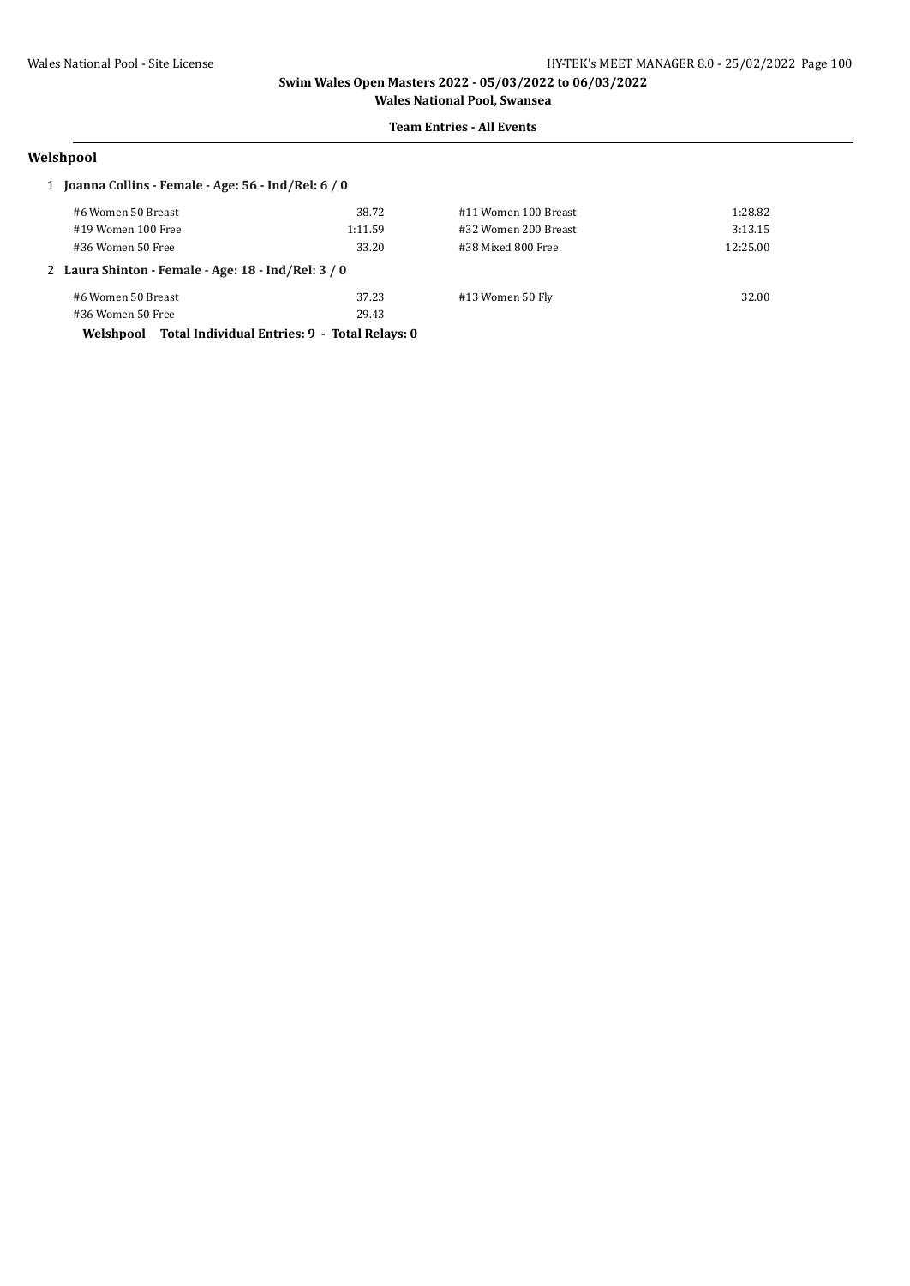#### **Team Entries - All Events**

# **Welshpool**

| 1 Joanna Collins - Female - Age: 56 - Ind/Rel: 6 / 0    |         |                      |          |  |  |
|---------------------------------------------------------|---------|----------------------|----------|--|--|
| #6 Women 50 Breast                                      | 38.72   | #11 Women 100 Breast | 1:28.82  |  |  |
| #19 Women 100 Free                                      | 1:11.59 | #32 Women 200 Breast | 3:13.15  |  |  |
| #36 Women 50 Free                                       | 33.20   | #38 Mixed 800 Free   | 12:25.00 |  |  |
| 2 Laura Shinton - Female - Age: 18 - Ind/Rel: 3 / 0     |         |                      |          |  |  |
| #6 Women 50 Breast                                      | 37.23   | #13 Women 50 Fly     | 32.00    |  |  |
| #36 Women 50 Free                                       | 29.43   |                      |          |  |  |
| Welshpool Total Individual Entries: 9 - Total Relays: 0 |         |                      |          |  |  |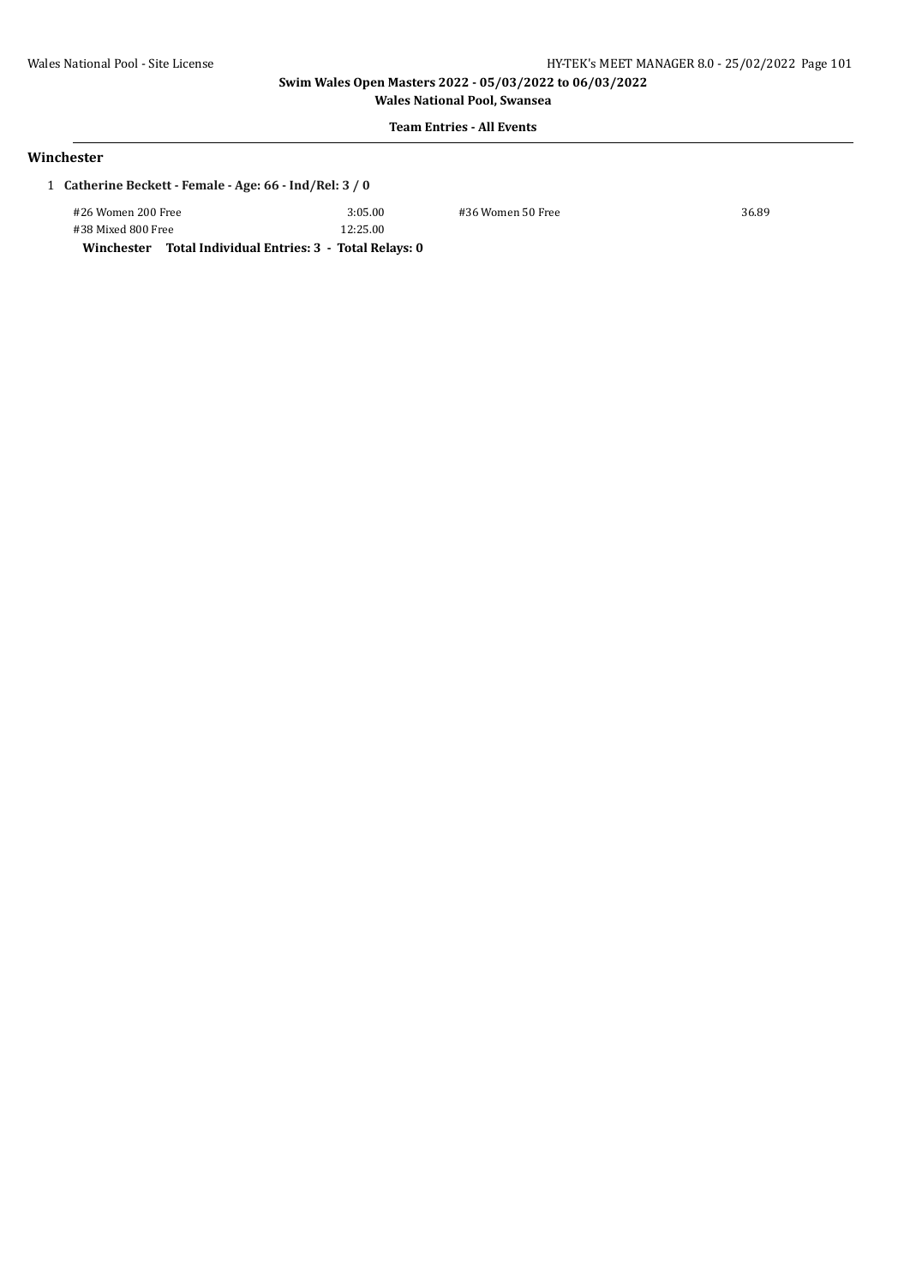# **Team Entries - All Events**

#### **Winchester**

| 1 Catherine Beckett - Female - Age: 66 - Ind/Rel: 3 / 0 |         |                   |       |  |
|---------------------------------------------------------|---------|-------------------|-------|--|
| #26 Women 200 Free                                      | 3:05.00 | #36 Women 50 Free | 36.89 |  |

#38 Mixed 800 Free 12:25.00 **Winchester Total Individual Entries: 3 - Total Relays: 0**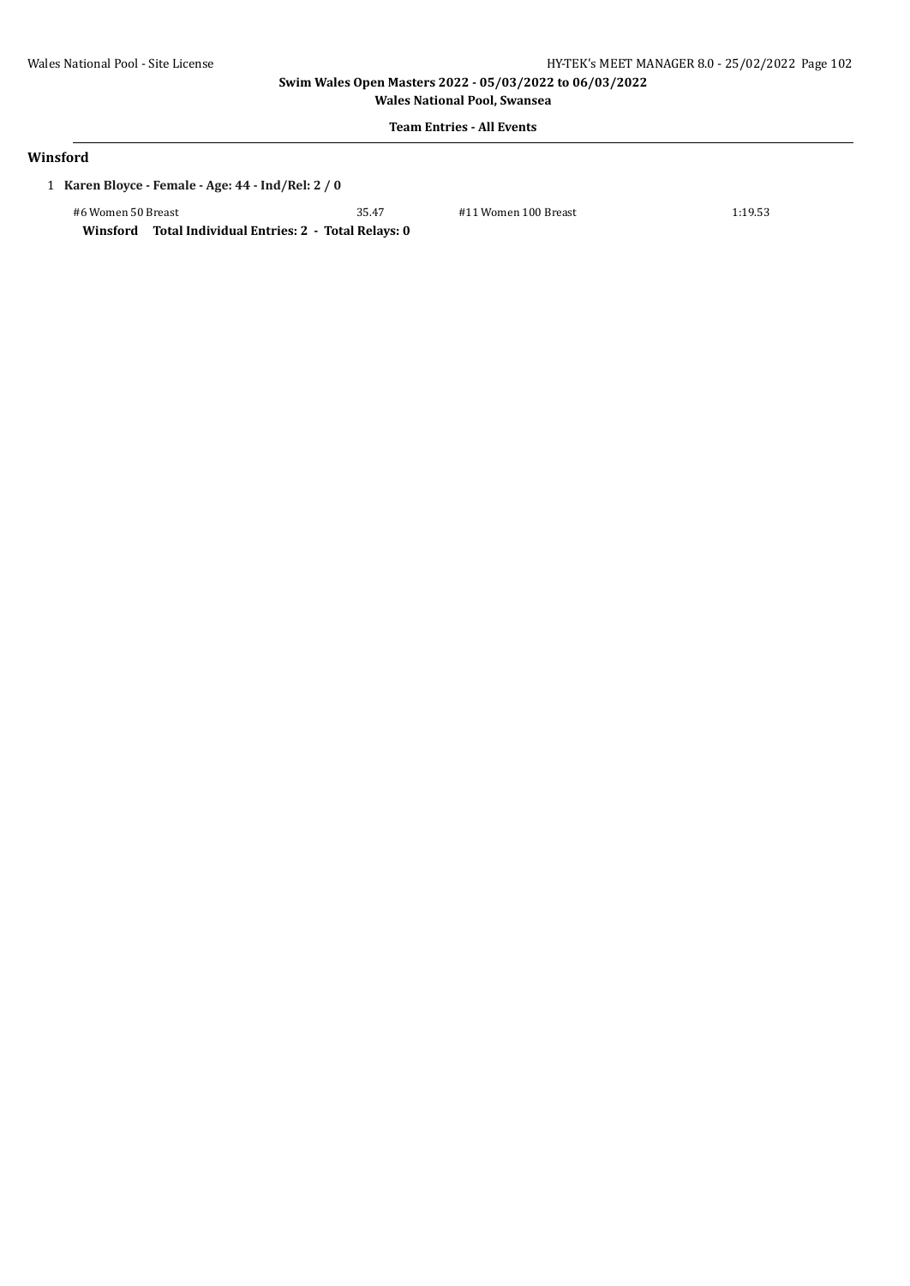**Wales National Pool, Swansea**

# **Team Entries - All Events**

#### **Winsford**

1 **Karen Bloyce - Female - Age: 44 - Ind/Rel: 2 / 0**

#6 Women 50 Breast 35.47 #11 Women 100 Breast 1:19.53

**Winsford Total Individual Entries: 2 - Total Relays: 0**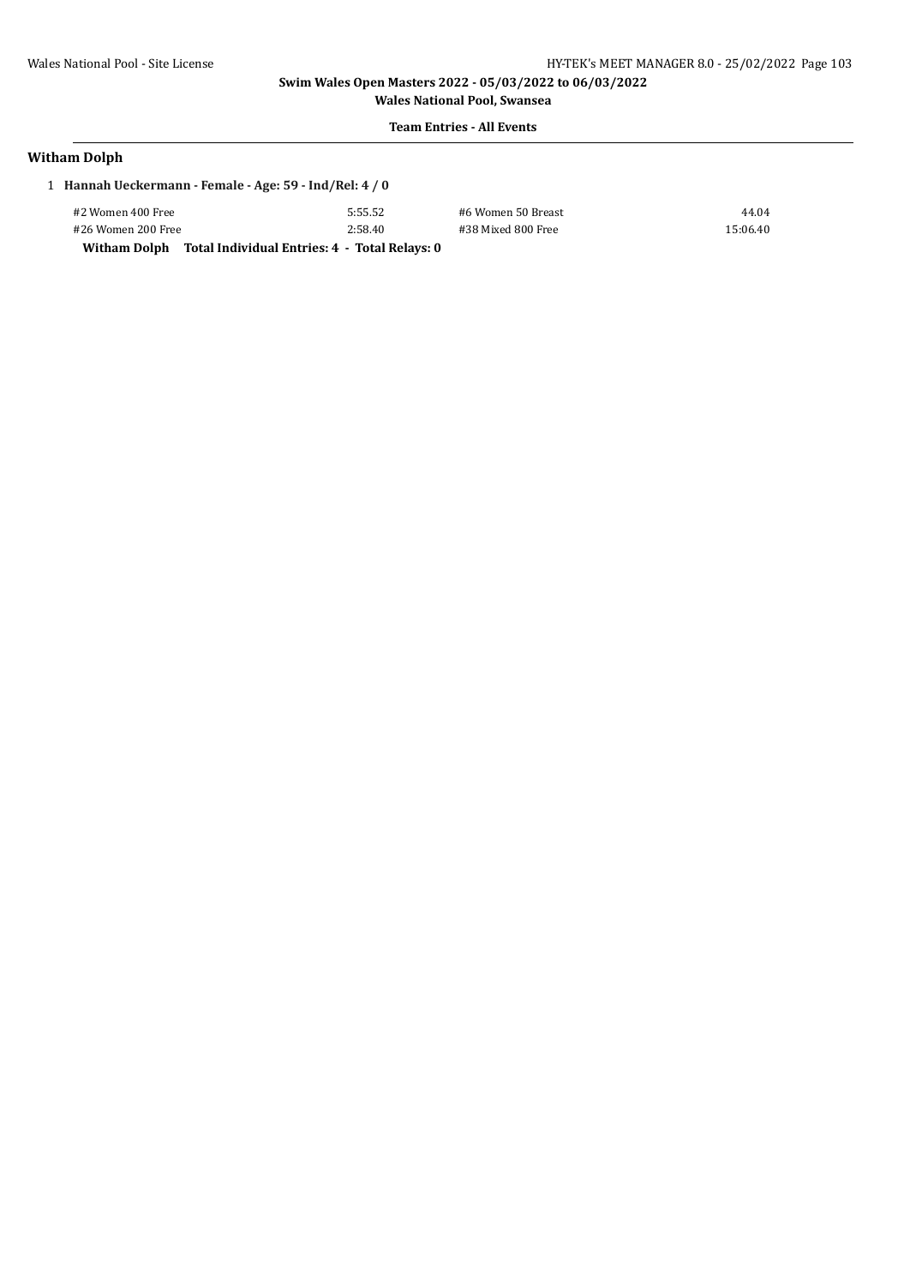**Wales National Pool, Swansea Team Entries - All Events**

# **Witham Dolph**

| 1 Hannah Ueckermann - Female - Age: 59 - Ind/Rel: 4 / 0 |         |                    |          |
|---------------------------------------------------------|---------|--------------------|----------|
| #2 Women 400 Free                                       | 5:55.52 | #6 Women 50 Breast | 44.04    |
| #26 Women 200 Free                                      | 2:58.40 | #38 Mixed 800 Free | 15:06.40 |

#2 Women 400 Free 5:55.52 #6 Women 50 Breast 44.04

**Witham Dolph Total Individual Entries: 4 - Total Relays: 0**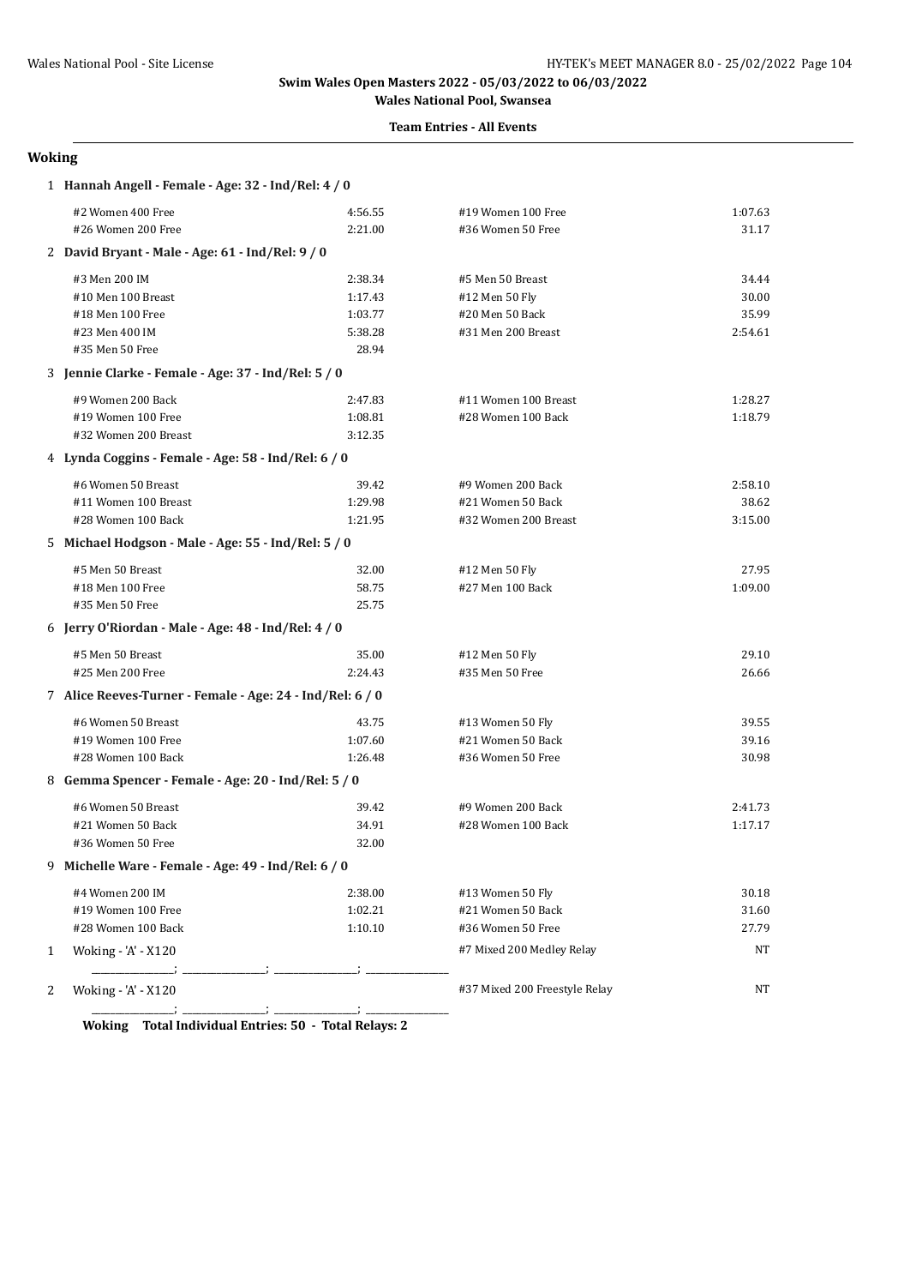#### **Team Entries - All Events**

#### **Woking**

|   | 1 Hannah Angell - Female - Age: 32 - Ind/Rel: 4 / 0       |         |                               |         |
|---|-----------------------------------------------------------|---------|-------------------------------|---------|
|   | #2 Women 400 Free                                         | 4:56.55 | #19 Women 100 Free            | 1:07.63 |
|   | #26 Women 200 Free                                        | 2:21.00 | #36 Women 50 Free             | 31.17   |
|   | 2 David Bryant - Male - Age: 61 - Ind/Rel: 9 / 0          |         |                               |         |
|   | #3 Men 200 IM                                             | 2:38.34 | #5 Men 50 Breast              | 34.44   |
|   | #10 Men 100 Breast                                        | 1:17.43 | #12 Men 50 Fly                | 30.00   |
|   | #18 Men 100 Free                                          | 1:03.77 | #20 Men 50 Back               | 35.99   |
|   | #23 Men 400 IM                                            | 5:38.28 | #31 Men 200 Breast            | 2:54.61 |
|   | #35 Men 50 Free                                           | 28.94   |                               |         |
|   | 3 Jennie Clarke - Female - Age: 37 - Ind/Rel: 5 / 0       |         |                               |         |
|   | #9 Women 200 Back                                         | 2:47.83 | #11 Women 100 Breast          | 1:28.27 |
|   | #19 Women 100 Free                                        | 1:08.81 | #28 Women 100 Back            | 1:18.79 |
|   | #32 Women 200 Breast                                      | 3:12.35 |                               |         |
|   | 4 Lynda Coggins - Female - Age: 58 - Ind/Rel: 6 / 0       |         |                               |         |
|   | #6 Women 50 Breast                                        | 39.42   | #9 Women 200 Back             | 2:58.10 |
|   | #11 Women 100 Breast                                      | 1:29.98 | #21 Women 50 Back             | 38.62   |
|   | #28 Women 100 Back                                        | 1:21.95 | #32 Women 200 Breast          | 3:15.00 |
|   | 5 Michael Hodgson - Male - Age: 55 - Ind/Rel: 5 / 0       |         |                               |         |
|   | #5 Men 50 Breast                                          | 32.00   | #12 Men 50 Fly                | 27.95   |
|   | #18 Men 100 Free                                          | 58.75   | #27 Men 100 Back              | 1:09.00 |
|   | #35 Men 50 Free                                           | 25.75   |                               |         |
|   | 6 Jerry O'Riordan - Male - Age: 48 - Ind/Rel: 4 / 0       |         |                               |         |
|   | #5 Men 50 Breast                                          | 35.00   | #12 Men 50 Fly                | 29.10   |
|   | #25 Men 200 Free                                          | 2:24.43 | #35 Men 50 Free               | 26.66   |
|   | 7 Alice Reeves-Turner - Female - Age: 24 - Ind/Rel: 6 / 0 |         |                               |         |
|   | #6 Women 50 Breast                                        | 43.75   | #13 Women 50 Fly              | 39.55   |
|   | #19 Women 100 Free                                        | 1:07.60 | #21 Women 50 Back             | 39.16   |
|   | #28 Women 100 Back                                        | 1:26.48 | #36 Women 50 Free             | 30.98   |
|   | 8 Gemma Spencer - Female - Age: 20 - Ind/Rel: 5 / 0       |         |                               |         |
|   | #6 Women 50 Breast                                        | 39.42   | #9 Women 200 Back             | 2:41.73 |
|   | #21 Women 50 Back                                         | 34.91   | #28 Women 100 Back            | 1:17.17 |
|   | #36 Women 50 Free                                         | 32.00   |                               |         |
|   | 9 Michelle Ware - Female - Age: 49 - Ind/Rel: 6 / 0       |         |                               |         |
|   | #4 Women 200 IM                                           | 2:38.00 | #13 Women 50 Fly              | 30.18   |
|   | #19 Women 100 Free                                        | 1:02.21 | #21 Women 50 Back             | 31.60   |
|   | #28 Women 100 Back                                        | 1:10.10 | #36 Women 50 Free             | 27.79   |
| 1 | Woking - 'A' - X120                                       |         | #7 Mixed 200 Medley Relay     | NT      |
|   |                                                           |         |                               |         |
| 2 | Woking - 'A' - X120                                       |         | #37 Mixed 200 Freestyle Relay | NT      |
|   |                                                           |         |                               |         |

**Woking Total Individual Entries: 50 - Total Relays: 2**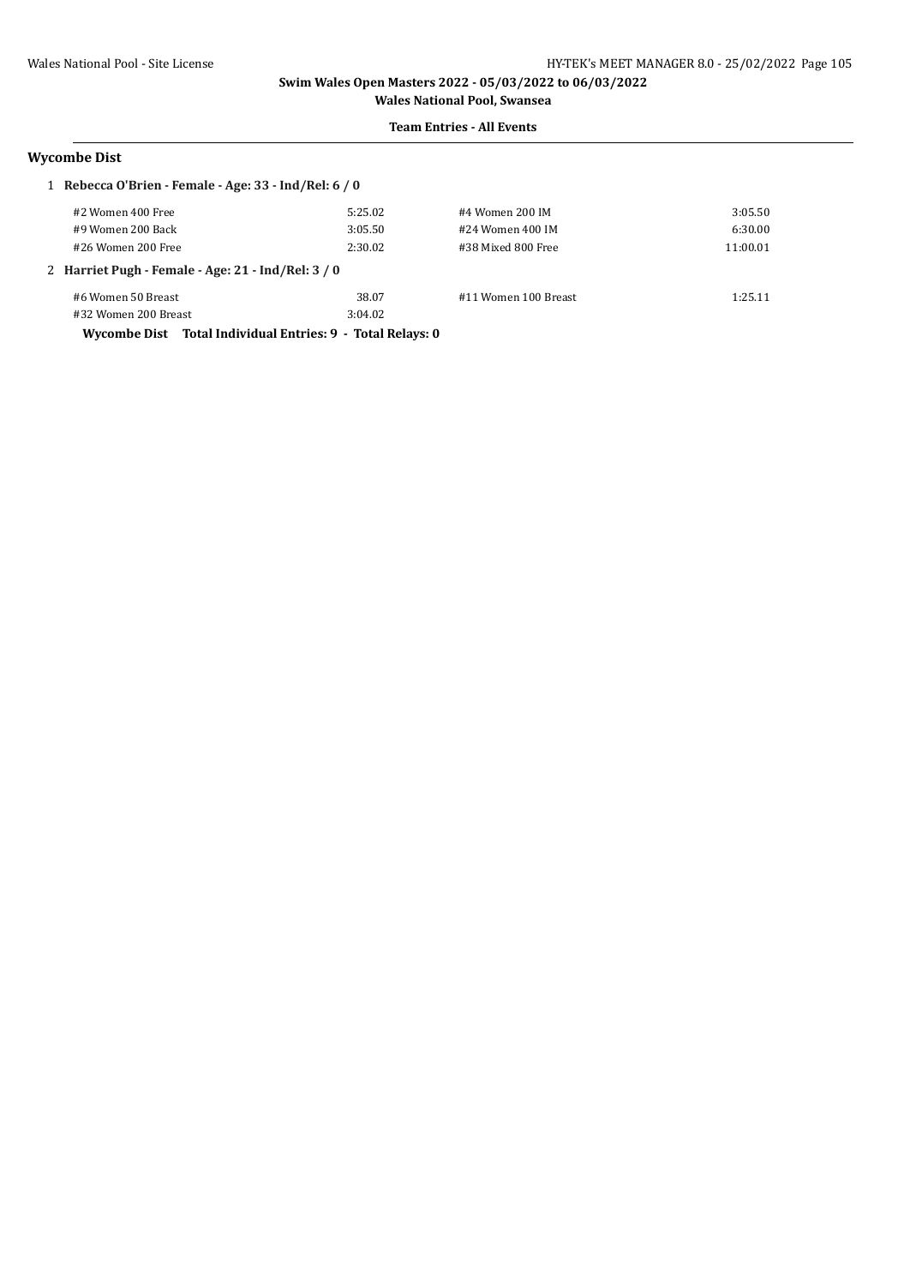#### **Team Entries - All Events**

### **Wycombe Dist**

| 1 Rebecca O'Brien - Female - Age: $33$ - Ind/Rel: $6/0$    |         |                      |          |  |  |
|------------------------------------------------------------|---------|----------------------|----------|--|--|
| #2 Women 400 Free                                          | 5:25.02 | #4 Women 200 IM      | 3:05.50  |  |  |
| #9 Women 200 Back                                          | 3:05.50 | #24 Women 400 IM     | 6:30.00  |  |  |
| #26 Women 200 Free                                         | 2:30.02 | #38 Mixed 800 Free   | 11:00.01 |  |  |
| 2 Harriet Pugh - Female - Age: 21 - Ind/Rel: 3 / 0         |         |                      |          |  |  |
| #6 Women 50 Breast                                         | 38.07   | #11 Women 100 Breast | 1:25.11  |  |  |
| #32 Women 200 Breast                                       | 3:04.02 |                      |          |  |  |
| Wycombe Dist Total Individual Entries: 9 - Total Relays: 0 |         |                      |          |  |  |